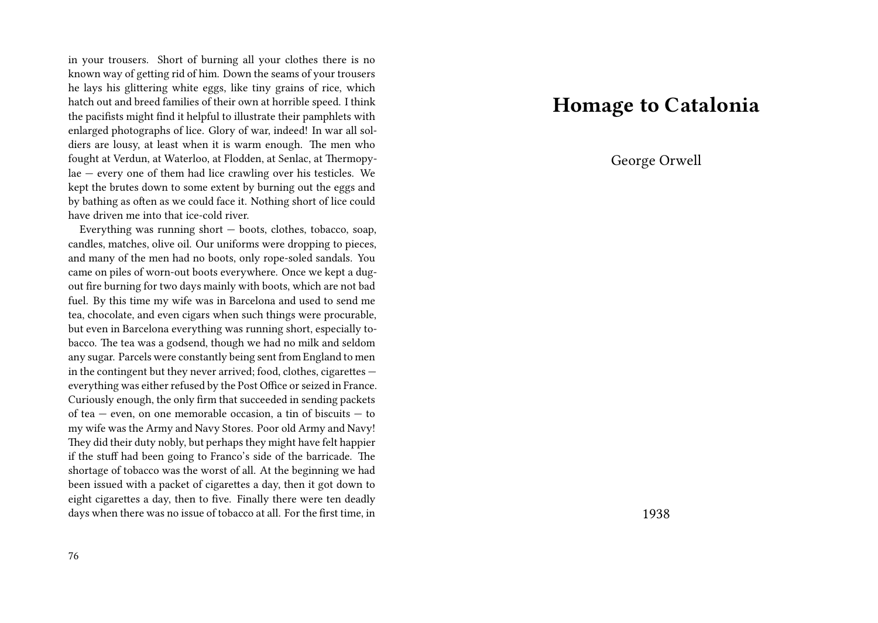in your trousers. Short of burning all your clothes there is no known way of getting rid of him. Down the seams of your trousers he lays his glittering white eggs, like tiny grains of rice, which hatch out and breed families of their own at horrible speed. I think the pacifists might find it helpful to illustrate their pamphlets with enlarged photographs of lice. Glory of war, indeed! In war all soldiers are lousy, at least when it is warm enough. The men who fought at Verdun, at Waterloo, at Flodden, at Senlac, at Thermopylae — every one of them had lice crawling over his testicles. We kept the brutes down to some extent by burning out the eggs and by bathing as often as we could face it. Nothing short of lice could have driven me into that ice-cold river.

Everything was running short  $-$  boots, clothes, tobacco, soap, candles, matches, olive oil. Our uniforms were dropping to pieces, and many of the men had no boots, only rope-soled sandals. You came on piles of worn-out boots everywhere. Once we kept a dugout fire burning for two days mainly with boots, which are not bad fuel. By this time my wife was in Barcelona and used to send me tea, chocolate, and even cigars when such things were procurable, but even in Barcelona everything was running short, especially tobacco. The tea was a godsend, though we had no milk and seldom any sugar. Parcels were constantly being sent from England to men in the contingent but they never arrived; food, clothes, cigarettes everything was either refused by the Post Office or seized in France. Curiously enough, the only firm that succeeded in sending packets of tea — even, on one memorable occasion, a tin of biscuits — to my wife was the Army and Navy Stores. Poor old Army and Navy! They did their duty nobly, but perhaps they might have felt happier if the stuff had been going to Franco's side of the barricade. The shortage of tobacco was the worst of all. At the beginning we had been issued with a packet of cigarettes a day, then it got down to eight cigarettes a day, then to five. Finally there were ten deadly days when there was no issue of tobacco at all. For the first time, in

#### 76

#### **Homage to Catalonia**

George Orwell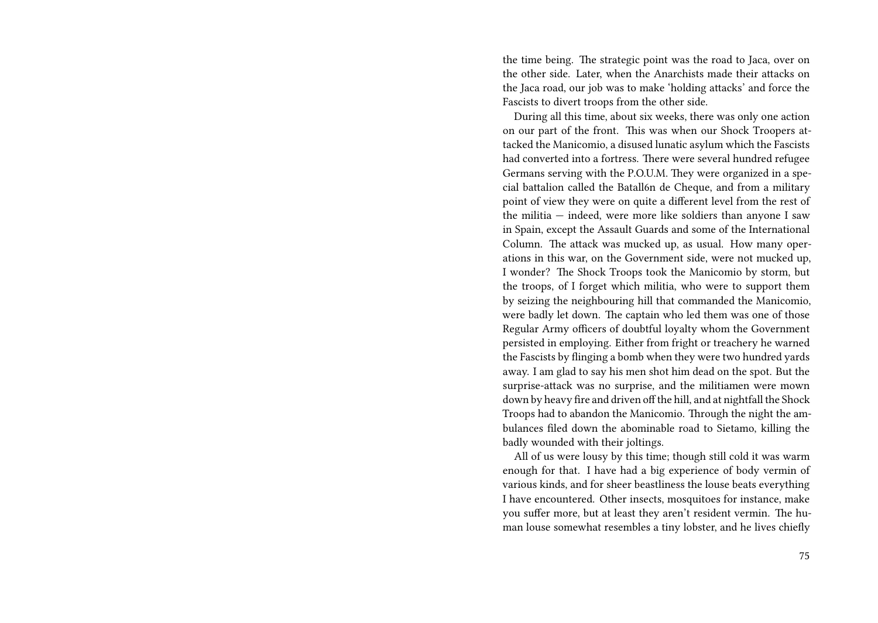the time being. The strategic point was the road to Jaca, over on the other side. Later, when the Anarchists made their attacks on the Jaca road, our job was to make 'holding attacks' and force the Fascists to divert troops from the other side.

During all this time, about six weeks, there was only one action on our part of the front. This was when our Shock Troopers attacked the Manicomio, a disused lunatic asylum which the Fascists had converted into a fortress. There were several hundred refugee Germans serving with the P.O.U.M. They were organized in a special battalion called the Batall6n de Cheque, and from a military point of view they were on quite a different level from the rest of the militia — indeed, were more like soldiers than anyone I saw in Spain, except the Assault Guards and some of the International Column. The attack was mucked up, as usual. How many operations in this war, on the Government side, were not mucked up, I wonder? The Shock Troops took the Manicomio by storm, but the troops, of I forget which militia, who were to support them by seizing the neighbouring hill that commanded the Manicomio, were badly let down. The captain who led them was one of those Regular Army officers of doubtful loyalty whom the Government persisted in employing. Either from fright or treachery he warned the Fascists by flinging a bomb when they were two hundred yards away. I am glad to say his men shot him dead on the spot. But the surprise-attack was no surprise, and the militiamen were mown down by heavy fire and driven off the hill, and at nightfall the Shock Troops had to abandon the Manicomio. Through the night the ambulances filed down the abominable road to Sietamo, killing the badly wounded with their joltings.

All of us were lousy by this time; though still cold it was warm enough for that. I have had a big experience of body vermin of various kinds, and for sheer beastliness the louse beats everything I have encountered. Other insects, mosquitoes for instance, make you suffer more, but at least they aren't resident vermin. The human louse somewhat resembles a tiny lobster, and he lives chiefly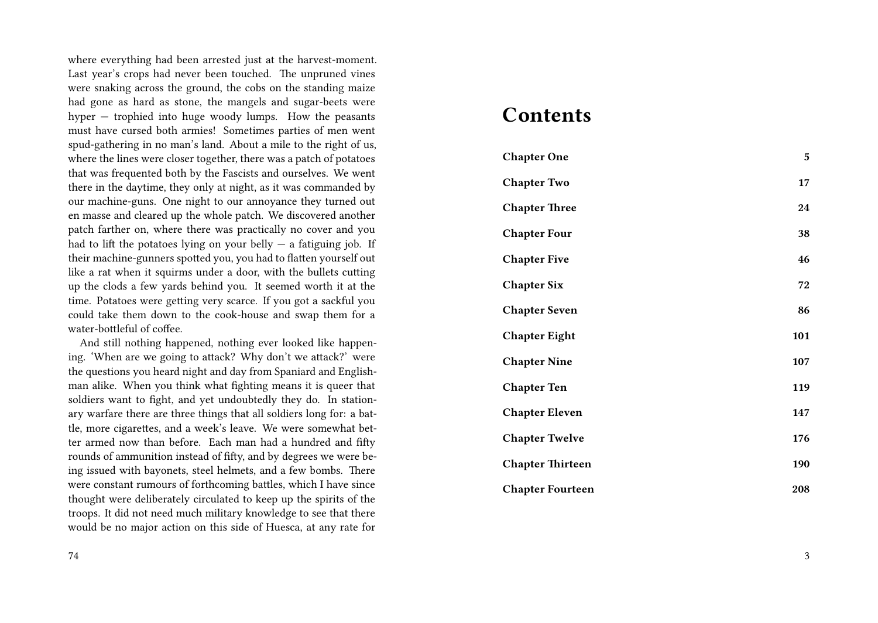where everything had been arrested just at the harvest-moment. Last year's crops had never been touched. The unpruned vines were snaking across the ground, the cobs on the standing maize had gone as hard as stone, the mangels and sugar-beets were hyper — trophied into huge woody lumps. How the peasants must have cursed both armies! Sometimes parties of men went spud-gathering in no man's land. About a mile to the right of us, where the lines were closer together, there was a patch of potatoes that was frequented both by the Fascists and ourselves. We went there in the daytime, they only at night, as it was commanded by our machine-guns. One night to our annoyance they turned out en masse and cleared up the whole patch. We discovered another patch farther on, where there was practically no cover and you had to lift the potatoes lying on your belly  $-$  a fatiguing job. If their machine-gunners spotted you, you had to flatten yourself out like a rat when it squirms under a door, with the bullets cutting up the clods a few yards behind you. It seemed worth it at the time. Potatoes were getting very scarce. If you got a sackful you could take them down to the cook-house and swap them for a water-bottleful of coffee.

And still nothing happened, nothing ever looked like happening. 'When are we going to attack? Why don't we attack?' were the questions you heard night and day from Spaniard and Englishman alike. When you think what fighting means it is queer that soldiers want to fight, and yet undoubtedly they do. In stationary warfare there are three things that all soldiers long for: a battle, more cigarettes, and a week's leave. We were somewhat better armed now than before. Each man had a hundred and fifty rounds of ammunition instead of fifty, and by degrees we were being issued with bayonets, steel helmets, and a few bombs. There were constant rumours of forthcoming battles, which I have since thought were deliberately circulated to keep up the spirits of the troops. It did not need much military knowledge to see that there would be no major action on this side of Huesca, at any rate for

#### **Contents**

| <b>Chapter One</b>      | 5   |
|-------------------------|-----|
| <b>Chapter Two</b>      | 17  |
| <b>Chapter Three</b>    | 24  |
| <b>Chapter Four</b>     | 38  |
| <b>Chapter Five</b>     | 46  |
| <b>Chapter Six</b>      | 72  |
| <b>Chapter Seven</b>    | 86  |
| <b>Chapter Eight</b>    | 101 |
| <b>Chapter Nine</b>     | 107 |
| <b>Chapter Ten</b>      | 119 |
| <b>Chapter Eleven</b>   | 147 |
| <b>Chapter Twelve</b>   | 176 |
| <b>Chapter Thirteen</b> | 190 |
| <b>Chapter Fourteen</b> | 208 |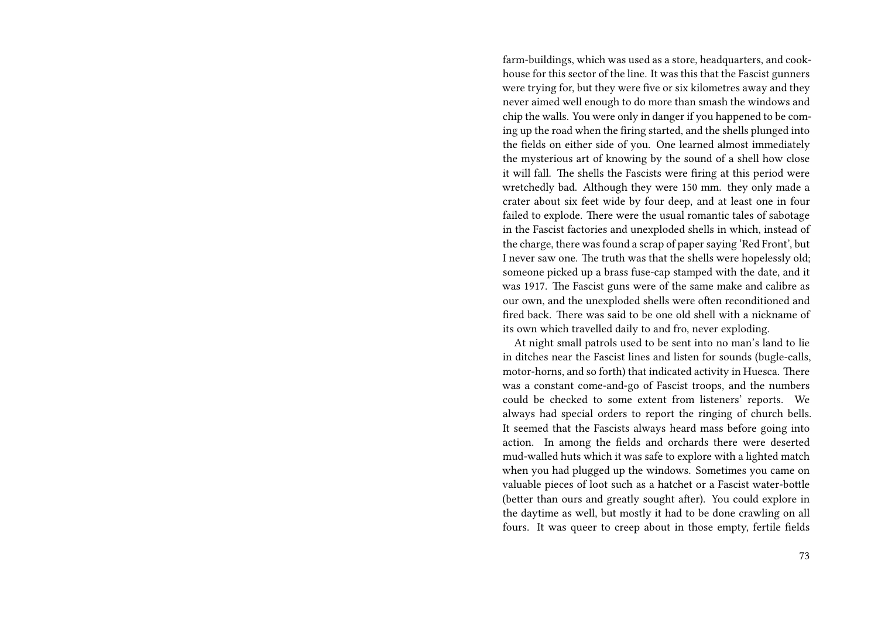farm-buildings, which was used as a store, headquarters, and cookhouse for this sector of the line. It was this that the Fascist gunners were trying for, but they were five or six kilometres away and they never aimed well enough to do more than smash the windows and chip the walls. You were only in danger if you happened to be coming up the road when the firing started, and the shells plunged into the fields on either side of you. One learned almost immediately the mysterious art of knowing by the sound of a shell how close it will fall. The shells the Fascists were firing at this period were wretchedly bad. Although they were 150 mm. they only made a crater about six feet wide by four deep, and at least one in four failed to explode. There were the usual romantic tales of sabotage in the Fascist factories and unexploded shells in which, instead of the charge, there was found a scrap of paper saying 'Red Front', but I never saw one. The truth was that the shells were hopelessly old; someone picked up a brass fuse-cap stamped with the date, and it was 1917. The Fascist guns were of the same make and calibre as our own, and the unexploded shells were often reconditioned and fired back. There was said to be one old shell with a nickname of its own which travelled daily to and fro, never exploding.

At night small patrols used to be sent into no man's land to lie in ditches near the Fascist lines and listen for sounds (bugle-calls, motor-horns, and so forth) that indicated activity in Huesca. There was a constant come-and-go of Fascist troops, and the numbers could be checked to some extent from listeners' reports. We always had special orders to report the ringing of church bells. It seemed that the Fascists always heard mass before going into action. In among the fields and orchards there were deserted mud-walled huts which it was safe to explore with a lighted match when you had plugged up the windows. Sometimes you came on valuable pieces of loot such as a hatchet or a Fascist water-bottle (better than ours and greatly sought after). You could explore in the daytime as well, but mostly it had to be done crawling on all fours. It was queer to creep about in those empty, fertile fields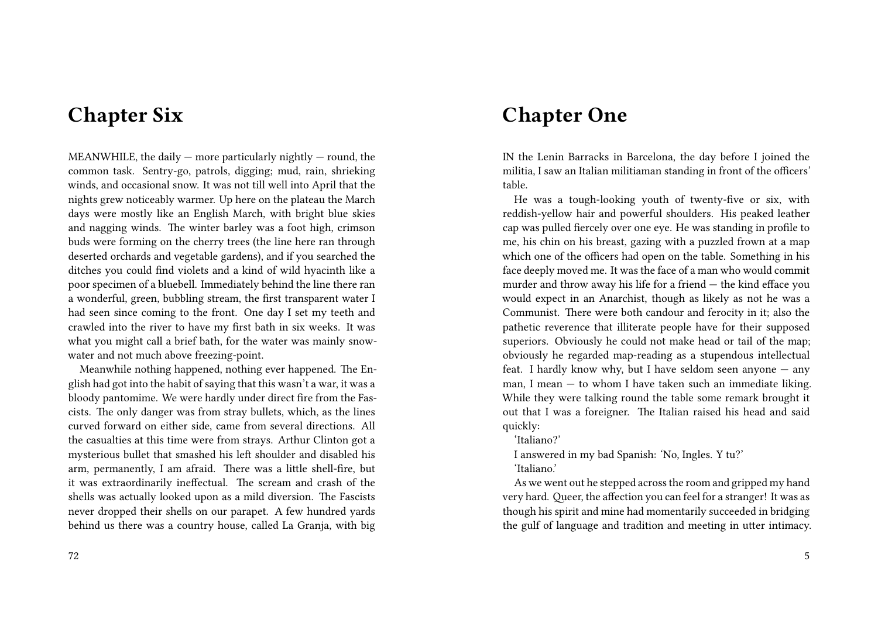# **Chapter Six**

MEANWHILE, the daily  $-$  more particularly nightly  $-$  round, the common task. Sentry-go, patrols, digging; mud, rain, shrieking winds, and occasional snow. It was not till well into April that the nights grew noticeably warmer. Up here on the plateau the March days were mostly like an English March, with bright blue skies and nagging winds. The winter barley was a foot high, crimson buds were forming on the cherry trees (the line here ran through deserted orchards and vegetable gardens), and if you searched the ditches you could find violets and a kind of wild hyacinth like a poor specimen of a bluebell. Immediately behind the line there ran a wonderful, green, bubbling stream, the first transparent water I had seen since coming to the front. One day I set my teeth and crawled into the river to have my first bath in six weeks. It was what you might call a brief bath, for the water was mainly snowwater and not much above freezing-point.

Meanwhile nothing happened, nothing ever happened. The English had got into the habit of saying that this wasn't a war, it was a bloody pantomime. We were hardly under direct fire from the Fascists. The only danger was from stray bullets, which, as the lines curved forward on either side, came from several directions. All the casualties at this time were from strays. Arthur Clinton got a mysterious bullet that smashed his left shoulder and disabled his arm, permanently, I am afraid. There was a little shell-fire, but it was extraordinarily ineffectual. The scream and crash of the shells was actually looked upon as a mild diversion. The Fascists never dropped their shells on our parapet. A few hundred yards behind us there was a country house, called La Granja, with big

## **Chapter One**

IN the Lenin Barracks in Barcelona, the day before I joined the militia, I saw an Italian militiaman standing in front of the officers' table.

He was a tough-looking youth of twenty-five or six, with reddish-yellow hair and powerful shoulders. His peaked leather cap was pulled fiercely over one eye. He was standing in profile to me, his chin on his breast, gazing with a puzzled frown at a map which one of the officers had open on the table. Something in his face deeply moved me. It was the face of a man who would commit murder and throw away his life for a friend — the kind efface you would expect in an Anarchist, though as likely as not he was a Communist. There were both candour and ferocity in it; also the pathetic reverence that illiterate people have for their supposed superiors. Obviously he could not make head or tail of the map; obviously he regarded map-reading as a stupendous intellectual feat. I hardly know why, but I have seldom seen anyone — any man, I mean — to whom I have taken such an immediate liking. While they were talking round the table some remark brought it out that I was a foreigner. The Italian raised his head and said quickly:

'Italiano?'

I answered in my bad Spanish: 'No, Ingles. Y tu?' 'Italiano.'

As we went out he stepped across the room and gripped my hand very hard. Queer, the affection you can feel for a stranger! It was as though his spirit and mine had momentarily succeeded in bridging the gulf of language and tradition and meeting in utter intimacy.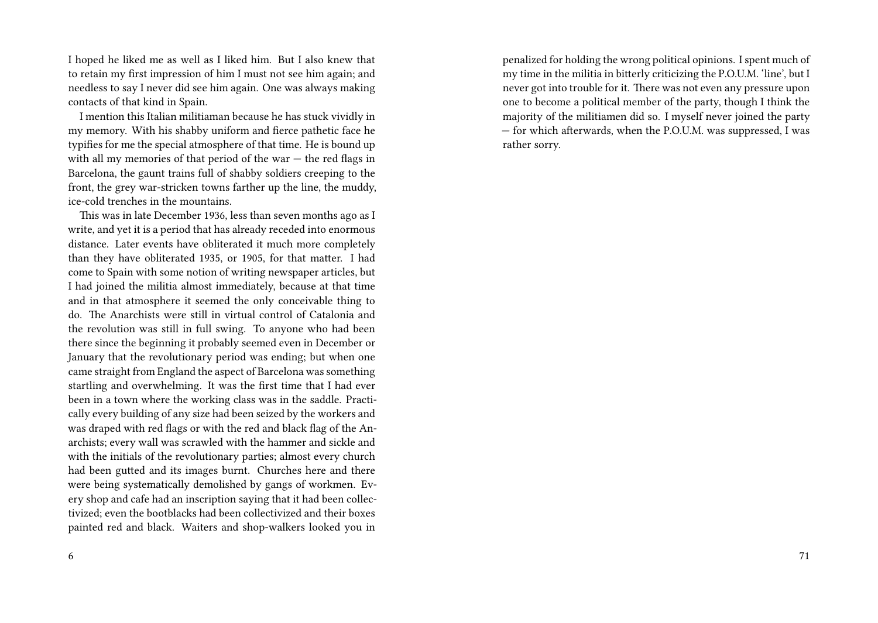I hoped he liked me as well as I liked him. But I also knew that to retain my first impression of him I must not see him again; and needless to say I never did see him again. One was always making contacts of that kind in Spain.

I mention this Italian militiaman because he has stuck vividly in my memory. With his shabby uniform and fierce pathetic face he typifies for me the special atmosphere of that time. He is bound up with all my memories of that period of the war — the red flags in Barcelona, the gaunt trains full of shabby soldiers creeping to the front, the grey war-stricken towns farther up the line, the muddy, ice-cold trenches in the mountains.

This was in late December 1936, less than seven months ago as I write, and yet it is a period that has already receded into enormous distance. Later events have obliterated it much more completely than they have obliterated 1935, or 1905, for that matter. I had come to Spain with some notion of writing newspaper articles, but I had joined the militia almost immediately, because at that time and in that atmosphere it seemed the only conceivable thing to do. The Anarchists were still in virtual control of Catalonia and the revolution was still in full swing. To anyone who had been there since the beginning it probably seemed even in December or January that the revolutionary period was ending; but when one came straight from England the aspect of Barcelona was something startling and overwhelming. It was the first time that I had ever been in a town where the working class was in the saddle. Practically every building of any size had been seized by the workers and was draped with red flags or with the red and black flag of the Anarchists; every wall was scrawled with the hammer and sickle and with the initials of the revolutionary parties; almost every church had been gutted and its images burnt. Churches here and there were being systematically demolished by gangs of workmen. Every shop and cafe had an inscription saying that it had been collectivized; even the bootblacks had been collectivized and their boxes painted red and black. Waiters and shop-walkers looked you in

penalized for holding the wrong political opinions. I spent much of my time in the militia in bitterly criticizing the P.O.U.M. 'line', but I never got into trouble for it. There was not even any pressure upon one to become a political member of the party, though I think the majority of the militiamen did so. I myself never joined the party — for which afterwards, when the P.O.U.M. was suppressed, I was rather sorry.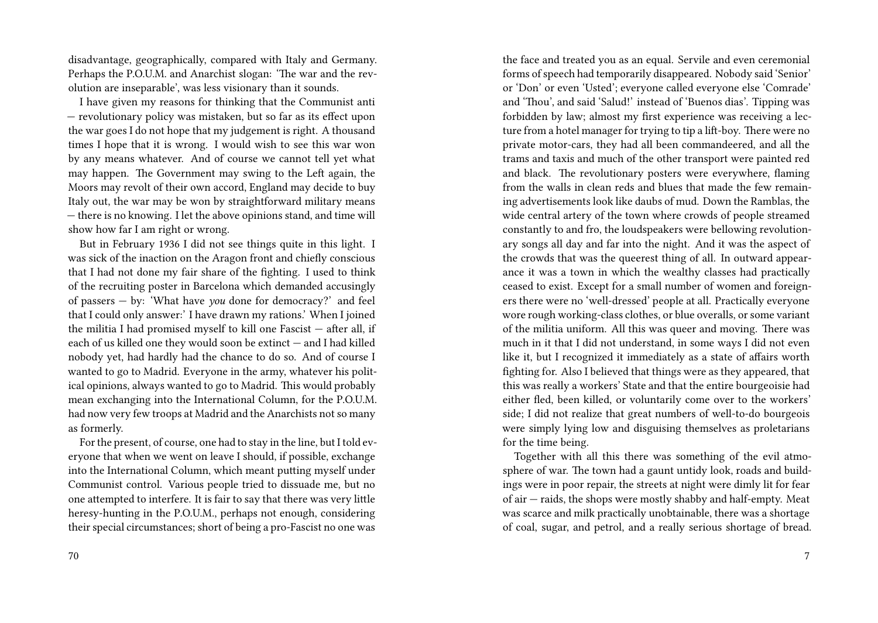disadvantage, geographically, compared with Italy and Germany. Perhaps the P.O.U.M. and Anarchist slogan: 'The war and the revolution are inseparable', was less visionary than it sounds.

I have given my reasons for thinking that the Communist anti — revolutionary policy was mistaken, but so far as its effect upon the war goes I do not hope that my judgement is right. A thousand times I hope that it is wrong. I would wish to see this war won by any means whatever. And of course we cannot tell yet what may happen. The Government may swing to the Left again, the Moors may revolt of their own accord, England may decide to buy Italy out, the war may be won by straightforward military means — there is no knowing. I let the above opinions stand, and time will show how far I am right or wrong.

But in February 1936 I did not see things quite in this light. I was sick of the inaction on the Aragon front and chiefly conscious that I had not done my fair share of the fighting. I used to think of the recruiting poster in Barcelona which demanded accusingly of passers — by: 'What have *you* done for democracy?' and feel that I could only answer:' I have drawn my rations.' When I joined the militia I had promised myself to kill one Fascist — after all, if each of us killed one they would soon be extinct — and I had killed nobody yet, had hardly had the chance to do so. And of course I wanted to go to Madrid. Everyone in the army, whatever his political opinions, always wanted to go to Madrid. This would probably mean exchanging into the International Column, for the P.O.U.M. had now very few troops at Madrid and the Anarchists not so many as formerly.

For the present, of course, one had to stay in the line, but I told everyone that when we went on leave I should, if possible, exchange into the International Column, which meant putting myself under Communist control. Various people tried to dissuade me, but no one attempted to interfere. It is fair to say that there was very little heresy-hunting in the P.O.U.M., perhaps not enough, considering their special circumstances; short of being a pro-Fascist no one was

the face and treated you as an equal. Servile and even ceremonial forms of speech had temporarily disappeared. Nobody said 'Senior' or 'Don' or even 'Usted'; everyone called everyone else 'Comrade' and 'Thou', and said 'Salud!' instead of 'Buenos dias'. Tipping was forbidden by law; almost my first experience was receiving a lecture from a hotel manager for trying to tip a lift-boy. There were no private motor-cars, they had all been commandeered, and all the trams and taxis and much of the other transport were painted red and black. The revolutionary posters were everywhere, flaming from the walls in clean reds and blues that made the few remaining advertisements look like daubs of mud. Down the Ramblas, the wide central artery of the town where crowds of people streamed constantly to and fro, the loudspeakers were bellowing revolutionary songs all day and far into the night. And it was the aspect of the crowds that was the queerest thing of all. In outward appearance it was a town in which the wealthy classes had practically ceased to exist. Except for a small number of women and foreigners there were no 'well-dressed' people at all. Practically everyone wore rough working-class clothes, or blue overalls, or some variant of the militia uniform. All this was queer and moving. There was much in it that I did not understand, in some ways I did not even like it, but I recognized it immediately as a state of affairs worth fighting for. Also I believed that things were as they appeared, that this was really a workers' State and that the entire bourgeoisie had either fled, been killed, or voluntarily come over to the workers' side; I did not realize that great numbers of well-to-do bourgeois were simply lying low and disguising themselves as proletarians for the time being.

Together with all this there was something of the evil atmosphere of war. The town had a gaunt untidy look, roads and buildings were in poor repair, the streets at night were dimly lit for fear of air — raids, the shops were mostly shabby and half-empty. Meat was scarce and milk practically unobtainable, there was a shortage of coal, sugar, and petrol, and a really serious shortage of bread.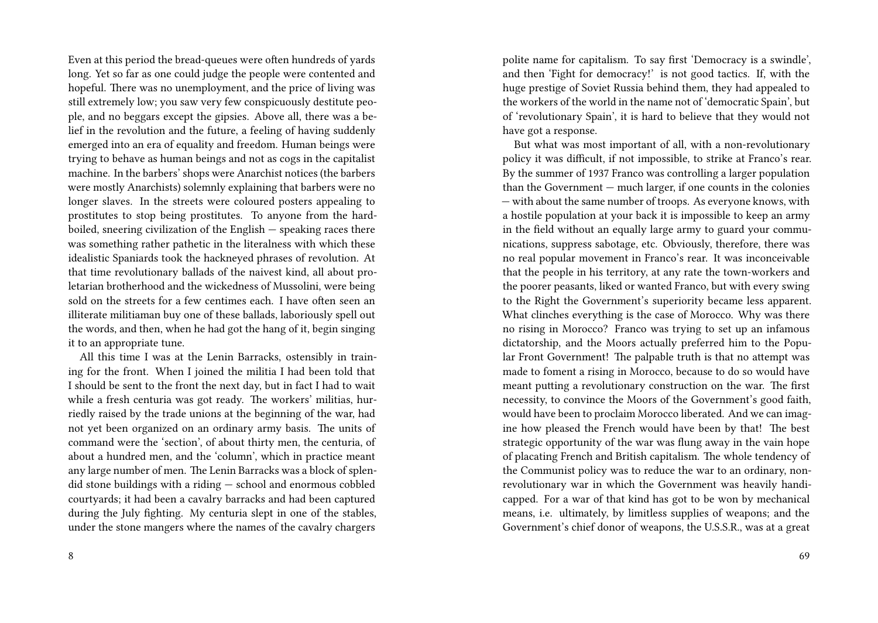Even at this period the bread-queues were often hundreds of yards long. Yet so far as one could judge the people were contented and hopeful. There was no unemployment, and the price of living was still extremely low; you saw very few conspicuously destitute people, and no beggars except the gipsies. Above all, there was a belief in the revolution and the future, a feeling of having suddenly emerged into an era of equality and freedom. Human beings were trying to behave as human beings and not as cogs in the capitalist machine. In the barbers' shops were Anarchist notices (the barbers were mostly Anarchists) solemnly explaining that barbers were no longer slaves. In the streets were coloured posters appealing to prostitutes to stop being prostitutes. To anyone from the hardboiled, sneering civilization of the English — speaking races there was something rather pathetic in the literalness with which these idealistic Spaniards took the hackneyed phrases of revolution. At that time revolutionary ballads of the naivest kind, all about proletarian brotherhood and the wickedness of Mussolini, were being sold on the streets for a few centimes each. I have often seen an illiterate militiaman buy one of these ballads, laboriously spell out the words, and then, when he had got the hang of it, begin singing it to an appropriate tune.

All this time I was at the Lenin Barracks, ostensibly in training for the front. When I joined the militia I had been told that I should be sent to the front the next day, but in fact I had to wait while a fresh centuria was got ready. The workers' militias, hurriedly raised by the trade unions at the beginning of the war, had not yet been organized on an ordinary army basis. The units of command were the 'section', of about thirty men, the centuria, of about a hundred men, and the 'column', which in practice meant any large number of men. The Lenin Barracks was a block of splendid stone buildings with a riding — school and enormous cobbled courtyards; it had been a cavalry barracks and had been captured during the July fighting. My centuria slept in one of the stables, under the stone mangers where the names of the cavalry chargers

8

polite name for capitalism. To say first 'Democracy is a swindle', and then 'Fight for democracy!' is not good tactics. If, with the huge prestige of Soviet Russia behind them, they had appealed to the workers of the world in the name not of 'democratic Spain', but of 'revolutionary Spain', it is hard to believe that they would not have got a response.

But what was most important of all, with a non-revolutionary policy it was difficult, if not impossible, to strike at Franco's rear. By the summer of 1937 Franco was controlling a larger population than the Government — much larger, if one counts in the colonies — with about the same number of troops. As everyone knows, with a hostile population at your back it is impossible to keep an army in the field without an equally large army to guard your communications, suppress sabotage, etc. Obviously, therefore, there was no real popular movement in Franco's rear. It was inconceivable that the people in his territory, at any rate the town-workers and the poorer peasants, liked or wanted Franco, but with every swing to the Right the Government's superiority became less apparent. What clinches everything is the case of Morocco. Why was there no rising in Morocco? Franco was trying to set up an infamous dictatorship, and the Moors actually preferred him to the Popular Front Government! The palpable truth is that no attempt was made to foment a rising in Morocco, because to do so would have meant putting a revolutionary construction on the war. The first necessity, to convince the Moors of the Government's good faith, would have been to proclaim Morocco liberated. And we can imagine how pleased the French would have been by that! The best strategic opportunity of the war was flung away in the vain hope of placating French and British capitalism. The whole tendency of the Communist policy was to reduce the war to an ordinary, nonrevolutionary war in which the Government was heavily handicapped. For a war of that kind has got to be won by mechanical means, i.e. ultimately, by limitless supplies of weapons; and the Government's chief donor of weapons, the U.S.S.R., was at a great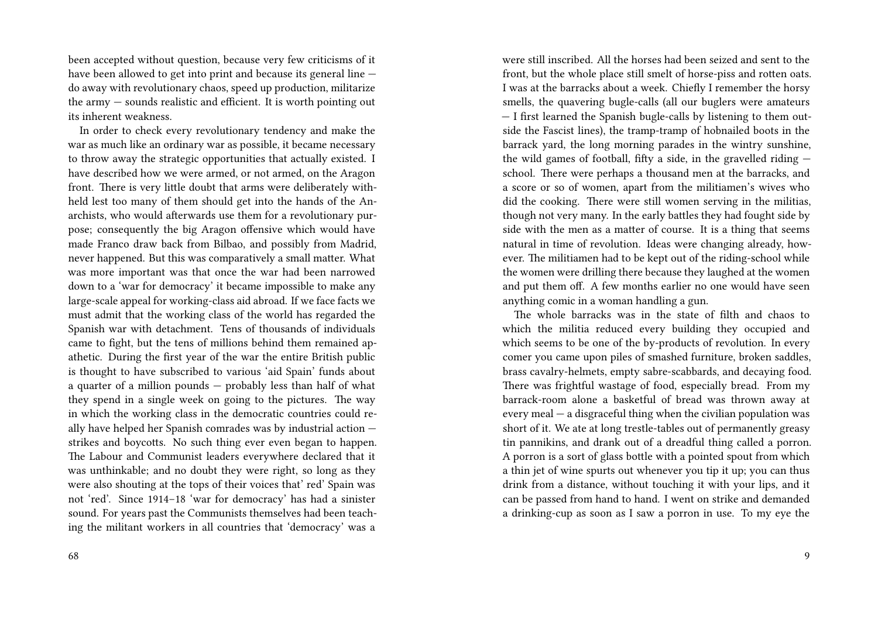been accepted without question, because very few criticisms of it have been allowed to get into print and because its general line do away with revolutionary chaos, speed up production, militarize the army — sounds realistic and efficient. It is worth pointing out its inherent weakness.

In order to check every revolutionary tendency and make the war as much like an ordinary war as possible, it became necessary to throw away the strategic opportunities that actually existed. I have described how we were armed, or not armed, on the Aragon front. There is very little doubt that arms were deliberately withheld lest too many of them should get into the hands of the Anarchists, who would afterwards use them for a revolutionary purpose; consequently the big Aragon offensive which would have made Franco draw back from Bilbao, and possibly from Madrid, never happened. But this was comparatively a small matter. What was more important was that once the war had been narrowed down to a 'war for democracy' it became impossible to make any large-scale appeal for working-class aid abroad. If we face facts we must admit that the working class of the world has regarded the Spanish war with detachment. Tens of thousands of individuals came to fight, but the tens of millions behind them remained apathetic. During the first year of the war the entire British public is thought to have subscribed to various 'aid Spain' funds about a quarter of a million pounds — probably less than half of what they spend in a single week on going to the pictures. The way in which the working class in the democratic countries could really have helped her Spanish comrades was by industrial action strikes and boycotts. No such thing ever even began to happen. The Labour and Communist leaders everywhere declared that it was unthinkable; and no doubt they were right, so long as they were also shouting at the tops of their voices that' red' Spain was not 'red'. Since 1914–18 'war for democracy' has had a sinister sound. For years past the Communists themselves had been teaching the militant workers in all countries that 'democracy' was a

68

were still inscribed. All the horses had been seized and sent to the front, but the whole place still smelt of horse-piss and rotten oats. I was at the barracks about a week. Chiefly I remember the horsy smells, the quavering bugle-calls (all our buglers were amateurs — I first learned the Spanish bugle-calls by listening to them outside the Fascist lines), the tramp-tramp of hobnailed boots in the barrack yard, the long morning parades in the wintry sunshine, the wild games of football, fifty a side, in the gravelled riding school. There were perhaps a thousand men at the barracks, and a score or so of women, apart from the militiamen's wives who did the cooking. There were still women serving in the militias, though not very many. In the early battles they had fought side by side with the men as a matter of course. It is a thing that seems natural in time of revolution. Ideas were changing already, however. The militiamen had to be kept out of the riding-school while the women were drilling there because they laughed at the women and put them off. A few months earlier no one would have seen anything comic in a woman handling a gun.

The whole barracks was in the state of filth and chaos to which the militia reduced every building they occupied and which seems to be one of the by-products of revolution. In every comer you came upon piles of smashed furniture, broken saddles, brass cavalry-helmets, empty sabre-scabbards, and decaying food. There was frightful wastage of food, especially bread. From my barrack-room alone a basketful of bread was thrown away at every meal  $-$  a disgraceful thing when the civilian population was short of it. We ate at long trestle-tables out of permanently greasy tin pannikins, and drank out of a dreadful thing called a porron. A porron is a sort of glass bottle with a pointed spout from which a thin jet of wine spurts out whenever you tip it up; you can thus drink from a distance, without touching it with your lips, and it can be passed from hand to hand. I went on strike and demanded a drinking-cup as soon as I saw a porron in use. To my eye the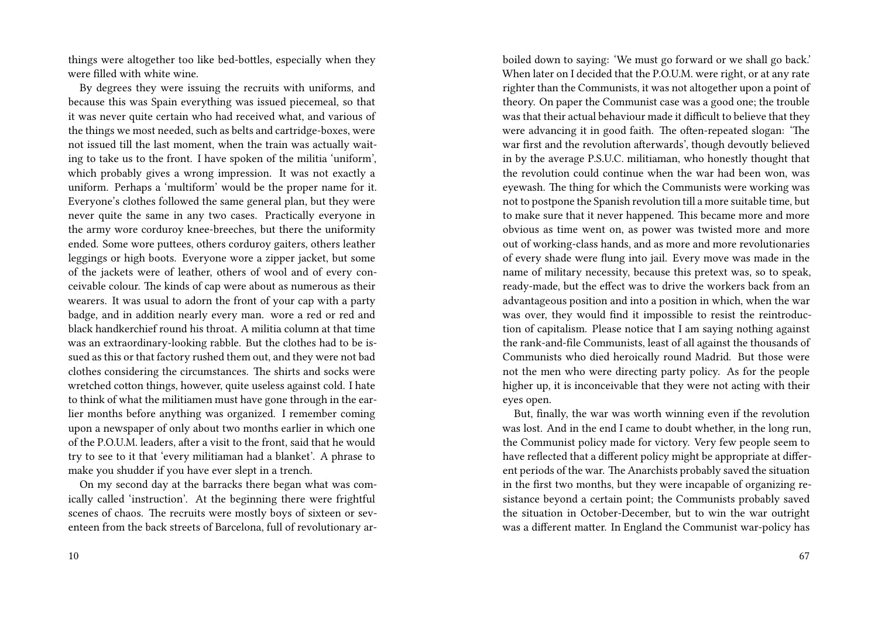things were altogether too like bed-bottles, especially when they were filled with white wine.

By degrees they were issuing the recruits with uniforms, and because this was Spain everything was issued piecemeal, so that it was never quite certain who had received what, and various of the things we most needed, such as belts and cartridge-boxes, were not issued till the last moment, when the train was actually waiting to take us to the front. I have spoken of the militia 'uniform', which probably gives a wrong impression. It was not exactly a uniform. Perhaps a 'multiform' would be the proper name for it. Everyone's clothes followed the same general plan, but they were never quite the same in any two cases. Practically everyone in the army wore corduroy knee-breeches, but there the uniformity ended. Some wore puttees, others corduroy gaiters, others leather leggings or high boots. Everyone wore a zipper jacket, but some of the jackets were of leather, others of wool and of every conceivable colour. The kinds of cap were about as numerous as their wearers. It was usual to adorn the front of your cap with a party badge, and in addition nearly every man. wore a red or red and black handkerchief round his throat. A militia column at that time was an extraordinary-looking rabble. But the clothes had to be issued as this or that factory rushed them out, and they were not bad clothes considering the circumstances. The shirts and socks were wretched cotton things, however, quite useless against cold. I hate to think of what the militiamen must have gone through in the earlier months before anything was organized. I remember coming upon a newspaper of only about two months earlier in which one of the P.O.U.M. leaders, after a visit to the front, said that he would try to see to it that 'every militiaman had a blanket'. A phrase to make you shudder if you have ever slept in a trench.

On my second day at the barracks there began what was comically called 'instruction'. At the beginning there were frightful scenes of chaos. The recruits were mostly boys of sixteen or seventeen from the back streets of Barcelona, full of revolutionary arboiled down to saying: 'We must go forward or we shall go back.' When later on I decided that the P.O.U.M. were right, or at any rate righter than the Communists, it was not altogether upon a point of theory. On paper the Communist case was a good one; the trouble was that their actual behaviour made it difficult to believe that they were advancing it in good faith. The often-repeated slogan: 'The war first and the revolution afterwards', though devoutly believed in by the average P.S.U.C. militiaman, who honestly thought that the revolution could continue when the war had been won, was eyewash. The thing for which the Communists were working was not to postpone the Spanish revolution till a more suitable time, but to make sure that it never happened. This became more and more obvious as time went on, as power was twisted more and more out of working-class hands, and as more and more revolutionaries of every shade were flung into jail. Every move was made in the name of military necessity, because this pretext was, so to speak, ready-made, but the effect was to drive the workers back from an advantageous position and into a position in which, when the war was over, they would find it impossible to resist the reintroduction of capitalism. Please notice that I am saying nothing against the rank-and-file Communists, least of all against the thousands of Communists who died heroically round Madrid. But those were not the men who were directing party policy. As for the people higher up, it is inconceivable that they were not acting with their eyes open.

But, finally, the war was worth winning even if the revolution was lost. And in the end I came to doubt whether, in the long run, the Communist policy made for victory. Very few people seem to have reflected that a different policy might be appropriate at different periods of the war. The Anarchists probably saved the situation in the first two months, but they were incapable of organizing resistance beyond a certain point; the Communists probably saved the situation in October-December, but to win the war outright was a different matter. In England the Communist war-policy has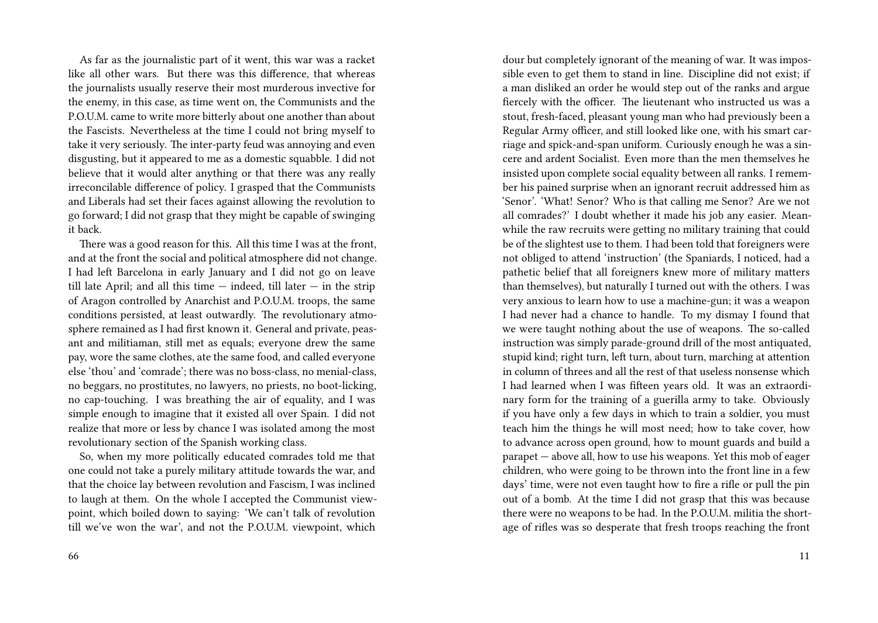As far as the journalistic part of it went, this war was a racket like all other wars. But there was this difference, that whereas the journalists usually reserve their most murderous invective for the enemy, in this case, as time went on, the Communists and the P.O.U.M. came to write more bitterly about one another than about the Fascists. Nevertheless at the time I could not bring myself to take it very seriously. The inter-party feud was annoying and even disgusting, but it appeared to me as a domestic squabble. I did not believe that it would alter anything or that there was any really irreconcilable difference of policy. I grasped that the Communists and Liberals had set their faces against allowing the revolution to go forward; I did not grasp that they might be capable of swinging it back.

There was a good reason for this. All this time I was at the front, and at the front the social and political atmosphere did not change. I had left Barcelona in early January and I did not go on leave till late April; and all this time  $-$  indeed, till later  $-$  in the strip of Aragon controlled by Anarchist and P.O.U.M. troops, the same conditions persisted, at least outwardly. The revolutionary atmosphere remained as I had first known it. General and private, peasant and militiaman, still met as equals; everyone drew the same pay, wore the same clothes, ate the same food, and called everyone else 'thou' and 'comrade'; there was no boss-class, no menial-class, no beggars, no prostitutes, no lawyers, no priests, no boot-licking, no cap-touching. I was breathing the air of equality, and I was simple enough to imagine that it existed all over Spain. I did not realize that more or less by chance I was isolated among the most revolutionary section of the Spanish working class.

So, when my more politically educated comrades told me that one could not take a purely military attitude towards the war, and that the choice lay between revolution and Fascism, I was inclined to laugh at them. On the whole I accepted the Communist viewpoint, which boiled down to saying: 'We can't talk of revolution till we've won the war', and not the P.O.U.M. viewpoint, which

dour but completely ignorant of the meaning of war. It was impossible even to get them to stand in line. Discipline did not exist; if a man disliked an order he would step out of the ranks and argue fiercely with the officer. The lieutenant who instructed us was a stout, fresh-faced, pleasant young man who had previously been a Regular Army officer, and still looked like one, with his smart carriage and spick-and-span uniform. Curiously enough he was a sincere and ardent Socialist. Even more than the men themselves he insisted upon complete social equality between all ranks. I remember his pained surprise when an ignorant recruit addressed him as 'Senor'. 'What! Senor? Who is that calling me Senor? Are we not all comrades?' I doubt whether it made his job any easier. Meanwhile the raw recruits were getting no military training that could be of the slightest use to them. I had been told that foreigners were not obliged to attend 'instruction' (the Spaniards, I noticed, had a pathetic belief that all foreigners knew more of military matters than themselves), but naturally I turned out with the others. I was very anxious to learn how to use a machine-gun; it was a weapon I had never had a chance to handle. To my dismay I found that we were taught nothing about the use of weapons. The so-called instruction was simply parade-ground drill of the most antiquated, stupid kind; right turn, left turn, about turn, marching at attention in column of threes and all the rest of that useless nonsense which I had learned when I was fifteen years old. It was an extraordinary form for the training of a guerilla army to take. Obviously if you have only a few days in which to train a soldier, you must teach him the things he will most need; how to take cover, how to advance across open ground, how to mount guards and build a parapet — above all, how to use his weapons. Yet this mob of eager children, who were going to be thrown into the front line in a few days' time, were not even taught how to fire a rifle or pull the pin out of a bomb. At the time I did not grasp that this was because there were no weapons to be had. In the P.O.U.M. militia the shortage of rifles was so desperate that fresh troops reaching the front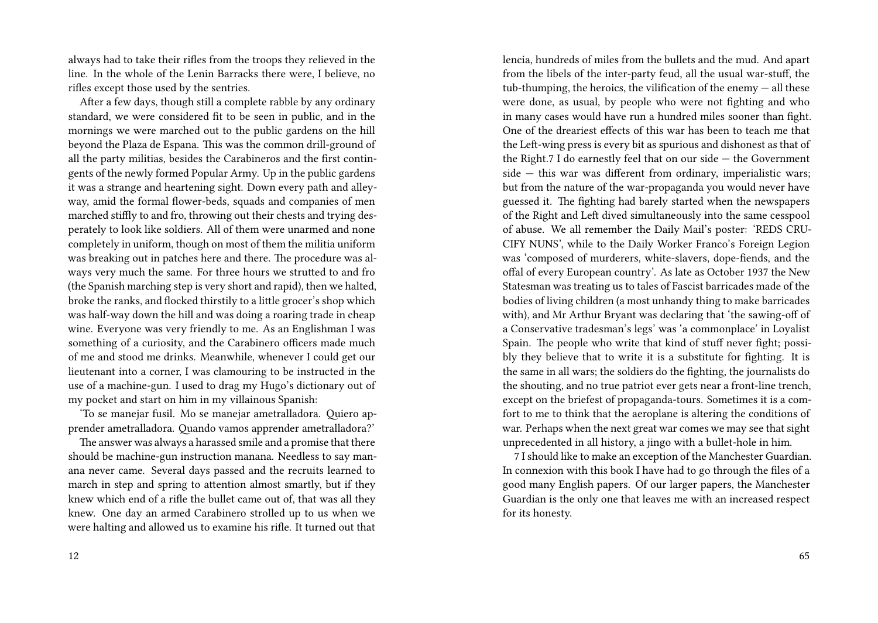always had to take their rifles from the troops they relieved in the line. In the whole of the Lenin Barracks there were, I believe, no rifles except those used by the sentries.

After a few days, though still a complete rabble by any ordinary standard, we were considered fit to be seen in public, and in the mornings we were marched out to the public gardens on the hill beyond the Plaza de Espana. This was the common drill-ground of all the party militias, besides the Carabineros and the first contingents of the newly formed Popular Army. Up in the public gardens it was a strange and heartening sight. Down every path and alleyway, amid the formal flower-beds, squads and companies of men marched stiffly to and fro, throwing out their chests and trying desperately to look like soldiers. All of them were unarmed and none completely in uniform, though on most of them the militia uniform was breaking out in patches here and there. The procedure was always very much the same. For three hours we strutted to and fro (the Spanish marching step is very short and rapid), then we halted, broke the ranks, and flocked thirstily to a little grocer's shop which was half-way down the hill and was doing a roaring trade in cheap wine. Everyone was very friendly to me. As an Englishman I was something of a curiosity, and the Carabinero officers made much of me and stood me drinks. Meanwhile, whenever I could get our lieutenant into a corner, I was clamouring to be instructed in the use of a machine-gun. I used to drag my Hugo's dictionary out of my pocket and start on him in my villainous Spanish:

'To se manejar fusil. Mo se manejar ametralladora. Quiero apprender ametralladora. Quando vamos apprender ametralladora?'

The answer was always a harassed smile and a promise that there should be machine-gun instruction manana. Needless to say manana never came. Several days passed and the recruits learned to march in step and spring to attention almost smartly, but if they knew which end of a rifle the bullet came out of, that was all they knew. One day an armed Carabinero strolled up to us when we were halting and allowed us to examine his rifle. It turned out that lencia, hundreds of miles from the bullets and the mud. And apart from the libels of the inter-party feud, all the usual war-stuff, the tub-thumping, the heroics, the vilification of the enemy  $-$  all these were done, as usual, by people who were not fighting and who in many cases would have run a hundred miles sooner than fight. One of the dreariest effects of this war has been to teach me that the Left-wing press is every bit as spurious and dishonest as that of the Right.7 I do earnestly feel that on our side — the Government side — this war was different from ordinary, imperialistic wars; but from the nature of the war-propaganda you would never have guessed it. The fighting had barely started when the newspapers of the Right and Left dived simultaneously into the same cesspool of abuse. We all remember the Daily Mail's poster: 'REDS CRU-CIFY NUNS', while to the Daily Worker Franco's Foreign Legion was 'composed of murderers, white-slavers, dope-fiends, and the offal of every European country'. As late as October 1937 the New Statesman was treating us to tales of Fascist barricades made of the bodies of living children (a most unhandy thing to make barricades with), and Mr Arthur Bryant was declaring that 'the sawing-off of a Conservative tradesman's legs' was 'a commonplace' in Loyalist Spain. The people who write that kind of stuff never fight; possibly they believe that to write it is a substitute for fighting. It is the same in all wars; the soldiers do the fighting, the journalists do the shouting, and no true patriot ever gets near a front-line trench, except on the briefest of propaganda-tours. Sometimes it is a comfort to me to think that the aeroplane is altering the conditions of war. Perhaps when the next great war comes we may see that sight unprecedented in all history, a jingo with a bullet-hole in him.

7 I should like to make an exception of the Manchester Guardian. In connexion with this book I have had to go through the files of a good many English papers. Of our larger papers, the Manchester Guardian is the only one that leaves me with an increased respect for its honesty.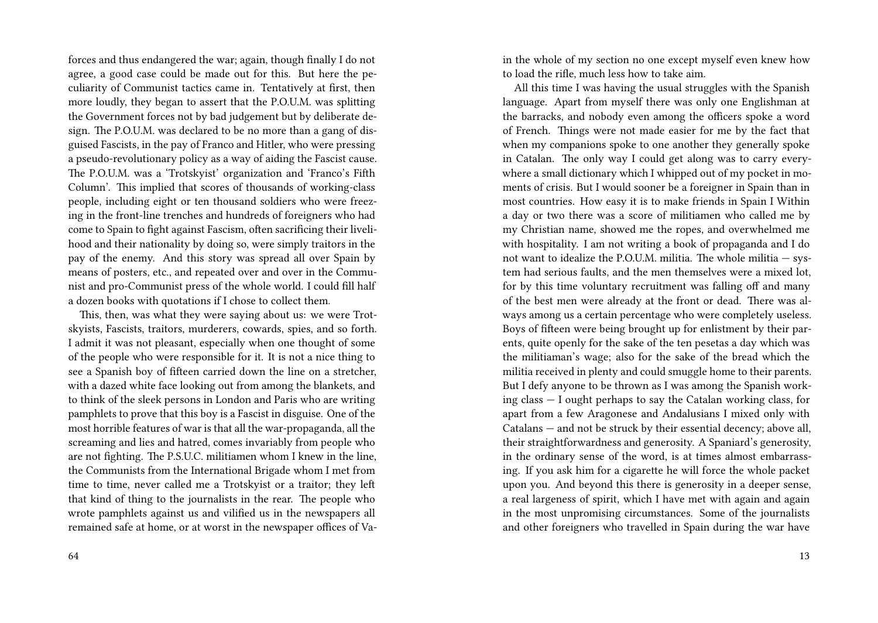forces and thus endangered the war; again, though finally I do not agree, a good case could be made out for this. But here the peculiarity of Communist tactics came in. Tentatively at first, then more loudly, they began to assert that the P.O.U.M. was splitting the Government forces not by bad judgement but by deliberate design. The P.O.U.M. was declared to be no more than a gang of disguised Fascists, in the pay of Franco and Hitler, who were pressing a pseudo-revolutionary policy as a way of aiding the Fascist cause. The P.O.U.M. was a 'Trotskyist' organization and 'Franco's Fifth Column'. This implied that scores of thousands of working-class people, including eight or ten thousand soldiers who were freezing in the front-line trenches and hundreds of foreigners who had come to Spain to fight against Fascism, often sacrificing their livelihood and their nationality by doing so, were simply traitors in the pay of the enemy. And this story was spread all over Spain by means of posters, etc., and repeated over and over in the Communist and pro-Communist press of the whole world. I could fill half a dozen books with quotations if I chose to collect them.

This, then, was what they were saying about us: we were Trotskyists, Fascists, traitors, murderers, cowards, spies, and so forth. I admit it was not pleasant, especially when one thought of some of the people who were responsible for it. It is not a nice thing to see a Spanish boy of fifteen carried down the line on a stretcher, with a dazed white face looking out from among the blankets, and to think of the sleek persons in London and Paris who are writing pamphlets to prove that this boy is a Fascist in disguise. One of the most horrible features of war is that all the war-propaganda, all the screaming and lies and hatred, comes invariably from people who are not fighting. The P.S.U.C. militiamen whom I knew in the line, the Communists from the International Brigade whom I met from time to time, never called me a Trotskyist or a traitor; they left that kind of thing to the journalists in the rear. The people who wrote pamphlets against us and vilified us in the newspapers all remained safe at home, or at worst in the newspaper offices of Va-

64

in the whole of my section no one except myself even knew how to load the rifle, much less how to take aim.

All this time I was having the usual struggles with the Spanish language. Apart from myself there was only one Englishman at the barracks, and nobody even among the officers spoke a word of French. Things were not made easier for me by the fact that when my companions spoke to one another they generally spoke in Catalan. The only way I could get along was to carry everywhere a small dictionary which I whipped out of my pocket in moments of crisis. But I would sooner be a foreigner in Spain than in most countries. How easy it is to make friends in Spain I Within a day or two there was a score of militiamen who called me by my Christian name, showed me the ropes, and overwhelmed me with hospitality. I am not writing a book of propaganda and I do not want to idealize the P.O.U.M. militia. The whole militia — system had serious faults, and the men themselves were a mixed lot, for by this time voluntary recruitment was falling off and many of the best men were already at the front or dead. There was always among us a certain percentage who were completely useless. Boys of fifteen were being brought up for enlistment by their parents, quite openly for the sake of the ten pesetas a day which was the militiaman's wage; also for the sake of the bread which the militia received in plenty and could smuggle home to their parents. But I defy anyone to be thrown as I was among the Spanish working class — I ought perhaps to say the Catalan working class, for apart from a few Aragonese and Andalusians I mixed only with Catalans — and not be struck by their essential decency; above all, their straightforwardness and generosity. A Spaniard's generosity, in the ordinary sense of the word, is at times almost embarrassing. If you ask him for a cigarette he will force the whole packet upon you. And beyond this there is generosity in a deeper sense, a real largeness of spirit, which I have met with again and again in the most unpromising circumstances. Some of the journalists and other foreigners who travelled in Spain during the war have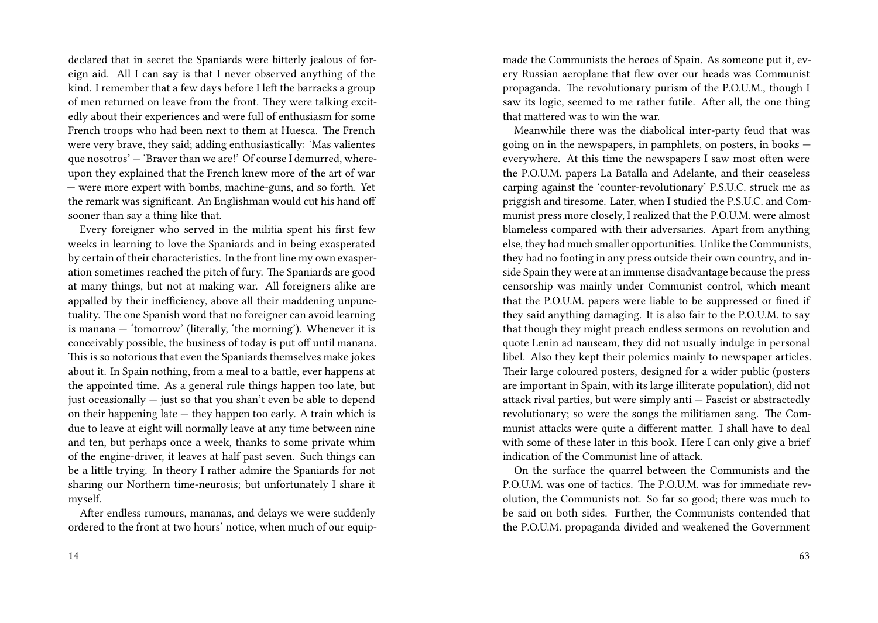declared that in secret the Spaniards were bitterly jealous of foreign aid. All I can say is that I never observed anything of the kind. I remember that a few days before I left the barracks a group of men returned on leave from the front. They were talking excitedly about their experiences and were full of enthusiasm for some French troops who had been next to them at Huesca. The French were very brave, they said; adding enthusiastically: 'Mas valientes que nosotros' — 'Braver than we are!' Of course I demurred, whereupon they explained that the French knew more of the art of war — were more expert with bombs, machine-guns, and so forth. Yet the remark was significant. An Englishman would cut his hand off sooner than say a thing like that.

Every foreigner who served in the militia spent his first few weeks in learning to love the Spaniards and in being exasperated by certain of their characteristics. In the front line my own exasperation sometimes reached the pitch of fury. The Spaniards are good at many things, but not at making war. All foreigners alike are appalled by their inefficiency, above all their maddening unpunctuality. The one Spanish word that no foreigner can avoid learning is manana — 'tomorrow' (literally, 'the morning'). Whenever it is conceivably possible, the business of today is put off until manana. This is so notorious that even the Spaniards themselves make jokes about it. In Spain nothing, from a meal to a battle, ever happens at the appointed time. As a general rule things happen too late, but just occasionally  $-$  just so that you shan't even be able to depend on their happening late — they happen too early. A train which is due to leave at eight will normally leave at any time between nine and ten, but perhaps once a week, thanks to some private whim of the engine-driver, it leaves at half past seven. Such things can be a little trying. In theory I rather admire the Spaniards for not sharing our Northern time-neurosis; but unfortunately I share it myself.

After endless rumours, mananas, and delays we were suddenly ordered to the front at two hours' notice, when much of our equipmade the Communists the heroes of Spain. As someone put it, every Russian aeroplane that flew over our heads was Communist propaganda. The revolutionary purism of the P.O.U.M., though I saw its logic, seemed to me rather futile. After all, the one thing that mattered was to win the war.

Meanwhile there was the diabolical inter-party feud that was going on in the newspapers, in pamphlets, on posters, in books everywhere. At this time the newspapers I saw most often were the P.O.U.M. papers La Batalla and Adelante, and their ceaseless carping against the 'counter-revolutionary' P.S.U.C. struck me as priggish and tiresome. Later, when I studied the P.S.U.C. and Communist press more closely, I realized that the P.O.U.M. were almost blameless compared with their adversaries. Apart from anything else, they had much smaller opportunities. Unlike the Communists, they had no footing in any press outside their own country, and inside Spain they were at an immense disadvantage because the press censorship was mainly under Communist control, which meant that the P.O.U.M. papers were liable to be suppressed or fined if they said anything damaging. It is also fair to the P.O.U.M. to say that though they might preach endless sermons on revolution and quote Lenin ad nauseam, they did not usually indulge in personal libel. Also they kept their polemics mainly to newspaper articles. Their large coloured posters, designed for a wider public (posters are important in Spain, with its large illiterate population), did not attack rival parties, but were simply anti — Fascist or abstractedly revolutionary; so were the songs the militiamen sang. The Communist attacks were quite a different matter. I shall have to deal with some of these later in this book. Here I can only give a brief indication of the Communist line of attack.

On the surface the quarrel between the Communists and the P.O.U.M. was one of tactics. The P.O.U.M. was for immediate revolution, the Communists not. So far so good; there was much to be said on both sides. Further, the Communists contended that the P.O.U.M. propaganda divided and weakened the Government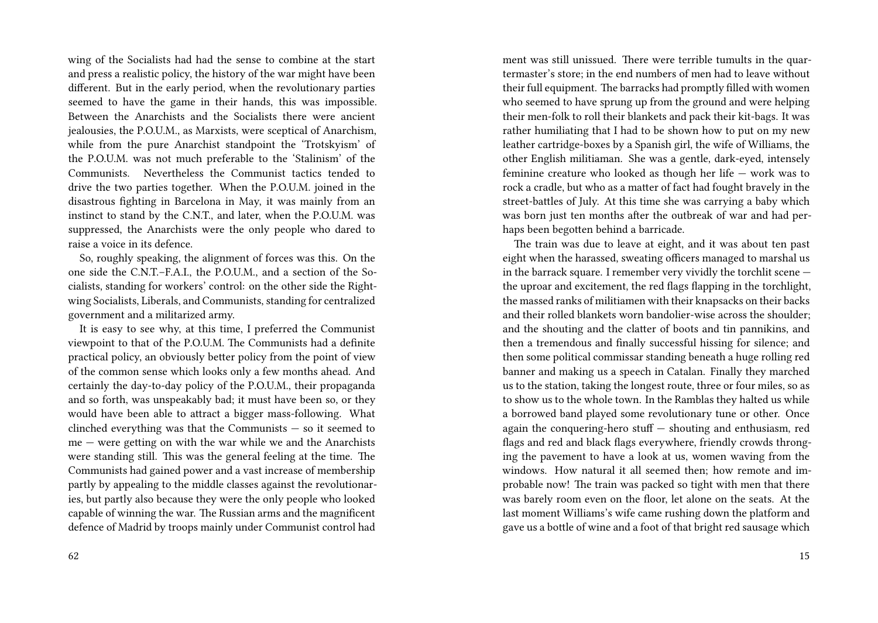wing of the Socialists had had the sense to combine at the start and press a realistic policy, the history of the war might have been different. But in the early period, when the revolutionary parties seemed to have the game in their hands, this was impossible. Between the Anarchists and the Socialists there were ancient jealousies, the P.O.U.M., as Marxists, were sceptical of Anarchism, while from the pure Anarchist standpoint the 'Trotskyism' of the P.O.U.M. was not much preferable to the 'Stalinism' of the Communists. Nevertheless the Communist tactics tended to drive the two parties together. When the P.O.U.M. joined in the disastrous fighting in Barcelona in May, it was mainly from an instinct to stand by the C.N.T., and later, when the P.O.U.M. was suppressed, the Anarchists were the only people who dared to raise a voice in its defence.

So, roughly speaking, the alignment of forces was this. On the one side the C.N.T.–F.A.I., the P.O.U.M., and a section of the Socialists, standing for workers' control: on the other side the Rightwing Socialists, Liberals, and Communists, standing for centralized government and a militarized army.

It is easy to see why, at this time, I preferred the Communist viewpoint to that of the P.O.U.M. The Communists had a definite practical policy, an obviously better policy from the point of view of the common sense which looks only a few months ahead. And certainly the day-to-day policy of the P.O.U.M., their propaganda and so forth, was unspeakably bad; it must have been so, or they would have been able to attract a bigger mass-following. What clinched everything was that the Communists — so it seemed to me — were getting on with the war while we and the Anarchists were standing still. This was the general feeling at the time. The Communists had gained power and a vast increase of membership partly by appealing to the middle classes against the revolutionaries, but partly also because they were the only people who looked capable of winning the war. The Russian arms and the magnificent defence of Madrid by troops mainly under Communist control had

ment was still unissued. There were terrible tumults in the quartermaster's store; in the end numbers of men had to leave without their full equipment. The barracks had promptly filled with women who seemed to have sprung up from the ground and were helping their men-folk to roll their blankets and pack their kit-bags. It was rather humiliating that I had to be shown how to put on my new leather cartridge-boxes by a Spanish girl, the wife of Williams, the other English militiaman. She was a gentle, dark-eyed, intensely feminine creature who looked as though her life — work was to rock a cradle, but who as a matter of fact had fought bravely in the street-battles of July. At this time she was carrying a baby which was born just ten months after the outbreak of war and had perhaps been begotten behind a barricade.

The train was due to leave at eight, and it was about ten past eight when the harassed, sweating officers managed to marshal us in the barrack square. I remember very vividly the torchlit scene the uproar and excitement, the red flags flapping in the torchlight, the massed ranks of militiamen with their knapsacks on their backs and their rolled blankets worn bandolier-wise across the shoulder; and the shouting and the clatter of boots and tin pannikins, and then a tremendous and finally successful hissing for silence; and then some political commissar standing beneath a huge rolling red banner and making us a speech in Catalan. Finally they marched us to the station, taking the longest route, three or four miles, so as to show us to the whole town. In the Ramblas they halted us while a borrowed band played some revolutionary tune or other. Once again the conquering-hero stuff — shouting and enthusiasm, red flags and red and black flags everywhere, friendly crowds thronging the pavement to have a look at us, women waving from the windows. How natural it all seemed then; how remote and improbable now! The train was packed so tight with men that there was barely room even on the floor, let alone on the seats. At the last moment Williams's wife came rushing down the platform and gave us a bottle of wine and a foot of that bright red sausage which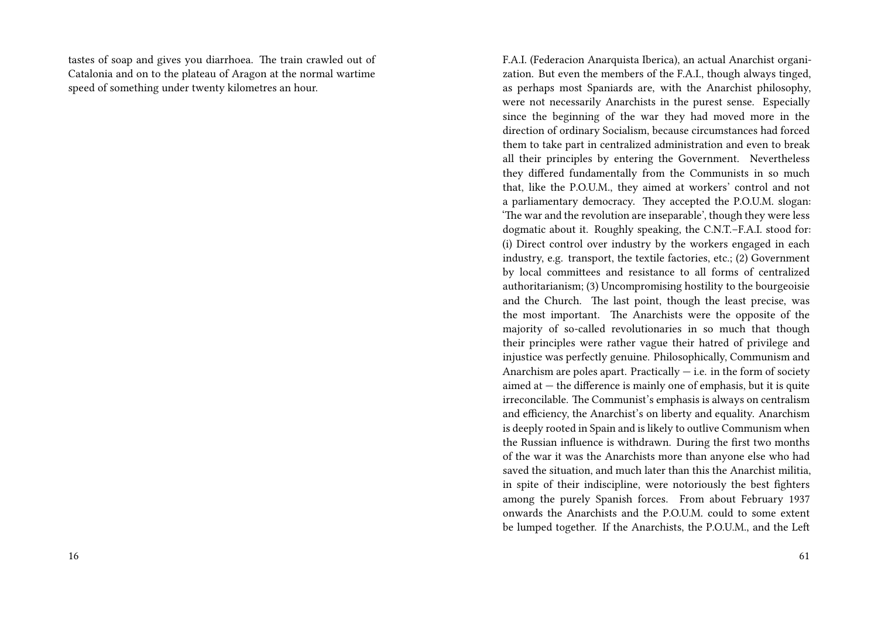tastes of soap and gives you diarrhoea. The train crawled out of Catalonia and on to the plateau of Aragon at the normal wartime speed of something under twenty kilometres an hour.

F.A.I. (Federacion Anarquista Iberica), an actual Anarchist organization. But even the members of the F.A.I., though always tinged, as perhaps most Spaniards are, with the Anarchist philosophy, were not necessarily Anarchists in the purest sense. Especially since the beginning of the war they had moved more in the direction of ordinary Socialism, because circumstances had forced them to take part in centralized administration and even to break all their principles by entering the Government. Nevertheless they differed fundamentally from the Communists in so much that, like the P.O.U.M., they aimed at workers' control and not a parliamentary democracy. They accepted the P.O.U.M. slogan: 'The war and the revolution are inseparable', though they were less dogmatic about it. Roughly speaking, the C.N.T.–F.A.I. stood for: (i) Direct control over industry by the workers engaged in each industry, e.g. transport, the textile factories, etc.; (2) Government by local committees and resistance to all forms of centralized authoritarianism; (3) Uncompromising hostility to the bourgeoisie and the Church. The last point, though the least precise, was the most important. The Anarchists were the opposite of the majority of so-called revolutionaries in so much that though their principles were rather vague their hatred of privilege and injustice was perfectly genuine. Philosophically, Communism and Anarchism are poles apart. Practically  $-$  i.e. in the form of society aimed at  $-$  the difference is mainly one of emphasis, but it is quite irreconcilable. The Communist's emphasis is always on centralism and efficiency, the Anarchist's on liberty and equality. Anarchism is deeply rooted in Spain and is likely to outlive Communism when the Russian influence is withdrawn. During the first two months of the war it was the Anarchists more than anyone else who had saved the situation, and much later than this the Anarchist militia, in spite of their indiscipline, were notoriously the best fighters among the purely Spanish forces. From about February 1937 onwards the Anarchists and the P.O.U.M. could to some extent be lumped together. If the Anarchists, the P.O.U.M., and the Left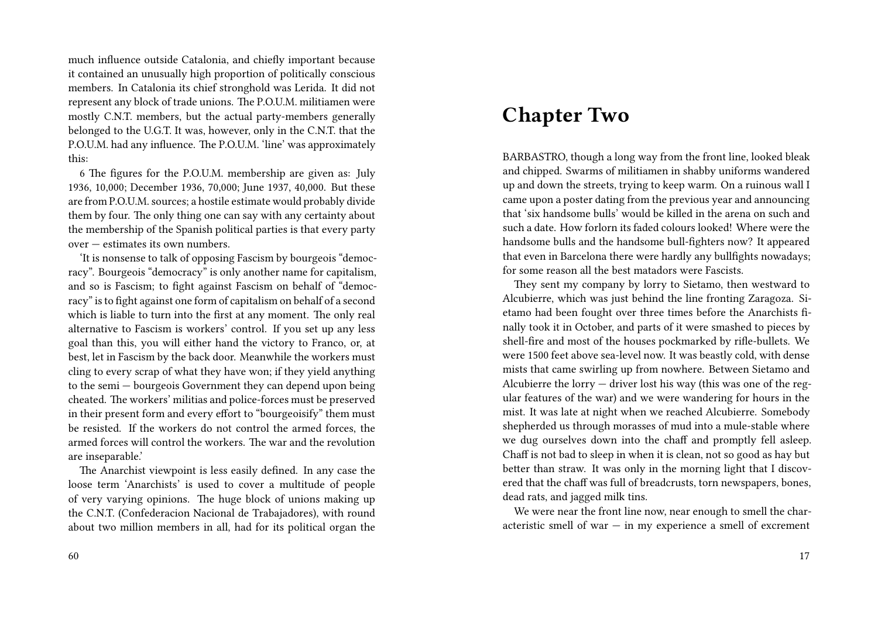much influence outside Catalonia, and chiefly important because it contained an unusually high proportion of politically conscious members. In Catalonia its chief stronghold was Lerida. It did not represent any block of trade unions. The P.O.U.M. militiamen were mostly C.N.T. members, but the actual party-members generally belonged to the U.G.T. It was, however, only in the C.N.T. that the P.O.U.M. had any influence. The P.O.U.M. 'line' was approximately this:

6 The figures for the P.O.U.M. membership are given as: July 1936, 10,000; December 1936, 70,000; June 1937, 40,000. But these are from P.O.U.M. sources; a hostile estimate would probably divide them by four. The only thing one can say with any certainty about the membership of the Spanish political parties is that every party over — estimates its own numbers.

'It is nonsense to talk of opposing Fascism by bourgeois "democracy". Bourgeois "democracy" is only another name for capitalism, and so is Fascism; to fight against Fascism on behalf of "democracy" is to fight against one form of capitalism on behalf of a second which is liable to turn into the first at any moment. The only real alternative to Fascism is workers' control. If you set up any less goal than this, you will either hand the victory to Franco, or, at best, let in Fascism by the back door. Meanwhile the workers must cling to every scrap of what they have won; if they yield anything to the semi — bourgeois Government they can depend upon being cheated. The workers' militias and police-forces must be preserved in their present form and every effort to "bourgeoisify" them must be resisted. If the workers do not control the armed forces, the armed forces will control the workers. The war and the revolution are inseparable.'

The Anarchist viewpoint is less easily defined. In any case the loose term 'Anarchists' is used to cover a multitude of people of very varying opinions. The huge block of unions making up the C.N.T. (Confederacion Nacional de Trabajadores), with round about two million members in all, had for its political organ the

### **Chapter Two**

BARBASTRO, though a long way from the front line, looked bleak and chipped. Swarms of militiamen in shabby uniforms wandered up and down the streets, trying to keep warm. On a ruinous wall I came upon a poster dating from the previous year and announcing that 'six handsome bulls' would be killed in the arena on such and such a date. How forlorn its faded colours looked! Where were the handsome bulls and the handsome bull-fighters now? It appeared that even in Barcelona there were hardly any bullfights nowadays; for some reason all the best matadors were Fascists.

They sent my company by lorry to Sietamo, then westward to Alcubierre, which was just behind the line fronting Zaragoza. Sietamo had been fought over three times before the Anarchists finally took it in October, and parts of it were smashed to pieces by shell-fire and most of the houses pockmarked by rifle-bullets. We were 1500 feet above sea-level now. It was beastly cold, with dense mists that came swirling up from nowhere. Between Sietamo and Alcubierre the lorry  $-$  driver lost his way (this was one of the regular features of the war) and we were wandering for hours in the mist. It was late at night when we reached Alcubierre. Somebody shepherded us through morasses of mud into a mule-stable where we dug ourselves down into the chaff and promptly fell asleep. Chaff is not bad to sleep in when it is clean, not so good as hay but better than straw. It was only in the morning light that I discovered that the chaff was full of breadcrusts, torn newspapers, bones, dead rats, and jagged milk tins.

We were near the front line now, near enough to smell the characteristic smell of war  $-$  in my experience a smell of excrement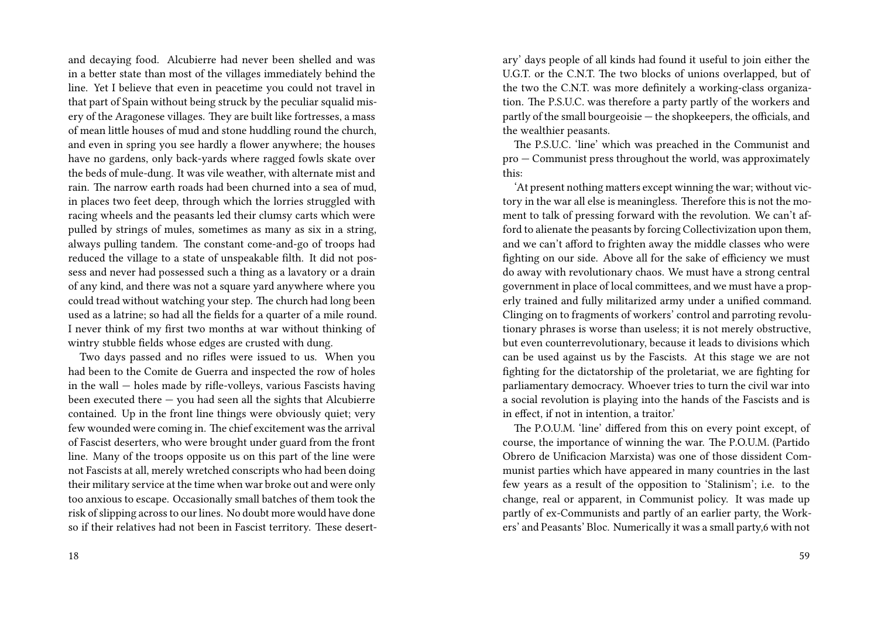and decaying food. Alcubierre had never been shelled and was in a better state than most of the villages immediately behind the line. Yet I believe that even in peacetime you could not travel in that part of Spain without being struck by the peculiar squalid misery of the Aragonese villages. They are built like fortresses, a mass of mean little houses of mud and stone huddling round the church, and even in spring you see hardly a flower anywhere; the houses have no gardens, only back-yards where ragged fowls skate over the beds of mule-dung. It was vile weather, with alternate mist and rain. The narrow earth roads had been churned into a sea of mud, in places two feet deep, through which the lorries struggled with racing wheels and the peasants led their clumsy carts which were pulled by strings of mules, sometimes as many as six in a string, always pulling tandem. The constant come-and-go of troops had reduced the village to a state of unspeakable filth. It did not possess and never had possessed such a thing as a lavatory or a drain of any kind, and there was not a square yard anywhere where you could tread without watching your step. The church had long been used as a latrine; so had all the fields for a quarter of a mile round. I never think of my first two months at war without thinking of wintry stubble fields whose edges are crusted with dung.

Two days passed and no rifles were issued to us. When you had been to the Comite de Guerra and inspected the row of holes in the wall — holes made by rifle-volleys, various Fascists having been executed there  $-$  you had seen all the sights that Alcubierre contained. Up in the front line things were obviously quiet; very few wounded were coming in. The chief excitement was the arrival of Fascist deserters, who were brought under guard from the front line. Many of the troops opposite us on this part of the line were not Fascists at all, merely wretched conscripts who had been doing their military service at the time when war broke out and were only too anxious to escape. Occasionally small batches of them took the risk of slipping across to our lines. No doubt more would have done so if their relatives had not been in Fascist territory. These desertary' days people of all kinds had found it useful to join either the U.G.T. or the C.N.T. The two blocks of unions overlapped, but of the two the C.N.T. was more definitely a working-class organization. The P.S.U.C. was therefore a party partly of the workers and partly of the small bourgeoisie — the shopkeepers, the officials, and the wealthier peasants.

The P.S.U.C. 'line' which was preached in the Communist and pro — Communist press throughout the world, was approximately this:

'At present nothing matters except winning the war; without victory in the war all else is meaningless. Therefore this is not the moment to talk of pressing forward with the revolution. We can't afford to alienate the peasants by forcing Collectivization upon them, and we can't afford to frighten away the middle classes who were fighting on our side. Above all for the sake of efficiency we must do away with revolutionary chaos. We must have a strong central government in place of local committees, and we must have a properly trained and fully militarized army under a unified command. Clinging on to fragments of workers' control and parroting revolutionary phrases is worse than useless; it is not merely obstructive, but even counterrevolutionary, because it leads to divisions which can be used against us by the Fascists. At this stage we are not fighting for the dictatorship of the proletariat, we are fighting for parliamentary democracy. Whoever tries to turn the civil war into a social revolution is playing into the hands of the Fascists and is in effect, if not in intention, a traitor.'

The P.O.U.M. 'line' differed from this on every point except, of course, the importance of winning the war. The P.O.U.M. (Partido Obrero de Unificacion Marxista) was one of those dissident Communist parties which have appeared in many countries in the last few years as a result of the opposition to 'Stalinism'; i.e. to the change, real or apparent, in Communist policy. It was made up partly of ex-Communists and partly of an earlier party, the Workers' and Peasants' Bloc. Numerically it was a small party,6 with not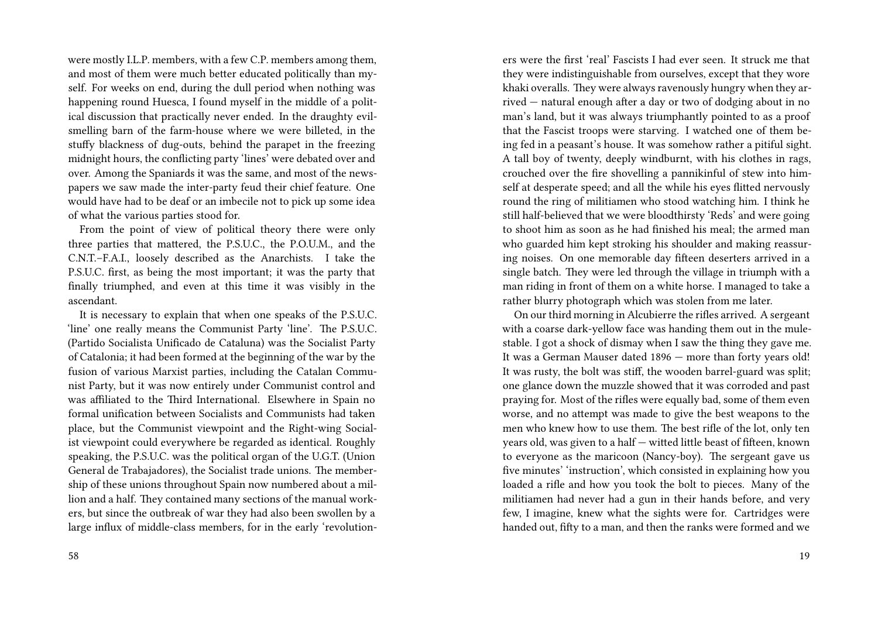were mostly I.L.P. members, with a few C.P. members among them, and most of them were much better educated politically than myself. For weeks on end, during the dull period when nothing was happening round Huesca, I found myself in the middle of a political discussion that practically never ended. In the draughty evilsmelling barn of the farm-house where we were billeted, in the stuffy blackness of dug-outs, behind the parapet in the freezing midnight hours, the conflicting party 'lines' were debated over and over. Among the Spaniards it was the same, and most of the newspapers we saw made the inter-party feud their chief feature. One would have had to be deaf or an imbecile not to pick up some idea of what the various parties stood for.

From the point of view of political theory there were only three parties that mattered, the P.S.U.C., the P.O.U.M., and the C.N.T.–F.A.I., loosely described as the Anarchists. I take the P.S.U.C. first, as being the most important; it was the party that finally triumphed, and even at this time it was visibly in the ascendant.

It is necessary to explain that when one speaks of the P.S.U.C. 'line' one really means the Communist Party 'line'. The P.S.U.C. (Partido Socialista Unificado de Cataluna) was the Socialist Party of Catalonia; it had been formed at the beginning of the war by the fusion of various Marxist parties, including the Catalan Communist Party, but it was now entirely under Communist control and was affiliated to the Third International. Elsewhere in Spain no formal unification between Socialists and Communists had taken place, but the Communist viewpoint and the Right-wing Socialist viewpoint could everywhere be regarded as identical. Roughly speaking, the P.S.U.C. was the political organ of the U.G.T. (Union General de Trabajadores), the Socialist trade unions. The membership of these unions throughout Spain now numbered about a million and a half. They contained many sections of the manual workers, but since the outbreak of war they had also been swollen by a large influx of middle-class members, for in the early 'revolutioners were the first 'real' Fascists I had ever seen. It struck me that they were indistinguishable from ourselves, except that they wore khaki overalls. They were always ravenously hungry when they arrived — natural enough after a day or two of dodging about in no man's land, but it was always triumphantly pointed to as a proof that the Fascist troops were starving. I watched one of them being fed in a peasant's house. It was somehow rather a pitiful sight. A tall boy of twenty, deeply windburnt, with his clothes in rags, crouched over the fire shovelling a pannikinful of stew into himself at desperate speed; and all the while his eyes flitted nervously round the ring of militiamen who stood watching him. I think he still half-believed that we were bloodthirsty 'Reds' and were going to shoot him as soon as he had finished his meal; the armed man who guarded him kept stroking his shoulder and making reassuring noises. On one memorable day fifteen deserters arrived in a single batch. They were led through the village in triumph with a man riding in front of them on a white horse. I managed to take a rather blurry photograph which was stolen from me later.

On our third morning in Alcubierre the rifles arrived. A sergeant with a coarse dark-yellow face was handing them out in the mulestable. I got a shock of dismay when I saw the thing they gave me. It was a German Mauser dated 1896 — more than forty years old! It was rusty, the bolt was stiff, the wooden barrel-guard was split; one glance down the muzzle showed that it was corroded and past praying for. Most of the rifles were equally bad, some of them even worse, and no attempt was made to give the best weapons to the men who knew how to use them. The best rifle of the lot, only ten years old, was given to a half — witted little beast of fifteen, known to everyone as the maricoon (Nancy-boy). The sergeant gave us five minutes' 'instruction', which consisted in explaining how you loaded a rifle and how you took the bolt to pieces. Many of the militiamen had never had a gun in their hands before, and very few, I imagine, knew what the sights were for. Cartridges were handed out, fifty to a man, and then the ranks were formed and we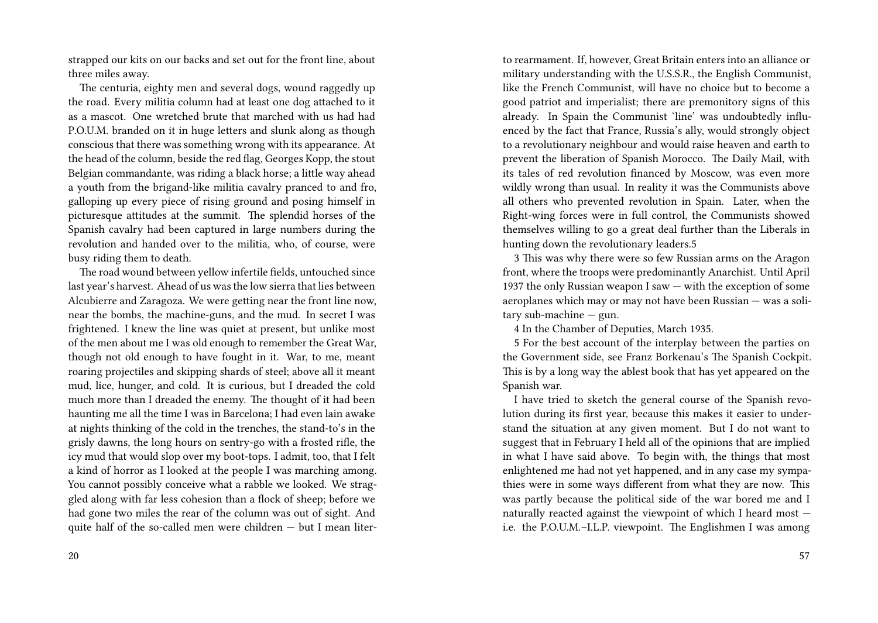strapped our kits on our backs and set out for the front line, about three miles away.

The centuria, eighty men and several dogs, wound raggedly up the road. Every militia column had at least one dog attached to it as a mascot. One wretched brute that marched with us had had P.O.U.M. branded on it in huge letters and slunk along as though conscious that there was something wrong with its appearance. At the head of the column, beside the red flag, Georges Kopp, the stout Belgian commandante, was riding a black horse; a little way ahead a youth from the brigand-like militia cavalry pranced to and fro, galloping up every piece of rising ground and posing himself in picturesque attitudes at the summit. The splendid horses of the Spanish cavalry had been captured in large numbers during the revolution and handed over to the militia, who, of course, were busy riding them to death.

The road wound between yellow infertile fields, untouched since last year's harvest. Ahead of us was the low sierra that lies between Alcubierre and Zaragoza. We were getting near the front line now, near the bombs, the machine-guns, and the mud. In secret I was frightened. I knew the line was quiet at present, but unlike most of the men about me I was old enough to remember the Great War, though not old enough to have fought in it. War, to me, meant roaring projectiles and skipping shards of steel; above all it meant mud, lice, hunger, and cold. It is curious, but I dreaded the cold much more than I dreaded the enemy. The thought of it had been haunting me all the time I was in Barcelona; I had even lain awake at nights thinking of the cold in the trenches, the stand-to's in the grisly dawns, the long hours on sentry-go with a frosted rifle, the icy mud that would slop over my boot-tops. I admit, too, that I felt a kind of horror as I looked at the people I was marching among. You cannot possibly conceive what a rabble we looked. We straggled along with far less cohesion than a flock of sheep; before we had gone two miles the rear of the column was out of sight. And quite half of the so-called men were children — but I mean liter-

to rearmament. If, however, Great Britain enters into an alliance or military understanding with the U.S.S.R., the English Communist, like the French Communist, will have no choice but to become a good patriot and imperialist; there are premonitory signs of this already. In Spain the Communist 'line' was undoubtedly influenced by the fact that France, Russia's ally, would strongly object to a revolutionary neighbour and would raise heaven and earth to prevent the liberation of Spanish Morocco. The Daily Mail, with its tales of red revolution financed by Moscow, was even more wildly wrong than usual. In reality it was the Communists above all others who prevented revolution in Spain. Later, when the Right-wing forces were in full control, the Communists showed themselves willing to go a great deal further than the Liberals in hunting down the revolutionary leaders.5

3 This was why there were so few Russian arms on the Aragon front, where the troops were predominantly Anarchist. Until April 1937 the only Russian weapon I saw — with the exception of some aeroplanes which may or may not have been Russian — was a solitary sub-machine — gun.

4 In the Chamber of Deputies, March 1935.

5 For the best account of the interplay between the parties on the Government side, see Franz Borkenau's The Spanish Cockpit. This is by a long way the ablest book that has yet appeared on the Spanish war.

I have tried to sketch the general course of the Spanish revolution during its first year, because this makes it easier to understand the situation at any given moment. But I do not want to suggest that in February I held all of the opinions that are implied in what I have said above. To begin with, the things that most enlightened me had not yet happened, and in any case my sympathies were in some ways different from what they are now. This was partly because the political side of the war bored me and I naturally reacted against the viewpoint of which I heard most i.e. the P.O.U.M.–I.L.P. viewpoint. The Englishmen I was among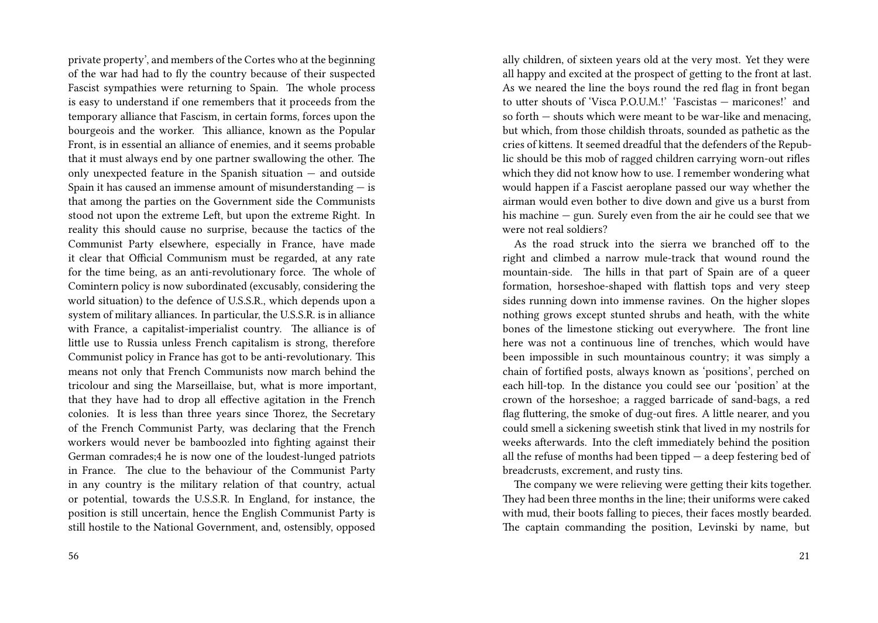private property', and members of the Cortes who at the beginning of the war had had to fly the country because of their suspected Fascist sympathies were returning to Spain. The whole process is easy to understand if one remembers that it proceeds from the temporary alliance that Fascism, in certain forms, forces upon the bourgeois and the worker. This alliance, known as the Popular Front, is in essential an alliance of enemies, and it seems probable that it must always end by one partner swallowing the other. The only unexpected feature in the Spanish situation — and outside Spain it has caused an immense amount of misunderstanding  $-$  is that among the parties on the Government side the Communists stood not upon the extreme Left, but upon the extreme Right. In reality this should cause no surprise, because the tactics of the Communist Party elsewhere, especially in France, have made it clear that Official Communism must be regarded, at any rate for the time being, as an anti-revolutionary force. The whole of Comintern policy is now subordinated (excusably, considering the world situation) to the defence of U.S.S.R., which depends upon a system of military alliances. In particular, the U.S.S.R. is in alliance with France, a capitalist-imperialist country. The alliance is of little use to Russia unless French capitalism is strong, therefore Communist policy in France has got to be anti-revolutionary. This means not only that French Communists now march behind the tricolour and sing the Marseillaise, but, what is more important, that they have had to drop all effective agitation in the French colonies. It is less than three years since Thorez, the Secretary of the French Communist Party, was declaring that the French workers would never be bamboozled into fighting against their German comrades;4 he is now one of the loudest-lunged patriots in France. The clue to the behaviour of the Communist Party in any country is the military relation of that country, actual or potential, towards the U.S.S.R. In England, for instance, the position is still uncertain, hence the English Communist Party is still hostile to the National Government, and, ostensibly, opposed

ally children, of sixteen years old at the very most. Yet they were all happy and excited at the prospect of getting to the front at last. As we neared the line the boys round the red flag in front began to utter shouts of 'Visca P.O.U.M.!' 'Fascistas — maricones!' and so forth — shouts which were meant to be war-like and menacing, but which, from those childish throats, sounded as pathetic as the cries of kittens. It seemed dreadful that the defenders of the Republic should be this mob of ragged children carrying worn-out rifles which they did not know how to use. I remember wondering what would happen if a Fascist aeroplane passed our way whether the airman would even bother to dive down and give us a burst from his machine — gun. Surely even from the air he could see that we were not real soldiers?

As the road struck into the sierra we branched off to the right and climbed a narrow mule-track that wound round the mountain-side. The hills in that part of Spain are of a queer formation, horseshoe-shaped with flattish tops and very steep sides running down into immense ravines. On the higher slopes nothing grows except stunted shrubs and heath, with the white bones of the limestone sticking out everywhere. The front line here was not a continuous line of trenches, which would have been impossible in such mountainous country; it was simply a chain of fortified posts, always known as 'positions', perched on each hill-top. In the distance you could see our 'position' at the crown of the horseshoe; a ragged barricade of sand-bags, a red flag fluttering, the smoke of dug-out fires. A little nearer, and you could smell a sickening sweetish stink that lived in my nostrils for weeks afterwards. Into the cleft immediately behind the position all the refuse of months had been tipped — a deep festering bed of breadcrusts, excrement, and rusty tins.

The company we were relieving were getting their kits together. They had been three months in the line; their uniforms were caked with mud, their boots falling to pieces, their faces mostly bearded. The captain commanding the position, Levinski by name, but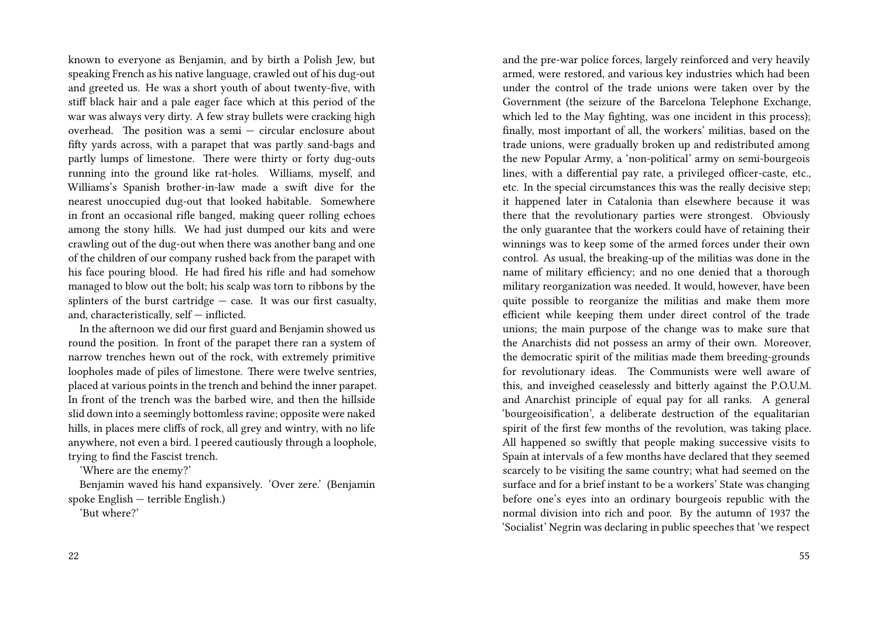known to everyone as Benjamin, and by birth a Polish Jew, but speaking French as his native language, crawled out of his dug-out and greeted us. He was a short youth of about twenty-five, with stiff black hair and a pale eager face which at this period of the war was always very dirty. A few stray bullets were cracking high overhead. The position was a semi — circular enclosure about fifty yards across, with a parapet that was partly sand-bags and partly lumps of limestone. There were thirty or forty dug-outs running into the ground like rat-holes. Williams, myself, and Williams's Spanish brother-in-law made a swift dive for the nearest unoccupied dug-out that looked habitable. Somewhere in front an occasional rifle banged, making queer rolling echoes among the stony hills. We had just dumped our kits and were crawling out of the dug-out when there was another bang and one of the children of our company rushed back from the parapet with his face pouring blood. He had fired his rifle and had somehow managed to blow out the bolt; his scalp was torn to ribbons by the splinters of the burst cartridge — case. It was our first casualty, and, characteristically, self — inflicted.

In the afternoon we did our first guard and Benjamin showed us round the position. In front of the parapet there ran a system of narrow trenches hewn out of the rock, with extremely primitive loopholes made of piles of limestone. There were twelve sentries, placed at various points in the trench and behind the inner parapet. In front of the trench was the barbed wire, and then the hillside slid down into a seemingly bottomless ravine; opposite were naked hills, in places mere cliffs of rock, all grey and wintry, with no life anywhere, not even a bird. I peered cautiously through a loophole, trying to find the Fascist trench.

'Where are the enemy?'

Benjamin waved his hand expansively. 'Over zere.' (Benjamin spoke English — terrible English.)

'But where?'

and the pre-war police forces, largely reinforced and very heavily armed, were restored, and various key industries which had been under the control of the trade unions were taken over by the Government (the seizure of the Barcelona Telephone Exchange, which led to the May fighting, was one incident in this process); finally, most important of all, the workers' militias, based on the trade unions, were gradually broken up and redistributed among the new Popular Army, a 'non-political' army on semi-bourgeois lines, with a differential pay rate, a privileged officer-caste, etc., etc. In the special circumstances this was the really decisive step; it happened later in Catalonia than elsewhere because it was there that the revolutionary parties were strongest. Obviously the only guarantee that the workers could have of retaining their winnings was to keep some of the armed forces under their own control. As usual, the breaking-up of the militias was done in the name of military efficiency; and no one denied that a thorough military reorganization was needed. It would, however, have been quite possible to reorganize the militias and make them more efficient while keeping them under direct control of the trade unions; the main purpose of the change was to make sure that the Anarchists did not possess an army of their own. Moreover, the democratic spirit of the militias made them breeding-grounds for revolutionary ideas. The Communists were well aware of this, and inveighed ceaselessly and bitterly against the P.O.U.M. and Anarchist principle of equal pay for all ranks. A general 'bourgeoisification', a deliberate destruction of the equalitarian spirit of the first few months of the revolution, was taking place. All happened so swiftly that people making successive visits to Spain at intervals of a few months have declared that they seemed scarcely to be visiting the same country; what had seemed on the surface and for a brief instant to be a workers' State was changing before one's eyes into an ordinary bourgeois republic with the normal division into rich and poor. By the autumn of 1937 the 'Socialist' Negrin was declaring in public speeches that 'we respect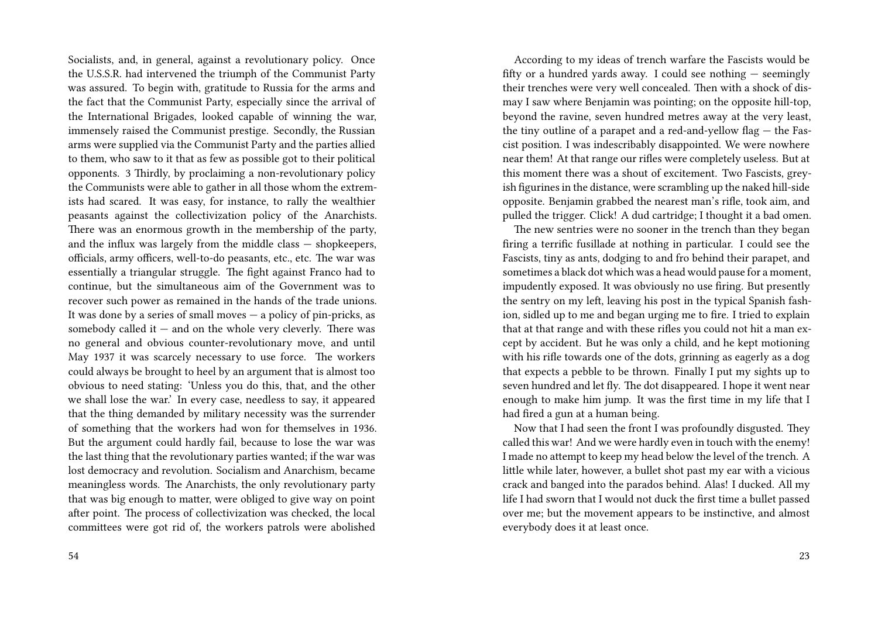Socialists, and, in general, against a revolutionary policy. Once the U.S.S.R. had intervened the triumph of the Communist Party was assured. To begin with, gratitude to Russia for the arms and the fact that the Communist Party, especially since the arrival of the International Brigades, looked capable of winning the war, immensely raised the Communist prestige. Secondly, the Russian arms were supplied via the Communist Party and the parties allied to them, who saw to it that as few as possible got to their political opponents. 3 Thirdly, by proclaiming a non-revolutionary policy the Communists were able to gather in all those whom the extremists had scared. It was easy, for instance, to rally the wealthier peasants against the collectivization policy of the Anarchists. There was an enormous growth in the membership of the party, and the influx was largely from the middle class — shopkeepers, officials, army officers, well-to-do peasants, etc., etc. The war was essentially a triangular struggle. The fight against Franco had to continue, but the simultaneous aim of the Government was to recover such power as remained in the hands of the trade unions. It was done by a series of small moves  $-$  a policy of pin-pricks, as somebody called it  $-$  and on the whole very cleverly. There was no general and obvious counter-revolutionary move, and until May 1937 it was scarcely necessary to use force. The workers could always be brought to heel by an argument that is almost too obvious to need stating: 'Unless you do this, that, and the other we shall lose the war.' In every case, needless to say, it appeared that the thing demanded by military necessity was the surrender of something that the workers had won for themselves in 1936. But the argument could hardly fail, because to lose the war was the last thing that the revolutionary parties wanted; if the war was lost democracy and revolution. Socialism and Anarchism, became meaningless words. The Anarchists, the only revolutionary party that was big enough to matter, were obliged to give way on point after point. The process of collectivization was checked, the local committees were got rid of, the workers patrols were abolished

According to my ideas of trench warfare the Fascists would be fifty or a hundred yards away. I could see nothing — seemingly their trenches were very well concealed. Then with a shock of dismay I saw where Benjamin was pointing; on the opposite hill-top, beyond the ravine, seven hundred metres away at the very least, the tiny outline of a parapet and a red-and-yellow flag  $-$  the Fascist position. I was indescribably disappointed. We were nowhere near them! At that range our rifles were completely useless. But at this moment there was a shout of excitement. Two Fascists, greyish figurines in the distance, were scrambling up the naked hill-side opposite. Benjamin grabbed the nearest man's rifle, took aim, and pulled the trigger. Click! A dud cartridge; I thought it a bad omen.

The new sentries were no sooner in the trench than they began firing a terrific fusillade at nothing in particular. I could see the Fascists, tiny as ants, dodging to and fro behind their parapet, and sometimes a black dot which was a head would pause for a moment, impudently exposed. It was obviously no use firing. But presently the sentry on my left, leaving his post in the typical Spanish fashion, sidled up to me and began urging me to fire. I tried to explain that at that range and with these rifles you could not hit a man except by accident. But he was only a child, and he kept motioning with his rifle towards one of the dots, grinning as eagerly as a dog that expects a pebble to be thrown. Finally I put my sights up to seven hundred and let fly. The dot disappeared. I hope it went near enough to make him jump. It was the first time in my life that I had fired a gun at a human being.

Now that I had seen the front I was profoundly disgusted. They called this war! And we were hardly even in touch with the enemy! I made no attempt to keep my head below the level of the trench. A little while later, however, a bullet shot past my ear with a vicious crack and banged into the parados behind. Alas! I ducked. All my life I had sworn that I would not duck the first time a bullet passed over me; but the movement appears to be instinctive, and almost everybody does it at least once.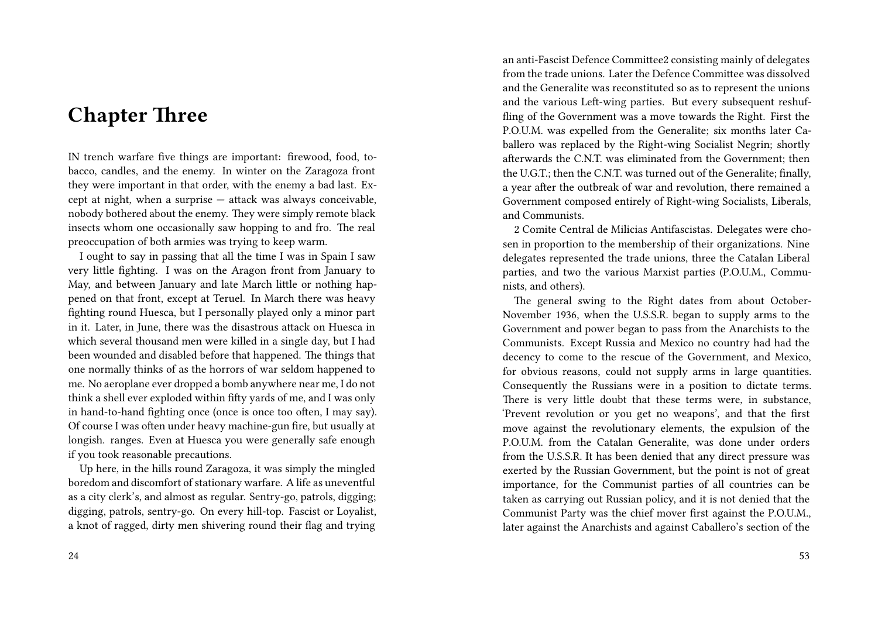## **Chapter Three**

IN trench warfare five things are important: firewood, food, tobacco, candles, and the enemy. In winter on the Zaragoza front they were important in that order, with the enemy a bad last. Except at night, when a surprise — attack was always conceivable, nobody bothered about the enemy. They were simply remote black insects whom one occasionally saw hopping to and fro. The real preoccupation of both armies was trying to keep warm.

I ought to say in passing that all the time I was in Spain I saw very little fighting. I was on the Aragon front from January to May, and between January and late March little or nothing happened on that front, except at Teruel. In March there was heavy fighting round Huesca, but I personally played only a minor part in it. Later, in June, there was the disastrous attack on Huesca in which several thousand men were killed in a single day, but I had been wounded and disabled before that happened. The things that one normally thinks of as the horrors of war seldom happened to me. No aeroplane ever dropped a bomb anywhere near me, I do not think a shell ever exploded within fifty yards of me, and I was only in hand-to-hand fighting once (once is once too often, I may say). Of course I was often under heavy machine-gun fire, but usually at longish. ranges. Even at Huesca you were generally safe enough if you took reasonable precautions.

Up here, in the hills round Zaragoza, it was simply the mingled boredom and discomfort of stationary warfare. A life as uneventful as a city clerk's, and almost as regular. Sentry-go, patrols, digging; digging, patrols, sentry-go. On every hill-top. Fascist or Loyalist, a knot of ragged, dirty men shivering round their flag and trying an anti-Fascist Defence Committee2 consisting mainly of delegates from the trade unions. Later the Defence Committee was dissolved and the Generalite was reconstituted so as to represent the unions and the various Left-wing parties. But every subsequent reshuffling of the Government was a move towards the Right. First the P.O.U.M. was expelled from the Generalite; six months later Caballero was replaced by the Right-wing Socialist Negrin; shortly afterwards the C.N.T. was eliminated from the Government; then the U.G.T.; then the C.N.T. was turned out of the Generalite; finally, a year after the outbreak of war and revolution, there remained a Government composed entirely of Right-wing Socialists, Liberals, and Communists.

2 Comite Central de Milicias Antifascistas. Delegates were chosen in proportion to the membership of their organizations. Nine delegates represented the trade unions, three the Catalan Liberal parties, and two the various Marxist parties (P.O.U.M., Communists, and others).

The general swing to the Right dates from about October-November 1936, when the U.S.S.R. began to supply arms to the Government and power began to pass from the Anarchists to the Communists. Except Russia and Mexico no country had had the decency to come to the rescue of the Government, and Mexico, for obvious reasons, could not supply arms in large quantities. Consequently the Russians were in a position to dictate terms. There is very little doubt that these terms were, in substance, 'Prevent revolution or you get no weapons', and that the first move against the revolutionary elements, the expulsion of the P.O.U.M. from the Catalan Generalite, was done under orders from the U.S.S.R. It has been denied that any direct pressure was exerted by the Russian Government, but the point is not of great importance, for the Communist parties of all countries can be taken as carrying out Russian policy, and it is not denied that the Communist Party was the chief mover first against the P.O.U.M., later against the Anarchists and against Caballero's section of the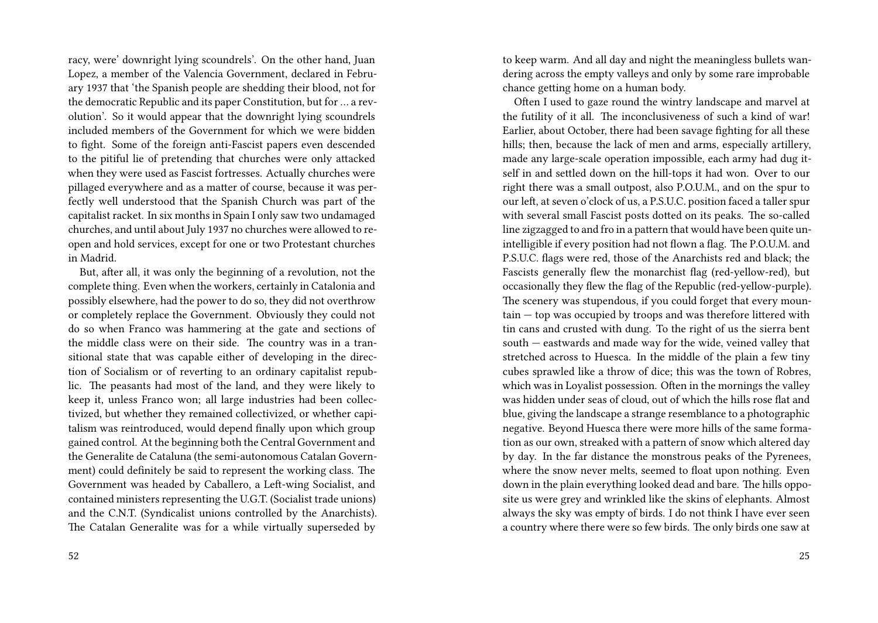racy, were' downright lying scoundrels'. On the other hand, Juan Lopez, a member of the Valencia Government, declared in February 1937 that 'the Spanish people are shedding their blood, not for the democratic Republic and its paper Constitution, but for … a revolution'. So it would appear that the downright lying scoundrels included members of the Government for which we were bidden to fight. Some of the foreign anti-Fascist papers even descended to the pitiful lie of pretending that churches were only attacked when they were used as Fascist fortresses. Actually churches were pillaged everywhere and as a matter of course, because it was perfectly well understood that the Spanish Church was part of the capitalist racket. In six months in Spain I only saw two undamaged churches, and until about July 1937 no churches were allowed to reopen and hold services, except for one or two Protestant churches in Madrid.

But, after all, it was only the beginning of a revolution, not the complete thing. Even when the workers, certainly in Catalonia and possibly elsewhere, had the power to do so, they did not overthrow or completely replace the Government. Obviously they could not do so when Franco was hammering at the gate and sections of the middle class were on their side. The country was in a transitional state that was capable either of developing in the direction of Socialism or of reverting to an ordinary capitalist republic. The peasants had most of the land, and they were likely to keep it, unless Franco won; all large industries had been collectivized, but whether they remained collectivized, or whether capitalism was reintroduced, would depend finally upon which group gained control. At the beginning both the Central Government and the Generalite de Cataluna (the semi-autonomous Catalan Government) could definitely be said to represent the working class. The Government was headed by Caballero, a Left-wing Socialist, and contained ministers representing the U.G.T. (Socialist trade unions) and the C.N.T. (Syndicalist unions controlled by the Anarchists). The Catalan Generalite was for a while virtually superseded by

to keep warm. And all day and night the meaningless bullets wandering across the empty valleys and only by some rare improbable chance getting home on a human body.

Often I used to gaze round the wintry landscape and marvel at the futility of it all. The inconclusiveness of such a kind of war! Earlier, about October, there had been savage fighting for all these hills; then, because the lack of men and arms, especially artillery, made any large-scale operation impossible, each army had dug itself in and settled down on the hill-tops it had won. Over to our right there was a small outpost, also P.O.U.M., and on the spur to our left, at seven o'clock of us, a P.S.U.C. position faced a taller spur with several small Fascist posts dotted on its peaks. The so-called line zigzagged to and fro in a pattern that would have been quite unintelligible if every position had not flown a flag. The P.O.U.M. and P.S.U.C. flags were red, those of the Anarchists red and black; the Fascists generally flew the monarchist flag (red-yellow-red), but occasionally they flew the flag of the Republic (red-yellow-purple). The scenery was stupendous, if you could forget that every mountain — top was occupied by troops and was therefore littered with tin cans and crusted with dung. To the right of us the sierra bent south — eastwards and made way for the wide, veined valley that stretched across to Huesca. In the middle of the plain a few tiny cubes sprawled like a throw of dice; this was the town of Robres, which was in Loyalist possession. Often in the mornings the valley was hidden under seas of cloud, out of which the hills rose flat and blue, giving the landscape a strange resemblance to a photographic negative. Beyond Huesca there were more hills of the same formation as our own, streaked with a pattern of snow which altered day by day. In the far distance the monstrous peaks of the Pyrenees, where the snow never melts, seemed to float upon nothing. Even down in the plain everything looked dead and bare. The hills opposite us were grey and wrinkled like the skins of elephants. Almost always the sky was empty of birds. I do not think I have ever seen a country where there were so few birds. The only birds one saw at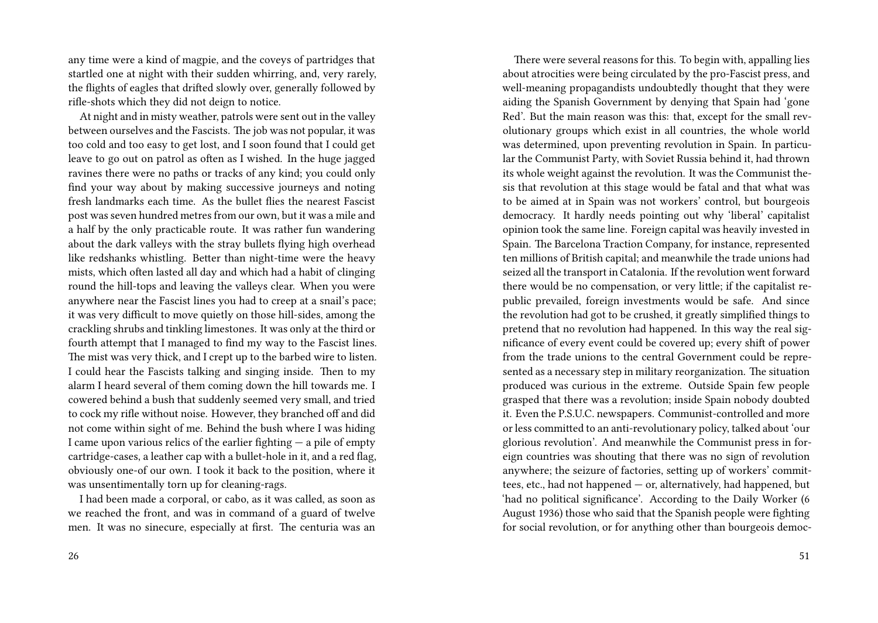any time were a kind of magpie, and the coveys of partridges that startled one at night with their sudden whirring, and, very rarely, the flights of eagles that drifted slowly over, generally followed by rifle-shots which they did not deign to notice.

At night and in misty weather, patrols were sent out in the valley between ourselves and the Fascists. The job was not popular, it was too cold and too easy to get lost, and I soon found that I could get leave to go out on patrol as often as I wished. In the huge jagged ravines there were no paths or tracks of any kind; you could only find your way about by making successive journeys and noting fresh landmarks each time. As the bullet flies the nearest Fascist post was seven hundred metres from our own, but it was a mile and a half by the only practicable route. It was rather fun wandering about the dark valleys with the stray bullets flying high overhead like redshanks whistling. Better than night-time were the heavy mists, which often lasted all day and which had a habit of clinging round the hill-tops and leaving the valleys clear. When you were anywhere near the Fascist lines you had to creep at a snail's pace; it was very difficult to move quietly on those hill-sides, among the crackling shrubs and tinkling limestones. It was only at the third or fourth attempt that I managed to find my way to the Fascist lines. The mist was very thick, and I crept up to the barbed wire to listen. I could hear the Fascists talking and singing inside. Then to my alarm I heard several of them coming down the hill towards me. I cowered behind a bush that suddenly seemed very small, and tried to cock my rifle without noise. However, they branched off and did not come within sight of me. Behind the bush where I was hiding I came upon various relics of the earlier fighting  $-$  a pile of empty cartridge-cases, a leather cap with a bullet-hole in it, and a red flag, obviously one-of our own. I took it back to the position, where it was unsentimentally torn up for cleaning-rags.

I had been made a corporal, or cabo, as it was called, as soon as we reached the front, and was in command of a guard of twelve men. It was no sinecure, especially at first. The centuria was an

There were several reasons for this. To begin with, appalling lies about atrocities were being circulated by the pro-Fascist press, and well-meaning propagandists undoubtedly thought that they were aiding the Spanish Government by denying that Spain had 'gone Red'. But the main reason was this: that, except for the small revolutionary groups which exist in all countries, the whole world was determined, upon preventing revolution in Spain. In particular the Communist Party, with Soviet Russia behind it, had thrown its whole weight against the revolution. It was the Communist thesis that revolution at this stage would be fatal and that what was to be aimed at in Spain was not workers' control, but bourgeois democracy. It hardly needs pointing out why 'liberal' capitalist opinion took the same line. Foreign capital was heavily invested in Spain. The Barcelona Traction Company, for instance, represented ten millions of British capital; and meanwhile the trade unions had seized all the transport in Catalonia. If the revolution went forward there would be no compensation, or very little; if the capitalist republic prevailed, foreign investments would be safe. And since the revolution had got to be crushed, it greatly simplified things to pretend that no revolution had happened. In this way the real significance of every event could be covered up; every shift of power from the trade unions to the central Government could be represented as a necessary step in military reorganization. The situation produced was curious in the extreme. Outside Spain few people grasped that there was a revolution; inside Spain nobody doubted it. Even the P.S.U.C. newspapers. Communist-controlled and more or less committed to an anti-revolutionary policy, talked about 'our glorious revolution'. And meanwhile the Communist press in foreign countries was shouting that there was no sign of revolution anywhere; the seizure of factories, setting up of workers' committees, etc., had not happened — or, alternatively, had happened, but 'had no political significance'. According to the Daily Worker (6 August 1936) those who said that the Spanish people were fighting for social revolution, or for anything other than bourgeois democ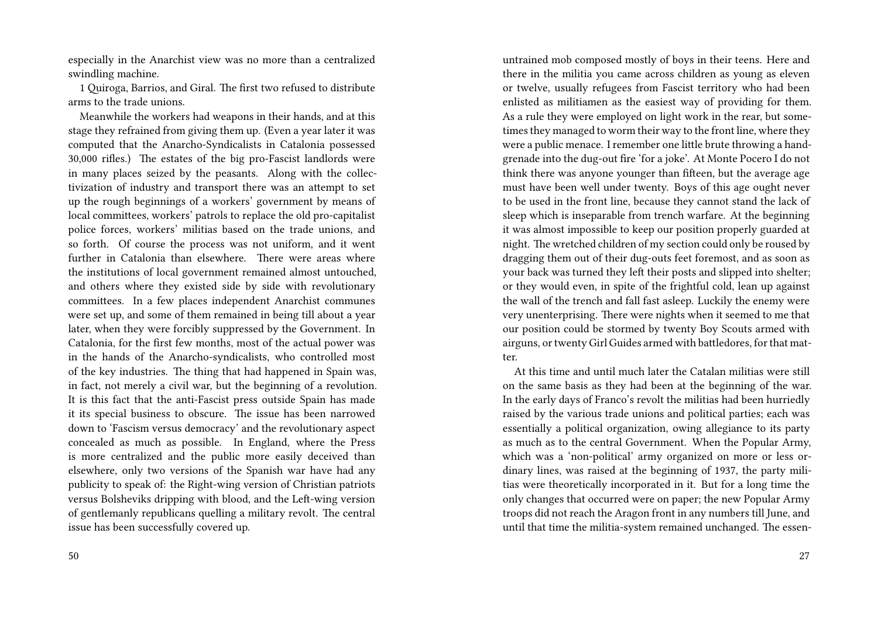especially in the Anarchist view was no more than a centralized swindling machine.

1 Quiroga, Barrios, and Giral. The first two refused to distribute arms to the trade unions.

Meanwhile the workers had weapons in their hands, and at this stage they refrained from giving them up. (Even a year later it was computed that the Anarcho-Syndicalists in Catalonia possessed 30,000 rifles.) The estates of the big pro-Fascist landlords were in many places seized by the peasants. Along with the collectivization of industry and transport there was an attempt to set up the rough beginnings of a workers' government by means of local committees, workers' patrols to replace the old pro-capitalist police forces, workers' militias based on the trade unions, and so forth. Of course the process was not uniform, and it went further in Catalonia than elsewhere. There were areas where the institutions of local government remained almost untouched, and others where they existed side by side with revolutionary committees. In a few places independent Anarchist communes were set up, and some of them remained in being till about a year later, when they were forcibly suppressed by the Government. In Catalonia, for the first few months, most of the actual power was in the hands of the Anarcho-syndicalists, who controlled most of the key industries. The thing that had happened in Spain was, in fact, not merely a civil war, but the beginning of a revolution. It is this fact that the anti-Fascist press outside Spain has made it its special business to obscure. The issue has been narrowed down to 'Fascism versus democracy' and the revolutionary aspect concealed as much as possible. In England, where the Press is more centralized and the public more easily deceived than elsewhere, only two versions of the Spanish war have had any publicity to speak of: the Right-wing version of Christian patriots versus Bolsheviks dripping with blood, and the Left-wing version of gentlemanly republicans quelling a military revolt. The central issue has been successfully covered up.

untrained mob composed mostly of boys in their teens. Here and there in the militia you came across children as young as eleven or twelve, usually refugees from Fascist territory who had been enlisted as militiamen as the easiest way of providing for them. As a rule they were employed on light work in the rear, but sometimes they managed to worm their way to the front line, where they were a public menace. I remember one little brute throwing a handgrenade into the dug-out fire 'for a joke'. At Monte Pocero I do not think there was anyone younger than fifteen, but the average age must have been well under twenty. Boys of this age ought never to be used in the front line, because they cannot stand the lack of sleep which is inseparable from trench warfare. At the beginning it was almost impossible to keep our position properly guarded at night. The wretched children of my section could only be roused by dragging them out of their dug-outs feet foremost, and as soon as your back was turned they left their posts and slipped into shelter; or they would even, in spite of the frightful cold, lean up against the wall of the trench and fall fast asleep. Luckily the enemy were very unenterprising. There were nights when it seemed to me that our position could be stormed by twenty Boy Scouts armed with airguns, or twenty Girl Guides armed with battledores, for that matter. At this time and until much later the Catalan militias were still

on the same basis as they had been at the beginning of the war. In the early days of Franco's revolt the militias had been hurriedly raised by the various trade unions and political parties; each was essentially a political organization, owing allegiance to its party as much as to the central Government. When the Popular Army, which was a 'non-political' army organized on more or less ordinary lines, was raised at the beginning of 1937, the party militias were theoretically incorporated in it. But for a long time the only changes that occurred were on paper; the new Popular Army troops did not reach the Aragon front in any numbers till June, and until that time the militia-system remained unchanged. The essen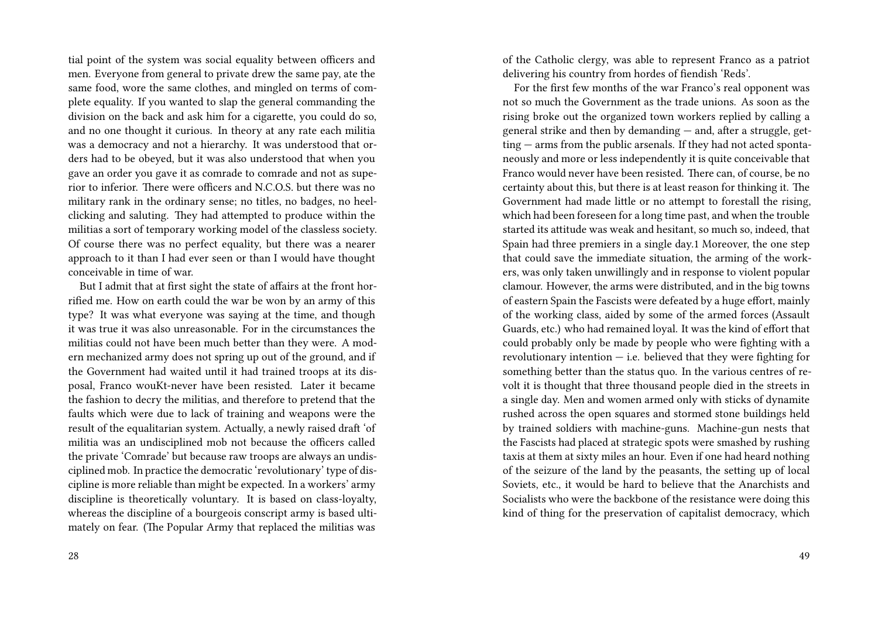tial point of the system was social equality between officers and men. Everyone from general to private drew the same pay, ate the same food, wore the same clothes, and mingled on terms of complete equality. If you wanted to slap the general commanding the division on the back and ask him for a cigarette, you could do so, and no one thought it curious. In theory at any rate each militia was a democracy and not a hierarchy. It was understood that orders had to be obeyed, but it was also understood that when you gave an order you gave it as comrade to comrade and not as superior to inferior. There were officers and N.C.O.S. but there was no military rank in the ordinary sense; no titles, no badges, no heelclicking and saluting. They had attempted to produce within the militias a sort of temporary working model of the classless society. Of course there was no perfect equality, but there was a nearer approach to it than I had ever seen or than I would have thought conceivable in time of war.

But I admit that at first sight the state of affairs at the front horrified me. How on earth could the war be won by an army of this type? It was what everyone was saying at the time, and though it was true it was also unreasonable. For in the circumstances the militias could not have been much better than they were. A modern mechanized army does not spring up out of the ground, and if the Government had waited until it had trained troops at its disposal, Franco wouKt-never have been resisted. Later it became the fashion to decry the militias, and therefore to pretend that the faults which were due to lack of training and weapons were the result of the equalitarian system. Actually, a newly raised draft 'of militia was an undisciplined mob not because the officers called the private 'Comrade' but because raw troops are always an undisciplined mob. In practice the democratic 'revolutionary' type of discipline is more reliable than might be expected. In a workers' army discipline is theoretically voluntary. It is based on class-loyalty, whereas the discipline of a bourgeois conscript army is based ultimately on fear. (The Popular Army that replaced the militias was

of the Catholic clergy, was able to represent Franco as a patriot delivering his country from hordes of fiendish 'Reds'.

For the first few months of the war Franco's real opponent was not so much the Government as the trade unions. As soon as the rising broke out the organized town workers replied by calling a general strike and then by demanding  $-$  and, after a struggle, getting — arms from the public arsenals. If they had not acted spontaneously and more or less independently it is quite conceivable that Franco would never have been resisted. There can, of course, be no certainty about this, but there is at least reason for thinking it. The Government had made little or no attempt to forestall the rising, which had been foreseen for a long time past, and when the trouble started its attitude was weak and hesitant, so much so, indeed, that Spain had three premiers in a single day.1 Moreover, the one step that could save the immediate situation, the arming of the workers, was only taken unwillingly and in response to violent popular clamour. However, the arms were distributed, and in the big towns of eastern Spain the Fascists were defeated by a huge effort, mainly of the working class, aided by some of the armed forces (Assault Guards, etc.) who had remained loyal. It was the kind of effort that could probably only be made by people who were fighting with a revolutionary intention  $-$  i.e. believed that they were fighting for something better than the status quo. In the various centres of revolt it is thought that three thousand people died in the streets in a single day. Men and women armed only with sticks of dynamite rushed across the open squares and stormed stone buildings held by trained soldiers with machine-guns. Machine-gun nests that the Fascists had placed at strategic spots were smashed by rushing taxis at them at sixty miles an hour. Even if one had heard nothing of the seizure of the land by the peasants, the setting up of local Soviets, etc., it would be hard to believe that the Anarchists and Socialists who were the backbone of the resistance were doing this kind of thing for the preservation of capitalist democracy, which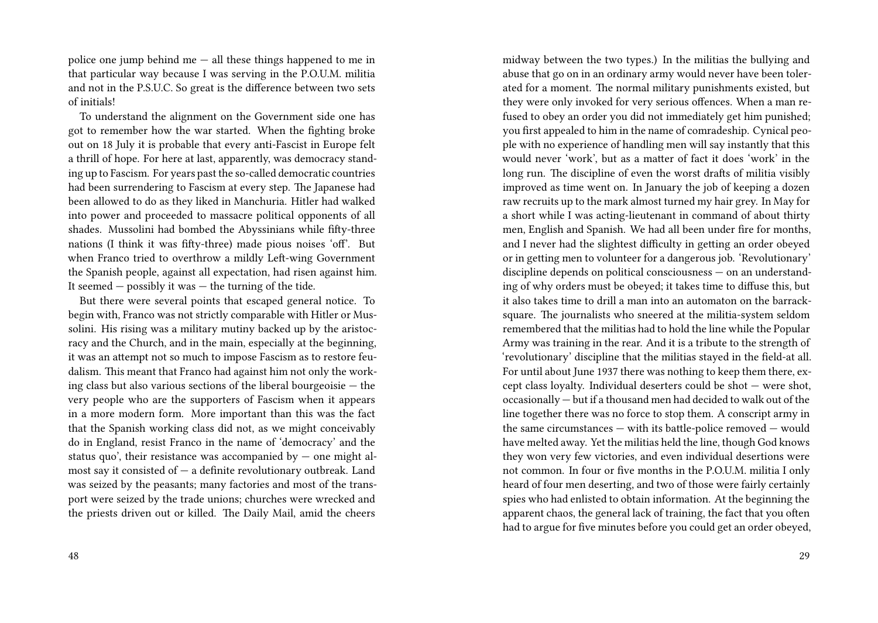police one jump behind me  $-$  all these things happened to me in that particular way because I was serving in the P.O.U.M. militia and not in the P.S.U.C. So great is the difference between two sets of initials!

To understand the alignment on the Government side one has got to remember how the war started. When the fighting broke out on 18 July it is probable that every anti-Fascist in Europe felt a thrill of hope. For here at last, apparently, was democracy standing up to Fascism. For years past the so-called democratic countries had been surrendering to Fascism at every step. The Japanese had been allowed to do as they liked in Manchuria. Hitler had walked into power and proceeded to massacre political opponents of all shades. Mussolini had bombed the Abyssinians while fifty-three nations (I think it was fifty-three) made pious noises 'of'. But when Franco tried to overthrow a mildly Left-wing Government the Spanish people, against all expectation, had risen against him. It seemed — possibly it was — the turning of the tide.

But there were several points that escaped general notice. To begin with, Franco was not strictly comparable with Hitler or Mussolini. His rising was a military mutiny backed up by the aristocracy and the Church, and in the main, especially at the beginning, it was an attempt not so much to impose Fascism as to restore feudalism. This meant that Franco had against him not only the working class but also various sections of the liberal bourgeoisie  $-$  the very people who are the supporters of Fascism when it appears in a more modern form. More important than this was the fact that the Spanish working class did not, as we might conceivably do in England, resist Franco in the name of 'democracy' and the status quo', their resistance was accompanied by  $-$  one might almost say it consisted of  $-$  a definite revolutionary outbreak. Land was seized by the peasants; many factories and most of the transport were seized by the trade unions; churches were wrecked and the priests driven out or killed. The Daily Mail, amid the cheers

midway between the two types.) In the militias the bullying and abuse that go on in an ordinary army would never have been tolerated for a moment. The normal military punishments existed, but they were only invoked for very serious offences. When a man refused to obey an order you did not immediately get him punished; you first appealed to him in the name of comradeship. Cynical people with no experience of handling men will say instantly that this would never 'work', but as a matter of fact it does 'work' in the long run. The discipline of even the worst drafts of militia visibly improved as time went on. In January the job of keeping a dozen raw recruits up to the mark almost turned my hair grey. In May for a short while I was acting-lieutenant in command of about thirty men, English and Spanish. We had all been under fire for months, and I never had the slightest difficulty in getting an order obeyed or in getting men to volunteer for a dangerous job. 'Revolutionary' discipline depends on political consciousness — on an understanding of why orders must be obeyed; it takes time to diffuse this, but it also takes time to drill a man into an automaton on the barracksquare. The journalists who sneered at the militia-system seldom remembered that the militias had to hold the line while the Popular Army was training in the rear. And it is a tribute to the strength of 'revolutionary' discipline that the militias stayed in the field-at all. For until about June 1937 there was nothing to keep them there, except class loyalty. Individual deserters could be shot — were shot, occasionally — but if a thousand men had decided to walk out of the line together there was no force to stop them. A conscript army in the same circumstances — with its battle-police removed — would have melted away. Yet the militias held the line, though God knows they won very few victories, and even individual desertions were not common. In four or five months in the P.O.U.M. militia I only heard of four men deserting, and two of those were fairly certainly spies who had enlisted to obtain information. At the beginning the apparent chaos, the general lack of training, the fact that you often had to argue for five minutes before you could get an order obeyed,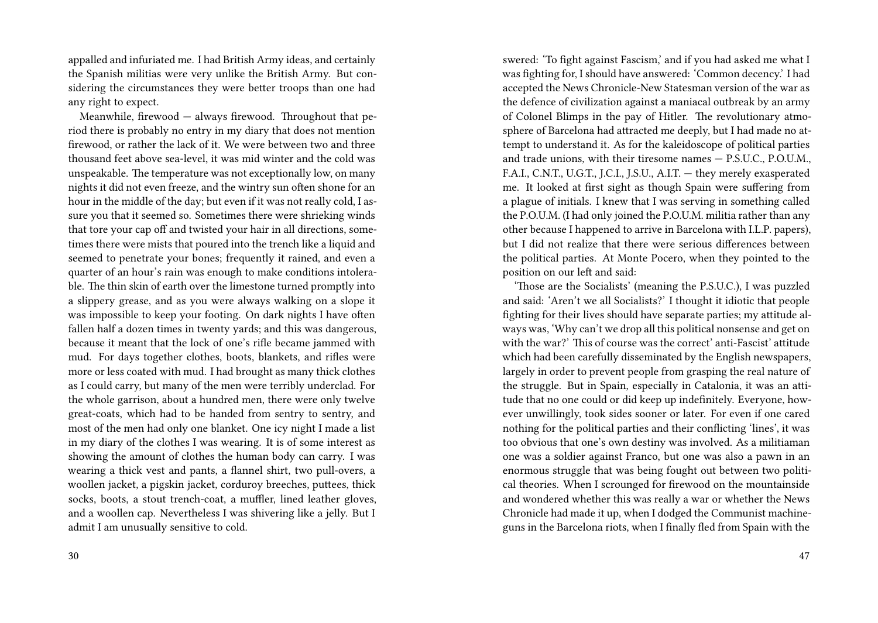appalled and infuriated me. I had British Army ideas, and certainly the Spanish militias were very unlike the British Army. But considering the circumstances they were better troops than one had any right to expect.

Meanwhile, firewood — always firewood. Throughout that period there is probably no entry in my diary that does not mention firewood, or rather the lack of it. We were between two and three thousand feet above sea-level, it was mid winter and the cold was unspeakable. The temperature was not exceptionally low, on many nights it did not even freeze, and the wintry sun often shone for an hour in the middle of the day; but even if it was not really cold, I assure you that it seemed so. Sometimes there were shrieking winds that tore your cap off and twisted your hair in all directions, sometimes there were mists that poured into the trench like a liquid and seemed to penetrate your bones; frequently it rained, and even a quarter of an hour's rain was enough to make conditions intolerable. The thin skin of earth over the limestone turned promptly into a slippery grease, and as you were always walking on a slope it was impossible to keep your footing. On dark nights I have often fallen half a dozen times in twenty yards; and this was dangerous, because it meant that the lock of one's rifle became jammed with mud. For days together clothes, boots, blankets, and rifles were more or less coated with mud. I had brought as many thick clothes as I could carry, but many of the men were terribly underclad. For the whole garrison, about a hundred men, there were only twelve great-coats, which had to be handed from sentry to sentry, and most of the men had only one blanket. One icy night I made a list in my diary of the clothes I was wearing. It is of some interest as showing the amount of clothes the human body can carry. I was wearing a thick vest and pants, a flannel shirt, two pull-overs, a woollen jacket, a pigskin jacket, corduroy breeches, puttees, thick socks, boots, a stout trench-coat, a muffler, lined leather gloves, and a woollen cap. Nevertheless I was shivering like a jelly. But I admit I am unusually sensitive to cold.

30

swered: 'To fight against Fascism,' and if you had asked me what I was fighting for, I should have answered: 'Common decency.' I had accepted the News Chronicle-New Statesman version of the war as the defence of civilization against a maniacal outbreak by an army of Colonel Blimps in the pay of Hitler. The revolutionary atmosphere of Barcelona had attracted me deeply, but I had made no attempt to understand it. As for the kaleidoscope of political parties and trade unions, with their tiresome names — P.S.U.C., P.O.U.M., F.A.I., C.N.T., U.G.T., J.C.I., J.S.U., A.I.T. — they merely exasperated me. It looked at first sight as though Spain were suffering from a plague of initials. I knew that I was serving in something called the P.O.U.M. (I had only joined the P.O.U.M. militia rather than any other because I happened to arrive in Barcelona with I.L.P. papers), but I did not realize that there were serious differences between the political parties. At Monte Pocero, when they pointed to the position on our left and said:

'Those are the Socialists' (meaning the P.S.U.C.), I was puzzled and said: 'Aren't we all Socialists?' I thought it idiotic that people fighting for their lives should have separate parties; my attitude always was, 'Why can't we drop all this political nonsense and get on with the war?' This of course was the correct' anti-Fascist' attitude which had been carefully disseminated by the English newspapers, largely in order to prevent people from grasping the real nature of the struggle. But in Spain, especially in Catalonia, it was an attitude that no one could or did keep up indefinitely. Everyone, however unwillingly, took sides sooner or later. For even if one cared nothing for the political parties and their conflicting 'lines', it was too obvious that one's own destiny was involved. As a militiaman one was a soldier against Franco, but one was also a pawn in an enormous struggle that was being fought out between two political theories. When I scrounged for firewood on the mountainside and wondered whether this was really a war or whether the News Chronicle had made it up, when I dodged the Communist machineguns in the Barcelona riots, when I finally fled from Spain with the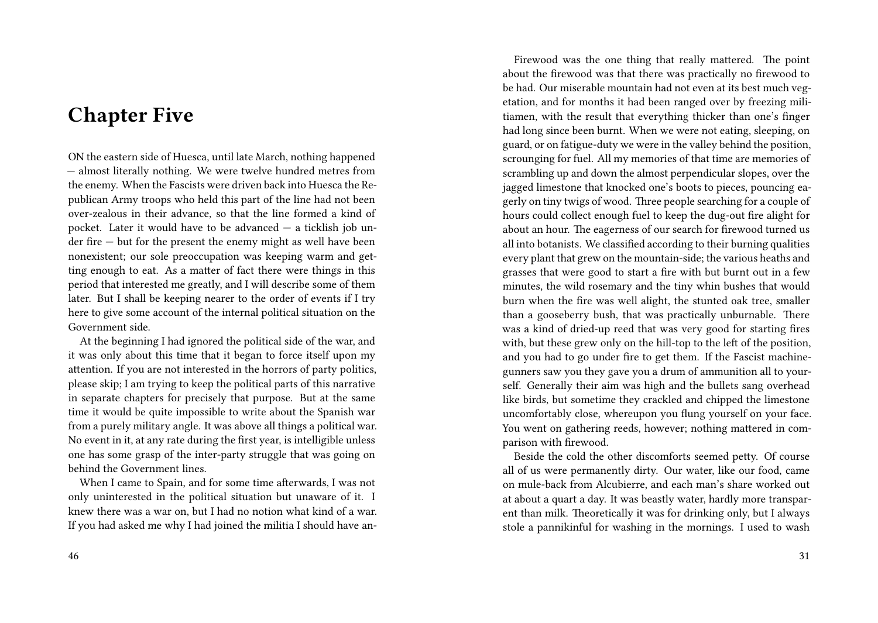## **Chapter Five**

ON the eastern side of Huesca, until late March, nothing happened — almost literally nothing. We were twelve hundred metres from the enemy. When the Fascists were driven back into Huesca the Republican Army troops who held this part of the line had not been over-zealous in their advance, so that the line formed a kind of pocket. Later it would have to be advanced — a ticklish job under fire — but for the present the enemy might as well have been nonexistent; our sole preoccupation was keeping warm and getting enough to eat. As a matter of fact there were things in this period that interested me greatly, and I will describe some of them later. But I shall be keeping nearer to the order of events if I try here to give some account of the internal political situation on the Government side.

At the beginning I had ignored the political side of the war, and it was only about this time that it began to force itself upon my attention. If you are not interested in the horrors of party politics, please skip; I am trying to keep the political parts of this narrative in separate chapters for precisely that purpose. But at the same time it would be quite impossible to write about the Spanish war from a purely military angle. It was above all things a political war. No event in it, at any rate during the first year, is intelligible unless one has some grasp of the inter-party struggle that was going on behind the Government lines.

When I came to Spain, and for some time afterwards, I was not only uninterested in the political situation but unaware of it. I knew there was a war on, but I had no notion what kind of a war. If you had asked me why I had joined the militia I should have an-

Firewood was the one thing that really mattered. The point about the firewood was that there was practically no firewood to be had. Our miserable mountain had not even at its best much vegetation, and for months it had been ranged over by freezing militiamen, with the result that everything thicker than one's finger had long since been burnt. When we were not eating, sleeping, on guard, or on fatigue-duty we were in the valley behind the position, scrounging for fuel. All my memories of that time are memories of scrambling up and down the almost perpendicular slopes, over the jagged limestone that knocked one's boots to pieces, pouncing eagerly on tiny twigs of wood. Three people searching for a couple of hours could collect enough fuel to keep the dug-out fire alight for about an hour. The eagerness of our search for firewood turned us all into botanists. We classified according to their burning qualities every plant that grew on the mountain-side; the various heaths and grasses that were good to start a fire with but burnt out in a few minutes, the wild rosemary and the tiny whin bushes that would burn when the fire was well alight, the stunted oak tree, smaller than a gooseberry bush, that was practically unburnable. There was a kind of dried-up reed that was very good for starting fires with, but these grew only on the hill-top to the left of the position, and you had to go under fire to get them. If the Fascist machinegunners saw you they gave you a drum of ammunition all to yourself. Generally their aim was high and the bullets sang overhead like birds, but sometime they crackled and chipped the limestone uncomfortably close, whereupon you flung yourself on your face. You went on gathering reeds, however; nothing mattered in comparison with firewood.

Beside the cold the other discomforts seemed petty. Of course all of us were permanently dirty. Our water, like our food, came on mule-back from Alcubierre, and each man's share worked out at about a quart a day. It was beastly water, hardly more transparent than milk. Theoretically it was for drinking only, but I always stole a pannikinful for washing in the mornings. I used to wash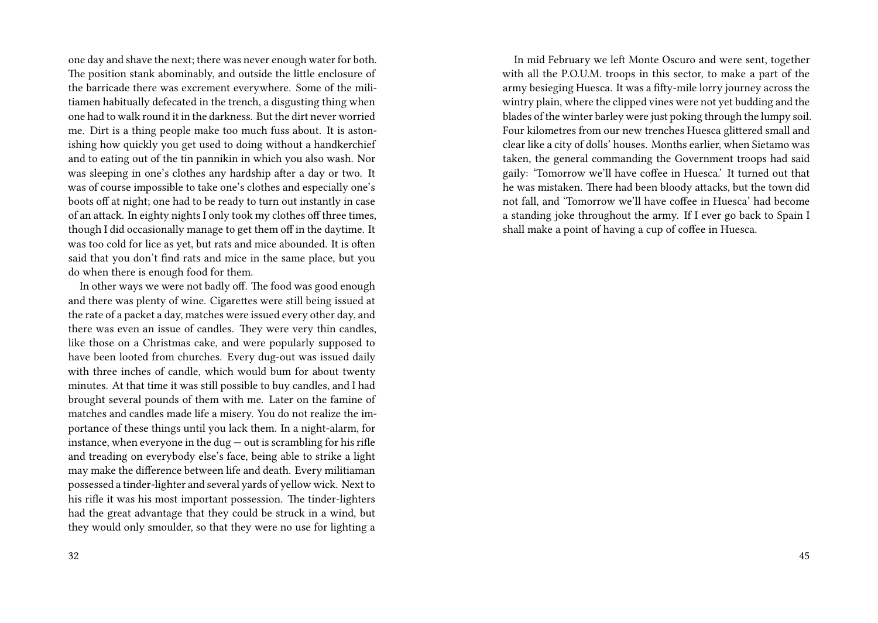one day and shave the next; there was never enough water for both. The position stank abominably, and outside the little enclosure of the barricade there was excrement everywhere. Some of the militiamen habitually defecated in the trench, a disgusting thing when one had to walk round it in the darkness. But the dirt never worried me. Dirt is a thing people make too much fuss about. It is astonishing how quickly you get used to doing without a handkerchief and to eating out of the tin pannikin in which you also wash. Nor was sleeping in one's clothes any hardship after a day or two. It was of course impossible to take one's clothes and especially one's boots off at night; one had to be ready to turn out instantly in case of an attack. In eighty nights I only took my clothes off three times, though I did occasionally manage to get them off in the daytime. It was too cold for lice as yet, but rats and mice abounded. It is often said that you don't find rats and mice in the same place, but you do when there is enough food for them.

In other ways we were not badly off. The food was good enough and there was plenty of wine. Cigarettes were still being issued at the rate of a packet a day, matches were issued every other day, and there was even an issue of candles. They were very thin candles, like those on a Christmas cake, and were popularly supposed to have been looted from churches. Every dug-out was issued daily with three inches of candle, which would bum for about twenty minutes. At that time it was still possible to buy candles, and I had brought several pounds of them with me. Later on the famine of matches and candles made life a misery. You do not realize the importance of these things until you lack them. In a night-alarm, for instance, when everyone in the dug — out is scrambling for his rifle and treading on everybody else's face, being able to strike a light may make the difference between life and death. Every militiaman possessed a tinder-lighter and several yards of yellow wick. Next to his rifle it was his most important possession. The tinder-lighters had the great advantage that they could be struck in a wind, but they would only smoulder, so that they were no use for lighting a

In mid February we left Monte Oscuro and were sent, together with all the P.O.U.M. troops in this sector, to make a part of the army besieging Huesca. It was a fifty-mile lorry journey across the wintry plain, where the clipped vines were not yet budding and the blades of the winter barley were just poking through the lumpy soil. Four kilometres from our new trenches Huesca glittered small and clear like a city of dolls' houses. Months earlier, when Sietamo was taken, the general commanding the Government troops had said gaily: 'Tomorrow we'll have coffee in Huesca.' It turned out that he was mistaken. There had been bloody attacks, but the town did not fall, and 'Tomorrow we'll have coffee in Huesca' had become a standing joke throughout the army. If I ever go back to Spain I shall make a point of having a cup of coffee in Huesca.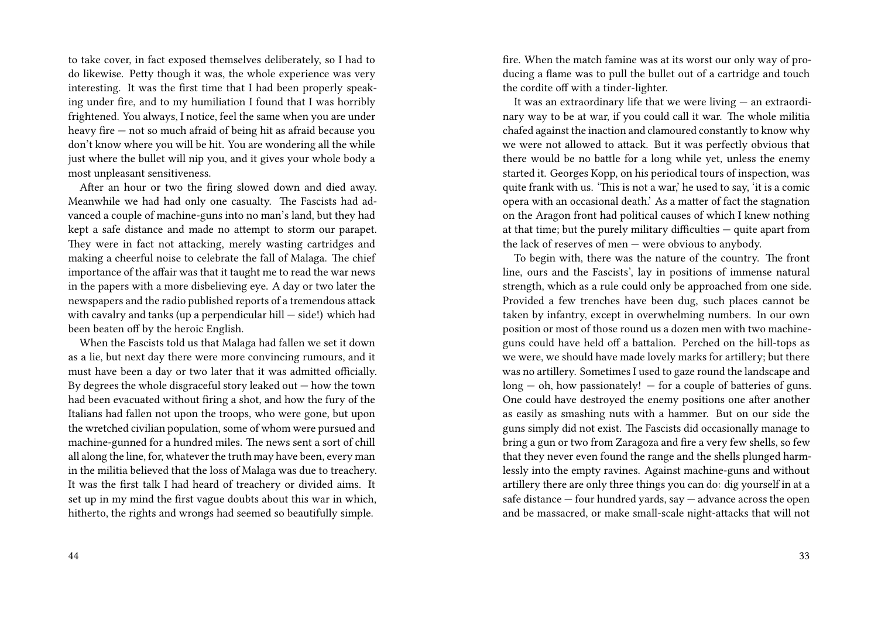to take cover, in fact exposed themselves deliberately, so I had to do likewise. Petty though it was, the whole experience was very interesting. It was the first time that I had been properly speaking under fire, and to my humiliation I found that I was horribly frightened. You always, I notice, feel the same when you are under heavy fire — not so much afraid of being hit as afraid because you don't know where you will be hit. You are wondering all the while just where the bullet will nip you, and it gives your whole body a most unpleasant sensitiveness.

After an hour or two the firing slowed down and died away. Meanwhile we had had only one casualty. The Fascists had advanced a couple of machine-guns into no man's land, but they had kept a safe distance and made no attempt to storm our parapet. They were in fact not attacking, merely wasting cartridges and making a cheerful noise to celebrate the fall of Malaga. The chief importance of the affair was that it taught me to read the war news in the papers with a more disbelieving eye. A day or two later the newspapers and the radio published reports of a tremendous attack with cavalry and tanks (up a perpendicular hill  $-$  side!) which had been beaten off by the heroic English.

When the Fascists told us that Malaga had fallen we set it down as a lie, but next day there were more convincing rumours, and it must have been a day or two later that it was admitted officially. By degrees the whole disgraceful story leaked out — how the town had been evacuated without firing a shot, and how the fury of the Italians had fallen not upon the troops, who were gone, but upon the wretched civilian population, some of whom were pursued and machine-gunned for a hundred miles. The news sent a sort of chill all along the line, for, whatever the truth may have been, every man in the militia believed that the loss of Malaga was due to treachery. It was the first talk I had heard of treachery or divided aims. It set up in my mind the first vague doubts about this war in which, hitherto, the rights and wrongs had seemed so beautifully simple.

fire. When the match famine was at its worst our only way of producing a flame was to pull the bullet out of a cartridge and touch the cordite off with a tinder-lighter.

It was an extraordinary life that we were living — an extraordinary way to be at war, if you could call it war. The whole militia chafed against the inaction and clamoured constantly to know why we were not allowed to attack. But it was perfectly obvious that there would be no battle for a long while yet, unless the enemy started it. Georges Kopp, on his periodical tours of inspection, was quite frank with us. 'This is not a war,' he used to say, 'it is a comic opera with an occasional death.' As a matter of fact the stagnation on the Aragon front had political causes of which I knew nothing at that time; but the purely military difficulties — quite apart from the lack of reserves of men — were obvious to anybody.

To begin with, there was the nature of the country. The front line, ours and the Fascists', lay in positions of immense natural strength, which as a rule could only be approached from one side. Provided a few trenches have been dug, such places cannot be taken by infantry, except in overwhelming numbers. In our own position or most of those round us a dozen men with two machineguns could have held off a battalion. Perched on the hill-tops as we were, we should have made lovely marks for artillery; but there was no artillery. Sometimes I used to gaze round the landscape and  $long - oh$ , how passionately!  $-$  for a couple of batteries of guns. One could have destroyed the enemy positions one after another as easily as smashing nuts with a hammer. But on our side the guns simply did not exist. The Fascists did occasionally manage to bring a gun or two from Zaragoza and fire a very few shells, so few that they never even found the range and the shells plunged harmlessly into the empty ravines. Against machine-guns and without artillery there are only three things you can do: dig yourself in at a safe distance  $-$  four hundred yards, say  $-$  advance across the open and be massacred, or make small-scale night-attacks that will not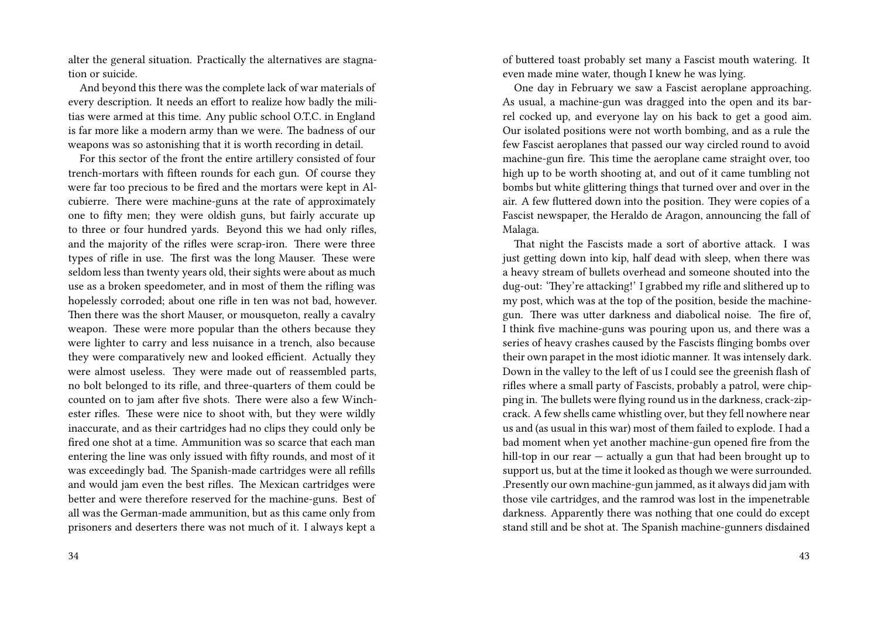alter the general situation. Practically the alternatives are stagnation or suicide.

And beyond this there was the complete lack of war materials of every description. It needs an effort to realize how badly the militias were armed at this time. Any public school O.T.C. in England is far more like a modern army than we were. The badness of our weapons was so astonishing that it is worth recording in detail.

For this sector of the front the entire artillery consisted of four trench-mortars with fifteen rounds for each gun. Of course they were far too precious to be fired and the mortars were kept in Alcubierre. There were machine-guns at the rate of approximately one to fifty men; they were oldish guns, but fairly accurate up to three or four hundred yards. Beyond this we had only rifles, and the majority of the rifles were scrap-iron. There were three types of rifle in use. The first was the long Mauser. These were seldom less than twenty years old, their sights were about as much use as a broken speedometer, and in most of them the rifling was hopelessly corroded; about one rifle in ten was not bad, however. Then there was the short Mauser, or mousqueton, really a cavalry weapon. These were more popular than the others because they were lighter to carry and less nuisance in a trench, also because they were comparatively new and looked efficient. Actually they were almost useless. They were made out of reassembled parts, no bolt belonged to its rifle, and three-quarters of them could be counted on to jam after five shots. There were also a few Winchester rifles. These were nice to shoot with, but they were wildly inaccurate, and as their cartridges had no clips they could only be fired one shot at a time. Ammunition was so scarce that each man entering the line was only issued with fifty rounds, and most of it was exceedingly bad. The Spanish-made cartridges were all refills and would jam even the best rifles. The Mexican cartridges were better and were therefore reserved for the machine-guns. Best of all was the German-made ammunition, but as this came only from prisoners and deserters there was not much of it. I always kept a of buttered toast probably set many a Fascist mouth watering. It even made mine water, though I knew he was lying.

One day in February we saw a Fascist aeroplane approaching. As usual, a machine-gun was dragged into the open and its barrel cocked up, and everyone lay on his back to get a good aim. Our isolated positions were not worth bombing, and as a rule the few Fascist aeroplanes that passed our way circled round to avoid machine-gun fire. This time the aeroplane came straight over, too high up to be worth shooting at, and out of it came tumbling not bombs but white glittering things that turned over and over in the air. A few fluttered down into the position. They were copies of a Fascist newspaper, the Heraldo de Aragon, announcing the fall of Malaga.

That night the Fascists made a sort of abortive attack. I was just getting down into kip, half dead with sleep, when there was a heavy stream of bullets overhead and someone shouted into the dug-out: 'They're attacking!' I grabbed my rifle and slithered up to my post, which was at the top of the position, beside the machinegun. There was utter darkness and diabolical noise. The fire of, I think five machine-guns was pouring upon us, and there was a series of heavy crashes caused by the Fascists flinging bombs over their own parapet in the most idiotic manner. It was intensely dark. Down in the valley to the left of us I could see the greenish flash of rifles where a small party of Fascists, probably a patrol, were chipping in. The bullets were flying round us in the darkness, crack-zipcrack. A few shells came whistling over, but they fell nowhere near us and (as usual in this war) most of them failed to explode. I had a bad moment when yet another machine-gun opened fire from the hill-top in our rear  $-$  actually a gun that had been brought up to support us, but at the time it looked as though we were surrounded. .Presently our own machine-gun jammed, as it always did jam with those vile cartridges, and the ramrod was lost in the impenetrable darkness. Apparently there was nothing that one could do except stand still and be shot at. The Spanish machine-gunners disdained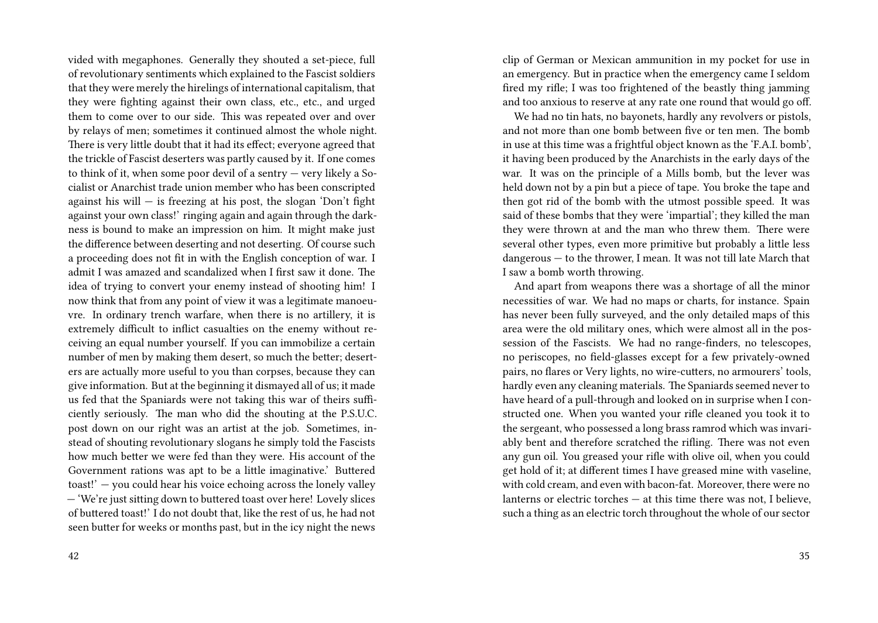vided with megaphones. Generally they shouted a set-piece, full of revolutionary sentiments which explained to the Fascist soldiers that they were merely the hirelings of international capitalism, that they were fighting against their own class, etc., etc., and urged them to come over to our side. This was repeated over and over by relays of men; sometimes it continued almost the whole night. There is very little doubt that it had its effect; everyone agreed that the trickle of Fascist deserters was partly caused by it. If one comes to think of it, when some poor devil of a sentry — very likely a Socialist or Anarchist trade union member who has been conscripted against his will — is freezing at his post, the slogan 'Don't fight against your own class!' ringing again and again through the darkness is bound to make an impression on him. It might make just the difference between deserting and not deserting. Of course such a proceeding does not fit in with the English conception of war. I admit I was amazed and scandalized when I first saw it done. The idea of trying to convert your enemy instead of shooting him! I now think that from any point of view it was a legitimate manoeuvre. In ordinary trench warfare, when there is no artillery, it is extremely difficult to inflict casualties on the enemy without receiving an equal number yourself. If you can immobilize a certain number of men by making them desert, so much the better; deserters are actually more useful to you than corpses, because they can give information. But at the beginning it dismayed all of us; it made us fed that the Spaniards were not taking this war of theirs sufficiently seriously. The man who did the shouting at the P.S.U.C. post down on our right was an artist at the job. Sometimes, instead of shouting revolutionary slogans he simply told the Fascists how much better we were fed than they were. His account of the Government rations was apt to be a little imaginative.' Buttered toast!' — you could hear his voice echoing across the lonely valley — 'We're just sitting down to buttered toast over here! Lovely slices of buttered toast!' I do not doubt that, like the rest of us, he had not seen butter for weeks or months past, but in the icy night the news

clip of German or Mexican ammunition in my pocket for use in an emergency. But in practice when the emergency came I seldom fired my rifle; I was too frightened of the beastly thing jamming and too anxious to reserve at any rate one round that would go off.

We had no tin hats, no bayonets, hardly any revolvers or pistols, and not more than one bomb between five or ten men. The bomb in use at this time was a frightful object known as the 'F.A.I. bomb', it having been produced by the Anarchists in the early days of the war. It was on the principle of a Mills bomb, but the lever was held down not by a pin but a piece of tape. You broke the tape and then got rid of the bomb with the utmost possible speed. It was said of these bombs that they were 'impartial'; they killed the man they were thrown at and the man who threw them. There were several other types, even more primitive but probably a little less dangerous — to the thrower, I mean. It was not till late March that I saw a bomb worth throwing.

And apart from weapons there was a shortage of all the minor necessities of war. We had no maps or charts, for instance. Spain has never been fully surveyed, and the only detailed maps of this area were the old military ones, which were almost all in the possession of the Fascists. We had no range-finders, no telescopes, no periscopes, no field-glasses except for a few privately-owned pairs, no flares or Very lights, no wire-cutters, no armourers' tools, hardly even any cleaning materials. The Spaniards seemed never to have heard of a pull-through and looked on in surprise when I constructed one. When you wanted your rifle cleaned you took it to the sergeant, who possessed a long brass ramrod which was invariably bent and therefore scratched the rifling. There was not even any gun oil. You greased your rifle with olive oil, when you could get hold of it; at different times I have greased mine with vaseline, with cold cream, and even with bacon-fat. Moreover, there were no lanterns or electric torches — at this time there was not, I believe, such a thing as an electric torch throughout the whole of our sector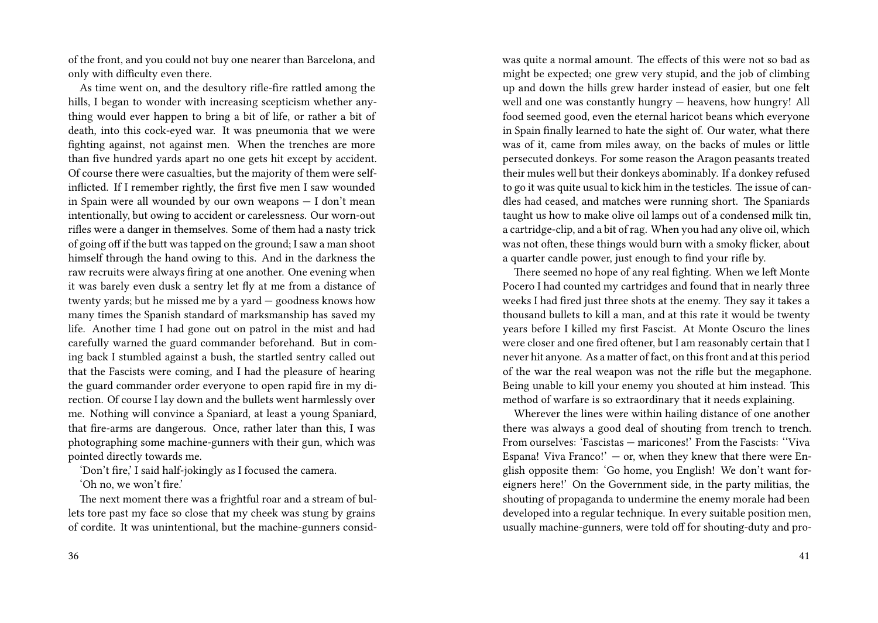of the front, and you could not buy one nearer than Barcelona, and only with difficulty even there.

As time went on, and the desultory rifle-fire rattled among the hills, I began to wonder with increasing scepticism whether anything would ever happen to bring a bit of life, or rather a bit of death, into this cock-eyed war. It was pneumonia that we were fighting against, not against men. When the trenches are more than five hundred yards apart no one gets hit except by accident. Of course there were casualties, but the majority of them were selfinflicted. If I remember rightly, the first five men I saw wounded in Spain were all wounded by our own weapons — I don't mean intentionally, but owing to accident or carelessness. Our worn-out rifles were a danger in themselves. Some of them had a nasty trick of going off if the butt was tapped on the ground; I saw a man shoot himself through the hand owing to this. And in the darkness the raw recruits were always firing at one another. One evening when it was barely even dusk a sentry let fly at me from a distance of twenty yards; but he missed me by a yard — goodness knows how many times the Spanish standard of marksmanship has saved my life. Another time I had gone out on patrol in the mist and had carefully warned the guard commander beforehand. But in coming back I stumbled against a bush, the startled sentry called out that the Fascists were coming, and I had the pleasure of hearing the guard commander order everyone to open rapid fire in my direction. Of course I lay down and the bullets went harmlessly over me. Nothing will convince a Spaniard, at least a young Spaniard, that fire-arms are dangerous. Once, rather later than this, I was photographing some machine-gunners with their gun, which was pointed directly towards me.

'Don't fire,' I said half-jokingly as I focused the camera.

'Oh no, we won't fire.'

The next moment there was a frightful roar and a stream of bullets tore past my face so close that my cheek was stung by grains of cordite. It was unintentional, but the machine-gunners considwas quite a normal amount. The effects of this were not so bad as might be expected; one grew very stupid, and the job of climbing up and down the hills grew harder instead of easier, but one felt well and one was constantly hungry — heavens, how hungry! All food seemed good, even the eternal haricot beans which everyone in Spain finally learned to hate the sight of. Our water, what there was of it, came from miles away, on the backs of mules or little persecuted donkeys. For some reason the Aragon peasants treated their mules well but their donkeys abominably. If a donkey refused to go it was quite usual to kick him in the testicles. The issue of candles had ceased, and matches were running short. The Spaniards taught us how to make olive oil lamps out of a condensed milk tin, a cartridge-clip, and a bit of rag. When you had any olive oil, which was not often, these things would burn with a smoky flicker, about a quarter candle power, just enough to find your rifle by.

There seemed no hope of any real fighting. When we left Monte Pocero I had counted my cartridges and found that in nearly three weeks I had fired just three shots at the enemy. They say it takes a thousand bullets to kill a man, and at this rate it would be twenty years before I killed my first Fascist. At Monte Oscuro the lines were closer and one fired oftener, but I am reasonably certain that I never hit anyone. As a matter of fact, on this front and at this period of the war the real weapon was not the rifle but the megaphone. Being unable to kill your enemy you shouted at him instead. This method of warfare is so extraordinary that it needs explaining.

Wherever the lines were within hailing distance of one another there was always a good deal of shouting from trench to trench. From ourselves: 'Fascistas — maricones!' From the Fascists: ''Viva Espana! Viva Franco!'  $-$  or, when they knew that there were English opposite them: 'Go home, you English! We don't want foreigners here!' On the Government side, in the party militias, the shouting of propaganda to undermine the enemy morale had been developed into a regular technique. In every suitable position men, usually machine-gunners, were told off for shouting-duty and pro-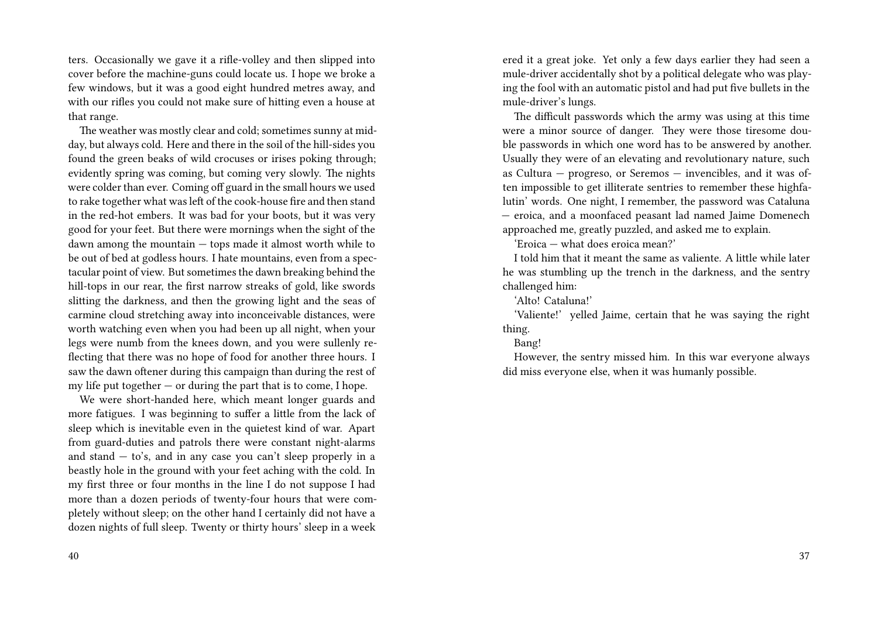ters. Occasionally we gave it a rifle-volley and then slipped into cover before the machine-guns could locate us. I hope we broke a few windows, but it was a good eight hundred metres away, and with our rifles you could not make sure of hitting even a house at that range.

The weather was mostly clear and cold; sometimes sunny at midday, but always cold. Here and there in the soil of the hill-sides you found the green beaks of wild crocuses or irises poking through; evidently spring was coming, but coming very slowly. The nights were colder than ever. Coming off guard in the small hours we used to rake together what was left of the cook-house fire and then stand in the red-hot embers. It was bad for your boots, but it was very good for your feet. But there were mornings when the sight of the dawn among the mountain — tops made it almost worth while to be out of bed at godless hours. I hate mountains, even from a spectacular point of view. But sometimes the dawn breaking behind the hill-tops in our rear, the first narrow streaks of gold, like swords slitting the darkness, and then the growing light and the seas of carmine cloud stretching away into inconceivable distances, were worth watching even when you had been up all night, when your legs were numb from the knees down, and you were sullenly reflecting that there was no hope of food for another three hours. I saw the dawn oftener during this campaign than during the rest of my life put together  $-$  or during the part that is to come, I hope.

We were short-handed here, which meant longer guards and more fatigues. I was beginning to suffer a little from the lack of sleep which is inevitable even in the quietest kind of war. Apart from guard-duties and patrols there were constant night-alarms and stand  $-$  to's, and in any case you can't sleep properly in a beastly hole in the ground with your feet aching with the cold. In my first three or four months in the line I do not suppose I had more than a dozen periods of twenty-four hours that were completely without sleep; on the other hand I certainly did not have a dozen nights of full sleep. Twenty or thirty hours' sleep in a week ered it a great joke. Yet only a few days earlier they had seen a mule-driver accidentally shot by a political delegate who was playing the fool with an automatic pistol and had put five bullets in the mule-driver's lungs.

The difficult passwords which the army was using at this time were a minor source of danger. They were those tiresome double passwords in which one word has to be answered by another. Usually they were of an elevating and revolutionary nature, such as Cultura — progreso, or Seremos — invencibles, and it was often impossible to get illiterate sentries to remember these highfalutin' words. One night, I remember, the password was Cataluna — eroica, and a moonfaced peasant lad named Jaime Domenech approached me, greatly puzzled, and asked me to explain.

'Eroica — what does eroica mean?'

I told him that it meant the same as valiente. A little while later he was stumbling up the trench in the darkness, and the sentry challenged him:

'Alto! Cataluna!'

'Valiente!' yelled Jaime, certain that he was saying the right thing.

Bang!

However, the sentry missed him. In this war everyone always did miss everyone else, when it was humanly possible.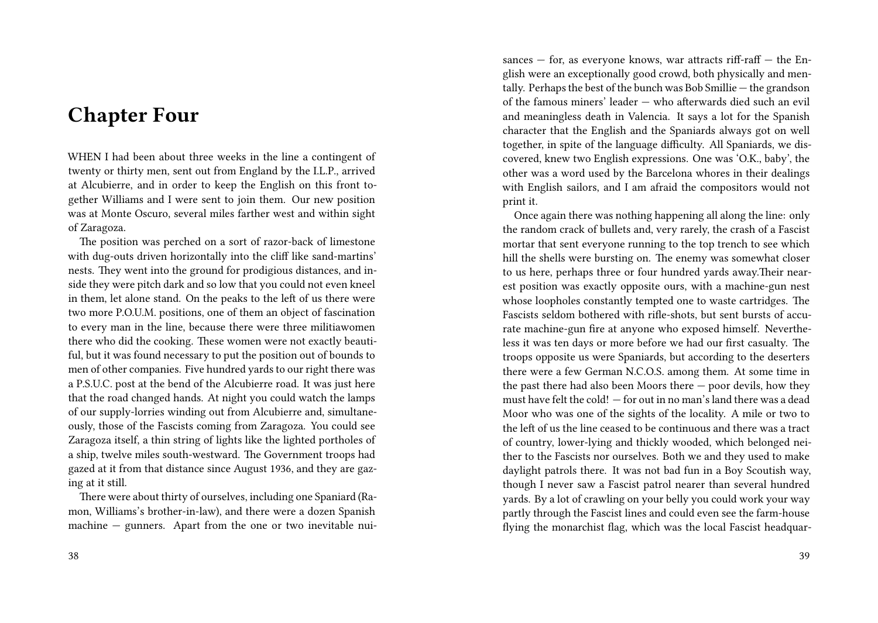### **Chapter Four**

WHEN I had been about three weeks in the line a contingent of twenty or thirty men, sent out from England by the I.L.P., arrived at Alcubierre, and in order to keep the English on this front together Williams and I were sent to join them. Our new position was at Monte Oscuro, several miles farther west and within sight of Zaragoza.

The position was perched on a sort of razor-back of limestone with dug-outs driven horizontally into the cliff like sand-martins' nests. They went into the ground for prodigious distances, and inside they were pitch dark and so low that you could not even kneel in them, let alone stand. On the peaks to the left of us there were two more P.O.U.M. positions, one of them an object of fascination to every man in the line, because there were three militiawomen there who did the cooking. These women were not exactly beautiful, but it was found necessary to put the position out of bounds to men of other companies. Five hundred yards to our right there was a P.S.U.C. post at the bend of the Alcubierre road. It was just here that the road changed hands. At night you could watch the lamps of our supply-lorries winding out from Alcubierre and, simultaneously, those of the Fascists coming from Zaragoza. You could see Zaragoza itself, a thin string of lights like the lighted portholes of a ship, twelve miles south-westward. The Government troops had gazed at it from that distance since August 1936, and they are gazing at it still.

There were about thirty of ourselves, including one Spaniard (Ramon, Williams's brother-in-law), and there were a dozen Spanish machine — gunners. Apart from the one or two inevitable nuisances  $-$  for, as everyone knows, war attracts riff-raff  $-$  the English were an exceptionally good crowd, both physically and mentally. Perhaps the best of the bunch was Bob Smillie — the grandson of the famous miners' leader — who afterwards died such an evil and meaningless death in Valencia. It says a lot for the Spanish character that the English and the Spaniards always got on well together, in spite of the language difficulty. All Spaniards, we discovered, knew two English expressions. One was 'O.K., baby', the other was a word used by the Barcelona whores in their dealings with English sailors, and I am afraid the compositors would not print it.

Once again there was nothing happening all along the line: only the random crack of bullets and, very rarely, the crash of a Fascist mortar that sent everyone running to the top trench to see which hill the shells were bursting on. The enemy was somewhat closer to us here, perhaps three or four hundred yards away.Their nearest position was exactly opposite ours, with a machine-gun nest whose loopholes constantly tempted one to waste cartridges. The Fascists seldom bothered with rifle-shots, but sent bursts of accurate machine-gun fire at anyone who exposed himself. Nevertheless it was ten days or more before we had our first casualty. The troops opposite us were Spaniards, but according to the deserters there were a few German N.C.O.S. among them. At some time in the past there had also been Moors there — poor devils, how they must have felt the cold! — for out in no man's land there was a dead Moor who was one of the sights of the locality. A mile or two to the left of us the line ceased to be continuous and there was a tract of country, lower-lying and thickly wooded, which belonged neither to the Fascists nor ourselves. Both we and they used to make daylight patrols there. It was not bad fun in a Boy Scoutish way, though I never saw a Fascist patrol nearer than several hundred yards. By a lot of crawling on your belly you could work your way partly through the Fascist lines and could even see the farm-house flying the monarchist flag, which was the local Fascist headquar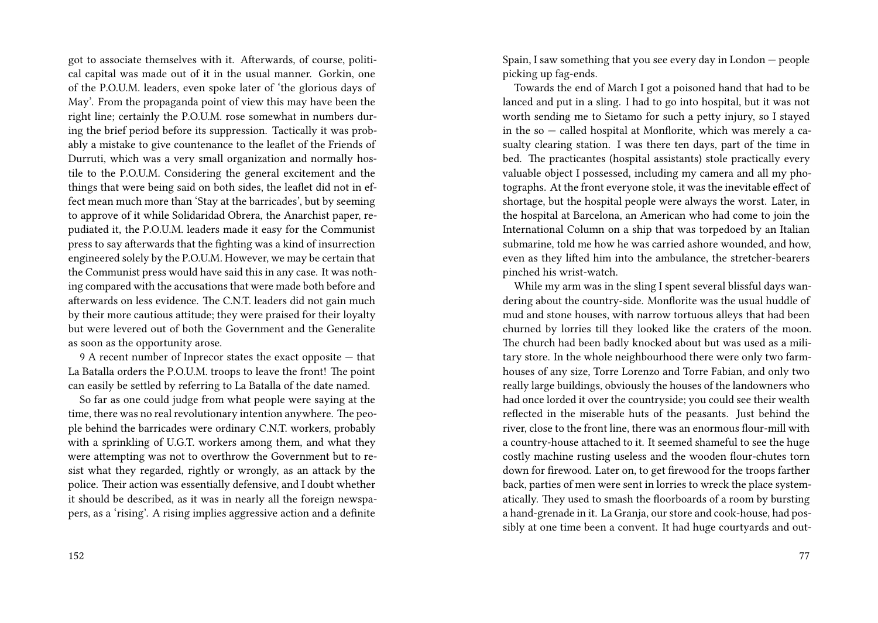got to associate themselves with it. Afterwards, of course, political capital was made out of it in the usual manner. Gorkin, one of the P.O.U.M. leaders, even spoke later of 'the glorious days of May'. From the propaganda point of view this may have been the right line; certainly the P.O.U.M. rose somewhat in numbers during the brief period before its suppression. Tactically it was probably a mistake to give countenance to the leaflet of the Friends of Durruti, which was a very small organization and normally hostile to the P.O.U.M. Considering the general excitement and the things that were being said on both sides, the leaflet did not in effect mean much more than 'Stay at the barricades', but by seeming to approve of it while Solidaridad Obrera, the Anarchist paper, repudiated it, the P.O.U.M. leaders made it easy for the Communist press to say afterwards that the fighting was a kind of insurrection engineered solely by the P.O.U.M. However, we may be certain that the Communist press would have said this in any case. It was nothing compared with the accusations that were made both before and afterwards on less evidence. The C.N.T. leaders did not gain much by their more cautious attitude; they were praised for their loyalty but were levered out of both the Government and the Generalite as soon as the opportunity arose.

9 A recent number of Inprecor states the exact opposite — that La Batalla orders the P.O.U.M. troops to leave the front! The point can easily be settled by referring to La Batalla of the date named.

So far as one could judge from what people were saying at the time, there was no real revolutionary intention anywhere. The people behind the barricades were ordinary C.N.T. workers, probably with a sprinkling of U.G.T. workers among them, and what they were attempting was not to overthrow the Government but to resist what they regarded, rightly or wrongly, as an attack by the police. Their action was essentially defensive, and I doubt whether it should be described, as it was in nearly all the foreign newspapers, as a 'rising'. A rising implies aggressive action and a definite Spain, I saw something that you see every day in London — people picking up fag-ends.

Towards the end of March I got a poisoned hand that had to be lanced and put in a sling. I had to go into hospital, but it was not worth sending me to Sietamo for such a petty injury, so I stayed in the so — called hospital at Monflorite, which was merely a casualty clearing station. I was there ten days, part of the time in bed. The practicantes (hospital assistants) stole practically every valuable object I possessed, including my camera and all my photographs. At the front everyone stole, it was the inevitable effect of shortage, but the hospital people were always the worst. Later, in the hospital at Barcelona, an American who had come to join the International Column on a ship that was torpedoed by an Italian submarine, told me how he was carried ashore wounded, and how, even as they lifted him into the ambulance, the stretcher-bearers pinched his wrist-watch.

While my arm was in the sling I spent several blissful days wandering about the country-side. Monflorite was the usual huddle of mud and stone houses, with narrow tortuous alleys that had been churned by lorries till they looked like the craters of the moon. The church had been badly knocked about but was used as a military store. In the whole neighbourhood there were only two farmhouses of any size, Torre Lorenzo and Torre Fabian, and only two really large buildings, obviously the houses of the landowners who had once lorded it over the countryside; you could see their wealth reflected in the miserable huts of the peasants. Just behind the river, close to the front line, there was an enormous flour-mill with a country-house attached to it. It seemed shameful to see the huge costly machine rusting useless and the wooden flour-chutes torn down for firewood. Later on, to get firewood for the troops farther back, parties of men were sent in lorries to wreck the place systematically. They used to smash the floorboards of a room by bursting a hand-grenade in it. La Granja, our store and cook-house, had possibly at one time been a convent. It had huge courtyards and out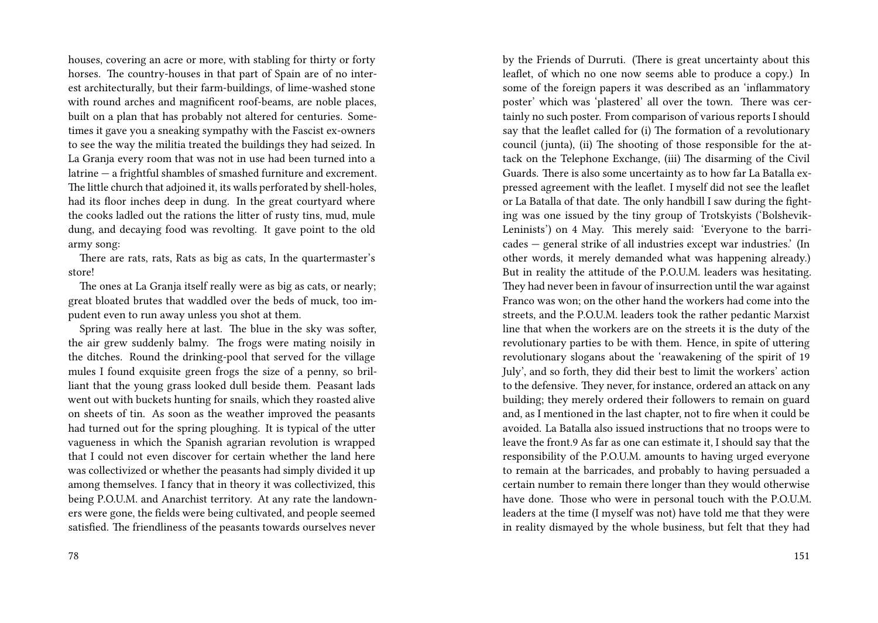houses, covering an acre or more, with stabling for thirty or forty horses. The country-houses in that part of Spain are of no interest architecturally, but their farm-buildings, of lime-washed stone with round arches and magnificent roof-beams, are noble places, built on a plan that has probably not altered for centuries. Sometimes it gave you a sneaking sympathy with the Fascist ex-owners to see the way the militia treated the buildings they had seized. In La Granja every room that was not in use had been turned into a latrine — a frightful shambles of smashed furniture and excrement. The little church that adjoined it, its walls perforated by shell-holes, had its floor inches deep in dung. In the great courtyard where the cooks ladled out the rations the litter of rusty tins, mud, mule dung, and decaying food was revolting. It gave point to the old army song:

There are rats, rats, Rats as big as cats, In the quartermaster's store!

The ones at La Granja itself really were as big as cats, or nearly; great bloated brutes that waddled over the beds of muck, too impudent even to run away unless you shot at them.

Spring was really here at last. The blue in the sky was softer, the air grew suddenly balmy. The frogs were mating noisily in the ditches. Round the drinking-pool that served for the village mules I found exquisite green frogs the size of a penny, so brilliant that the young grass looked dull beside them. Peasant lads went out with buckets hunting for snails, which they roasted alive on sheets of tin. As soon as the weather improved the peasants had turned out for the spring ploughing. It is typical of the utter vagueness in which the Spanish agrarian revolution is wrapped that I could not even discover for certain whether the land here was collectivized or whether the peasants had simply divided it up among themselves. I fancy that in theory it was collectivized, this being P.O.U.M. and Anarchist territory. At any rate the landowners were gone, the fields were being cultivated, and people seemed satisfied. The friendliness of the peasants towards ourselves never

some of the foreign papers it was described as an 'inflammatory poster' which was 'plastered' all over the town. There was certainly no such poster. From comparison of various reports I should say that the leaflet called for (i) The formation of a revolutionary council (junta), (ii) The shooting of those responsible for the attack on the Telephone Exchange, (iii) The disarming of the Civil Guards. There is also some uncertainty as to how far La Batalla expressed agreement with the leaflet. I myself did not see the leaflet or La Batalla of that date. The only handbill I saw during the fighting was one issued by the tiny group of Trotskyists ('Bolshevik-Leninists') on 4 May. This merely said: 'Everyone to the barricades — general strike of all industries except war industries.' (In other words, it merely demanded what was happening already.) But in reality the attitude of the P.O.U.M. leaders was hesitating. They had never been in favour of insurrection until the war against Franco was won; on the other hand the workers had come into the streets, and the P.O.U.M. leaders took the rather pedantic Marxist line that when the workers are on the streets it is the duty of the revolutionary parties to be with them. Hence, in spite of uttering revolutionary slogans about the 'reawakening of the spirit of 19 July', and so forth, they did their best to limit the workers' action to the defensive. They never, for instance, ordered an attack on any building; they merely ordered their followers to remain on guard and, as I mentioned in the last chapter, not to fire when it could be avoided. La Batalla also issued instructions that no troops were to leave the front.9 As far as one can estimate it, I should say that the responsibility of the P.O.U.M. amounts to having urged everyone to remain at the barricades, and probably to having persuaded a certain number to remain there longer than they would otherwise have done. Those who were in personal touch with the P.O.U.M. leaders at the time (I myself was not) have told me that they were in reality dismayed by the whole business, but felt that they had

by the Friends of Durruti. (There is great uncertainty about this leaflet, of which no one now seems able to produce a copy.) In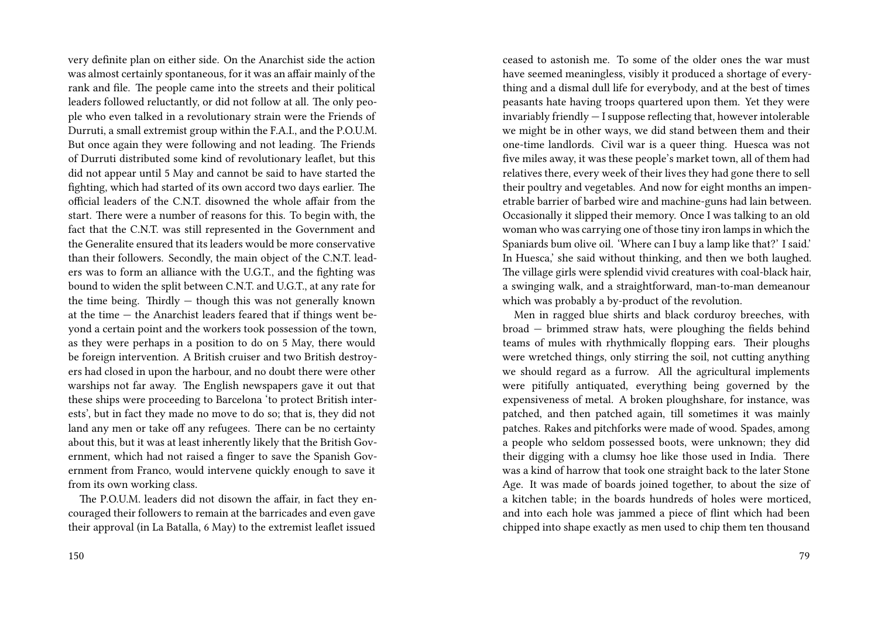very definite plan on either side. On the Anarchist side the action was almost certainly spontaneous, for it was an affair mainly of the rank and file. The people came into the streets and their political leaders followed reluctantly, or did not follow at all. The only people who even talked in a revolutionary strain were the Friends of Durruti, a small extremist group within the F.A.I., and the P.O.U.M. But once again they were following and not leading. The Friends of Durruti distributed some kind of revolutionary leaflet, but this did not appear until 5 May and cannot be said to have started the fighting, which had started of its own accord two days earlier. The official leaders of the C.N.T. disowned the whole affair from the start. There were a number of reasons for this. To begin with, the fact that the C.N.T. was still represented in the Government and the Generalite ensured that its leaders would be more conservative than their followers. Secondly, the main object of the C.N.T. leaders was to form an alliance with the U.G.T., and the fighting was bound to widen the split between C.N.T. and U.G.T., at any rate for the time being. Thirdly  $-$  though this was not generally known at the time — the Anarchist leaders feared that if things went beyond a certain point and the workers took possession of the town, as they were perhaps in a position to do on 5 May, there would be foreign intervention. A British cruiser and two British destroyers had closed in upon the harbour, and no doubt there were other warships not far away. The English newspapers gave it out that these ships were proceeding to Barcelona 'to protect British interests', but in fact they made no move to do so; that is, they did not land any men or take off any refugees. There can be no certainty about this, but it was at least inherently likely that the British Government, which had not raised a finger to save the Spanish Government from Franco, would intervene quickly enough to save it from its own working class.

The P.O.U.M. leaders did not disown the affair, in fact they encouraged their followers to remain at the barricades and even gave their approval (in La Batalla, 6 May) to the extremist leaflet issued

ceased to astonish me. To some of the older ones the war must have seemed meaningless, visibly it produced a shortage of everything and a dismal dull life for everybody, and at the best of times peasants hate having troops quartered upon them. Yet they were invariably friendly — I suppose reflecting that, however intolerable we might be in other ways, we did stand between them and their one-time landlords. Civil war is a queer thing. Huesca was not five miles away, it was these people's market town, all of them had relatives there, every week of their lives they had gone there to sell their poultry and vegetables. And now for eight months an impenetrable barrier of barbed wire and machine-guns had lain between. Occasionally it slipped their memory. Once I was talking to an old woman who was carrying one of those tiny iron lamps in which the Spaniards bum olive oil. 'Where can I buy a lamp like that?' I said.' In Huesca,' she said without thinking, and then we both laughed. The village girls were splendid vivid creatures with coal-black hair, a swinging walk, and a straightforward, man-to-man demeanour which was probably a by-product of the revolution.

Men in ragged blue shirts and black corduroy breeches, with broad — brimmed straw hats, were ploughing the fields behind teams of mules with rhythmically flopping ears. Their ploughs were wretched things, only stirring the soil, not cutting anything we should regard as a furrow. All the agricultural implements were pitifully antiquated, everything being governed by the expensiveness of metal. A broken ploughshare, for instance, was patched, and then patched again, till sometimes it was mainly patches. Rakes and pitchforks were made of wood. Spades, among a people who seldom possessed boots, were unknown; they did their digging with a clumsy hoe like those used in India. There was a kind of harrow that took one straight back to the later Stone Age. It was made of boards joined together, to about the size of a kitchen table; in the boards hundreds of holes were morticed, and into each hole was jammed a piece of flint which had been chipped into shape exactly as men used to chip them ten thousand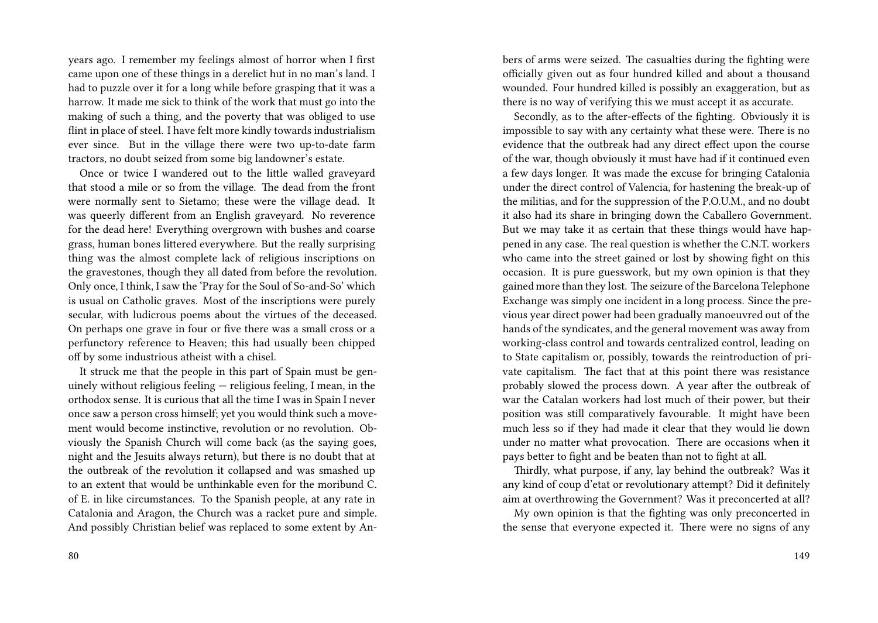years ago. I remember my feelings almost of horror when I first came upon one of these things in a derelict hut in no man's land. I had to puzzle over it for a long while before grasping that it was a harrow. It made me sick to think of the work that must go into the making of such a thing, and the poverty that was obliged to use flint in place of steel. I have felt more kindly towards industrialism ever since. But in the village there were two up-to-date farm tractors, no doubt seized from some big landowner's estate.

Once or twice I wandered out to the little walled graveyard that stood a mile or so from the village. The dead from the front were normally sent to Sietamo; these were the village dead. It was queerly different from an English graveyard. No reverence for the dead here! Everything overgrown with bushes and coarse grass, human bones littered everywhere. But the really surprising thing was the almost complete lack of religious inscriptions on the gravestones, though they all dated from before the revolution. Only once, I think, I saw the 'Pray for the Soul of So-and-So' which is usual on Catholic graves. Most of the inscriptions were purely secular, with ludicrous poems about the virtues of the deceased. On perhaps one grave in four or five there was a small cross or a perfunctory reference to Heaven; this had usually been chipped off by some industrious atheist with a chisel.

It struck me that the people in this part of Spain must be genuinely without religious feeling — religious feeling, I mean, in the orthodox sense. It is curious that all the time I was in Spain I never once saw a person cross himself; yet you would think such a movement would become instinctive, revolution or no revolution. Obviously the Spanish Church will come back (as the saying goes, night and the Jesuits always return), but there is no doubt that at the outbreak of the revolution it collapsed and was smashed up to an extent that would be unthinkable even for the moribund C. of E. in like circumstances. To the Spanish people, at any rate in Catalonia and Aragon, the Church was a racket pure and simple. And possibly Christian belief was replaced to some extent by Anbers of arms were seized. The casualties during the fighting were officially given out as four hundred killed and about a thousand wounded. Four hundred killed is possibly an exaggeration, but as there is no way of verifying this we must accept it as accurate.

Secondly, as to the after-effects of the fighting. Obviously it is impossible to say with any certainty what these were. There is no evidence that the outbreak had any direct effect upon the course of the war, though obviously it must have had if it continued even a few days longer. It was made the excuse for bringing Catalonia under the direct control of Valencia, for hastening the break-up of the militias, and for the suppression of the P.O.U.M., and no doubt it also had its share in bringing down the Caballero Government. But we may take it as certain that these things would have happened in any case. The real question is whether the C.N.T. workers who came into the street gained or lost by showing fight on this occasion. It is pure guesswork, but my own opinion is that they gained more than they lost. The seizure of the Barcelona Telephone Exchange was simply one incident in a long process. Since the previous year direct power had been gradually manoeuvred out of the hands of the syndicates, and the general movement was away from working-class control and towards centralized control, leading on to State capitalism or, possibly, towards the reintroduction of private capitalism. The fact that at this point there was resistance probably slowed the process down. A year after the outbreak of war the Catalan workers had lost much of their power, but their position was still comparatively favourable. It might have been much less so if they had made it clear that they would lie down under no matter what provocation. There are occasions when it pays better to fight and be beaten than not to fight at all.

Thirdly, what purpose, if any, lay behind the outbreak? Was it any kind of coup d'etat or revolutionary attempt? Did it definitely aim at overthrowing the Government? Was it preconcerted at all?

My own opinion is that the fighting was only preconcerted in the sense that everyone expected it. There were no signs of any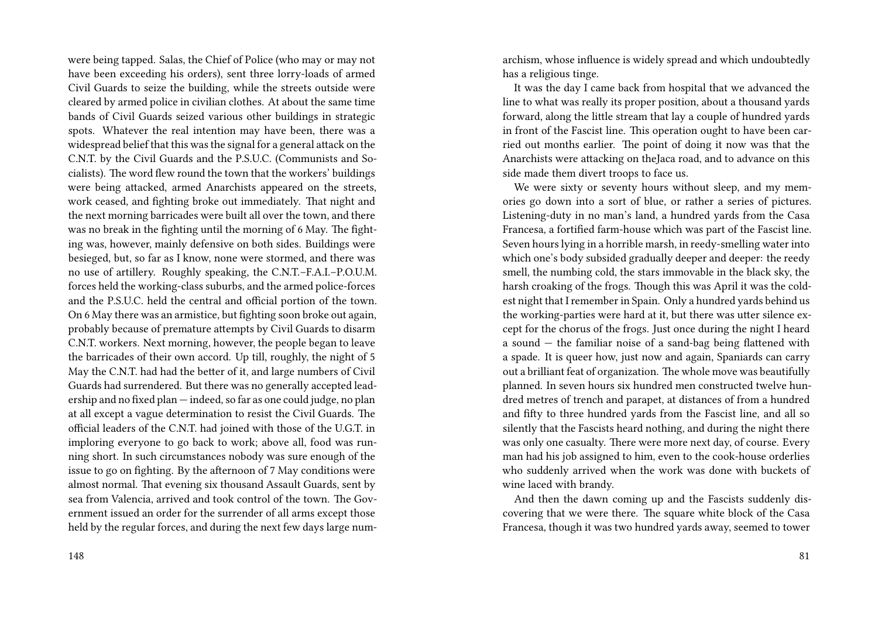were being tapped. Salas, the Chief of Police (who may or may not have been exceeding his orders), sent three lorry-loads of armed Civil Guards to seize the building, while the streets outside were cleared by armed police in civilian clothes. At about the same time bands of Civil Guards seized various other buildings in strategic spots. Whatever the real intention may have been, there was a widespread belief that this was the signal for a general attack on the C.N.T. by the Civil Guards and the P.S.U.C. (Communists and Socialists). The word flew round the town that the workers' buildings were being attacked, armed Anarchists appeared on the streets, work ceased, and fighting broke out immediately. That night and the next morning barricades were built all over the town, and there was no break in the fighting until the morning of 6 May. The fighting was, however, mainly defensive on both sides. Buildings were besieged, but, so far as I know, none were stormed, and there was no use of artillery. Roughly speaking, the C.N.T.–F.A.I.–P.O.U.M. forces held the working-class suburbs, and the armed police-forces and the P.S.U.C. held the central and official portion of the town. On 6 May there was an armistice, but fighting soon broke out again, probably because of premature attempts by Civil Guards to disarm C.N.T. workers. Next morning, however, the people began to leave the barricades of their own accord. Up till, roughly, the night of 5 May the C.N.T. had had the better of it, and large numbers of Civil Guards had surrendered. But there was no generally accepted leadership and no fixed plan — indeed, so far as one could judge, no plan at all except a vague determination to resist the Civil Guards. The official leaders of the C.N.T. had joined with those of the U.G.T. in imploring everyone to go back to work; above all, food was running short. In such circumstances nobody was sure enough of the issue to go on fighting. By the afternoon of 7 May conditions were almost normal. That evening six thousand Assault Guards, sent by sea from Valencia, arrived and took control of the town. The Government issued an order for the surrender of all arms except those held by the regular forces, and during the next few days large numarchism, whose influence is widely spread and which undoubtedly has a religious tinge.

It was the day I came back from hospital that we advanced the line to what was really its proper position, about a thousand yards forward, along the little stream that lay a couple of hundred yards in front of the Fascist line. This operation ought to have been carried out months earlier. The point of doing it now was that the Anarchists were attacking on theJaca road, and to advance on this side made them divert troops to face us.

We were sixty or seventy hours without sleep, and my memories go down into a sort of blue, or rather a series of pictures. Listening-duty in no man's land, a hundred yards from the Casa Francesa, a fortified farm-house which was part of the Fascist line. Seven hours lying in a horrible marsh, in reedy-smelling water into which one's body subsided gradually deeper and deeper: the reedy smell, the numbing cold, the stars immovable in the black sky, the harsh croaking of the frogs. Though this was April it was the coldest night that I remember in Spain. Only a hundred yards behind us the working-parties were hard at it, but there was utter silence except for the chorus of the frogs. Just once during the night I heard a sound — the familiar noise of a sand-bag being flattened with a spade. It is queer how, just now and again, Spaniards can carry out a brilliant feat of organization. The whole move was beautifully planned. In seven hours six hundred men constructed twelve hundred metres of trench and parapet, at distances of from a hundred and fifty to three hundred yards from the Fascist line, and all so silently that the Fascists heard nothing, and during the night there was only one casualty. There were more next day, of course. Every man had his job assigned to him, even to the cook-house orderlies who suddenly arrived when the work was done with buckets of wine laced with brandy.

And then the dawn coming up and the Fascists suddenly discovering that we were there. The square white block of the Casa Francesa, though it was two hundred yards away, seemed to tower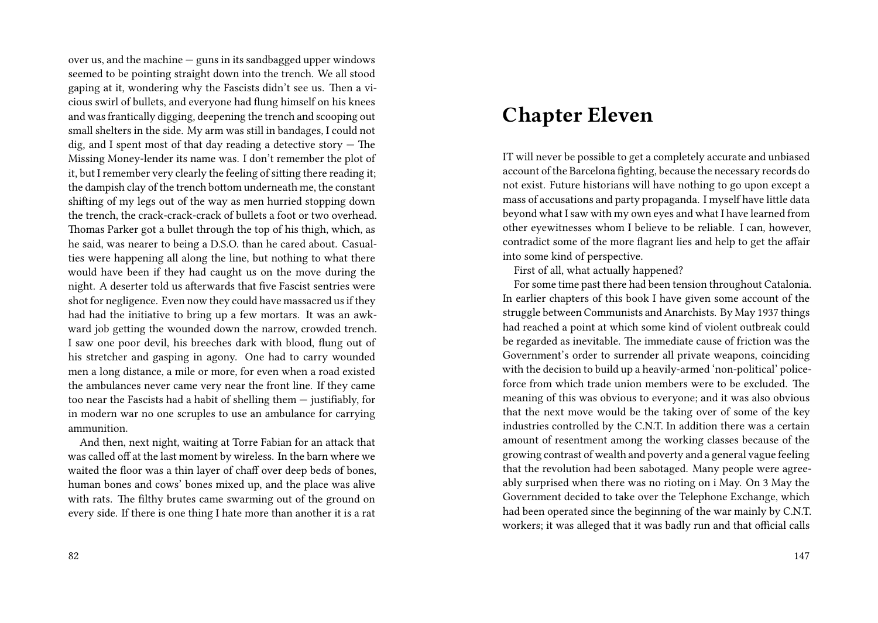over us, and the machine — guns in its sandbagged upper windows seemed to be pointing straight down into the trench. We all stood gaping at it, wondering why the Fascists didn't see us. Then a vicious swirl of bullets, and everyone had flung himself on his knees and was frantically digging, deepening the trench and scooping out small shelters in the side. My arm was still in bandages, I could not dig, and I spent most of that day reading a detective story — The Missing Money-lender its name was. I don't remember the plot of it, but I remember very clearly the feeling of sitting there reading it; the dampish clay of the trench bottom underneath me, the constant shifting of my legs out of the way as men hurried stopping down the trench, the crack-crack-crack of bullets a foot or two overhead. Thomas Parker got a bullet through the top of his thigh, which, as he said, was nearer to being a D.S.O. than he cared about. Casualties were happening all along the line, but nothing to what there would have been if they had caught us on the move during the night. A deserter told us afterwards that five Fascist sentries were shot for negligence. Even now they could have massacred us if they had had the initiative to bring up a few mortars. It was an awkward job getting the wounded down the narrow, crowded trench. I saw one poor devil, his breeches dark with blood, flung out of his stretcher and gasping in agony. One had to carry wounded men a long distance, a mile or more, for even when a road existed the ambulances never came very near the front line. If they came too near the Fascists had a habit of shelling them — justifiably, for in modern war no one scruples to use an ambulance for carrying ammunition.

And then, next night, waiting at Torre Fabian for an attack that was called off at the last moment by wireless. In the barn where we waited the floor was a thin layer of chaff over deep beds of bones, human bones and cows' bones mixed up, and the place was alive with rats. The filthy brutes came swarming out of the ground on every side. If there is one thing I hate more than another it is a rat

### **Chapter Eleven**

IT will never be possible to get a completely accurate and unbiased account of the Barcelona fighting, because the necessary records do not exist. Future historians will have nothing to go upon except a mass of accusations and party propaganda. I myself have little data beyond what I saw with my own eyes and what I have learned from other eyewitnesses whom I believe to be reliable. I can, however, contradict some of the more flagrant lies and help to get the affair into some kind of perspective.

First of all, what actually happened?

For some time past there had been tension throughout Catalonia. In earlier chapters of this book I have given some account of the struggle between Communists and Anarchists. By May 1937 things had reached a point at which some kind of violent outbreak could be regarded as inevitable. The immediate cause of friction was the Government's order to surrender all private weapons, coinciding with the decision to build up a heavily-armed 'non-political' policeforce from which trade union members were to be excluded. The meaning of this was obvious to everyone; and it was also obvious that the next move would be the taking over of some of the key industries controlled by the C.N.T. In addition there was a certain amount of resentment among the working classes because of the growing contrast of wealth and poverty and a general vague feeling that the revolution had been sabotaged. Many people were agreeably surprised when there was no rioting on i May. On 3 May the Government decided to take over the Telephone Exchange, which had been operated since the beginning of the war mainly by C.N.T. workers; it was alleged that it was badly run and that official calls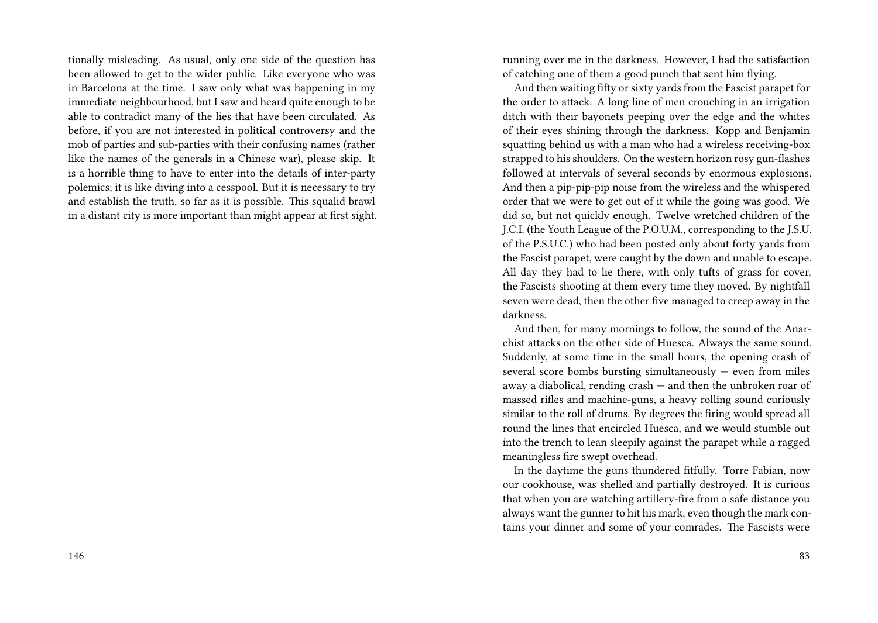tionally misleading. As usual, only one side of the question has been allowed to get to the wider public. Like everyone who was in Barcelona at the time. I saw only what was happening in my immediate neighbourhood, but I saw and heard quite enough to be able to contradict many of the lies that have been circulated. As before, if you are not interested in political controversy and the mob of parties and sub-parties with their confusing names (rather like the names of the generals in a Chinese war), please skip. It is a horrible thing to have to enter into the details of inter-party polemics; it is like diving into a cesspool. But it is necessary to try and establish the truth, so far as it is possible. This squalid brawl in a distant city is more important than might appear at first sight. running over me in the darkness. However, I had the satisfaction of catching one of them a good punch that sent him flying.

And then waiting fifty or sixty yards from the Fascist parapet for the order to attack. A long line of men crouching in an irrigation ditch with their bayonets peeping over the edge and the whites of their eyes shining through the darkness. Kopp and Benjamin squatting behind us with a man who had a wireless receiving-box strapped to his shoulders. On the western horizon rosy gun-flashes followed at intervals of several seconds by enormous explosions. And then a pip-pip-pip noise from the wireless and the whispered order that we were to get out of it while the going was good. We did so, but not quickly enough. Twelve wretched children of the J.C.I. (the Youth League of the P.O.U.M., corresponding to the J.S.U. of the P.S.U.C.) who had been posted only about forty yards from the Fascist parapet, were caught by the dawn and unable to escape. All day they had to lie there, with only tufts of grass for cover, the Fascists shooting at them every time they moved. By nightfall seven were dead, then the other five managed to creep away in the darkness.

And then, for many mornings to follow, the sound of the Anarchist attacks on the other side of Huesca. Always the same sound. Suddenly, at some time in the small hours, the opening crash of several score bombs bursting simultaneously  $-$  even from miles away a diabolical, rending crash — and then the unbroken roar of massed rifles and machine-guns, a heavy rolling sound curiously similar to the roll of drums. By degrees the firing would spread all round the lines that encircled Huesca, and we would stumble out into the trench to lean sleepily against the parapet while a ragged meaningless fire swept overhead.

In the daytime the guns thundered fitfully. Torre Fabian, now our cookhouse, was shelled and partially destroyed. It is curious that when you are watching artillery-fire from a safe distance you always want the gunner to hit his mark, even though the mark contains your dinner and some of your comrades. The Fascists were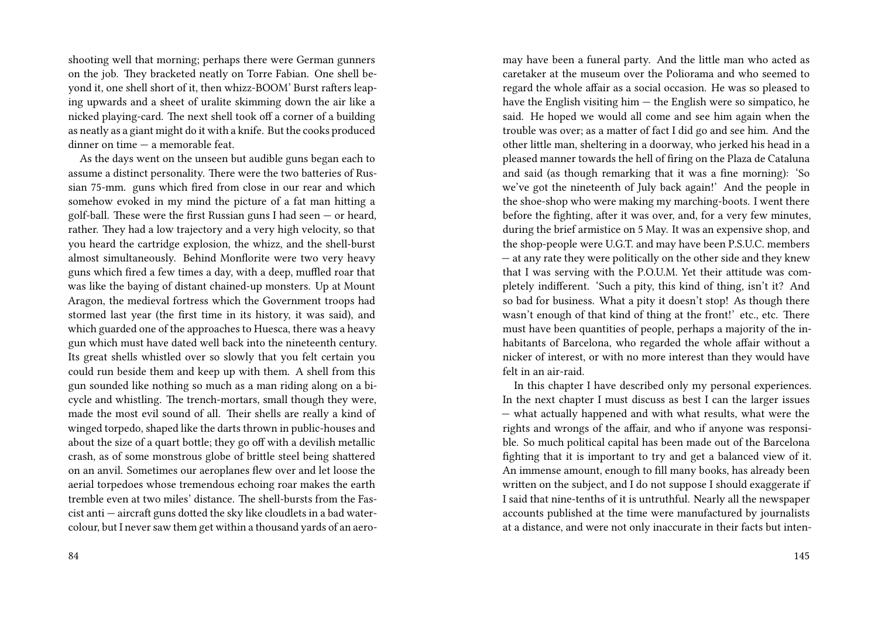shooting well that morning; perhaps there were German gunners on the job. They bracketed neatly on Torre Fabian. One shell beyond it, one shell short of it, then whizz-BOOM' Burst rafters leaping upwards and a sheet of uralite skimming down the air like a nicked playing-card. The next shell took off a corner of a building as neatly as a giant might do it with a knife. But the cooks produced dinner on time — a memorable feat.

As the days went on the unseen but audible guns began each to assume a distinct personality. There were the two batteries of Russian 75-mm. guns which fired from close in our rear and which somehow evoked in my mind the picture of a fat man hitting a golf-ball. These were the first Russian guns I had seen — or heard, rather. They had a low trajectory and a very high velocity, so that you heard the cartridge explosion, the whizz, and the shell-burst almost simultaneously. Behind Monflorite were two very heavy guns which fired a few times a day, with a deep, muffled roar that was like the baying of distant chained-up monsters. Up at Mount Aragon, the medieval fortress which the Government troops had stormed last year (the first time in its history, it was said), and which guarded one of the approaches to Huesca, there was a heavy gun which must have dated well back into the nineteenth century. Its great shells whistled over so slowly that you felt certain you could run beside them and keep up with them. A shell from this gun sounded like nothing so much as a man riding along on a bicycle and whistling. The trench-mortars, small though they were, made the most evil sound of all. Their shells are really a kind of winged torpedo, shaped like the darts thrown in public-houses and about the size of a quart bottle; they go off with a devilish metallic crash, as of some monstrous globe of brittle steel being shattered on an anvil. Sometimes our aeroplanes flew over and let loose the aerial torpedoes whose tremendous echoing roar makes the earth tremble even at two miles' distance. The shell-bursts from the Fascist anti — aircraft guns dotted the sky like cloudlets in a bad watercolour, but I never saw them get within a thousand yards of an aero-

caretaker at the museum over the Poliorama and who seemed to regard the whole affair as a social occasion. He was so pleased to have the English visiting him — the English were so simpatico, he said. He hoped we would all come and see him again when the trouble was over; as a matter of fact I did go and see him. And the other little man, sheltering in a doorway, who jerked his head in a pleased manner towards the hell of firing on the Plaza de Cataluna and said (as though remarking that it was a fine morning): 'So we've got the nineteenth of July back again!' And the people in the shoe-shop who were making my marching-boots. I went there before the fighting, after it was over, and, for a very few minutes, during the brief armistice on 5 May. It was an expensive shop, and the shop-people were U.G.T. and may have been P.S.U.C. members — at any rate they were politically on the other side and they knew that I was serving with the P.O.U.M. Yet their attitude was completely indifferent. 'Such a pity, this kind of thing, isn't it? And so bad for business. What a pity it doesn't stop! As though there wasn't enough of that kind of thing at the front!' etc., etc. There must have been quantities of people, perhaps a majority of the inhabitants of Barcelona, who regarded the whole affair without a nicker of interest, or with no more interest than they would have felt in an air-raid. In this chapter I have described only my personal experiences.

may have been a funeral party. And the little man who acted as

In the next chapter I must discuss as best I can the larger issues — what actually happened and with what results, what were the rights and wrongs of the affair, and who if anyone was responsible. So much political capital has been made out of the Barcelona fighting that it is important to try and get a balanced view of it. An immense amount, enough to fill many books, has already been written on the subject, and I do not suppose I should exaggerate if I said that nine-tenths of it is untruthful. Nearly all the newspaper accounts published at the time were manufactured by journalists at a distance, and were not only inaccurate in their facts but inten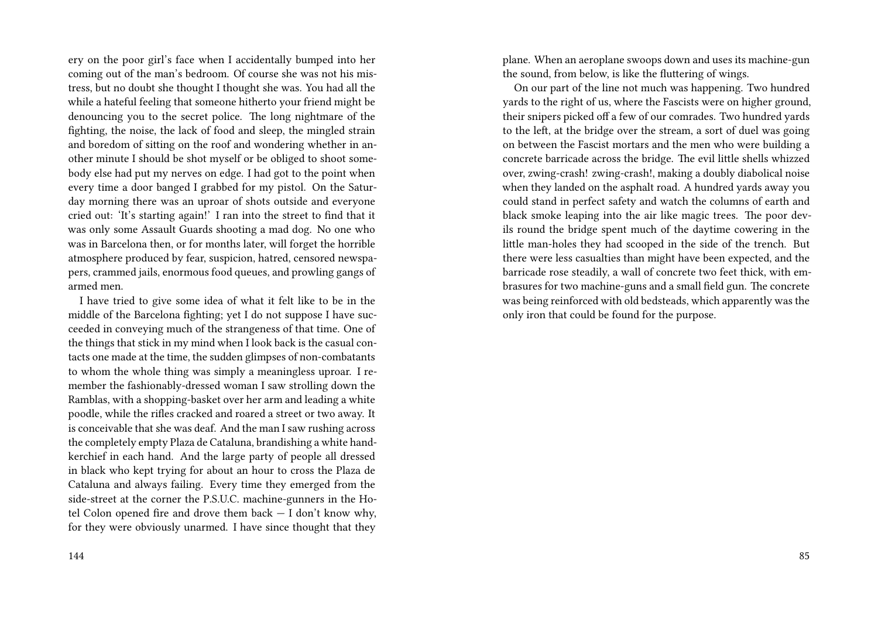ery on the poor girl's face when I accidentally bumped into her coming out of the man's bedroom. Of course she was not his mistress, but no doubt she thought I thought she was. You had all the while a hateful feeling that someone hitherto your friend might be denouncing you to the secret police. The long nightmare of the fighting, the noise, the lack of food and sleep, the mingled strain and boredom of sitting on the roof and wondering whether in another minute I should be shot myself or be obliged to shoot somebody else had put my nerves on edge. I had got to the point when every time a door banged I grabbed for my pistol. On the Saturday morning there was an uproar of shots outside and everyone cried out: 'It's starting again!' I ran into the street to find that it was only some Assault Guards shooting a mad dog. No one who was in Barcelona then, or for months later, will forget the horrible atmosphere produced by fear, suspicion, hatred, censored newspapers, crammed jails, enormous food queues, and prowling gangs of armed men.

I have tried to give some idea of what it felt like to be in the middle of the Barcelona fighting; yet I do not suppose I have succeeded in conveying much of the strangeness of that time. One of the things that stick in my mind when I look back is the casual contacts one made at the time, the sudden glimpses of non-combatants to whom the whole thing was simply a meaningless uproar. I remember the fashionably-dressed woman I saw strolling down the Ramblas, with a shopping-basket over her arm and leading a white poodle, while the rifles cracked and roared a street or two away. It is conceivable that she was deaf. And the man I saw rushing across the completely empty Plaza de Cataluna, brandishing a white handkerchief in each hand. And the large party of people all dressed in black who kept trying for about an hour to cross the Plaza de Cataluna and always failing. Every time they emerged from the side-street at the corner the P.S.U.C. machine-gunners in the Hotel Colon opened fire and drove them back  $-$  I don't know why, for they were obviously unarmed. I have since thought that they plane. When an aeroplane swoops down and uses its machine-gun the sound, from below, is like the fluttering of wings.

On our part of the line not much was happening. Two hundred yards to the right of us, where the Fascists were on higher ground, their snipers picked off a few of our comrades. Two hundred yards to the left, at the bridge over the stream, a sort of duel was going on between the Fascist mortars and the men who were building a concrete barricade across the bridge. The evil little shells whizzed over, zwing-crash! zwing-crash!, making a doubly diabolical noise when they landed on the asphalt road. A hundred yards away you could stand in perfect safety and watch the columns of earth and black smoke leaping into the air like magic trees. The poor devils round the bridge spent much of the daytime cowering in the little man-holes they had scooped in the side of the trench. But there were less casualties than might have been expected, and the barricade rose steadily, a wall of concrete two feet thick, with embrasures for two machine-guns and a small field gun. The concrete was being reinforced with old bedsteads, which apparently was the only iron that could be found for the purpose.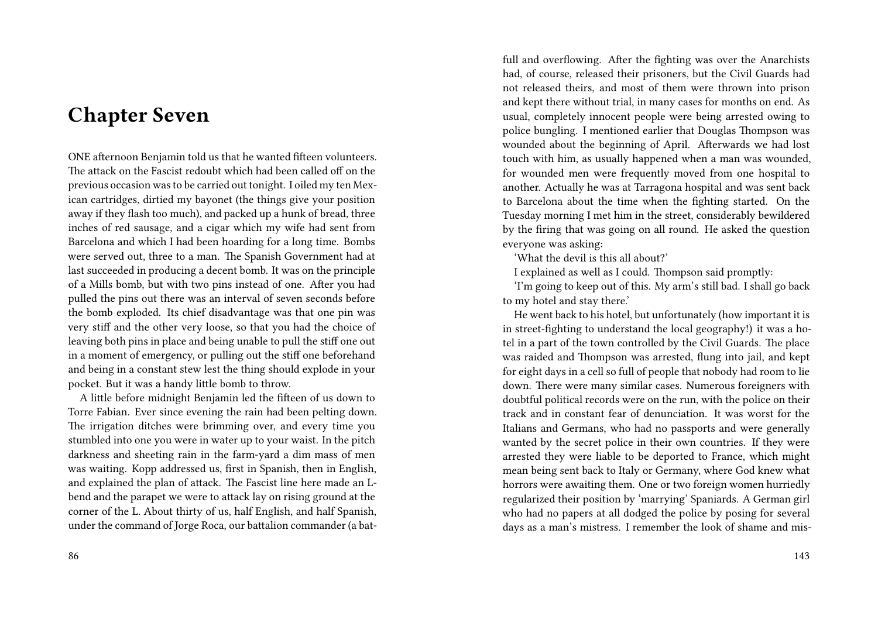## **Chapter Seven**

ONE afternoon Benjamin told us that he wanted fifteen volunteers. The attack on the Fascist redoubt which had been called off on the previous occasion was to be carried out tonight. I oiled my ten Mexican cartridges, dirtied my bayonet (the things give your position away if they flash too much), and packed up a hunk of bread, three inches of red sausage, and a cigar which my wife had sent from Barcelona and which I had been hoarding for a long time. Bombs were served out, three to a man. The Spanish Government had at last succeeded in producing a decent bomb. It was on the principle of a Mills bomb, but with two pins instead of one. After you had pulled the pins out there was an interval of seven seconds before the bomb exploded. Its chief disadvantage was that one pin was very stiff and the other very loose, so that you had the choice of leaving both pins in place and being unable to pull the stiff one out in a moment of emergency, or pulling out the stiff one beforehand and being in a constant stew lest the thing should explode in your pocket. But it was a handy little bomb to throw.

A little before midnight Benjamin led the fifteen of us down to Torre Fabian. Ever since evening the rain had been pelting down. The irrigation ditches were brimming over, and every time you stumbled into one you were in water up to your waist. In the pitch darkness and sheeting rain in the farm-yard a dim mass of men was waiting. Kopp addressed us, first in Spanish, then in English, and explained the plan of attack. The Fascist line here made an Lbend and the parapet we were to attack lay on rising ground at the corner of the L. About thirty of us, half English, and half Spanish, under the command of Jorge Roca, our battalion commander (a batfull and overflowing. After the fighting was over the Anarchists had, of course, released their prisoners, but the Civil Guards had not released theirs, and most of them were thrown into prison and kept there without trial, in many cases for months on end. As usual, completely innocent people were being arrested owing to police bungling. I mentioned earlier that Douglas Thompson was wounded about the beginning of April. Afterwards we had lost touch with him, as usually happened when a man was wounded, for wounded men were frequently moved from one hospital to another. Actually he was at Tarragona hospital and was sent back to Barcelona about the time when the fighting started. On the Tuesday morning I met him in the street, considerably bewildered by the firing that was going on all round. He asked the question everyone was asking:

'What the devil is this all about?'

I explained as well as I could. Thompson said promptly:

'I'm going to keep out of this. My arm's still bad. I shall go back to my hotel and stay there.'

He went back to his hotel, but unfortunately (how important it is in street-fighting to understand the local geography!) it was a hotel in a part of the town controlled by the Civil Guards. The place was raided and Thompson was arrested, flung into jail, and kept for eight days in a cell so full of people that nobody had room to lie down. There were many similar cases. Numerous foreigners with doubtful political records were on the run, with the police on their track and in constant fear of denunciation. It was worst for the Italians and Germans, who had no passports and were generally wanted by the secret police in their own countries. If they were arrested they were liable to be deported to France, which might mean being sent back to Italy or Germany, where God knew what horrors were awaiting them. One or two foreign women hurriedly regularized their position by 'marrying' Spaniards. A German girl who had no papers at all dodged the police by posing for several days as a man's mistress. I remember the look of shame and mis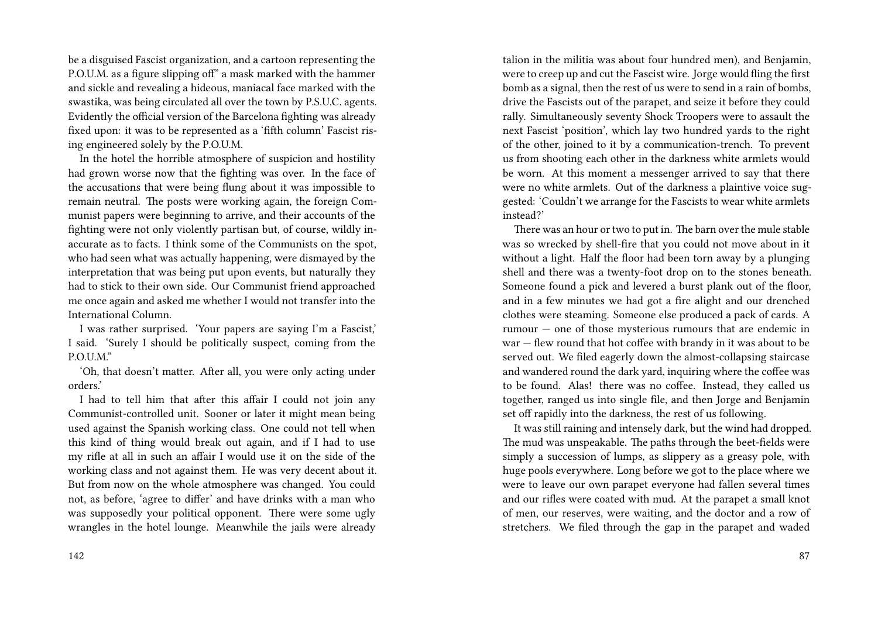be a disguised Fascist organization, and a cartoon representing the P.O.U.M. as a figure slipping of" a mask marked with the hammer and sickle and revealing a hideous, maniacal face marked with the swastika, was being circulated all over the town by P.S.U.C. agents. Evidently the official version of the Barcelona fighting was already fixed upon: it was to be represented as a 'fifth column' Fascist rising engineered solely by the P.O.U.M.

In the hotel the horrible atmosphere of suspicion and hostility had grown worse now that the fighting was over. In the face of the accusations that were being flung about it was impossible to remain neutral. The posts were working again, the foreign Communist papers were beginning to arrive, and their accounts of the fighting were not only violently partisan but, of course, wildly inaccurate as to facts. I think some of the Communists on the spot, who had seen what was actually happening, were dismayed by the interpretation that was being put upon events, but naturally they had to stick to their own side. Our Communist friend approached me once again and asked me whether I would not transfer into the International Column.

I was rather surprised. 'Your papers are saying I'm a Fascist,' I said. 'Surely I should be politically suspect, coming from the P.O.U.M."

'Oh, that doesn't matter. After all, you were only acting under orders.'

I had to tell him that after this affair I could not join any Communist-controlled unit. Sooner or later it might mean being used against the Spanish working class. One could not tell when this kind of thing would break out again, and if I had to use my rifle at all in such an affair I would use it on the side of the working class and not against them. He was very decent about it. But from now on the whole atmosphere was changed. You could not, as before, 'agree to differ' and have drinks with a man who was supposedly your political opponent. There were some ugly wrangles in the hotel lounge. Meanwhile the jails were already talion in the militia was about four hundred men), and Benjamin, were to creep up and cut the Fascist wire. Jorge would fling the first bomb as a signal, then the rest of us were to send in a rain of bombs, drive the Fascists out of the parapet, and seize it before they could rally. Simultaneously seventy Shock Troopers were to assault the next Fascist 'position', which lay two hundred yards to the right of the other, joined to it by a communication-trench. To prevent us from shooting each other in the darkness white armlets would be worn. At this moment a messenger arrived to say that there were no white armlets. Out of the darkness a plaintive voice suggested: 'Couldn't we arrange for the Fascists to wear white armlets instead?'

There was an hour or two to put in. The barn over the mule stable was so wrecked by shell-fire that you could not move about in it without a light. Half the floor had been torn away by a plunging shell and there was a twenty-foot drop on to the stones beneath. Someone found a pick and levered a burst plank out of the floor, and in a few minutes we had got a fire alight and our drenched clothes were steaming. Someone else produced a pack of cards. A rumour — one of those mysterious rumours that are endemic in war — flew round that hot coffee with brandy in it was about to be served out. We filed eagerly down the almost-collapsing staircase and wandered round the dark yard, inquiring where the coffee was to be found. Alas! there was no coffee. Instead, they called us together, ranged us into single file, and then Jorge and Benjamin set off rapidly into the darkness, the rest of us following.

It was still raining and intensely dark, but the wind had dropped. The mud was unspeakable. The paths through the beet-fields were simply a succession of lumps, as slippery as a greasy pole, with huge pools everywhere. Long before we got to the place where we were to leave our own parapet everyone had fallen several times and our rifles were coated with mud. At the parapet a small knot of men, our reserves, were waiting, and the doctor and a row of stretchers. We filed through the gap in the parapet and waded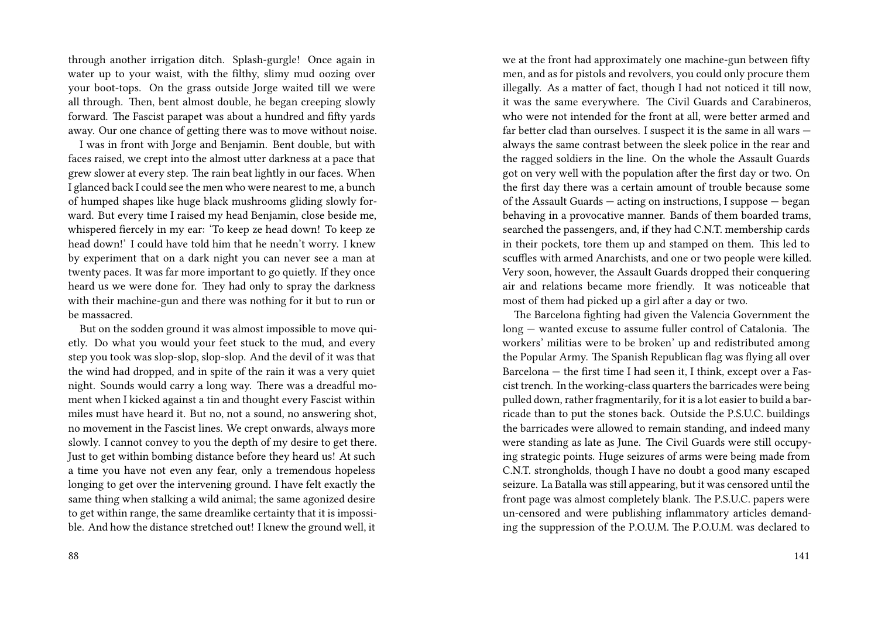through another irrigation ditch. Splash-gurgle! Once again in water up to your waist, with the filthy, slimy mud oozing over your boot-tops. On the grass outside Jorge waited till we were all through. Then, bent almost double, he began creeping slowly forward. The Fascist parapet was about a hundred and fifty yards away. Our one chance of getting there was to move without noise.

I was in front with Jorge and Benjamin. Bent double, but with faces raised, we crept into the almost utter darkness at a pace that grew slower at every step. The rain beat lightly in our faces. When I glanced back I could see the men who were nearest to me, a bunch of humped shapes like huge black mushrooms gliding slowly forward. But every time I raised my head Benjamin, close beside me, whispered fiercely in my ear: 'To keep ze head down! To keep ze head down!' I could have told him that he needn't worry. I knew by experiment that on a dark night you can never see a man at twenty paces. It was far more important to go quietly. If they once heard us we were done for. They had only to spray the darkness with their machine-gun and there was nothing for it but to run or be massacred.

But on the sodden ground it was almost impossible to move quietly. Do what you would your feet stuck to the mud, and every step you took was slop-slop, slop-slop. And the devil of it was that the wind had dropped, and in spite of the rain it was a very quiet night. Sounds would carry a long way. There was a dreadful moment when I kicked against a tin and thought every Fascist within miles must have heard it. But no, not a sound, no answering shot, no movement in the Fascist lines. We crept onwards, always more slowly. I cannot convey to you the depth of my desire to get there. Just to get within bombing distance before they heard us! At such a time you have not even any fear, only a tremendous hopeless longing to get over the intervening ground. I have felt exactly the same thing when stalking a wild animal; the same agonized desire to get within range, the same dreamlike certainty that it is impossible. And how the distance stretched out! I knew the ground well, it we at the front had approximately one machine-gun between fifty men, and as for pistols and revolvers, you could only procure them illegally. As a matter of fact, though I had not noticed it till now, it was the same everywhere. The Civil Guards and Carabineros, who were not intended for the front at all, were better armed and far better clad than ourselves. I suspect it is the same in all wars always the same contrast between the sleek police in the rear and the ragged soldiers in the line. On the whole the Assault Guards got on very well with the population after the first day or two. On the first day there was a certain amount of trouble because some of the Assault Guards — acting on instructions, I suppose — began behaving in a provocative manner. Bands of them boarded trams, searched the passengers, and, if they had C.N.T. membership cards in their pockets, tore them up and stamped on them. This led to scuffles with armed Anarchists, and one or two people were killed. Very soon, however, the Assault Guards dropped their conquering air and relations became more friendly. It was noticeable that most of them had picked up a girl after a day or two.

The Barcelona fighting had given the Valencia Government the long — wanted excuse to assume fuller control of Catalonia. The workers' militias were to be broken' up and redistributed among the Popular Army. The Spanish Republican flag was flying all over Barcelona — the first time I had seen it, I think, except over a Fascist trench. In the working-class quarters the barricades were being pulled down, rather fragmentarily, for it is a lot easier to build a barricade than to put the stones back. Outside the P.S.U.C. buildings the barricades were allowed to remain standing, and indeed many were standing as late as June. The Civil Guards were still occupying strategic points. Huge seizures of arms were being made from C.N.T. strongholds, though I have no doubt a good many escaped seizure. La Batalla was still appearing, but it was censored until the front page was almost completely blank. The P.S.U.C. papers were un-censored and were publishing inflammatory articles demanding the suppression of the P.O.U.M. The P.O.U.M. was declared to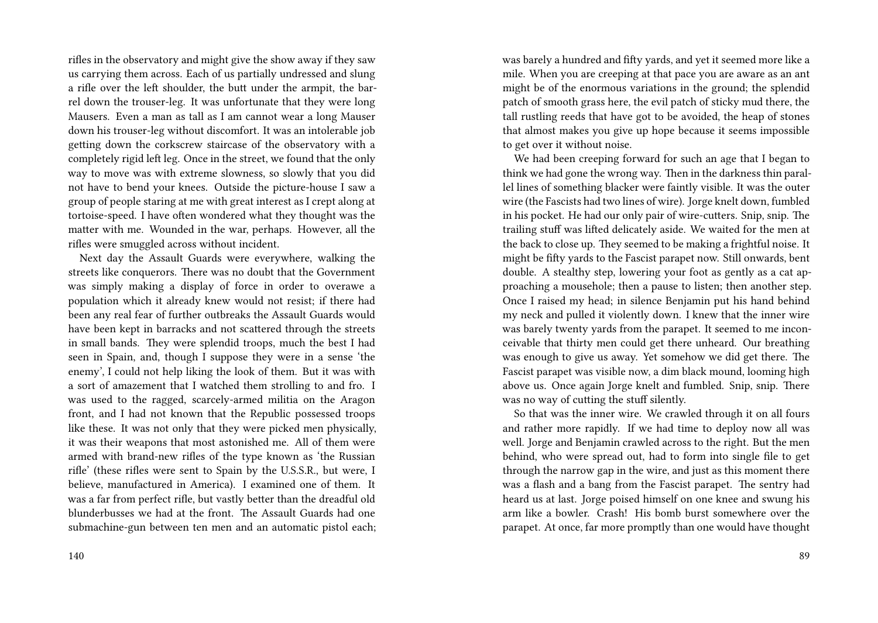rifles in the observatory and might give the show away if they saw us carrying them across. Each of us partially undressed and slung a rifle over the left shoulder, the butt under the armpit, the barrel down the trouser-leg. It was unfortunate that they were long Mausers. Even a man as tall as I am cannot wear a long Mauser down his trouser-leg without discomfort. It was an intolerable job getting down the corkscrew staircase of the observatory with a completely rigid left leg. Once in the street, we found that the only way to move was with extreme slowness, so slowly that you did not have to bend your knees. Outside the picture-house I saw a group of people staring at me with great interest as I crept along at tortoise-speed. I have often wondered what they thought was the matter with me. Wounded in the war, perhaps. However, all the rifles were smuggled across without incident.

Next day the Assault Guards were everywhere, walking the streets like conquerors. There was no doubt that the Government was simply making a display of force in order to overawe a population which it already knew would not resist; if there had been any real fear of further outbreaks the Assault Guards would have been kept in barracks and not scattered through the streets in small bands. They were splendid troops, much the best I had seen in Spain, and, though I suppose they were in a sense 'the enemy', I could not help liking the look of them. But it was with a sort of amazement that I watched them strolling to and fro. I was used to the ragged, scarcely-armed militia on the Aragon front, and I had not known that the Republic possessed troops like these. It was not only that they were picked men physically, it was their weapons that most astonished me. All of them were armed with brand-new rifles of the type known as 'the Russian rifle' (these rifles were sent to Spain by the U.S.S.R., but were, I believe, manufactured in America). I examined one of them. It was a far from perfect rifle, but vastly better than the dreadful old blunderbusses we had at the front. The Assault Guards had one submachine-gun between ten men and an automatic pistol each; was barely a hundred and fifty yards, and yet it seemed more like a mile. When you are creeping at that pace you are aware as an ant might be of the enormous variations in the ground; the splendid patch of smooth grass here, the evil patch of sticky mud there, the tall rustling reeds that have got to be avoided, the heap of stones that almost makes you give up hope because it seems impossible to get over it without noise.

We had been creeping forward for such an age that I began to think we had gone the wrong way. Then in the darkness thin parallel lines of something blacker were faintly visible. It was the outer wire (the Fascists had two lines of wire). Jorge knelt down, fumbled in his pocket. He had our only pair of wire-cutters. Snip, snip. The trailing stuff was lifted delicately aside. We waited for the men at the back to close up. They seemed to be making a frightful noise. It might be fifty yards to the Fascist parapet now. Still onwards, bent double. A stealthy step, lowering your foot as gently as a cat approaching a mousehole; then a pause to listen; then another step. Once I raised my head; in silence Benjamin put his hand behind my neck and pulled it violently down. I knew that the inner wire was barely twenty yards from the parapet. It seemed to me inconceivable that thirty men could get there unheard. Our breathing was enough to give us away. Yet somehow we did get there. The Fascist parapet was visible now, a dim black mound, looming high above us. Once again Jorge knelt and fumbled. Snip, snip. There was no way of cutting the stuff silently.

So that was the inner wire. We crawled through it on all fours and rather more rapidly. If we had time to deploy now all was well. Jorge and Benjamin crawled across to the right. But the men behind, who were spread out, had to form into single file to get through the narrow gap in the wire, and just as this moment there was a flash and a bang from the Fascist parapet. The sentry had heard us at last. Jorge poised himself on one knee and swung his arm like a bowler. Crash! His bomb burst somewhere over the parapet. At once, far more promptly than one would have thought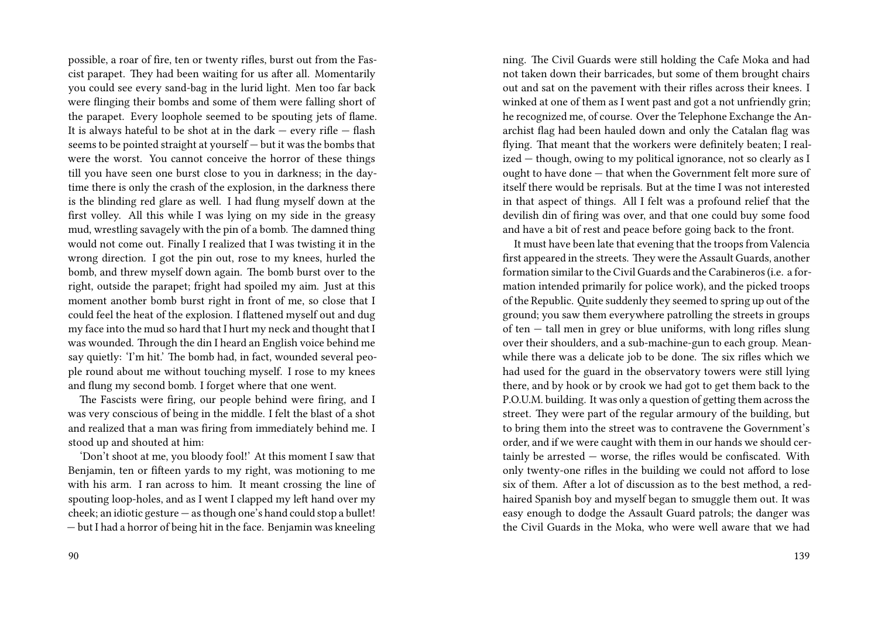possible, a roar of fire, ten or twenty rifles, burst out from the Fascist parapet. They had been waiting for us after all. Momentarily you could see every sand-bag in the lurid light. Men too far back were flinging their bombs and some of them were falling short of the parapet. Every loophole seemed to be spouting jets of flame. It is always hateful to be shot at in the dark  $-$  every rifle  $-$  flash seems to be pointed straight at yourself — but it was the bombs that were the worst. You cannot conceive the horror of these things till you have seen one burst close to you in darkness; in the daytime there is only the crash of the explosion, in the darkness there is the blinding red glare as well. I had flung myself down at the first volley. All this while I was lying on my side in the greasy mud, wrestling savagely with the pin of a bomb. The damned thing would not come out. Finally I realized that I was twisting it in the wrong direction. I got the pin out, rose to my knees, hurled the bomb, and threw myself down again. The bomb burst over to the right, outside the parapet; fright had spoiled my aim. Just at this moment another bomb burst right in front of me, so close that I could feel the heat of the explosion. I flattened myself out and dug my face into the mud so hard that I hurt my neck and thought that I was wounded. Through the din I heard an English voice behind me say quietly: 'I'm hit.' The bomb had, in fact, wounded several people round about me without touching myself. I rose to my knees and flung my second bomb. I forget where that one went.

The Fascists were firing, our people behind were firing, and I was very conscious of being in the middle. I felt the blast of a shot and realized that a man was firing from immediately behind me. I stood up and shouted at him:

'Don't shoot at me, you bloody fool!' At this moment I saw that Benjamin, ten or fifteen yards to my right, was motioning to me with his arm. I ran across to him. It meant crossing the line of spouting loop-holes, and as I went I clapped my left hand over my cheek; an idiotic gesture — as though one's hand could stop a bullet! — but I had a horror of being hit in the face. Benjamin was kneeling ning. The Civil Guards were still holding the Cafe Moka and had not taken down their barricades, but some of them brought chairs out and sat on the pavement with their rifles across their knees. I winked at one of them as I went past and got a not unfriendly grin; he recognized me, of course. Over the Telephone Exchange the Anarchist flag had been hauled down and only the Catalan flag was flying. That meant that the workers were definitely beaten; I realized — though, owing to my political ignorance, not so clearly as I ought to have done — that when the Government felt more sure of itself there would be reprisals. But at the time I was not interested in that aspect of things. All I felt was a profound relief that the devilish din of firing was over, and that one could buy some food and have a bit of rest and peace before going back to the front.

It must have been late that evening that the troops from Valencia first appeared in the streets. They were the Assault Guards, another formation similar to the Civil Guards and the Carabineros (i.e. a formation intended primarily for police work), and the picked troops of the Republic. Quite suddenly they seemed to spring up out of the ground; you saw them everywhere patrolling the streets in groups of ten — tall men in grey or blue uniforms, with long rifles slung over their shoulders, and a sub-machine-gun to each group. Meanwhile there was a delicate job to be done. The six rifles which we had used for the guard in the observatory towers were still lying there, and by hook or by crook we had got to get them back to the P.O.U.M. building. It was only a question of getting them across the street. They were part of the regular armoury of the building, but to bring them into the street was to contravene the Government's order, and if we were caught with them in our hands we should certainly be arrested — worse, the rifles would be confiscated. With only twenty-one rifles in the building we could not afford to lose six of them. After a lot of discussion as to the best method, a redhaired Spanish boy and myself began to smuggle them out. It was easy enough to dodge the Assault Guard patrols; the danger was the Civil Guards in the Moka, who were well aware that we had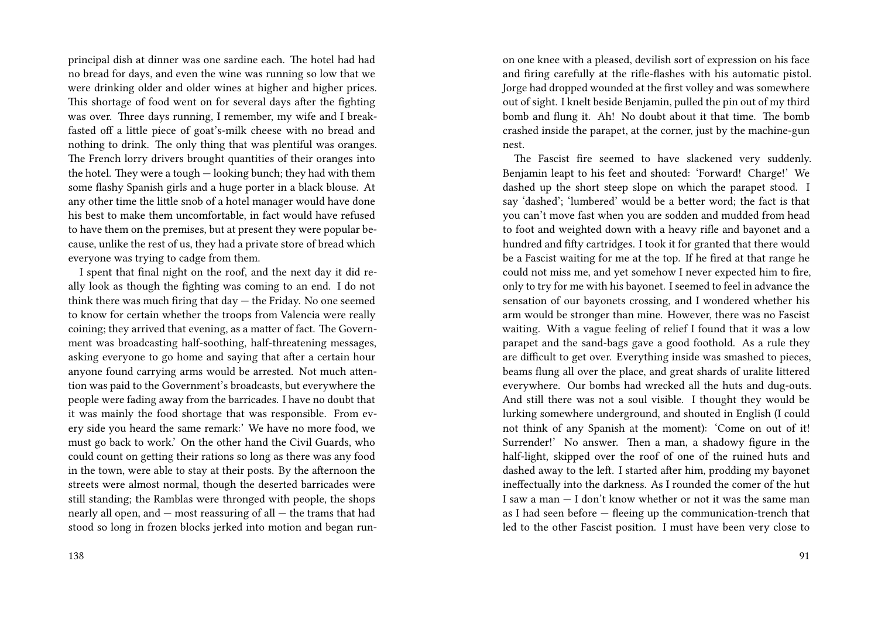principal dish at dinner was one sardine each. The hotel had had no bread for days, and even the wine was running so low that we were drinking older and older wines at higher and higher prices. This shortage of food went on for several days after the fighting was over. Three days running, I remember, my wife and I breakfasted off a little piece of goat's-milk cheese with no bread and nothing to drink. The only thing that was plentiful was oranges. The French lorry drivers brought quantities of their oranges into the hotel. They were a tough — looking bunch; they had with them some flashy Spanish girls and a huge porter in a black blouse. At any other time the little snob of a hotel manager would have done his best to make them uncomfortable, in fact would have refused to have them on the premises, but at present they were popular because, unlike the rest of us, they had a private store of bread which everyone was trying to cadge from them.

I spent that final night on the roof, and the next day it did really look as though the fighting was coming to an end. I do not think there was much firing that day — the Friday. No one seemed to know for certain whether the troops from Valencia were really coining; they arrived that evening, as a matter of fact. The Government was broadcasting half-soothing, half-threatening messages, asking everyone to go home and saying that after a certain hour anyone found carrying arms would be arrested. Not much attention was paid to the Government's broadcasts, but everywhere the people were fading away from the barricades. I have no doubt that it was mainly the food shortage that was responsible. From every side you heard the same remark:' We have no more food, we must go back to work.' On the other hand the Civil Guards, who could count on getting their rations so long as there was any food in the town, were able to stay at their posts. By the afternoon the streets were almost normal, though the deserted barricades were still standing; the Ramblas were thronged with people, the shops nearly all open, and — most reassuring of all — the trams that had stood so long in frozen blocks jerked into motion and began run-

on one knee with a pleased, devilish sort of expression on his face and firing carefully at the rifle-flashes with his automatic pistol. Jorge had dropped wounded at the first volley and was somewhere out of sight. I knelt beside Benjamin, pulled the pin out of my third bomb and flung it. Ah! No doubt about it that time. The bomb crashed inside the parapet, at the corner, just by the machine-gun nest.

The Fascist fire seemed to have slackened very suddenly. Benjamin leapt to his feet and shouted: 'Forward! Charge!' We dashed up the short steep slope on which the parapet stood. I say 'dashed'; 'lumbered' would be a better word; the fact is that you can't move fast when you are sodden and mudded from head to foot and weighted down with a heavy rifle and bayonet and a hundred and fifty cartridges. I took it for granted that there would be a Fascist waiting for me at the top. If he fired at that range he could not miss me, and yet somehow I never expected him to fire, only to try for me with his bayonet. I seemed to feel in advance the sensation of our bayonets crossing, and I wondered whether his arm would be stronger than mine. However, there was no Fascist waiting. With a vague feeling of relief I found that it was a low parapet and the sand-bags gave a good foothold. As a rule they are difficult to get over. Everything inside was smashed to pieces, beams flung all over the place, and great shards of uralite littered everywhere. Our bombs had wrecked all the huts and dug-outs. And still there was not a soul visible. I thought they would be lurking somewhere underground, and shouted in English (I could not think of any Spanish at the moment): 'Come on out of it! Surrender!' No answer. Then a man, a shadowy figure in the half-light, skipped over the roof of one of the ruined huts and dashed away to the left. I started after him, prodding my bayonet ineffectually into the darkness. As I rounded the comer of the hut I saw a man — I don't know whether or not it was the same man as I had seen before — fleeing up the communication-trench that led to the other Fascist position. I must have been very close to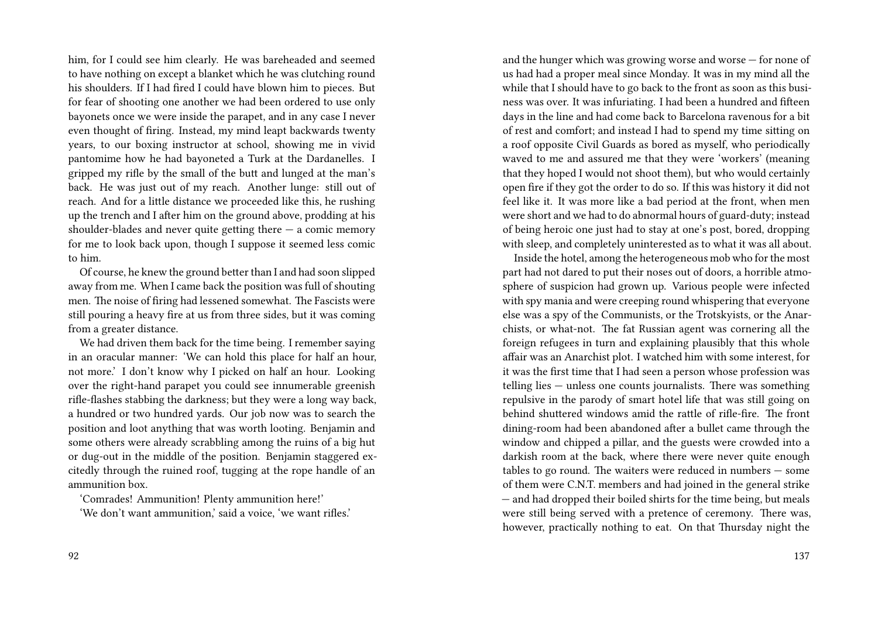him, for I could see him clearly. He was bareheaded and seemed to have nothing on except a blanket which he was clutching round his shoulders. If I had fired I could have blown him to pieces. But for fear of shooting one another we had been ordered to use only bayonets once we were inside the parapet, and in any case I never even thought of firing. Instead, my mind leapt backwards twenty years, to our boxing instructor at school, showing me in vivid pantomime how he had bayoneted a Turk at the Dardanelles. I gripped my rifle by the small of the butt and lunged at the man's back. He was just out of my reach. Another lunge: still out of reach. And for a little distance we proceeded like this, he rushing up the trench and I after him on the ground above, prodding at his shoulder-blades and never quite getting there  $-$  a comic memory for me to look back upon, though I suppose it seemed less comic to him.

Of course, he knew the ground better than I and had soon slipped away from me. When I came back the position was full of shouting men. The noise of firing had lessened somewhat. The Fascists were still pouring a heavy fire at us from three sides, but it was coming from a greater distance.

We had driven them back for the time being. I remember saying in an oracular manner: 'We can hold this place for half an hour, not more.' I don't know why I picked on half an hour. Looking over the right-hand parapet you could see innumerable greenish rifle-flashes stabbing the darkness; but they were a long way back, a hundred or two hundred yards. Our job now was to search the position and loot anything that was worth looting. Benjamin and some others were already scrabbling among the ruins of a big hut or dug-out in the middle of the position. Benjamin staggered excitedly through the ruined roof, tugging at the rope handle of an ammunition box.

'Comrades! Ammunition! Plenty ammunition here!'

'We don't want ammunition,' said a voice, 'we want rifles.'

and the hunger which was growing worse and worse — for none of us had had a proper meal since Monday. It was in my mind all the while that I should have to go back to the front as soon as this business was over. It was infuriating. I had been a hundred and fifteen days in the line and had come back to Barcelona ravenous for a bit of rest and comfort; and instead I had to spend my time sitting on a roof opposite Civil Guards as bored as myself, who periodically waved to me and assured me that they were 'workers' (meaning that they hoped I would not shoot them), but who would certainly open fire if they got the order to do so. If this was history it did not feel like it. It was more like a bad period at the front, when men were short and we had to do abnormal hours of guard-duty; instead of being heroic one just had to stay at one's post, bored, dropping with sleep, and completely uninterested as to what it was all about.

Inside the hotel, among the heterogeneous mob who for the most part had not dared to put their noses out of doors, a horrible atmosphere of suspicion had grown up. Various people were infected with spy mania and were creeping round whispering that everyone else was a spy of the Communists, or the Trotskyists, or the Anarchists, or what-not. The fat Russian agent was cornering all the foreign refugees in turn and explaining plausibly that this whole affair was an Anarchist plot. I watched him with some interest, for it was the first time that I had seen a person whose profession was telling lies — unless one counts journalists. There was something repulsive in the parody of smart hotel life that was still going on behind shuttered windows amid the rattle of rifle-fire. The front dining-room had been abandoned after a bullet came through the window and chipped a pillar, and the guests were crowded into a darkish room at the back, where there were never quite enough tables to go round. The waiters were reduced in numbers — some of them were C.N.T. members and had joined in the general strike — and had dropped their boiled shirts for the time being, but meals were still being served with a pretence of ceremony. There was, however, practically nothing to eat. On that Thursday night the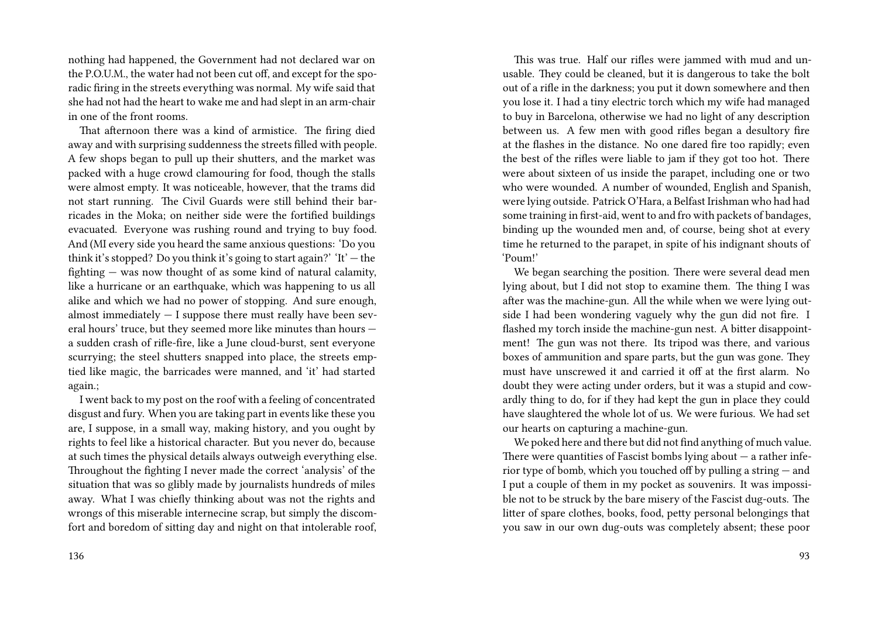nothing had happened, the Government had not declared war on the P.O.U.M., the water had not been cut off, and except for the sporadic firing in the streets everything was normal. My wife said that she had not had the heart to wake me and had slept in an arm-chair in one of the front rooms.

That afternoon there was a kind of armistice. The firing died away and with surprising suddenness the streets filled with people. A few shops began to pull up their shutters, and the market was packed with a huge crowd clamouring for food, though the stalls were almost empty. It was noticeable, however, that the trams did not start running. The Civil Guards were still behind their barricades in the Moka; on neither side were the fortified buildings evacuated. Everyone was rushing round and trying to buy food. And (MI every side you heard the same anxious questions: 'Do you think it's stopped? Do you think it's going to start again?'  $It' - the$ fighting — was now thought of as some kind of natural calamity, like a hurricane or an earthquake, which was happening to us all alike and which we had no power of stopping. And sure enough, almost immediately  $-$  I suppose there must really have been several hours' truce, but they seemed more like minutes than hours a sudden crash of rifle-fire, like a June cloud-burst, sent everyone scurrying; the steel shutters snapped into place, the streets emptied like magic, the barricades were manned, and 'it' had started again.;

I went back to my post on the roof with a feeling of concentrated disgust and fury. When you are taking part in events like these you are, I suppose, in a small way, making history, and you ought by rights to feel like a historical character. But you never do, because at such times the physical details always outweigh everything else. Throughout the fighting I never made the correct 'analysis' of the situation that was so glibly made by journalists hundreds of miles away. What I was chiefly thinking about was not the rights and wrongs of this miserable internecine scrap, but simply the discomfort and boredom of sitting day and night on that intolerable roof,

This was true. Half our rifles were jammed with mud and unusable. They could be cleaned, but it is dangerous to take the bolt out of a rifle in the darkness; you put it down somewhere and then you lose it. I had a tiny electric torch which my wife had managed to buy in Barcelona, otherwise we had no light of any description between us. A few men with good rifles began a desultory fire at the flashes in the distance. No one dared fire too rapidly; even the best of the rifles were liable to jam if they got too hot. There were about sixteen of us inside the parapet, including one or two who were wounded. A number of wounded, English and Spanish, were lying outside. Patrick O'Hara, a Belfast Irishman who had had some training in first-aid, went to and fro with packets of bandages, binding up the wounded men and, of course, being shot at every time he returned to the parapet, in spite of his indignant shouts of 'Poum!'

We began searching the position. There were several dead men lying about, but I did not stop to examine them. The thing I was after was the machine-gun. All the while when we were lying outside I had been wondering vaguely why the gun did not fire. I flashed my torch inside the machine-gun nest. A bitter disappointment! The gun was not there. Its tripod was there, and various boxes of ammunition and spare parts, but the gun was gone. They must have unscrewed it and carried it off at the first alarm. No doubt they were acting under orders, but it was a stupid and cowardly thing to do, for if they had kept the gun in place they could have slaughtered the whole lot of us. We were furious. We had set our hearts on capturing a machine-gun.

We poked here and there but did not find anything of much value. There were quantities of Fascist bombs lying about  $-$  a rather inferior type of bomb, which you touched off by pulling a string — and I put a couple of them in my pocket as souvenirs. It was impossible not to be struck by the bare misery of the Fascist dug-outs. The litter of spare clothes, books, food, petty personal belongings that you saw in our own dug-outs was completely absent; these poor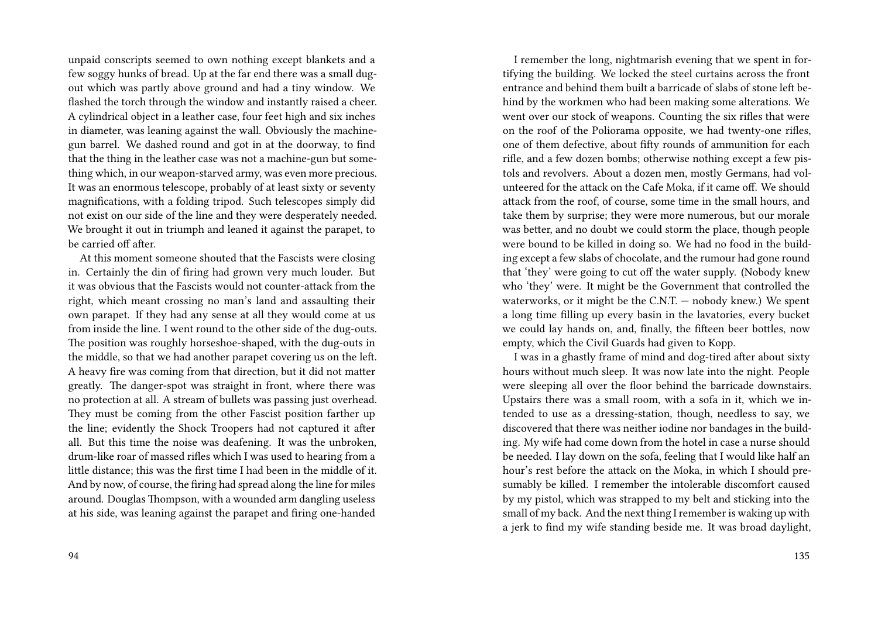unpaid conscripts seemed to own nothing except blankets and a few soggy hunks of bread. Up at the far end there was a small dugout which was partly above ground and had a tiny window. We flashed the torch through the window and instantly raised a cheer. A cylindrical object in a leather case, four feet high and six inches in diameter, was leaning against the wall. Obviously the machinegun barrel. We dashed round and got in at the doorway, to find that the thing in the leather case was not a machine-gun but something which, in our weapon-starved army, was even more precious. It was an enormous telescope, probably of at least sixty or seventy magnifications, with a folding tripod. Such telescopes simply did not exist on our side of the line and they were desperately needed. We brought it out in triumph and leaned it against the parapet, to be carried off after.

At this moment someone shouted that the Fascists were closing in. Certainly the din of firing had grown very much louder. But it was obvious that the Fascists would not counter-attack from the right, which meant crossing no man's land and assaulting their own parapet. If they had any sense at all they would come at us from inside the line. I went round to the other side of the dug-outs. The position was roughly horseshoe-shaped, with the dug-outs in the middle, so that we had another parapet covering us on the left. A heavy fire was coming from that direction, but it did not matter greatly. The danger-spot was straight in front, where there was no protection at all. A stream of bullets was passing just overhead. They must be coming from the other Fascist position farther up the line; evidently the Shock Troopers had not captured it after all. But this time the noise was deafening. It was the unbroken, drum-like roar of massed rifles which I was used to hearing from a little distance; this was the first time I had been in the middle of it. And by now, of course, the firing had spread along the line for miles around. Douglas Thompson, with a wounded arm dangling useless at his side, was leaning against the parapet and firing one-handed

I remember the long, nightmarish evening that we spent in fortifying the building. We locked the steel curtains across the front entrance and behind them built a barricade of slabs of stone left behind by the workmen who had been making some alterations. We went over our stock of weapons. Counting the six rifles that were on the roof of the Poliorama opposite, we had twenty-one rifles, one of them defective, about fifty rounds of ammunition for each rifle, and a few dozen bombs; otherwise nothing except a few pistols and revolvers. About a dozen men, mostly Germans, had volunteered for the attack on the Cafe Moka, if it came off. We should attack from the roof, of course, some time in the small hours, and take them by surprise; they were more numerous, but our morale was better, and no doubt we could storm the place, though people were bound to be killed in doing so. We had no food in the building except a few slabs of chocolate, and the rumour had gone round that 'they' were going to cut off the water supply. (Nobody knew who 'they' were. It might be the Government that controlled the waterworks, or it might be the C.N.T. — nobody knew.) We spent a long time filling up every basin in the lavatories, every bucket we could lay hands on, and, finally, the fifteen beer bottles, now empty, which the Civil Guards had given to Kopp.

I was in a ghastly frame of mind and dog-tired after about sixty hours without much sleep. It was now late into the night. People were sleeping all over the floor behind the barricade downstairs. Upstairs there was a small room, with a sofa in it, which we intended to use as a dressing-station, though, needless to say, we discovered that there was neither iodine nor bandages in the building. My wife had come down from the hotel in case a nurse should be needed. I lay down on the sofa, feeling that I would like half an hour's rest before the attack on the Moka, in which I should presumably be killed. I remember the intolerable discomfort caused by my pistol, which was strapped to my belt and sticking into the small of my back. And the next thing I remember is waking up with a jerk to find my wife standing beside me. It was broad daylight,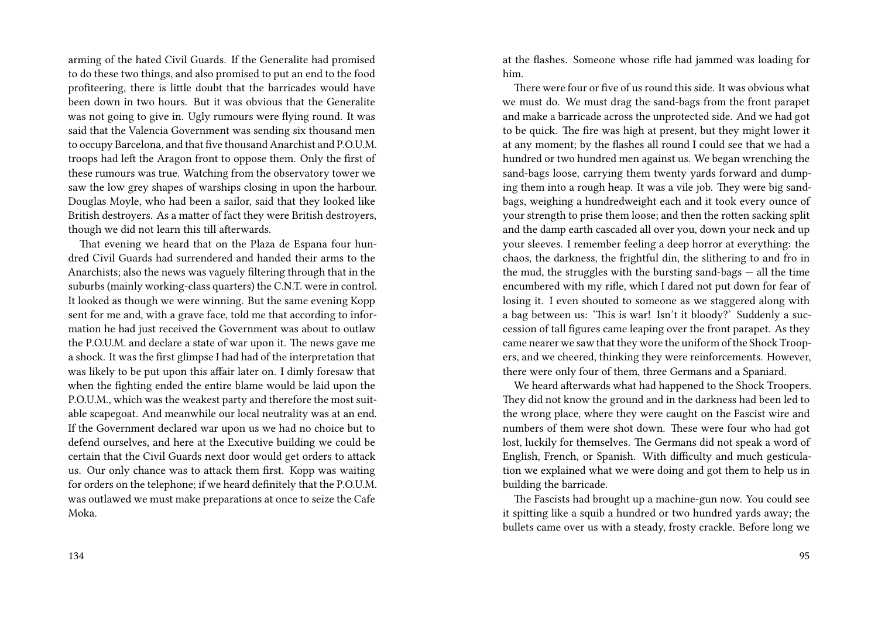arming of the hated Civil Guards. If the Generalite had promised to do these two things, and also promised to put an end to the food profiteering, there is little doubt that the barricades would have been down in two hours. But it was obvious that the Generalite was not going to give in. Ugly rumours were flying round. It was said that the Valencia Government was sending six thousand men to occupy Barcelona, and that five thousand Anarchist and P.O.U.M. troops had left the Aragon front to oppose them. Only the first of these rumours was true. Watching from the observatory tower we saw the low grey shapes of warships closing in upon the harbour. Douglas Moyle, who had been a sailor, said that they looked like British destroyers. As a matter of fact they were British destroyers, though we did not learn this till afterwards.

That evening we heard that on the Plaza de Espana four hundred Civil Guards had surrendered and handed their arms to the Anarchists; also the news was vaguely filtering through that in the suburbs (mainly working-class quarters) the C.N.T. were in control. It looked as though we were winning. But the same evening Kopp sent for me and, with a grave face, told me that according to information he had just received the Government was about to outlaw the P.O.U.M. and declare a state of war upon it. The news gave me a shock. It was the first glimpse I had had of the interpretation that was likely to be put upon this affair later on. I dimly foresaw that when the fighting ended the entire blame would be laid upon the P.O.U.M., which was the weakest party and therefore the most suitable scapegoat. And meanwhile our local neutrality was at an end. If the Government declared war upon us we had no choice but to defend ourselves, and here at the Executive building we could be certain that the Civil Guards next door would get orders to attack us. Our only chance was to attack them first. Kopp was waiting for orders on the telephone; if we heard definitely that the P.O.U.M. was outlawed we must make preparations at once to seize the Cafe Moka.

134

at the flashes. Someone whose rifle had jammed was loading for him.

There were four or five of us round this side. It was obvious what we must do. We must drag the sand-bags from the front parapet and make a barricade across the unprotected side. And we had got to be quick. The fire was high at present, but they might lower it at any moment; by the flashes all round I could see that we had a hundred or two hundred men against us. We began wrenching the sand-bags loose, carrying them twenty yards forward and dumping them into a rough heap. It was a vile job. They were big sandbags, weighing a hundredweight each and it took every ounce of your strength to prise them loose; and then the rotten sacking split and the damp earth cascaded all over you, down your neck and up your sleeves. I remember feeling a deep horror at everything: the chaos, the darkness, the frightful din, the slithering to and fro in the mud, the struggles with the bursting sand-bags  $-$  all the time encumbered with my rifle, which I dared not put down for fear of losing it. I even shouted to someone as we staggered along with a bag between us: 'This is war! Isn't it bloody?' Suddenly a succession of tall figures came leaping over the front parapet. As they came nearer we saw that they wore the uniform of the Shock Troopers, and we cheered, thinking they were reinforcements. However, there were only four of them, three Germans and a Spaniard.

We heard afterwards what had happened to the Shock Troopers. They did not know the ground and in the darkness had been led to the wrong place, where they were caught on the Fascist wire and numbers of them were shot down. These were four who had got lost, luckily for themselves. The Germans did not speak a word of English, French, or Spanish. With difficulty and much gesticulation we explained what we were doing and got them to help us in building the barricade.

The Fascists had brought up a machine-gun now. You could see it spitting like a squib a hundred or two hundred yards away; the bullets came over us with a steady, frosty crackle. Before long we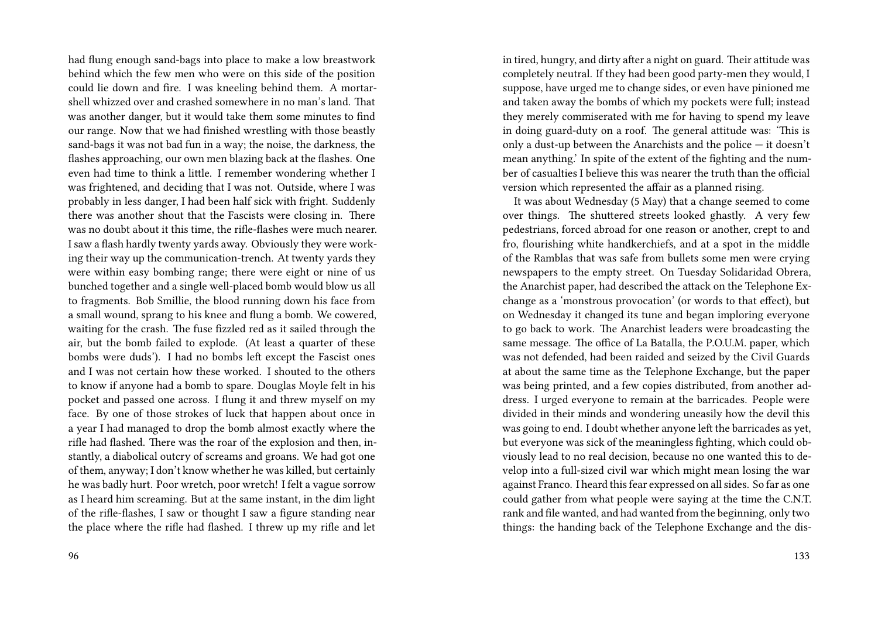had flung enough sand-bags into place to make a low breastwork behind which the few men who were on this side of the position could lie down and fire. I was kneeling behind them. A mortarshell whizzed over and crashed somewhere in no man's land. That was another danger, but it would take them some minutes to find our range. Now that we had finished wrestling with those beastly sand-bags it was not bad fun in a way; the noise, the darkness, the flashes approaching, our own men blazing back at the flashes. One even had time to think a little. I remember wondering whether I was frightened, and deciding that I was not. Outside, where I was probably in less danger, I had been half sick with fright. Suddenly there was another shout that the Fascists were closing in. There was no doubt about it this time, the rifle-flashes were much nearer. I saw a flash hardly twenty yards away. Obviously they were working their way up the communication-trench. At twenty yards they were within easy bombing range; there were eight or nine of us bunched together and a single well-placed bomb would blow us all to fragments. Bob Smillie, the blood running down his face from a small wound, sprang to his knee and flung a bomb. We cowered, waiting for the crash. The fuse fizzled red as it sailed through the air, but the bomb failed to explode. (At least a quarter of these bombs were duds'). I had no bombs left except the Fascist ones and I was not certain how these worked. I shouted to the others to know if anyone had a bomb to spare. Douglas Moyle felt in his pocket and passed one across. I flung it and threw myself on my face. By one of those strokes of luck that happen about once in a year I had managed to drop the bomb almost exactly where the rifle had flashed. There was the roar of the explosion and then, instantly, a diabolical outcry of screams and groans. We had got one of them, anyway; I don't know whether he was killed, but certainly he was badly hurt. Poor wretch, poor wretch! I felt a vague sorrow as I heard him screaming. But at the same instant, in the dim light of the rifle-flashes, I saw or thought I saw a figure standing near the place where the rifle had flashed. I threw up my rifle and let

mean anything.' In spite of the extent of the fighting and the number of casualties I believe this was nearer the truth than the official version which represented the affair as a planned rising. It was about Wednesday (5 May) that a change seemed to come over things. The shuttered streets looked ghastly. A very few pedestrians, forced abroad for one reason or another, crept to and

fro, flourishing white handkerchiefs, and at a spot in the middle of the Ramblas that was safe from bullets some men were crying newspapers to the empty street. On Tuesday Solidaridad Obrera, the Anarchist paper, had described the attack on the Telephone Exchange as a 'monstrous provocation' (or words to that effect), but on Wednesday it changed its tune and began imploring everyone to go back to work. The Anarchist leaders were broadcasting the same message. The office of La Batalla, the P.O.U.M. paper, which was not defended, had been raided and seized by the Civil Guards at about the same time as the Telephone Exchange, but the paper was being printed, and a few copies distributed, from another address. I urged everyone to remain at the barricades. People were divided in their minds and wondering uneasily how the devil this was going to end. I doubt whether anyone left the barricades as yet, but everyone was sick of the meaningless fighting, which could obviously lead to no real decision, because no one wanted this to develop into a full-sized civil war which might mean losing the war against Franco. I heard this fear expressed on all sides. So far as one could gather from what people were saying at the time the C.N.T. rank and file wanted, and had wanted from the beginning, only two things: the handing back of the Telephone Exchange and the dis-

in tired, hungry, and dirty after a night on guard. Their attitude was completely neutral. If they had been good party-men they would, I suppose, have urged me to change sides, or even have pinioned me and taken away the bombs of which my pockets were full; instead they merely commiserated with me for having to spend my leave in doing guard-duty on a roof. The general attitude was: 'This is only a dust-up between the Anarchists and the police — it doesn't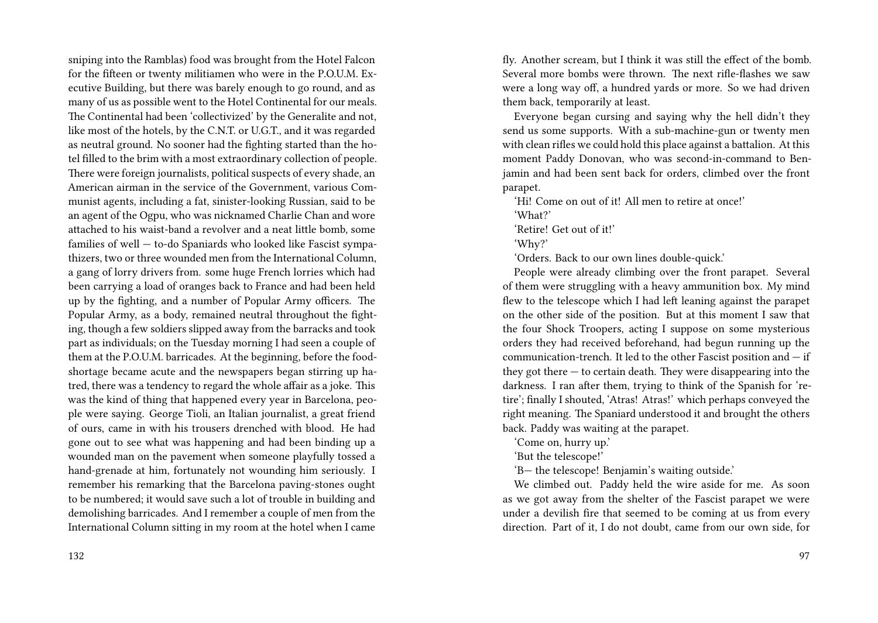sniping into the Ramblas) food was brought from the Hotel Falcon for the fifteen or twenty militiamen who were in the P.O.U.M. Executive Building, but there was barely enough to go round, and as many of us as possible went to the Hotel Continental for our meals. The Continental had been 'collectivized' by the Generalite and not, like most of the hotels, by the C.N.T. or U.G.T., and it was regarded as neutral ground. No sooner had the fighting started than the hotel filled to the brim with a most extraordinary collection of people. There were foreign journalists, political suspects of every shade, an American airman in the service of the Government, various Communist agents, including a fat, sinister-looking Russian, said to be an agent of the Ogpu, who was nicknamed Charlie Chan and wore attached to his waist-band a revolver and a neat little bomb, some families of well — to-do Spaniards who looked like Fascist sympathizers, two or three wounded men from the International Column, a gang of lorry drivers from. some huge French lorries which had been carrying a load of oranges back to France and had been held up by the fighting, and a number of Popular Army officers. The Popular Army, as a body, remained neutral throughout the fighting, though a few soldiers slipped away from the barracks and took part as individuals; on the Tuesday morning I had seen a couple of them at the P.O.U.M. barricades. At the beginning, before the foodshortage became acute and the newspapers began stirring up hatred, there was a tendency to regard the whole affair as a joke. This was the kind of thing that happened every year in Barcelona, people were saying. George Tioli, an Italian journalist, a great friend of ours, came in with his trousers drenched with blood. He had gone out to see what was happening and had been binding up a wounded man on the pavement when someone playfully tossed a hand-grenade at him, fortunately not wounding him seriously. I remember his remarking that the Barcelona paving-stones ought to be numbered; it would save such a lot of trouble in building and demolishing barricades. And I remember a couple of men from the International Column sitting in my room at the hotel when I came

fly. Another scream, but I think it was still the effect of the bomb. Several more bombs were thrown. The next rifle-flashes we saw were a long way off, a hundred yards or more. So we had driven them back, temporarily at least.

Everyone began cursing and saying why the hell didn't they send us some supports. With a sub-machine-gun or twenty men with clean rifles we could hold this place against a battalion. At this moment Paddy Donovan, who was second-in-command to Benjamin and had been sent back for orders, climbed over the front parapet.

'Hi! Come on out of it! All men to retire at once!'

'What?'

'Retire! Get out of it!'

'Why?'

'Orders. Back to our own lines double-quick.'

People were already climbing over the front parapet. Several of them were struggling with a heavy ammunition box. My mind flew to the telescope which I had left leaning against the parapet on the other side of the position. But at this moment I saw that the four Shock Troopers, acting I suppose on some mysterious orders they had received beforehand, had begun running up the communication-trench. It led to the other Fascist position and  $-$  if they got there  $-$  to certain death. They were disappearing into the darkness. I ran after them, trying to think of the Spanish for 'retire'; finally I shouted, 'Atras! Atras!' which perhaps conveyed the right meaning. The Spaniard understood it and brought the others back. Paddy was waiting at the parapet.

'Come on, hurry up.'

'But the telescope!'

'B— the telescope! Benjamin's waiting outside.'

We climbed out. Paddy held the wire aside for me. As soon as we got away from the shelter of the Fascist parapet we were under a devilish fire that seemed to be coming at us from every direction. Part of it, I do not doubt, came from our own side, for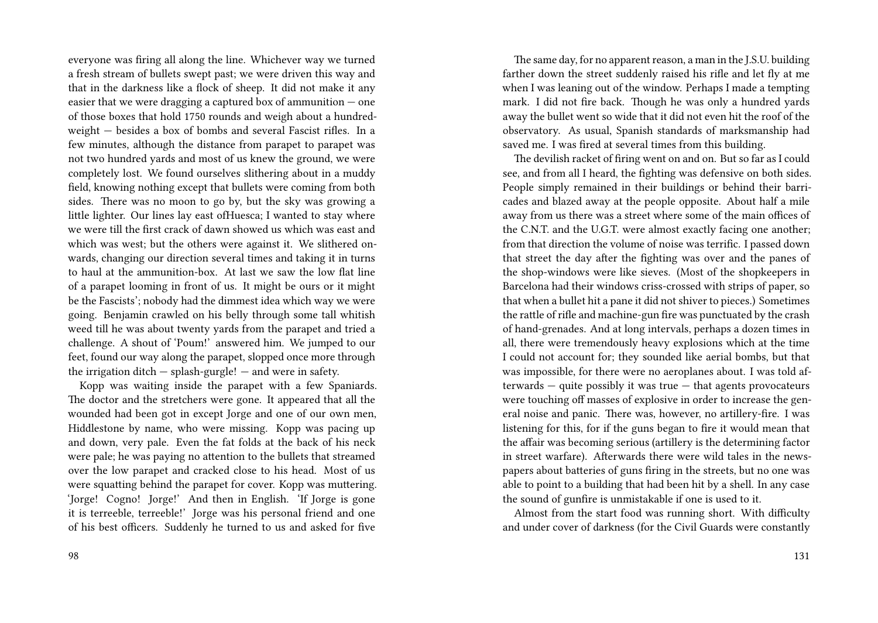everyone was firing all along the line. Whichever way we turned a fresh stream of bullets swept past; we were driven this way and that in the darkness like a flock of sheep. It did not make it any easier that we were dragging a captured box of ammunition — one of those boxes that hold 1750 rounds and weigh about a hundredweight — besides a box of bombs and several Fascist rifles. In a few minutes, although the distance from parapet to parapet was not two hundred yards and most of us knew the ground, we were completely lost. We found ourselves slithering about in a muddy field, knowing nothing except that bullets were coming from both sides. There was no moon to go by, but the sky was growing a little lighter. Our lines lay east ofHuesca; I wanted to stay where we were till the first crack of dawn showed us which was east and which was west; but the others were against it. We slithered onwards, changing our direction several times and taking it in turns to haul at the ammunition-box. At last we saw the low flat line of a parapet looming in front of us. It might be ours or it might be the Fascists'; nobody had the dimmest idea which way we were going. Benjamin crawled on his belly through some tall whitish weed till he was about twenty yards from the parapet and tried a challenge. A shout of 'Poum!' answered him. We jumped to our feet, found our way along the parapet, slopped once more through the irrigation ditch  $-$  splash-gurgle!  $-$  and were in safety.

Kopp was waiting inside the parapet with a few Spaniards. The doctor and the stretchers were gone. It appeared that all the wounded had been got in except Jorge and one of our own men, Hiddlestone by name, who were missing. Kopp was pacing up and down, very pale. Even the fat folds at the back of his neck were pale; he was paying no attention to the bullets that streamed over the low parapet and cracked close to his head. Most of us were squatting behind the parapet for cover. Kopp was muttering. 'Jorge! Cogno! Jorge!' And then in English. 'If Jorge is gone it is terreeble, terreeble!' Jorge was his personal friend and one of his best officers. Suddenly he turned to us and asked for five

The same day, for no apparent reason, a man in the J.S.U. building farther down the street suddenly raised his rifle and let fly at me when I was leaning out of the window. Perhaps I made a tempting mark. I did not fire back. Though he was only a hundred yards away the bullet went so wide that it did not even hit the roof of the observatory. As usual, Spanish standards of marksmanship had saved me. I was fired at several times from this building.

The devilish racket of firing went on and on. But so far as I could see, and from all I heard, the fighting was defensive on both sides. People simply remained in their buildings or behind their barricades and blazed away at the people opposite. About half a mile away from us there was a street where some of the main offices of the C.N.T. and the U.G.T. were almost exactly facing one another; from that direction the volume of noise was terrific. I passed down that street the day after the fighting was over and the panes of the shop-windows were like sieves. (Most of the shopkeepers in Barcelona had their windows criss-crossed with strips of paper, so that when a bullet hit a pane it did not shiver to pieces.) Sometimes the rattle of rifle and machine-gun fire was punctuated by the crash of hand-grenades. And at long intervals, perhaps a dozen times in all, there were tremendously heavy explosions which at the time I could not account for; they sounded like aerial bombs, but that was impossible, for there were no aeroplanes about. I was told afterwards — quite possibly it was true — that agents provocateurs were touching off masses of explosive in order to increase the general noise and panic. There was, however, no artillery-fire. I was listening for this, for if the guns began to fire it would mean that the affair was becoming serious (artillery is the determining factor in street warfare). Afterwards there were wild tales in the newspapers about batteries of guns firing in the streets, but no one was able to point to a building that had been hit by a shell. In any case the sound of gunfire is unmistakable if one is used to it.

Almost from the start food was running short. With difficulty and under cover of darkness (for the Civil Guards were constantly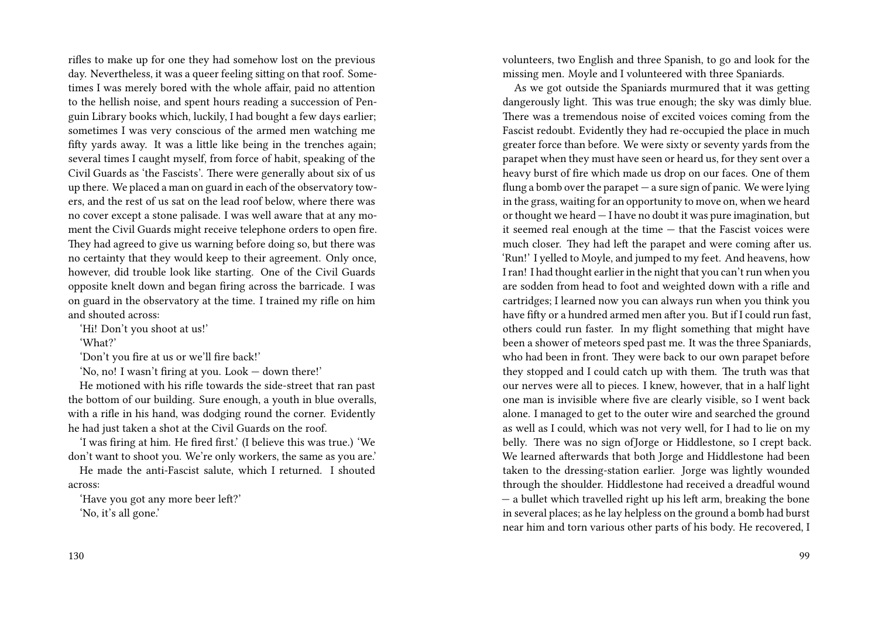rifles to make up for one they had somehow lost on the previous day. Nevertheless, it was a queer feeling sitting on that roof. Sometimes I was merely bored with the whole affair, paid no attention to the hellish noise, and spent hours reading a succession of Penguin Library books which, luckily, I had bought a few days earlier; sometimes I was very conscious of the armed men watching me fifty yards away. It was a little like being in the trenches again; several times I caught myself, from force of habit, speaking of the Civil Guards as 'the Fascists'. There were generally about six of us up there. We placed a man on guard in each of the observatory towers, and the rest of us sat on the lead roof below, where there was no cover except a stone palisade. I was well aware that at any moment the Civil Guards might receive telephone orders to open fire. They had agreed to give us warning before doing so, but there was no certainty that they would keep to their agreement. Only once, however, did trouble look like starting. One of the Civil Guards opposite knelt down and began firing across the barricade. I was on guard in the observatory at the time. I trained my rifle on him and shouted across:

'Hi! Don't you shoot at us!'

'What?'

'Don't you fire at us or we'll fire back!'

'No, no! I wasn't firing at you. Look — down there!'

He motioned with his rifle towards the side-street that ran past the bottom of our building. Sure enough, a youth in blue overalls, with a rifle in his hand, was dodging round the corner. Evidently he had just taken a shot at the Civil Guards on the roof.

'I was firing at him. He fired first.' (I believe this was true.) 'We don't want to shoot you. We're only workers, the same as you are.'

He made the anti-Fascist salute, which I returned. I shouted across:

'Have you got any more beer left?'

'No, it's all gone.'

volunteers, two English and three Spanish, to go and look for the missing men. Moyle and I volunteered with three Spaniards.

As we got outside the Spaniards murmured that it was getting dangerously light. This was true enough; the sky was dimly blue. There was a tremendous noise of excited voices coming from the Fascist redoubt. Evidently they had re-occupied the place in much greater force than before. We were sixty or seventy yards from the parapet when they must have seen or heard us, for they sent over a heavy burst of fire which made us drop on our faces. One of them flung a bomb over the parapet  $-$  a sure sign of panic. We were lying in the grass, waiting for an opportunity to move on, when we heard or thought we heard — I have no doubt it was pure imagination, but it seemed real enough at the time — that the Fascist voices were much closer. They had left the parapet and were coming after us. 'Run!' I yelled to Moyle, and jumped to my feet. And heavens, how I ran! I had thought earlier in the night that you can't run when you are sodden from head to foot and weighted down with a rifle and cartridges; I learned now you can always run when you think you have fifty or a hundred armed men after you. But if I could run fast, others could run faster. In my flight something that might have been a shower of meteors sped past me. It was the three Spaniards, who had been in front. They were back to our own parapet before they stopped and I could catch up with them. The truth was that our nerves were all to pieces. I knew, however, that in a half light one man is invisible where five are clearly visible, so I went back alone. I managed to get to the outer wire and searched the ground as well as I could, which was not very well, for I had to lie on my belly. There was no sign ofJorge or Hiddlestone, so I crept back. We learned afterwards that both Jorge and Hiddlestone had been taken to the dressing-station earlier. Jorge was lightly wounded through the shoulder. Hiddlestone had received a dreadful wound — a bullet which travelled right up his left arm, breaking the bone in several places; as he lay helpless on the ground a bomb had burst near him and torn various other parts of his body. He recovered, I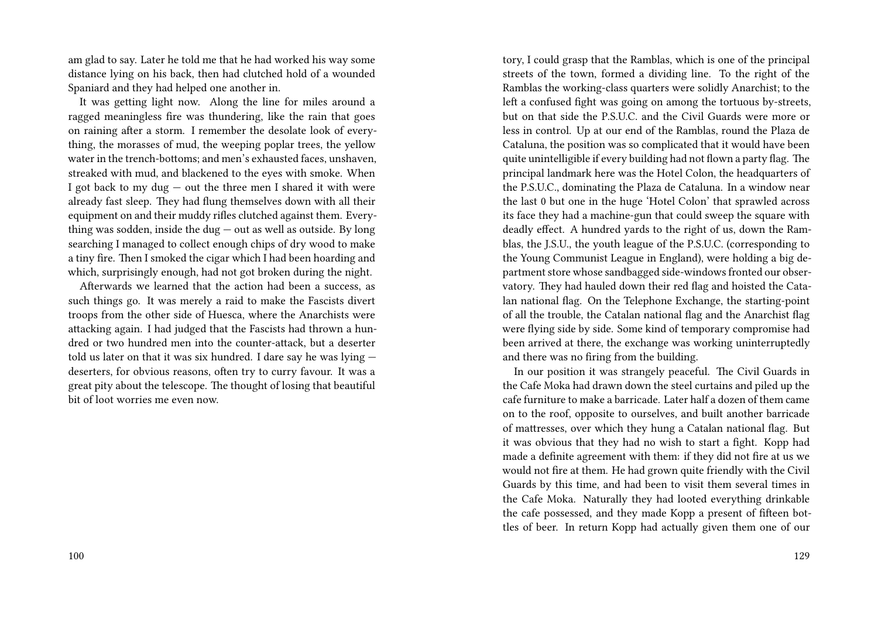am glad to say. Later he told me that he had worked his way some distance lying on his back, then had clutched hold of a wounded Spaniard and they had helped one another in.

It was getting light now. Along the line for miles around a ragged meaningless fire was thundering, like the rain that goes on raining after a storm. I remember the desolate look of everything, the morasses of mud, the weeping poplar trees, the yellow water in the trench-bottoms; and men's exhausted faces, unshaven, streaked with mud, and blackened to the eyes with smoke. When I got back to my dug — out the three men I shared it with were already fast sleep. They had flung themselves down with all their equipment on and their muddy rifles clutched against them. Everything was sodden, inside the dug  $-$  out as well as outside. By long searching I managed to collect enough chips of dry wood to make a tiny fire. Then I smoked the cigar which I had been hoarding and which, surprisingly enough, had not got broken during the night.

Afterwards we learned that the action had been a success, as such things go. It was merely a raid to make the Fascists divert troops from the other side of Huesca, where the Anarchists were attacking again. I had judged that the Fascists had thrown a hundred or two hundred men into the counter-attack, but a deserter told us later on that it was six hundred. I dare say he was lying deserters, for obvious reasons, often try to curry favour. It was a great pity about the telescope. The thought of losing that beautiful bit of loot worries me even now.

tory, I could grasp that the Ramblas, which is one of the principal streets of the town, formed a dividing line. To the right of the Ramblas the working-class quarters were solidly Anarchist; to the left a confused fight was going on among the tortuous by-streets, but on that side the P.S.U.C. and the Civil Guards were more or less in control. Up at our end of the Ramblas, round the Plaza de Cataluna, the position was so complicated that it would have been quite unintelligible if every building had not flown a party flag. The principal landmark here was the Hotel Colon, the headquarters of the P.S.U.C., dominating the Plaza de Cataluna. In a window near the last 0 but one in the huge 'Hotel Colon' that sprawled across its face they had a machine-gun that could sweep the square with deadly effect. A hundred yards to the right of us, down the Ramblas, the J.S.U., the youth league of the P.S.U.C. (corresponding to the Young Communist League in England), were holding a big department store whose sandbagged side-windows fronted our observatory. They had hauled down their red flag and hoisted the Catalan national flag. On the Telephone Exchange, the starting-point of all the trouble, the Catalan national flag and the Anarchist flag were flying side by side. Some kind of temporary compromise had been arrived at there, the exchange was working uninterruptedly and there was no firing from the building.

In our position it was strangely peaceful. The Civil Guards in the Cafe Moka had drawn down the steel curtains and piled up the cafe furniture to make a barricade. Later half a dozen of them came on to the roof, opposite to ourselves, and built another barricade of mattresses, over which they hung a Catalan national flag. But it was obvious that they had no wish to start a fight. Kopp had made a definite agreement with them: if they did not fire at us we would not fire at them. He had grown quite friendly with the Civil Guards by this time, and had been to visit them several times in the Cafe Moka. Naturally they had looted everything drinkable the cafe possessed, and they made Kopp a present of fifteen bottles of beer. In return Kopp had actually given them one of our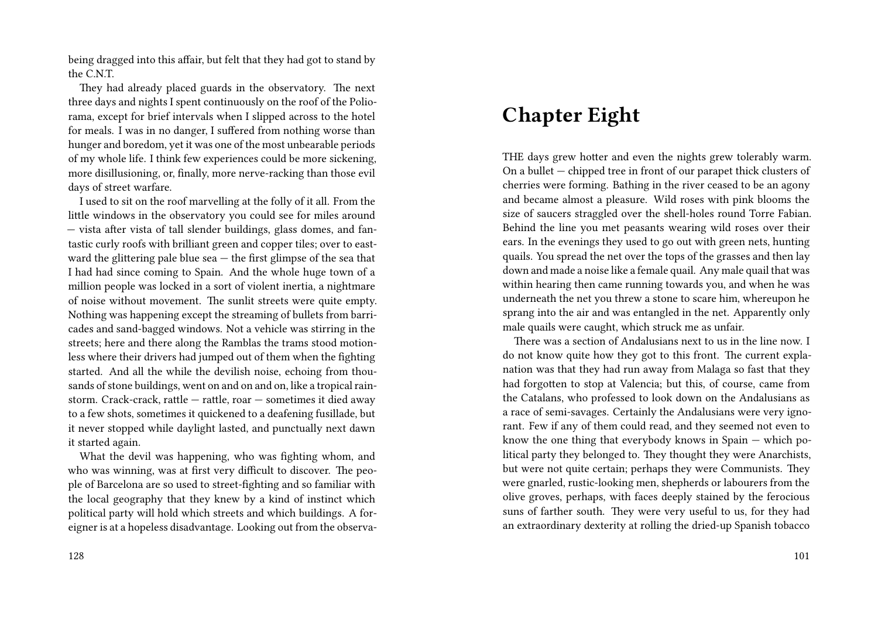being dragged into this affair, but felt that they had got to stand by the C.N.T.

They had already placed guards in the observatory. The next three days and nights I spent continuously on the roof of the Poliorama, except for brief intervals when I slipped across to the hotel for meals. I was in no danger, I suffered from nothing worse than hunger and boredom, yet it was one of the most unbearable periods of my whole life. I think few experiences could be more sickening, more disillusioning, or, finally, more nerve-racking than those evil days of street warfare.

I used to sit on the roof marvelling at the folly of it all. From the little windows in the observatory you could see for miles around — vista after vista of tall slender buildings, glass domes, and fantastic curly roofs with brilliant green and copper tiles; over to eastward the glittering pale blue  $sea$  — the first glimpse of the sea that I had had since coming to Spain. And the whole huge town of a million people was locked in a sort of violent inertia, a nightmare of noise without movement. The sunlit streets were quite empty. Nothing was happening except the streaming of bullets from barricades and sand-bagged windows. Not a vehicle was stirring in the streets; here and there along the Ramblas the trams stood motionless where their drivers had jumped out of them when the fighting started. And all the while the devilish noise, echoing from thousands of stone buildings, went on and on and on, like a tropical rainstorm. Crack-crack, rattle — rattle, roar — sometimes it died away to a few shots, sometimes it quickened to a deafening fusillade, but it never stopped while daylight lasted, and punctually next dawn it started again.

What the devil was happening, who was fighting whom, and who was winning, was at first very difficult to discover. The people of Barcelona are so used to street-fighting and so familiar with the local geography that they knew by a kind of instinct which political party will hold which streets and which buildings. A foreigner is at a hopeless disadvantage. Looking out from the observa-

## **Chapter Eight**

THE days grew hotter and even the nights grew tolerably warm. On a bullet — chipped tree in front of our parapet thick clusters of cherries were forming. Bathing in the river ceased to be an agony and became almost a pleasure. Wild roses with pink blooms the size of saucers straggled over the shell-holes round Torre Fabian. Behind the line you met peasants wearing wild roses over their ears. In the evenings they used to go out with green nets, hunting quails. You spread the net over the tops of the grasses and then lay down and made a noise like a female quail. Any male quail that was within hearing then came running towards you, and when he was underneath the net you threw a stone to scare him, whereupon he sprang into the air and was entangled in the net. Apparently only male quails were caught, which struck me as unfair.

There was a section of Andalusians next to us in the line now. I do not know quite how they got to this front. The current explanation was that they had run away from Malaga so fast that they had forgotten to stop at Valencia; but this, of course, came from the Catalans, who professed to look down on the Andalusians as a race of semi-savages. Certainly the Andalusians were very ignorant. Few if any of them could read, and they seemed not even to know the one thing that everybody knows in Spain — which political party they belonged to. They thought they were Anarchists, but were not quite certain; perhaps they were Communists. They were gnarled, rustic-looking men, shepherds or labourers from the olive groves, perhaps, with faces deeply stained by the ferocious suns of farther south. They were very useful to us, for they had an extraordinary dexterity at rolling the dried-up Spanish tobacco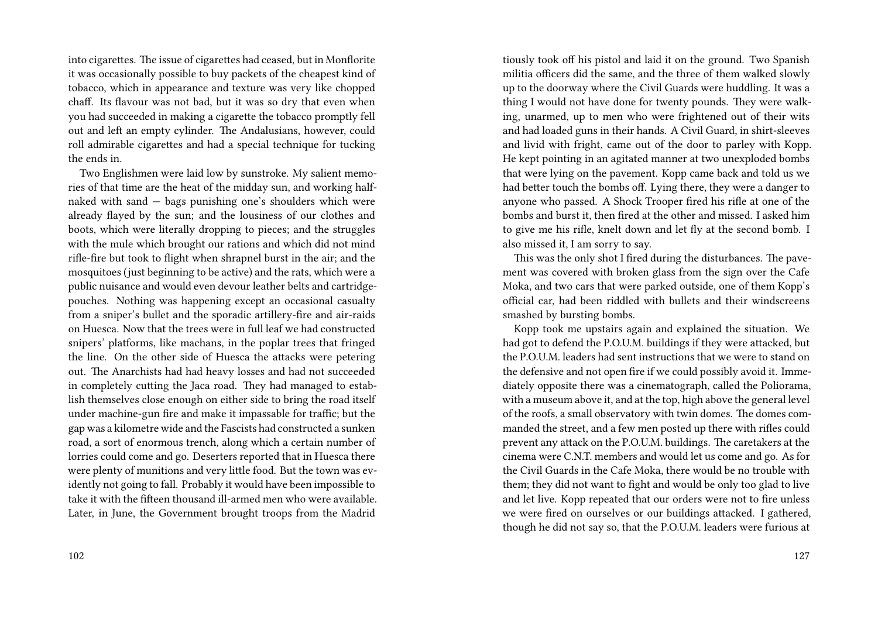into cigarettes. The issue of cigarettes had ceased, but in Monflorite it was occasionally possible to buy packets of the cheapest kind of tobacco, which in appearance and texture was very like chopped chaff. Its flavour was not bad, but it was so dry that even when you had succeeded in making a cigarette the tobacco promptly fell out and left an empty cylinder. The Andalusians, however, could roll admirable cigarettes and had a special technique for tucking the ends in.

Two Englishmen were laid low by sunstroke. My salient memories of that time are the heat of the midday sun, and working halfnaked with sand — bags punishing one's shoulders which were already flayed by the sun; and the lousiness of our clothes and boots, which were literally dropping to pieces; and the struggles with the mule which brought our rations and which did not mind rifle-fire but took to flight when shrapnel burst in the air; and the mosquitoes (just beginning to be active) and the rats, which were a public nuisance and would even devour leather belts and cartridgepouches. Nothing was happening except an occasional casualty from a sniper's bullet and the sporadic artillery-fire and air-raids on Huesca. Now that the trees were in full leaf we had constructed snipers' platforms, like machans, in the poplar trees that fringed the line. On the other side of Huesca the attacks were petering out. The Anarchists had had heavy losses and had not succeeded in completely cutting the Jaca road. They had managed to establish themselves close enough on either side to bring the road itself under machine-gun fire and make it impassable for traffic; but the gap was a kilometre wide and the Fascists had constructed a sunken road, a sort of enormous trench, along which a certain number of lorries could come and go. Deserters reported that in Huesca there were plenty of munitions and very little food. But the town was evidently not going to fall. Probably it would have been impossible to take it with the fifteen thousand ill-armed men who were available. Later, in June, the Government brought troops from the Madrid

102

tiously took off his pistol and laid it on the ground. Two Spanish militia officers did the same, and the three of them walked slowly up to the doorway where the Civil Guards were huddling. It was a thing I would not have done for twenty pounds. They were walking, unarmed, up to men who were frightened out of their wits and had loaded guns in their hands. A Civil Guard, in shirt-sleeves and livid with fright, came out of the door to parley with Kopp. He kept pointing in an agitated manner at two unexploded bombs that were lying on the pavement. Kopp came back and told us we had better touch the bombs off. Lying there, they were a danger to anyone who passed. A Shock Trooper fired his rifle at one of the bombs and burst it, then fired at the other and missed. I asked him to give me his rifle, knelt down and let fly at the second bomb. I also missed it, I am sorry to say.

This was the only shot I fired during the disturbances. The pavement was covered with broken glass from the sign over the Cafe Moka, and two cars that were parked outside, one of them Kopp's official car, had been riddled with bullets and their windscreens smashed by bursting bombs.

Kopp took me upstairs again and explained the situation. We had got to defend the P.O.U.M. buildings if they were attacked, but the P.O.U.M. leaders had sent instructions that we were to stand on the defensive and not open fire if we could possibly avoid it. Immediately opposite there was a cinematograph, called the Poliorama, with a museum above it, and at the top, high above the general level of the roofs, a small observatory with twin domes. The domes commanded the street, and a few men posted up there with rifles could prevent any attack on the P.O.U.M. buildings. The caretakers at the cinema were C.N.T. members and would let us come and go. As for the Civil Guards in the Cafe Moka, there would be no trouble with them; they did not want to fight and would be only too glad to live and let live. Kopp repeated that our orders were not to fire unless we were fired on ourselves or our buildings attacked. I gathered, though he did not say so, that the P.O.U.M. leaders were furious at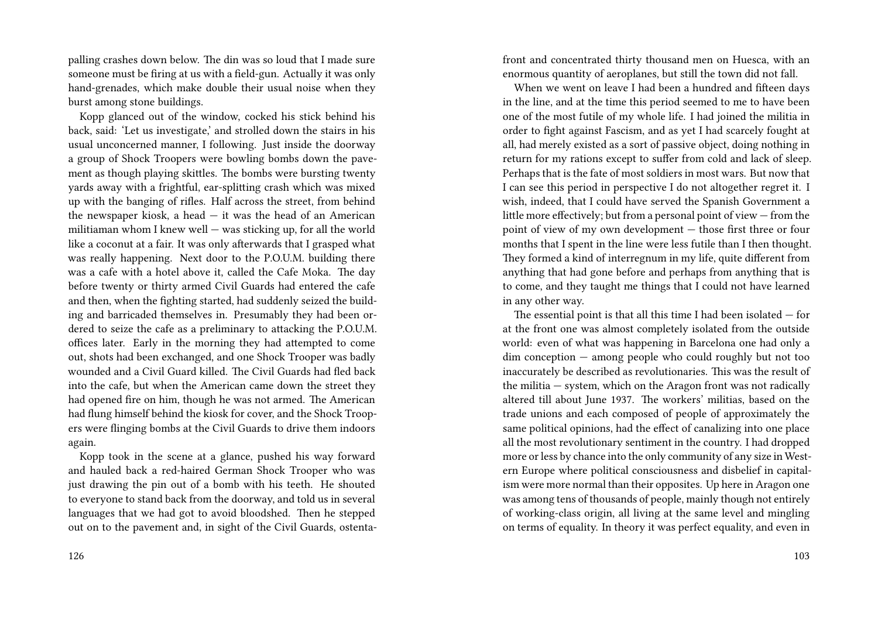palling crashes down below. The din was so loud that I made sure someone must be firing at us with a field-gun. Actually it was only hand-grenades, which make double their usual noise when they burst among stone buildings.

Kopp glanced out of the window, cocked his stick behind his back, said: 'Let us investigate,' and strolled down the stairs in his usual unconcerned manner, I following. Just inside the doorway a group of Shock Troopers were bowling bombs down the pavement as though playing skittles. The bombs were bursting twenty yards away with a frightful, ear-splitting crash which was mixed up with the banging of rifles. Half across the street, from behind the newspaper kiosk, a head  $-$  it was the head of an American militiaman whom I knew well — was sticking up, for all the world like a coconut at a fair. It was only afterwards that I grasped what was really happening. Next door to the P.O.U.M. building there was a cafe with a hotel above it, called the Cafe Moka. The day before twenty or thirty armed Civil Guards had entered the cafe and then, when the fighting started, had suddenly seized the building and barricaded themselves in. Presumably they had been ordered to seize the cafe as a preliminary to attacking the P.O.U.M. offices later. Early in the morning they had attempted to come out, shots had been exchanged, and one Shock Trooper was badly wounded and a Civil Guard killed. The Civil Guards had fled back into the cafe, but when the American came down the street they had opened fire on him, though he was not armed. The American had flung himself behind the kiosk for cover, and the Shock Troopers were flinging bombs at the Civil Guards to drive them indoors again.

Kopp took in the scene at a glance, pushed his way forward and hauled back a red-haired German Shock Trooper who was just drawing the pin out of a bomb with his teeth. He shouted to everyone to stand back from the doorway, and told us in several languages that we had got to avoid bloodshed. Then he stepped out on to the pavement and, in sight of the Civil Guards, ostentafront and concentrated thirty thousand men on Huesca, with an enormous quantity of aeroplanes, but still the town did not fall.

When we went on leave I had been a hundred and fifteen days in the line, and at the time this period seemed to me to have been one of the most futile of my whole life. I had joined the militia in order to fight against Fascism, and as yet I had scarcely fought at all, had merely existed as a sort of passive object, doing nothing in return for my rations except to suffer from cold and lack of sleep. Perhaps that is the fate of most soldiers in most wars. But now that I can see this period in perspective I do not altogether regret it. I wish, indeed, that I could have served the Spanish Government a little more effectively; but from a personal point of view — from the point of view of my own development — those first three or four months that I spent in the line were less futile than I then thought. They formed a kind of interregnum in my life, quite different from anything that had gone before and perhaps from anything that is to come, and they taught me things that I could not have learned in any other way.

The essential point is that all this time I had been isolated  $-$  for at the front one was almost completely isolated from the outside world: even of what was happening in Barcelona one had only a dim conception — among people who could roughly but not too inaccurately be described as revolutionaries. This was the result of the militia — system, which on the Aragon front was not radically altered till about June 1937. The workers' militias, based on the trade unions and each composed of people of approximately the same political opinions, had the effect of canalizing into one place all the most revolutionary sentiment in the country. I had dropped more or less by chance into the only community of any size in Western Europe where political consciousness and disbelief in capitalism were more normal than their opposites. Up here in Aragon one was among tens of thousands of people, mainly though not entirely of working-class origin, all living at the same level and mingling on terms of equality. In theory it was perfect equality, and even in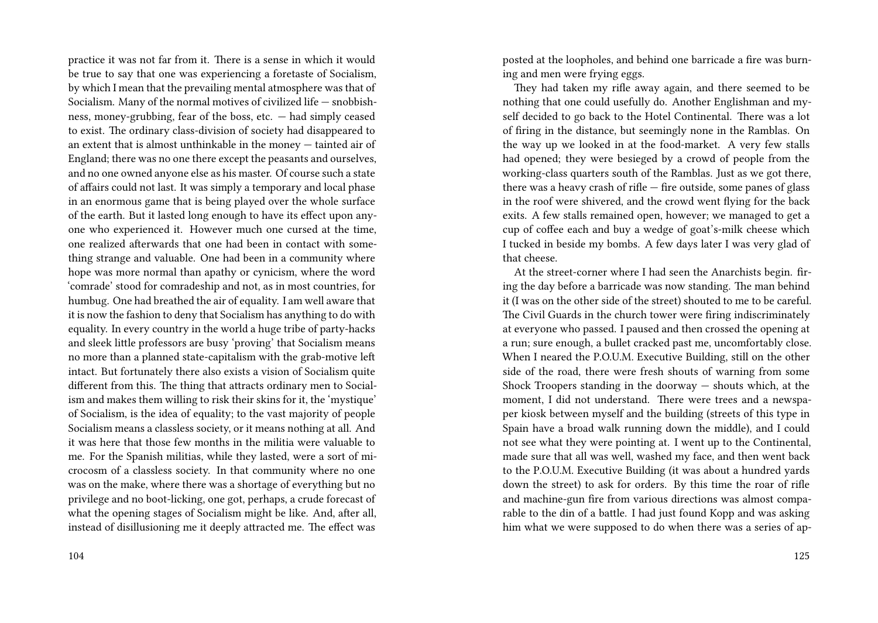practice it was not far from it. There is a sense in which it would be true to say that one was experiencing a foretaste of Socialism, by which I mean that the prevailing mental atmosphere was that of Socialism. Many of the normal motives of civilized life — snobbishness, money-grubbing, fear of the boss, etc. — had simply ceased to exist. The ordinary class-division of society had disappeared to an extent that is almost unthinkable in the money — tainted air of England; there was no one there except the peasants and ourselves, and no one owned anyone else as his master. Of course such a state of affairs could not last. It was simply a temporary and local phase in an enormous game that is being played over the whole surface of the earth. But it lasted long enough to have its effect upon anyone who experienced it. However much one cursed at the time, one realized afterwards that one had been in contact with something strange and valuable. One had been in a community where hope was more normal than apathy or cynicism, where the word 'comrade' stood for comradeship and not, as in most countries, for humbug. One had breathed the air of equality. I am well aware that it is now the fashion to deny that Socialism has anything to do with equality. In every country in the world a huge tribe of party-hacks and sleek little professors are busy 'proving' that Socialism means no more than a planned state-capitalism with the grab-motive left intact. But fortunately there also exists a vision of Socialism quite different from this. The thing that attracts ordinary men to Socialism and makes them willing to risk their skins for it, the 'mystique' of Socialism, is the idea of equality; to the vast majority of people Socialism means a classless society, or it means nothing at all. And it was here that those few months in the militia were valuable to me. For the Spanish militias, while they lasted, were a sort of microcosm of a classless society. In that community where no one was on the make, where there was a shortage of everything but no privilege and no boot-licking, one got, perhaps, a crude forecast of what the opening stages of Socialism might be like. And, after all, instead of disillusioning me it deeply attracted me. The effect was

posted at the loopholes, and behind one barricade a fire was burning and men were frying eggs.

They had taken my rifle away again, and there seemed to be nothing that one could usefully do. Another Englishman and myself decided to go back to the Hotel Continental. There was a lot of firing in the distance, but seemingly none in the Ramblas. On the way up we looked in at the food-market. A very few stalls had opened; they were besieged by a crowd of people from the working-class quarters south of the Ramblas. Just as we got there, there was a heavy crash of rifle — fire outside, some panes of glass in the roof were shivered, and the crowd went flying for the back exits. A few stalls remained open, however; we managed to get a cup of coffee each and buy a wedge of goat's-milk cheese which I tucked in beside my bombs. A few days later I was very glad of that cheese.

At the street-corner where I had seen the Anarchists begin. firing the day before a barricade was now standing. The man behind it (I was on the other side of the street) shouted to me to be careful. The Civil Guards in the church tower were firing indiscriminately at everyone who passed. I paused and then crossed the opening at a run; sure enough, a bullet cracked past me, uncomfortably close. When I neared the P.O.U.M. Executive Building, still on the other side of the road, there were fresh shouts of warning from some Shock Troopers standing in the doorway — shouts which, at the moment, I did not understand. There were trees and a newspaper kiosk between myself and the building (streets of this type in Spain have a broad walk running down the middle), and I could not see what they were pointing at. I went up to the Continental, made sure that all was well, washed my face, and then went back to the P.O.U.M. Executive Building (it was about a hundred yards down the street) to ask for orders. By this time the roar of rifle and machine-gun fire from various directions was almost comparable to the din of a battle. I had just found Kopp and was asking him what we were supposed to do when there was a series of ap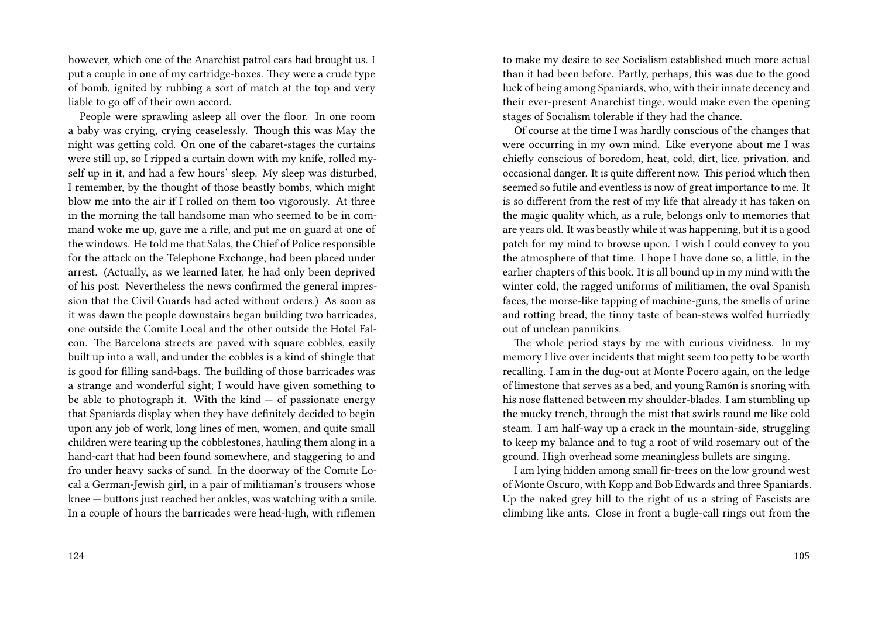however, which one of the Anarchist patrol cars had brought us. I put a couple in one of my cartridge-boxes. They were a crude type of bomb, ignited by rubbing a sort of match at the top and very liable to go off of their own accord.

People were sprawling asleep all over the floor. In one room a baby was crying, crying ceaselessly. Though this was May the night was getting cold. On one of the cabaret-stages the curtains were still up, so I ripped a curtain down with my knife, rolled myself up in it, and had a few hours' sleep. My sleep was disturbed, I remember, by the thought of those beastly bombs, which might blow me into the air if I rolled on them too vigorously. At three in the morning the tall handsome man who seemed to be in command woke me up, gave me a rifle, and put me on guard at one of the windows. He told me that Salas, the Chief of Police responsible for the attack on the Telephone Exchange, had been placed under arrest. (Actually, as we learned later, he had only been deprived of his post. Nevertheless the news confirmed the general impression that the Civil Guards had acted without orders.) As soon as it was dawn the people downstairs began building two barricades, one outside the Comite Local and the other outside the Hotel Falcon. The Barcelona streets are paved with square cobbles, easily built up into a wall, and under the cobbles is a kind of shingle that is good for filling sand-bags. The building of those barricades was a strange and wonderful sight; I would have given something to be able to photograph it. With the kind  $-$  of passionate energy that Spaniards display when they have definitely decided to begin upon any job of work, long lines of men, women, and quite small children were tearing up the cobblestones, hauling them along in a hand-cart that had been found somewhere, and staggering to and fro under heavy sacks of sand. In the doorway of the Comite Local a German-Jewish girl, in a pair of militiaman's trousers whose knee — buttons just reached her ankles, was watching with a smile. In a couple of hours the barricades were head-high, with riflemen

to make my desire to see Socialism established much more actual than it had been before. Partly, perhaps, this was due to the good luck of being among Spaniards, who, with their innate decency and their ever-present Anarchist tinge, would make even the opening stages of Socialism tolerable if they had the chance.

Of course at the time I was hardly conscious of the changes that were occurring in my own mind. Like everyone about me I was chiefly conscious of boredom, heat, cold, dirt, lice, privation, and occasional danger. It is quite different now. This period which then seemed so futile and eventless is now of great importance to me. It is so different from the rest of my life that already it has taken on the magic quality which, as a rule, belongs only to memories that are years old. It was beastly while it was happening, but it is a good patch for my mind to browse upon. I wish I could convey to you the atmosphere of that time. I hope I have done so, a little, in the earlier chapters of this book. It is all bound up in my mind with the winter cold, the ragged uniforms of militiamen, the oval Spanish faces, the morse-like tapping of machine-guns, the smells of urine and rotting bread, the tinny taste of bean-stews wolfed hurriedly out of unclean pannikins.

The whole period stays by me with curious vividness. In my memory I live over incidents that might seem too petty to be worth recalling. I am in the dug-out at Monte Pocero again, on the ledge of limestone that serves as a bed, and young Ram6n is snoring with his nose flattened between my shoulder-blades. I am stumbling up the mucky trench, through the mist that swirls round me like cold steam. I am half-way up a crack in the mountain-side, struggling to keep my balance and to tug a root of wild rosemary out of the ground. High overhead some meaningless bullets are singing.

I am lying hidden among small fir-trees on the low ground west of Monte Oscuro, with Kopp and Bob Edwards and three Spaniards. Up the naked grey hill to the right of us a string of Fascists are climbing like ants. Close in front a bugle-call rings out from the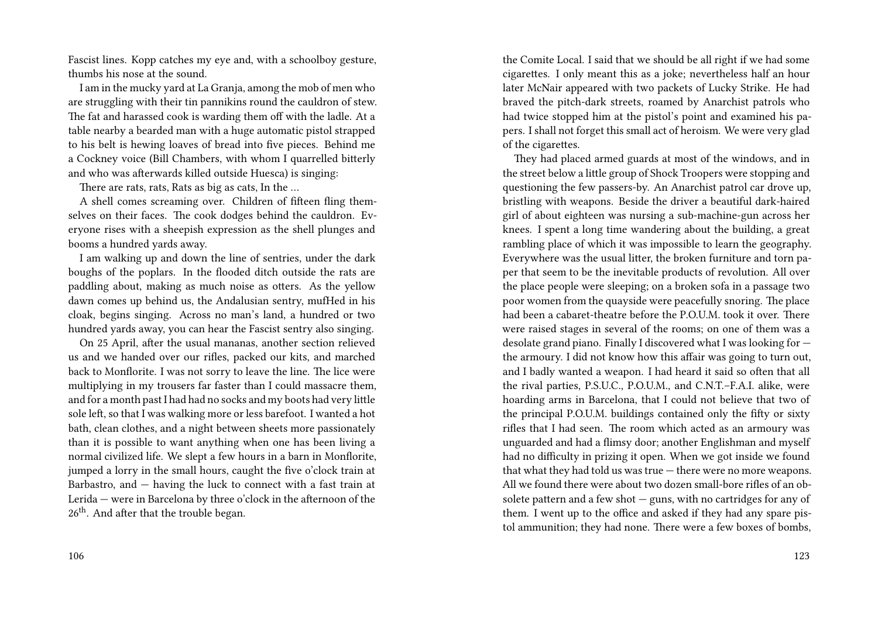Fascist lines. Kopp catches my eye and, with a schoolboy gesture, thumbs his nose at the sound.

I am in the mucky yard at La Granja, among the mob of men who are struggling with their tin pannikins round the cauldron of stew. The fat and harassed cook is warding them off with the ladle. At a table nearby a bearded man with a huge automatic pistol strapped to his belt is hewing loaves of bread into five pieces. Behind me a Cockney voice (Bill Chambers, with whom I quarrelled bitterly and who was afterwards killed outside Huesca) is singing:

There are rats, rats, Rats as big as cats, In the …

A shell comes screaming over. Children of fifteen fling themselves on their faces. The cook dodges behind the cauldron. Everyone rises with a sheepish expression as the shell plunges and booms a hundred yards away.

I am walking up and down the line of sentries, under the dark boughs of the poplars. In the flooded ditch outside the rats are paddling about, making as much noise as otters. As the yellow dawn comes up behind us, the Andalusian sentry, mufHed in his cloak, begins singing. Across no man's land, a hundred or two hundred yards away, you can hear the Fascist sentry also singing.

On 25 April, after the usual mananas, another section relieved us and we handed over our rifles, packed our kits, and marched back to Monflorite. I was not sorry to leave the line. The lice were multiplying in my trousers far faster than I could massacre them, and for a month past I had had no socks and my boots had very little sole left, so that I was walking more or less barefoot. I wanted a hot bath, clean clothes, and a night between sheets more passionately than it is possible to want anything when one has been living a normal civilized life. We slept a few hours in a barn in Monflorite, jumped a lorry in the small hours, caught the five o'clock train at Barbastro, and — having the luck to connect with a fast train at Lerida — were in Barcelona by three o'clock in the afternoon of the 26<sup>th</sup>. And after that the trouble began.

106

the Comite Local. I said that we should be all right if we had some cigarettes. I only meant this as a joke; nevertheless half an hour later McNair appeared with two packets of Lucky Strike. He had braved the pitch-dark streets, roamed by Anarchist patrols who had twice stopped him at the pistol's point and examined his papers. I shall not forget this small act of heroism. We were very glad of the cigarettes.

They had placed armed guards at most of the windows, and in the street below a little group of Shock Troopers were stopping and questioning the few passers-by. An Anarchist patrol car drove up, bristling with weapons. Beside the driver a beautiful dark-haired girl of about eighteen was nursing a sub-machine-gun across her knees. I spent a long time wandering about the building, a great rambling place of which it was impossible to learn the geography. Everywhere was the usual litter, the broken furniture and torn paper that seem to be the inevitable products of revolution. All over the place people were sleeping; on a broken sofa in a passage two poor women from the quayside were peacefully snoring. The place had been a cabaret-theatre before the P.O.U.M. took it over. There were raised stages in several of the rooms; on one of them was a desolate grand piano. Finally I discovered what I was looking for the armoury. I did not know how this affair was going to turn out, and I badly wanted a weapon. I had heard it said so often that all the rival parties, P.S.U.C., P.O.U.M., and C.N.T.–F.A.I. alike, were hoarding arms in Barcelona, that I could not believe that two of the principal P.O.U.M. buildings contained only the fifty or sixty rifles that I had seen. The room which acted as an armoury was unguarded and had a flimsy door; another Englishman and myself had no difficulty in prizing it open. When we got inside we found that what they had told us was true — there were no more weapons. All we found there were about two dozen small-bore rifles of an obsolete pattern and a few shot  $-$  guns, with no cartridges for any of them. I went up to the office and asked if they had any spare pistol ammunition; they had none. There were a few boxes of bombs,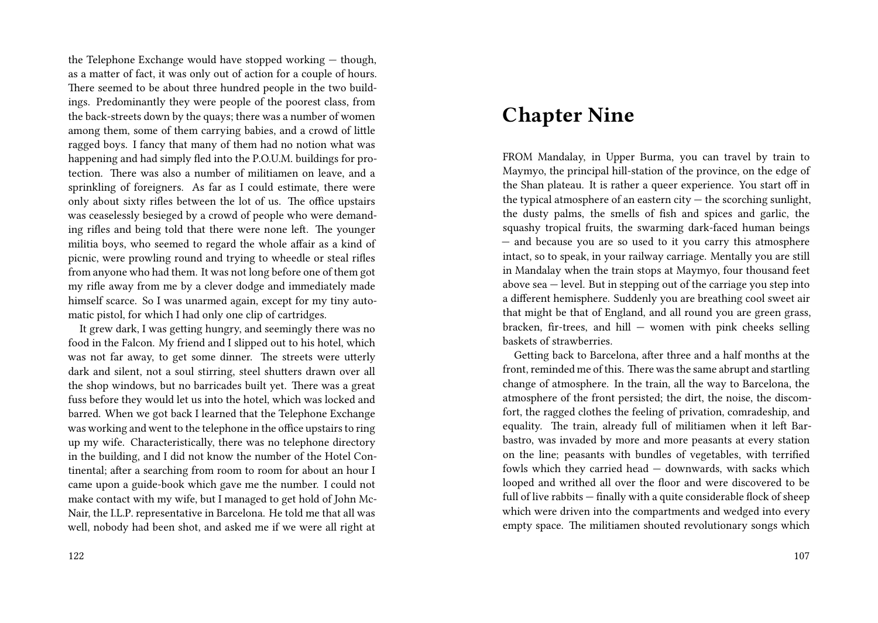the Telephone Exchange would have stopped working — though, as a matter of fact, it was only out of action for a couple of hours. There seemed to be about three hundred people in the two buildings. Predominantly they were people of the poorest class, from the back-streets down by the quays; there was a number of women among them, some of them carrying babies, and a crowd of little ragged boys. I fancy that many of them had no notion what was happening and had simply fled into the P.O.U.M. buildings for protection. There was also a number of militiamen on leave, and a sprinkling of foreigners. As far as I could estimate, there were only about sixty rifles between the lot of us. The office upstairs was ceaselessly besieged by a crowd of people who were demanding rifles and being told that there were none left. The younger militia boys, who seemed to regard the whole affair as a kind of picnic, were prowling round and trying to wheedle or steal rifles from anyone who had them. It was not long before one of them got my rifle away from me by a clever dodge and immediately made himself scarce. So I was unarmed again, except for my tiny automatic pistol, for which I had only one clip of cartridges.

It grew dark, I was getting hungry, and seemingly there was no food in the Falcon. My friend and I slipped out to his hotel, which was not far away, to get some dinner. The streets were utterly dark and silent, not a soul stirring, steel shutters drawn over all the shop windows, but no barricades built yet. There was a great fuss before they would let us into the hotel, which was locked and barred. When we got back I learned that the Telephone Exchange was working and went to the telephone in the office upstairs to ring up my wife. Characteristically, there was no telephone directory in the building, and I did not know the number of the Hotel Continental; after a searching from room to room for about an hour I came upon a guide-book which gave me the number. I could not make contact with my wife, but I managed to get hold of John Mc-Nair, the I.L.P. representative in Barcelona. He told me that all was well, nobody had been shot, and asked me if we were all right at

## **Chapter Nine**

FROM Mandalay, in Upper Burma, you can travel by train to Maymyo, the principal hill-station of the province, on the edge of the Shan plateau. It is rather a queer experience. You start off in the typical atmosphere of an eastern city  $-$  the scorching sunlight, the dusty palms, the smells of fish and spices and garlic, the squashy tropical fruits, the swarming dark-faced human beings — and because you are so used to it you carry this atmosphere intact, so to speak, in your railway carriage. Mentally you are still in Mandalay when the train stops at Maymyo, four thousand feet above sea — level. But in stepping out of the carriage you step into a different hemisphere. Suddenly you are breathing cool sweet air that might be that of England, and all round you are green grass, bracken, fir-trees, and hill — women with pink cheeks selling baskets of strawberries.

Getting back to Barcelona, after three and a half months at the front, reminded me of this. There was the same abrupt and startling change of atmosphere. In the train, all the way to Barcelona, the atmosphere of the front persisted; the dirt, the noise, the discomfort, the ragged clothes the feeling of privation, comradeship, and equality. The train, already full of militiamen when it left Barbastro, was invaded by more and more peasants at every station on the line; peasants with bundles of vegetables, with terrified fowls which they carried head — downwards, with sacks which looped and writhed all over the floor and were discovered to be full of live rabbits — finally with a quite considerable flock of sheep which were driven into the compartments and wedged into every empty space. The militiamen shouted revolutionary songs which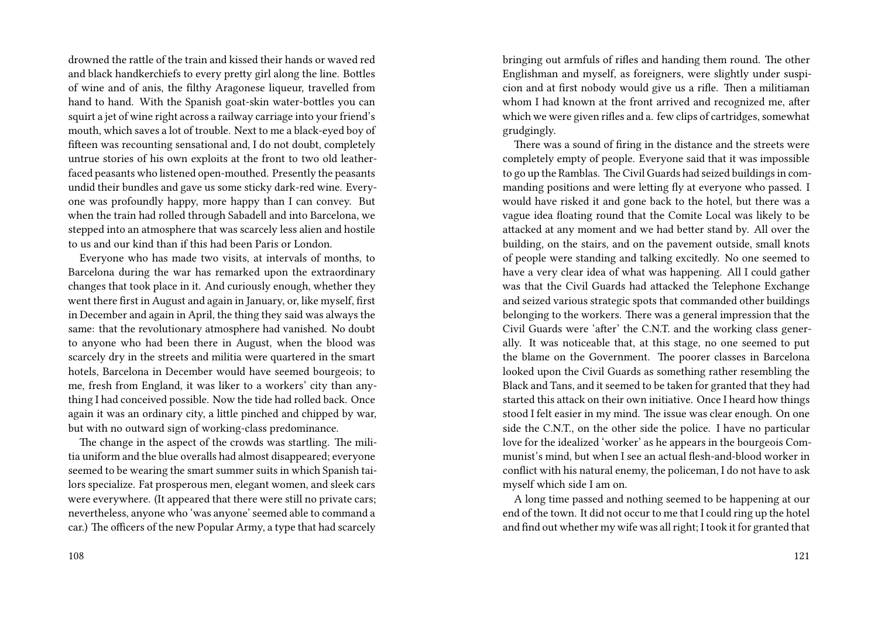drowned the rattle of the train and kissed their hands or waved red and black handkerchiefs to every pretty girl along the line. Bottles of wine and of anis, the filthy Aragonese liqueur, travelled from hand to hand. With the Spanish goat-skin water-bottles you can squirt a jet of wine right across a railway carriage into your friend's mouth, which saves a lot of trouble. Next to me a black-eyed boy of fifteen was recounting sensational and, I do not doubt, completely untrue stories of his own exploits at the front to two old leatherfaced peasants who listened open-mouthed. Presently the peasants undid their bundles and gave us some sticky dark-red wine. Everyone was profoundly happy, more happy than I can convey. But when the train had rolled through Sabadell and into Barcelona, we stepped into an atmosphere that was scarcely less alien and hostile to us and our kind than if this had been Paris or London.

Everyone who has made two visits, at intervals of months, to Barcelona during the war has remarked upon the extraordinary changes that took place in it. And curiously enough, whether they went there first in August and again in January, or, like myself, first in December and again in April, the thing they said was always the same: that the revolutionary atmosphere had vanished. No doubt to anyone who had been there in August, when the blood was scarcely dry in the streets and militia were quartered in the smart hotels, Barcelona in December would have seemed bourgeois; to me, fresh from England, it was liker to a workers' city than anything I had conceived possible. Now the tide had rolled back. Once again it was an ordinary city, a little pinched and chipped by war, but with no outward sign of working-class predominance.

The change in the aspect of the crowds was startling. The militia uniform and the blue overalls had almost disappeared; everyone seemed to be wearing the smart summer suits in which Spanish tailors specialize. Fat prosperous men, elegant women, and sleek cars were everywhere. (It appeared that there were still no private cars; nevertheless, anyone who 'was anyone' seemed able to command a car.) The officers of the new Popular Army, a type that had scarcely

bringing out armfuls of rifles and handing them round. The other Englishman and myself, as foreigners, were slightly under suspicion and at first nobody would give us a rifle. Then a militiaman whom I had known at the front arrived and recognized me, after which we were given rifles and a. few clips of cartridges, somewhat grudgingly.

There was a sound of firing in the distance and the streets were completely empty of people. Everyone said that it was impossible to go up the Ramblas. The Civil Guards had seized buildings in commanding positions and were letting fly at everyone who passed. I would have risked it and gone back to the hotel, but there was a vague idea floating round that the Comite Local was likely to be attacked at any moment and we had better stand by. All over the building, on the stairs, and on the pavement outside, small knots of people were standing and talking excitedly. No one seemed to have a very clear idea of what was happening. All I could gather was that the Civil Guards had attacked the Telephone Exchange and seized various strategic spots that commanded other buildings belonging to the workers. There was a general impression that the Civil Guards were 'after' the C.N.T. and the working class generally. It was noticeable that, at this stage, no one seemed to put the blame on the Government. The poorer classes in Barcelona looked upon the Civil Guards as something rather resembling the Black and Tans, and it seemed to be taken for granted that they had started this attack on their own initiative. Once I heard how things stood I felt easier in my mind. The issue was clear enough. On one side the C.N.T., on the other side the police. I have no particular love for the idealized 'worker' as he appears in the bourgeois Communist's mind, but when I see an actual flesh-and-blood worker in conflict with his natural enemy, the policeman, I do not have to ask myself which side I am on.

A long time passed and nothing seemed to be happening at our end of the town. It did not occur to me that I could ring up the hotel and find out whether my wife was all right; I took it for granted that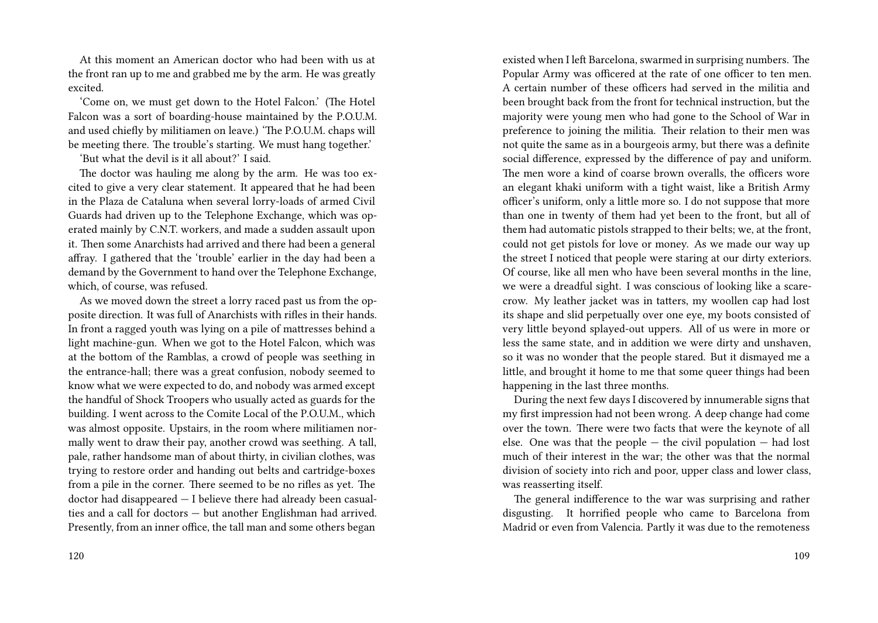At this moment an American doctor who had been with us at the front ran up to me and grabbed me by the arm. He was greatly excited.

'Come on, we must get down to the Hotel Falcon.' (The Hotel Falcon was a sort of boarding-house maintained by the P.O.U.M. and used chiefly by militiamen on leave.) 'The P.O.U.M. chaps will be meeting there. The trouble's starting. We must hang together.'

'But what the devil is it all about?' I said.

The doctor was hauling me along by the arm. He was too excited to give a very clear statement. It appeared that he had been in the Plaza de Cataluna when several lorry-loads of armed Civil Guards had driven up to the Telephone Exchange, which was operated mainly by C.N.T. workers, and made a sudden assault upon it. Then some Anarchists had arrived and there had been a general affray. I gathered that the 'trouble' earlier in the day had been a demand by the Government to hand over the Telephone Exchange, which, of course, was refused.

As we moved down the street a lorry raced past us from the opposite direction. It was full of Anarchists with rifles in their hands. In front a ragged youth was lying on a pile of mattresses behind a light machine-gun. When we got to the Hotel Falcon, which was at the bottom of the Ramblas, a crowd of people was seething in the entrance-hall; there was a great confusion, nobody seemed to know what we were expected to do, and nobody was armed except the handful of Shock Troopers who usually acted as guards for the building. I went across to the Comite Local of the P.O.U.M., which was almost opposite. Upstairs, in the room where militiamen normally went to draw their pay, another crowd was seething. A tall, pale, rather handsome man of about thirty, in civilian clothes, was trying to restore order and handing out belts and cartridge-boxes from a pile in the corner. There seemed to be no rifles as yet. The doctor had disappeared — I believe there had already been casualties and a call for doctors — but another Englishman had arrived. Presently, from an inner office, the tall man and some others began

120

existed when I left Barcelona, swarmed in surprising numbers. The Popular Army was officered at the rate of one officer to ten men. A certain number of these officers had served in the militia and been brought back from the front for technical instruction, but the majority were young men who had gone to the School of War in preference to joining the militia. Their relation to their men was not quite the same as in a bourgeois army, but there was a definite social difference, expressed by the difference of pay and uniform. The men wore a kind of coarse brown overalls, the officers wore an elegant khaki uniform with a tight waist, like a British Army officer's uniform, only a little more so. I do not suppose that more than one in twenty of them had yet been to the front, but all of them had automatic pistols strapped to their belts; we, at the front, could not get pistols for love or money. As we made our way up the street I noticed that people were staring at our dirty exteriors. Of course, like all men who have been several months in the line, we were a dreadful sight. I was conscious of looking like a scarecrow. My leather jacket was in tatters, my woollen cap had lost its shape and slid perpetually over one eye, my boots consisted of very little beyond splayed-out uppers. All of us were in more or less the same state, and in addition we were dirty and unshaven, so it was no wonder that the people stared. But it dismayed me a little, and brought it home to me that some queer things had been happening in the last three months.

During the next few days I discovered by innumerable signs that my first impression had not been wrong. A deep change had come over the town. There were two facts that were the keynote of all else. One was that the people — the civil population — had lost much of their interest in the war; the other was that the normal division of society into rich and poor, upper class and lower class, was reasserting itself.

The general indifference to the war was surprising and rather disgusting. It horrified people who came to Barcelona from Madrid or even from Valencia. Partly it was due to the remoteness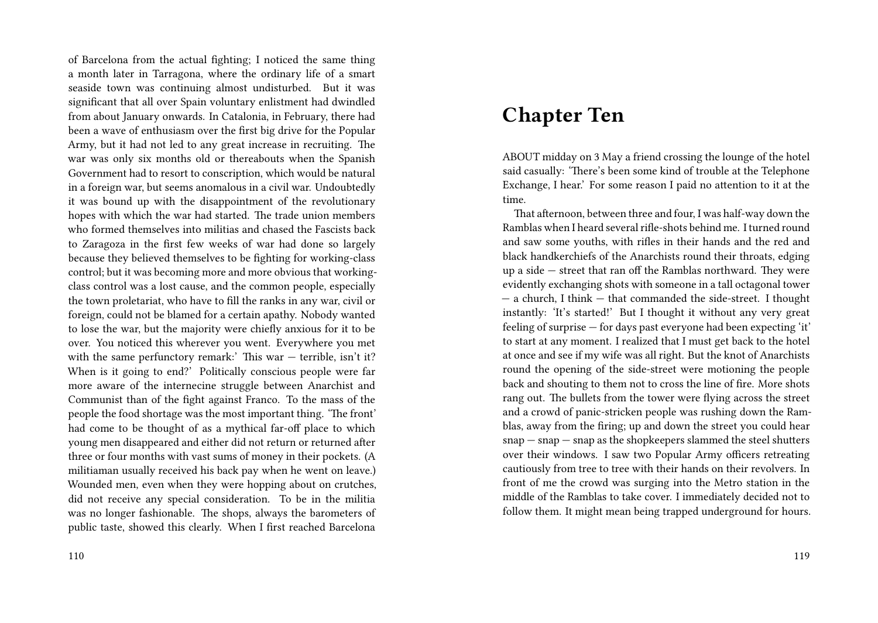of Barcelona from the actual fighting; I noticed the same thing a month later in Tarragona, where the ordinary life of a smart seaside town was continuing almost undisturbed. But it was significant that all over Spain voluntary enlistment had dwindled from about January onwards. In Catalonia, in February, there had been a wave of enthusiasm over the first big drive for the Popular Army, but it had not led to any great increase in recruiting. The war was only six months old or thereabouts when the Spanish Government had to resort to conscription, which would be natural in a foreign war, but seems anomalous in a civil war. Undoubtedly it was bound up with the disappointment of the revolutionary hopes with which the war had started. The trade union members who formed themselves into militias and chased the Fascists back to Zaragoza in the first few weeks of war had done so largely because they believed themselves to be fighting for working-class control; but it was becoming more and more obvious that workingclass control was a lost cause, and the common people, especially the town proletariat, who have to fill the ranks in any war, civil or foreign, could not be blamed for a certain apathy. Nobody wanted to lose the war, but the majority were chiefly anxious for it to be over. You noticed this wherever you went. Everywhere you met with the same perfunctory remark:' This war – terrible, isn't it? When is it going to end?' Politically conscious people were far more aware of the internecine struggle between Anarchist and Communist than of the fight against Franco. To the mass of the people the food shortage was the most important thing. 'The front' had come to be thought of as a mythical far-off place to which young men disappeared and either did not return or returned after three or four months with vast sums of money in their pockets. (A militiaman usually received his back pay when he went on leave.) Wounded men, even when they were hopping about on crutches, did not receive any special consideration. To be in the militia was no longer fashionable. The shops, always the barometers of public taste, showed this clearly. When I first reached Barcelona

# **Chapter Ten**

ABOUT midday on 3 May a friend crossing the lounge of the hotel said casually: 'There's been some kind of trouble at the Telephone Exchange, I hear.' For some reason I paid no attention to it at the time.

That afternoon, between three and four, I was half-way down the Ramblas when I heard several rifle-shots behind me. I turned round and saw some youths, with rifles in their hands and the red and black handkerchiefs of the Anarchists round their throats, edging up a side — street that ran off the Ramblas northward. They were evidently exchanging shots with someone in a tall octagonal tower — a church, I think — that commanded the side-street. I thought instantly: 'It's started!' But I thought it without any very great feeling of surprise — for days past everyone had been expecting 'it' to start at any moment. I realized that I must get back to the hotel at once and see if my wife was all right. But the knot of Anarchists round the opening of the side-street were motioning the people back and shouting to them not to cross the line of fire. More shots rang out. The bullets from the tower were flying across the street and a crowd of panic-stricken people was rushing down the Ramblas, away from the firing; up and down the street you could hear  $snap - snap - snap$  as the shopkeepers slammed the steel shutters over their windows. I saw two Popular Army officers retreating cautiously from tree to tree with their hands on their revolvers. In front of me the crowd was surging into the Metro station in the middle of the Ramblas to take cover. I immediately decided not to follow them. It might mean being trapped underground for hours.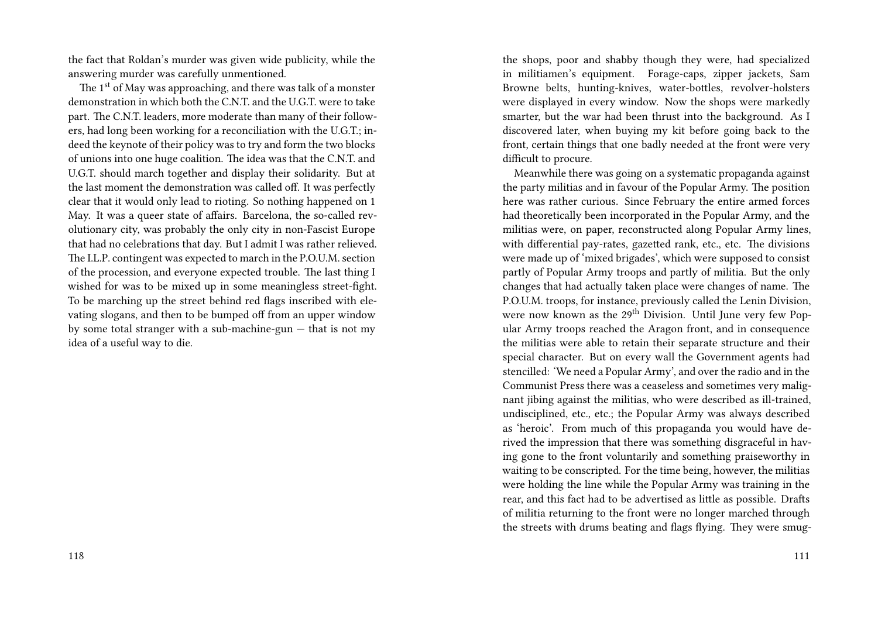the fact that Roldan's murder was given wide publicity, while the answering murder was carefully unmentioned.

The  $1<sup>st</sup>$  of May was approaching, and there was talk of a monster demonstration in which both the C.N.T. and the U.G.T. were to take part. The C.N.T. leaders, more moderate than many of their followers, had long been working for a reconciliation with the U.G.T.; indeed the keynote of their policy was to try and form the two blocks of unions into one huge coalition. The idea was that the C.N.T. and U.G.T. should march together and display their solidarity. But at the last moment the demonstration was called off. It was perfectly clear that it would only lead to rioting. So nothing happened on 1 May. It was a queer state of affairs. Barcelona, the so-called revolutionary city, was probably the only city in non-Fascist Europe that had no celebrations that day. But I admit I was rather relieved. The I.L.P. contingent was expected to march in the P.O.U.M. section of the procession, and everyone expected trouble. The last thing I wished for was to be mixed up in some meaningless street-fight. To be marching up the street behind red flags inscribed with elevating slogans, and then to be bumped off from an upper window by some total stranger with a sub-machine-gun — that is not my idea of a useful way to die.

the shops, poor and shabby though they were, had specialized in militiamen's equipment. Forage-caps, zipper jackets, Sam Browne belts, hunting-knives, water-bottles, revolver-holsters were displayed in every window. Now the shops were markedly smarter, but the war had been thrust into the background. As I discovered later, when buying my kit before going back to the front, certain things that one badly needed at the front were very difficult to procure.

Meanwhile there was going on a systematic propaganda against the party militias and in favour of the Popular Army. The position here was rather curious. Since February the entire armed forces had theoretically been incorporated in the Popular Army, and the militias were, on paper, reconstructed along Popular Army lines, with differential pay-rates, gazetted rank, etc., etc. The divisions were made up of 'mixed brigades', which were supposed to consist partly of Popular Army troops and partly of militia. But the only changes that had actually taken place were changes of name. The P.O.U.M. troops, for instance, previously called the Lenin Division, were now known as the 29<sup>th</sup> Division. Until June very few Popular Army troops reached the Aragon front, and in consequence the militias were able to retain their separate structure and their special character. But on every wall the Government agents had stencilled: 'We need a Popular Army', and over the radio and in the Communist Press there was a ceaseless and sometimes very malignant jibing against the militias, who were described as ill-trained, undisciplined, etc., etc.; the Popular Army was always described as 'heroic'. From much of this propaganda you would have derived the impression that there was something disgraceful in having gone to the front voluntarily and something praiseworthy in waiting to be conscripted. For the time being, however, the militias were holding the line while the Popular Army was training in the rear, and this fact had to be advertised as little as possible. Drafts of militia returning to the front were no longer marched through the streets with drums beating and flags flying. They were smug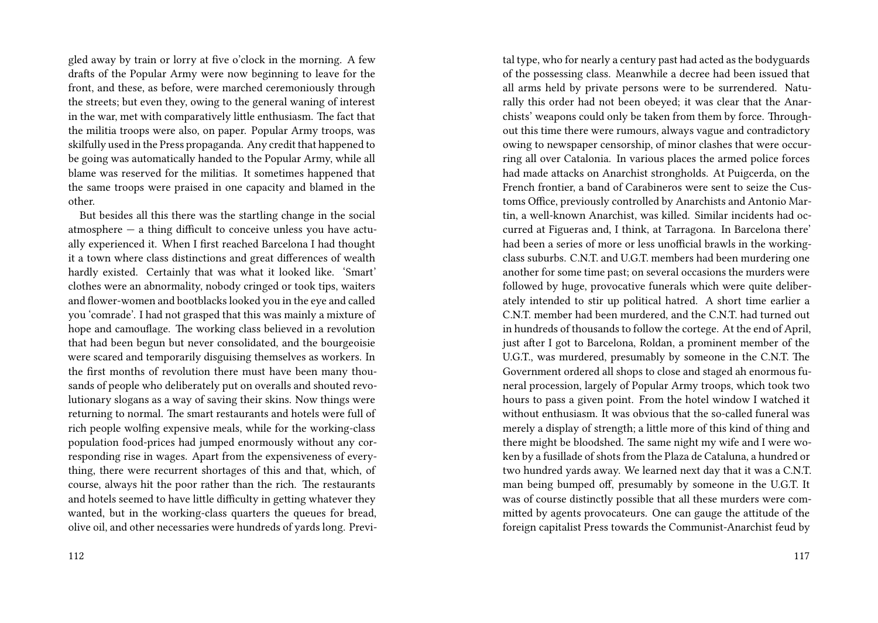gled away by train or lorry at five o'clock in the morning. A few drafts of the Popular Army were now beginning to leave for the front, and these, as before, were marched ceremoniously through the streets; but even they, owing to the general waning of interest in the war, met with comparatively little enthusiasm. The fact that the militia troops were also, on paper. Popular Army troops, was skilfully used in the Press propaganda. Any credit that happened to be going was automatically handed to the Popular Army, while all blame was reserved for the militias. It sometimes happened that the same troops were praised in one capacity and blamed in the other.

But besides all this there was the startling change in the social atmosphere — a thing difficult to conceive unless you have actually experienced it. When I first reached Barcelona I had thought it a town where class distinctions and great differences of wealth hardly existed. Certainly that was what it looked like. 'Smart' clothes were an abnormality, nobody cringed or took tips, waiters and flower-women and bootblacks looked you in the eye and called you 'comrade'. I had not grasped that this was mainly a mixture of hope and camouflage. The working class believed in a revolution that had been begun but never consolidated, and the bourgeoisie were scared and temporarily disguising themselves as workers. In the first months of revolution there must have been many thousands of people who deliberately put on overalls and shouted revolutionary slogans as a way of saving their skins. Now things were returning to normal. The smart restaurants and hotels were full of rich people wolfing expensive meals, while for the working-class population food-prices had jumped enormously without any corresponding rise in wages. Apart from the expensiveness of everything, there were recurrent shortages of this and that, which, of course, always hit the poor rather than the rich. The restaurants and hotels seemed to have little difficulty in getting whatever they wanted, but in the working-class quarters the queues for bread, olive oil, and other necessaries were hundreds of yards long. Previof the possessing class. Meanwhile a decree had been issued that all arms held by private persons were to be surrendered. Naturally this order had not been obeyed; it was clear that the Anarchists' weapons could only be taken from them by force. Throughout this time there were rumours, always vague and contradictory owing to newspaper censorship, of minor clashes that were occurring all over Catalonia. In various places the armed police forces had made attacks on Anarchist strongholds. At Puigcerda, on the French frontier, a band of Carabineros were sent to seize the Customs Office, previously controlled by Anarchists and Antonio Martin, a well-known Anarchist, was killed. Similar incidents had occurred at Figueras and, I think, at Tarragona. In Barcelona there' had been a series of more or less unofficial brawls in the workingclass suburbs. C.N.T. and U.G.T. members had been murdering one another for some time past; on several occasions the murders were followed by huge, provocative funerals which were quite deliberately intended to stir up political hatred. A short time earlier a C.N.T. member had been murdered, and the C.N.T. had turned out in hundreds of thousands to follow the cortege. At the end of April, just after I got to Barcelona, Roldan, a prominent member of the U.G.T., was murdered, presumably by someone in the C.N.T. The Government ordered all shops to close and staged ah enormous funeral procession, largely of Popular Army troops, which took two hours to pass a given point. From the hotel window I watched it without enthusiasm. It was obvious that the so-called funeral was merely a display of strength; a little more of this kind of thing and there might be bloodshed. The same night my wife and I were woken by a fusillade of shots from the Plaza de Cataluna, a hundred or two hundred yards away. We learned next day that it was a C.N.T. man being bumped off, presumably by someone in the U.G.T. It was of course distinctly possible that all these murders were committed by agents provocateurs. One can gauge the attitude of the foreign capitalist Press towards the Communist-Anarchist feud by

tal type, who for nearly a century past had acted as the bodyguards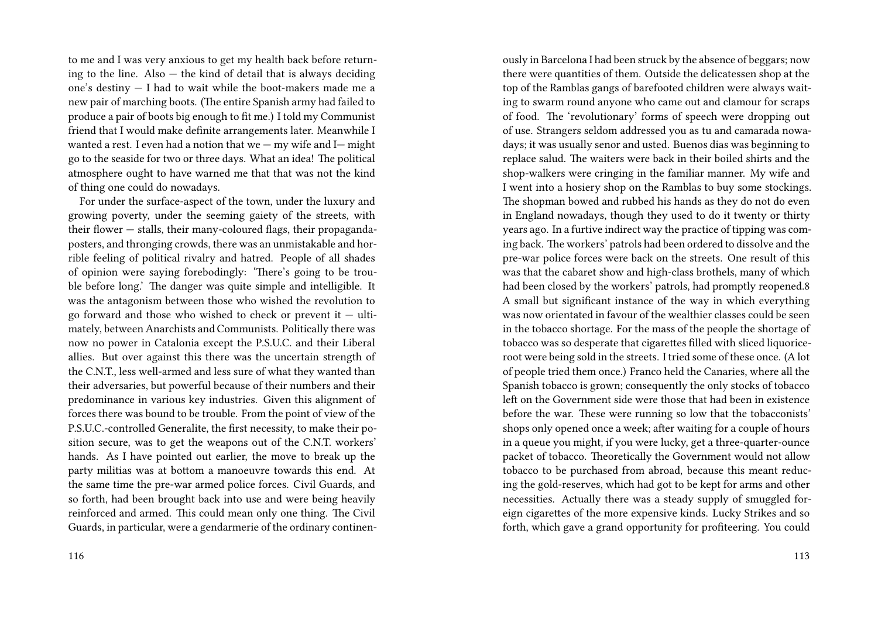to me and I was very anxious to get my health back before returning to the line. Also  $-$  the kind of detail that is always deciding one's destiny — I had to wait while the boot-makers made me a new pair of marching boots. (The entire Spanish army had failed to produce a pair of boots big enough to fit me.) I told my Communist friend that I would make definite arrangements later. Meanwhile I wanted a rest. I even had a notion that we  $-$  my wife and I $-$  might go to the seaside for two or three days. What an idea! The political atmosphere ought to have warned me that that was not the kind of thing one could do nowadays.

For under the surface-aspect of the town, under the luxury and growing poverty, under the seeming gaiety of the streets, with their flower — stalls, their many-coloured flags, their propagandaposters, and thronging crowds, there was an unmistakable and horrible feeling of political rivalry and hatred. People of all shades of opinion were saying forebodingly: 'There's going to be trouble before long.' The danger was quite simple and intelligible. It was the antagonism between those who wished the revolution to go forward and those who wished to check or prevent it  $-$  ultimately, between Anarchists and Communists. Politically there was now no power in Catalonia except the P.S.U.C. and their Liberal allies. But over against this there was the uncertain strength of the C.N.T., less well-armed and less sure of what they wanted than their adversaries, but powerful because of their numbers and their predominance in various key industries. Given this alignment of forces there was bound to be trouble. From the point of view of the P.S.U.C.-controlled Generalite, the first necessity, to make their position secure, was to get the weapons out of the C.N.T. workers' hands. As I have pointed out earlier, the move to break up the party militias was at bottom a manoeuvre towards this end. At the same time the pre-war armed police forces. Civil Guards, and so forth, had been brought back into use and were being heavily reinforced and armed. This could mean only one thing. The Civil Guards, in particular, were a gendarmerie of the ordinary continen-

there were quantities of them. Outside the delicatessen shop at the top of the Ramblas gangs of barefooted children were always waiting to swarm round anyone who came out and clamour for scraps of food. The 'revolutionary' forms of speech were dropping out of use. Strangers seldom addressed you as tu and camarada nowadays; it was usually senor and usted. Buenos dias was beginning to replace salud. The waiters were back in their boiled shirts and the shop-walkers were cringing in the familiar manner. My wife and I went into a hosiery shop on the Ramblas to buy some stockings. The shopman bowed and rubbed his hands as they do not do even in England nowadays, though they used to do it twenty or thirty years ago. In a furtive indirect way the practice of tipping was coming back. The workers' patrols had been ordered to dissolve and the pre-war police forces were back on the streets. One result of this was that the cabaret show and high-class brothels, many of which had been closed by the workers' patrols, had promptly reopened.8 A small but significant instance of the way in which everything was now orientated in favour of the wealthier classes could be seen in the tobacco shortage. For the mass of the people the shortage of tobacco was so desperate that cigarettes filled with sliced liquoriceroot were being sold in the streets. I tried some of these once. (A lot of people tried them once.) Franco held the Canaries, where all the Spanish tobacco is grown; consequently the only stocks of tobacco left on the Government side were those that had been in existence before the war. These were running so low that the tobacconists' shops only opened once a week; after waiting for a couple of hours in a queue you might, if you were lucky, get a three-quarter-ounce packet of tobacco. Theoretically the Government would not allow tobacco to be purchased from abroad, because this meant reducing the gold-reserves, which had got to be kept for arms and other necessities. Actually there was a steady supply of smuggled foreign cigarettes of the more expensive kinds. Lucky Strikes and so forth, which gave a grand opportunity for profiteering. You could

ously in Barcelona I had been struck by the absence of beggars; now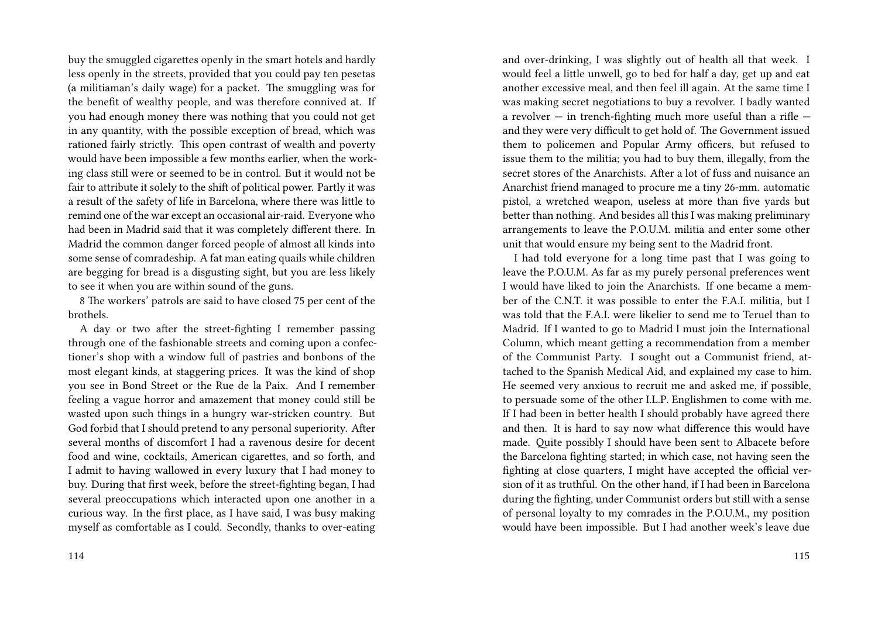buy the smuggled cigarettes openly in the smart hotels and hardly less openly in the streets, provided that you could pay ten pesetas (a militiaman's daily wage) for a packet. The smuggling was for the benefit of wealthy people, and was therefore connived at. If you had enough money there was nothing that you could not get in any quantity, with the possible exception of bread, which was rationed fairly strictly. This open contrast of wealth and poverty would have been impossible a few months earlier, when the working class still were or seemed to be in control. But it would not be fair to attribute it solely to the shift of political power. Partly it was a result of the safety of life in Barcelona, where there was little to remind one of the war except an occasional air-raid. Everyone who had been in Madrid said that it was completely different there. In Madrid the common danger forced people of almost all kinds into some sense of comradeship. A fat man eating quails while children are begging for bread is a disgusting sight, but you are less likely to see it when you are within sound of the guns.

8 The workers' patrols are said to have closed 75 per cent of the brothels.

A day or two after the street-fighting I remember passing through one of the fashionable streets and coming upon a confectioner's shop with a window full of pastries and bonbons of the most elegant kinds, at staggering prices. It was the kind of shop you see in Bond Street or the Rue de la Paix. And I remember feeling a vague horror and amazement that money could still be wasted upon such things in a hungry war-stricken country. But God forbid that I should pretend to any personal superiority. After several months of discomfort I had a ravenous desire for decent food and wine, cocktails, American cigarettes, and so forth, and I admit to having wallowed in every luxury that I had money to buy. During that first week, before the street-fighting began, I had several preoccupations which interacted upon one another in a curious way. In the first place, as I have said, I was busy making myself as comfortable as I could. Secondly, thanks to over-eating and over-drinking, I was slightly out of health all that week. I would feel a little unwell, go to bed for half a day, get up and eat another excessive meal, and then feel ill again. At the same time I was making secret negotiations to buy a revolver. I badly wanted a revolver  $-$  in trench-fighting much more useful than a rifle  $$ and they were very difficult to get hold of. The Government issued them to policemen and Popular Army officers, but refused to issue them to the militia; you had to buy them, illegally, from the secret stores of the Anarchists. After a lot of fuss and nuisance an Anarchist friend managed to procure me a tiny 26-mm. automatic pistol, a wretched weapon, useless at more than five yards but better than nothing. And besides all this I was making preliminary arrangements to leave the P.O.U.M. militia and enter some other unit that would ensure my being sent to the Madrid front.

I had told everyone for a long time past that I was going to leave the P.O.U.M. As far as my purely personal preferences went I would have liked to join the Anarchists. If one became a member of the C.N.T. it was possible to enter the F.A.I. militia, but I was told that the F.A.I. were likelier to send me to Teruel than to Madrid. If I wanted to go to Madrid I must join the International Column, which meant getting a recommendation from a member of the Communist Party. I sought out a Communist friend, attached to the Spanish Medical Aid, and explained my case to him. He seemed very anxious to recruit me and asked me, if possible, to persuade some of the other I.L.P. Englishmen to come with me. If I had been in better health I should probably have agreed there and then. It is hard to say now what difference this would have made. Quite possibly I should have been sent to Albacete before the Barcelona fighting started; in which case, not having seen the fighting at close quarters, I might have accepted the official version of it as truthful. On the other hand, if I had been in Barcelona during the fighting, under Communist orders but still with a sense of personal loyalty to my comrades in the P.O.U.M., my position would have been impossible. But I had another week's leave due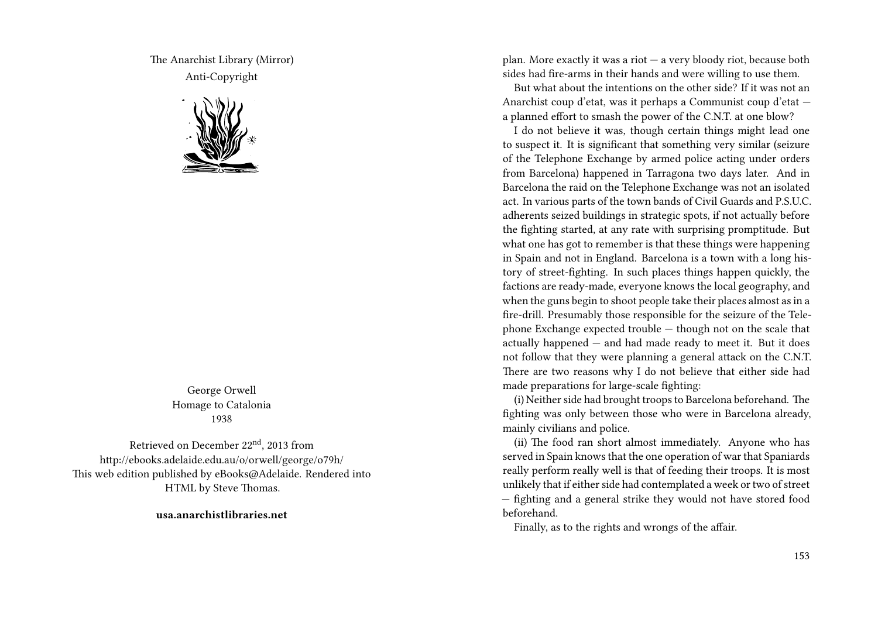The Anarchist Library (Mirror) Anti-Copyright



George Orwell Homage to Catalonia 1938

Retrieved on December 22nd, 2013 from http://ebooks.adelaide.edu.au/o/orwell/george/o79h/ This web edition published by eBooks@Adelaide. Rendered into HTML by Steve Thomas.

**usa.anarchistlibraries.net**

plan. More exactly it was a riot — a very bloody riot, because both sides had fire-arms in their hands and were willing to use them.

But what about the intentions on the other side? If it was not an Anarchist coup d'etat, was it perhaps a Communist coup d'etat a planned effort to smash the power of the C.N.T. at one blow?

I do not believe it was, though certain things might lead one to suspect it. It is significant that something very similar (seizure of the Telephone Exchange by armed police acting under orders from Barcelona) happened in Tarragona two days later. And in Barcelona the raid on the Telephone Exchange was not an isolated act. In various parts of the town bands of Civil Guards and P.S.U.C. adherents seized buildings in strategic spots, if not actually before the fighting started, at any rate with surprising promptitude. But what one has got to remember is that these things were happening in Spain and not in England. Barcelona is a town with a long history of street-fighting. In such places things happen quickly, the factions are ready-made, everyone knows the local geography, and when the guns begin to shoot people take their places almost as in a fire-drill. Presumably those responsible for the seizure of the Telephone Exchange expected trouble — though not on the scale that actually happened — and had made ready to meet it. But it does not follow that they were planning a general attack on the C.N.T. There are two reasons why I do not believe that either side had made preparations for large-scale fighting:

(i) Neither side had brought troops to Barcelona beforehand. The fighting was only between those who were in Barcelona already, mainly civilians and police.

(ii) The food ran short almost immediately. Anyone who has served in Spain knows that the one operation of war that Spaniards really perform really well is that of feeding their troops. It is most unlikely that if either side had contemplated a week or two of street — fighting and a general strike they would not have stored food beforehand.

Finally, as to the rights and wrongs of the affair.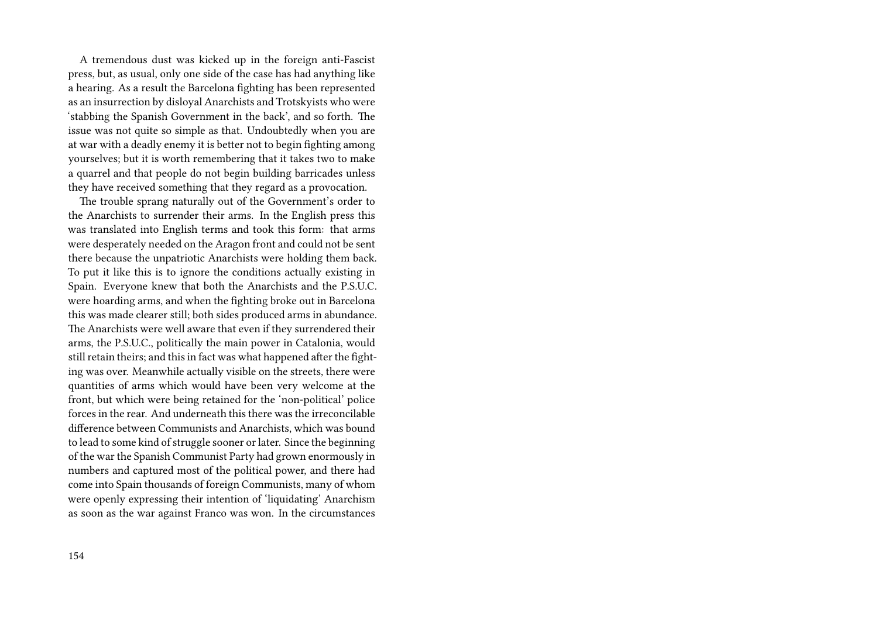A tremendous dust was kicked up in the foreign anti-Fascist press, but, as usual, only one side of the case has had anything like a hearing. As a result the Barcelona fighting has been represented as an insurrection by disloyal Anarchists and Trotskyists who were 'stabbing the Spanish Government in the back', and so forth. The issue was not quite so simple as that. Undoubtedly when you are at war with a deadly enemy it is better not to begin fighting among yourselves; but it is worth remembering that it takes two to make a quarrel and that people do not begin building barricades unless they have received something that they regard as a provocation.

The trouble sprang naturally out of the Government's order to the Anarchists to surrender their arms. In the English press this was translated into English terms and took this form: that arms were desperately needed on the Aragon front and could not be sent there because the unpatriotic Anarchists were holding them back. To put it like this is to ignore the conditions actually existing in Spain. Everyone knew that both the Anarchists and the P.S.U.C. were hoarding arms, and when the fighting broke out in Barcelona this was made clearer still; both sides produced arms in abundance. The Anarchists were well aware that even if they surrendered their arms, the P.S.U.C., politically the main power in Catalonia, would still retain theirs; and this in fact was what happened after the fighting was over. Meanwhile actually visible on the streets, there were quantities of arms which would have been very welcome at the front, but which were being retained for the 'non-political' police forces in the rear. And underneath this there was the irreconcilable difference between Communists and Anarchists, which was bound to lead to some kind of struggle sooner or later. Since the beginning of the war the Spanish Communist Party had grown enormously in numbers and captured most of the political power, and there had come into Spain thousands of foreign Communists, many of whom were openly expressing their intention of 'liquidating' Anarchism as soon as the war against Franco was won. In the circumstances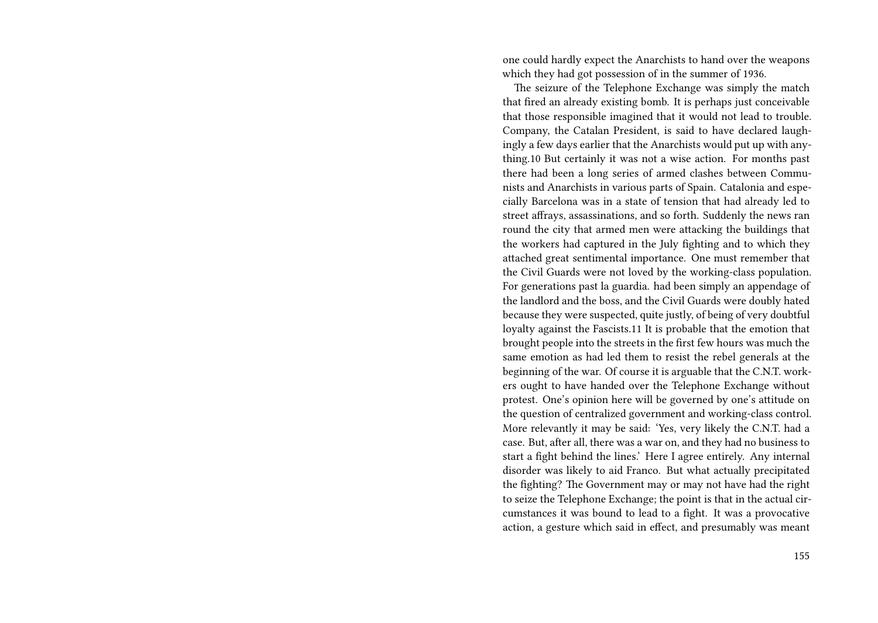one could hardly expect the Anarchists to hand over the weapons which they had got possession of in the summer of 1936.

The seizure of the Telephone Exchange was simply the match that fired an already existing bomb. It is perhaps just conceivable that those responsible imagined that it would not lead to trouble. Company, the Catalan President, is said to have declared laughingly a few days earlier that the Anarchists would put up with anything.10 But certainly it was not a wise action. For months past there had been a long series of armed clashes between Communists and Anarchists in various parts of Spain. Catalonia and especially Barcelona was in a state of tension that had already led to street affrays, assassinations, and so forth. Suddenly the news ran round the city that armed men were attacking the buildings that the workers had captured in the July fighting and to which they attached great sentimental importance. One must remember that the Civil Guards were not loved by the working-class population. For generations past la guardia. had been simply an appendage of the landlord and the boss, and the Civil Guards were doubly hated because they were suspected, quite justly, of being of very doubtful loyalty against the Fascists.11 It is probable that the emotion that brought people into the streets in the first few hours was much the same emotion as had led them to resist the rebel generals at the beginning of the war. Of course it is arguable that the C.N.T. workers ought to have handed over the Telephone Exchange without protest. One's opinion here will be governed by one's attitude on the question of centralized government and working-class control. More relevantly it may be said: 'Yes, very likely the C.N.T. had a case. But, after all, there was a war on, and they had no business to start a fight behind the lines.' Here I agree entirely. Any internal disorder was likely to aid Franco. But what actually precipitated the fighting? The Government may or may not have had the right to seize the Telephone Exchange; the point is that in the actual circumstances it was bound to lead to a fight. It was a provocative action, a gesture which said in effect, and presumably was meant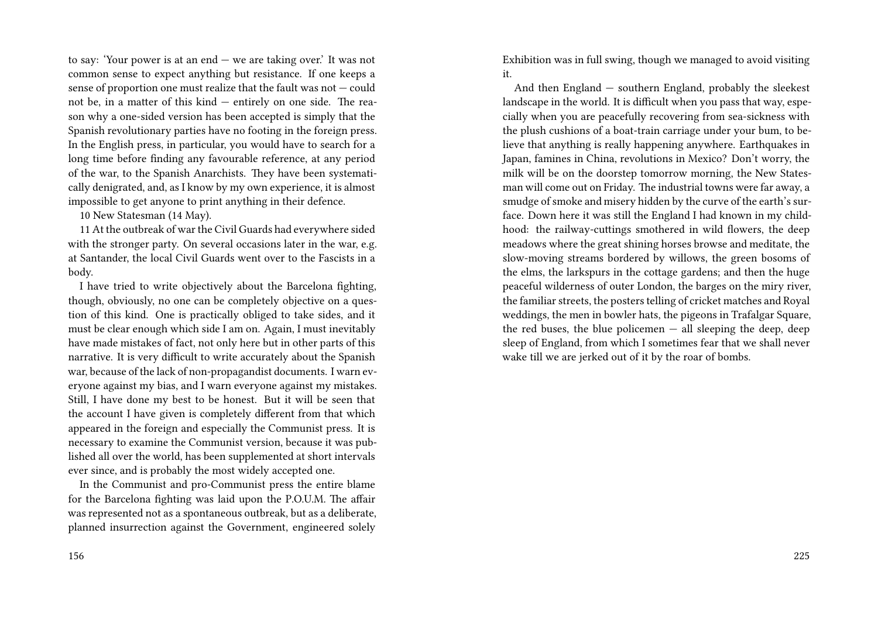to say: 'Your power is at an end — we are taking over.' It was not common sense to expect anything but resistance. If one keeps a sense of proportion one must realize that the fault was not — could not be, in a matter of this kind — entirely on one side. The reason why a one-sided version has been accepted is simply that the Spanish revolutionary parties have no footing in the foreign press. In the English press, in particular, you would have to search for a long time before finding any favourable reference, at any period of the war, to the Spanish Anarchists. They have been systematically denigrated, and, as I know by my own experience, it is almost impossible to get anyone to print anything in their defence.

10 New Statesman (14 May).

11 At the outbreak of war the Civil Guards had everywhere sided with the stronger party. On several occasions later in the war, e.g. at Santander, the local Civil Guards went over to the Fascists in a body.

I have tried to write objectively about the Barcelona fighting, though, obviously, no one can be completely objective on a question of this kind. One is practically obliged to take sides, and it must be clear enough which side I am on. Again, I must inevitably have made mistakes of fact, not only here but in other parts of this narrative. It is very difficult to write accurately about the Spanish war, because of the lack of non-propagandist documents. I warn everyone against my bias, and I warn everyone against my mistakes. Still, I have done my best to be honest. But it will be seen that the account I have given is completely different from that which appeared in the foreign and especially the Communist press. It is necessary to examine the Communist version, because it was published all over the world, has been supplemented at short intervals ever since, and is probably the most widely accepted one.

In the Communist and pro-Communist press the entire blame for the Barcelona fighting was laid upon the P.O.U.M. The affair was represented not as a spontaneous outbreak, but as a deliberate, planned insurrection against the Government, engineered solely Exhibition was in full swing, though we managed to avoid visiting it.

And then England — southern England, probably the sleekest landscape in the world. It is difficult when you pass that way, especially when you are peacefully recovering from sea-sickness with the plush cushions of a boat-train carriage under your bum, to believe that anything is really happening anywhere. Earthquakes in Japan, famines in China, revolutions in Mexico? Don't worry, the milk will be on the doorstep tomorrow morning, the New Statesman will come out on Friday. The industrial towns were far away, a smudge of smoke and misery hidden by the curve of the earth's surface. Down here it was still the England I had known in my childhood: the railway-cuttings smothered in wild flowers, the deep meadows where the great shining horses browse and meditate, the slow-moving streams bordered by willows, the green bosoms of the elms, the larkspurs in the cottage gardens; and then the huge peaceful wilderness of outer London, the barges on the miry river, the familiar streets, the posters telling of cricket matches and Royal weddings, the men in bowler hats, the pigeons in Trafalgar Square, the red buses, the blue policemen  $-$  all sleeping the deep, deep sleep of England, from which I sometimes fear that we shall never wake till we are jerked out of it by the roar of bombs.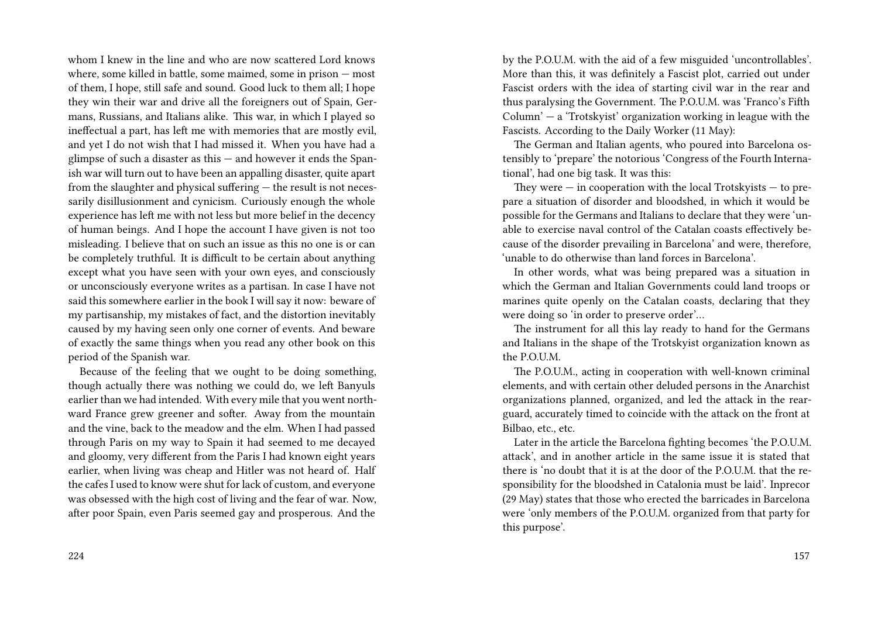whom I knew in the line and who are now scattered Lord knows where, some killed in battle, some maimed, some in prison — most of them, I hope, still safe and sound. Good luck to them all; I hope they win their war and drive all the foreigners out of Spain, Germans, Russians, and Italians alike. This war, in which I played so ineffectual a part, has left me with memories that are mostly evil, and yet I do not wish that I had missed it. When you have had a glimpse of such a disaster as this — and however it ends the Spanish war will turn out to have been an appalling disaster, quite apart from the slaughter and physical suffering — the result is not necessarily disillusionment and cynicism. Curiously enough the whole experience has left me with not less but more belief in the decency of human beings. And I hope the account I have given is not too misleading. I believe that on such an issue as this no one is or can be completely truthful. It is difficult to be certain about anything except what you have seen with your own eyes, and consciously or unconsciously everyone writes as a partisan. In case I have not said this somewhere earlier in the book I will say it now: beware of my partisanship, my mistakes of fact, and the distortion inevitably caused by my having seen only one corner of events. And beware of exactly the same things when you read any other book on this period of the Spanish war.

Because of the feeling that we ought to be doing something, though actually there was nothing we could do, we left Banyuls earlier than we had intended. With every mile that you went northward France grew greener and softer. Away from the mountain and the vine, back to the meadow and the elm. When I had passed through Paris on my way to Spain it had seemed to me decayed and gloomy, very different from the Paris I had known eight years earlier, when living was cheap and Hitler was not heard of. Half the cafes I used to know were shut for lack of custom, and everyone was obsessed with the high cost of living and the fear of war. Now, after poor Spain, even Paris seemed gay and prosperous. And the

224

by the P.O.U.M. with the aid of a few misguided 'uncontrollables'. More than this, it was definitely a Fascist plot, carried out under Fascist orders with the idea of starting civil war in the rear and thus paralysing the Government. The P.O.U.M. was 'Franco's Fifth Column'  $-$  a 'Trotskyist' organization working in league with the Fascists. According to the Daily Worker (11 May):

The German and Italian agents, who poured into Barcelona ostensibly to 'prepare' the notorious 'Congress of the Fourth International', had one big task. It was this:

They were  $-$  in cooperation with the local Trotskyists  $-$  to prepare a situation of disorder and bloodshed, in which it would be possible for the Germans and Italians to declare that they were 'unable to exercise naval control of the Catalan coasts effectively because of the disorder prevailing in Barcelona' and were, therefore, 'unable to do otherwise than land forces in Barcelona'.

In other words, what was being prepared was a situation in which the German and Italian Governments could land troops or marines quite openly on the Catalan coasts, declaring that they were doing so 'in order to preserve order'…

The instrument for all this lay ready to hand for the Germans and Italians in the shape of the Trotskyist organization known as the P.O.U.M.

The P.O.U.M., acting in cooperation with well-known criminal elements, and with certain other deluded persons in the Anarchist organizations planned, organized, and led the attack in the rearguard, accurately timed to coincide with the attack on the front at Bilbao, etc., etc.

Later in the article the Barcelona fighting becomes 'the P.O.U.M. attack', and in another article in the same issue it is stated that there is 'no doubt that it is at the door of the P.O.U.M. that the responsibility for the bloodshed in Catalonia must be laid'. Inprecor (29 May) states that those who erected the barricades in Barcelona were 'only members of the P.O.U.M. organized from that party for this purpose'.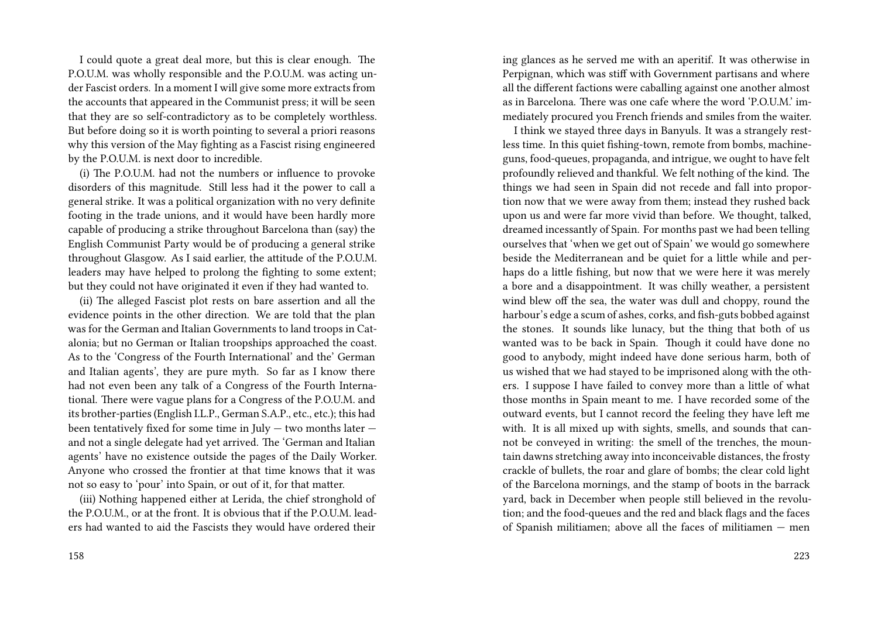I could quote a great deal more, but this is clear enough. The P.O.U.M. was wholly responsible and the P.O.U.M. was acting under Fascist orders. In a moment I will give some more extracts from the accounts that appeared in the Communist press; it will be seen that they are so self-contradictory as to be completely worthless. But before doing so it is worth pointing to several a priori reasons why this version of the May fighting as a Fascist rising engineered by the P.O.U.M. is next door to incredible.

(i) The P.O.U.M. had not the numbers or influence to provoke disorders of this magnitude. Still less had it the power to call a general strike. It was a political organization with no very definite footing in the trade unions, and it would have been hardly more capable of producing a strike throughout Barcelona than (say) the English Communist Party would be of producing a general strike throughout Glasgow. As I said earlier, the attitude of the P.O.U.M. leaders may have helped to prolong the fighting to some extent; but they could not have originated it even if they had wanted to.

(ii) The alleged Fascist plot rests on bare assertion and all the evidence points in the other direction. We are told that the plan was for the German and Italian Governments to land troops in Catalonia; but no German or Italian troopships approached the coast. As to the 'Congress of the Fourth International' and the' German and Italian agents', they are pure myth. So far as I know there had not even been any talk of a Congress of the Fourth International. There were vague plans for a Congress of the P.O.U.M. and its brother-parties (English I.L.P., German S.A.P., etc., etc.); this had been tentatively fixed for some time in July — two months later and not a single delegate had yet arrived. The 'German and Italian agents' have no existence outside the pages of the Daily Worker. Anyone who crossed the frontier at that time knows that it was not so easy to 'pour' into Spain, or out of it, for that matter.

(iii) Nothing happened either at Lerida, the chief stronghold of the P.O.U.M., or at the front. It is obvious that if the P.O.U.M. leaders had wanted to aid the Fascists they would have ordered their ing glances as he served me with an aperitif. It was otherwise in Perpignan, which was stiff with Government partisans and where all the different factions were caballing against one another almost as in Barcelona. There was one cafe where the word 'P.O.U.M.' immediately procured you French friends and smiles from the waiter.

I think we stayed three days in Banyuls. It was a strangely restless time. In this quiet fishing-town, remote from bombs, machineguns, food-queues, propaganda, and intrigue, we ought to have felt profoundly relieved and thankful. We felt nothing of the kind. The things we had seen in Spain did not recede and fall into proportion now that we were away from them; instead they rushed back upon us and were far more vivid than before. We thought, talked, dreamed incessantly of Spain. For months past we had been telling ourselves that 'when we get out of Spain' we would go somewhere beside the Mediterranean and be quiet for a little while and perhaps do a little fishing, but now that we were here it was merely a bore and a disappointment. It was chilly weather, a persistent wind blew off the sea, the water was dull and choppy, round the harbour's edge a scum of ashes, corks, and fish-guts bobbed against the stones. It sounds like lunacy, but the thing that both of us wanted was to be back in Spain. Though it could have done no good to anybody, might indeed have done serious harm, both of us wished that we had stayed to be imprisoned along with the others. I suppose I have failed to convey more than a little of what those months in Spain meant to me. I have recorded some of the outward events, but I cannot record the feeling they have left me with. It is all mixed up with sights, smells, and sounds that cannot be conveyed in writing: the smell of the trenches, the mountain dawns stretching away into inconceivable distances, the frosty crackle of bullets, the roar and glare of bombs; the clear cold light of the Barcelona mornings, and the stamp of boots in the barrack yard, back in December when people still believed in the revolution; and the food-queues and the red and black flags and the faces of Spanish militiamen; above all the faces of militiamen — men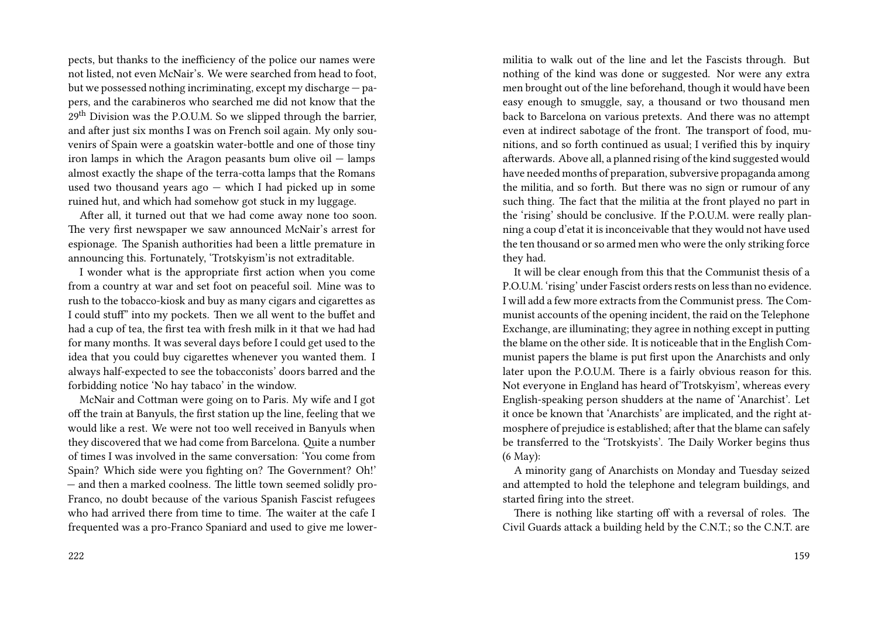pects, but thanks to the inefficiency of the police our names were not listed, not even McNair's. We were searched from head to foot, but we possessed nothing incriminating, except my discharge — papers, and the carabineros who searched me did not know that the 29th Division was the P.O.U.M. So we slipped through the barrier, and after just six months I was on French soil again. My only souvenirs of Spain were a goatskin water-bottle and one of those tiny iron lamps in which the Aragon peasants bum olive oil — lamps almost exactly the shape of the terra-cotta lamps that the Romans used two thousand years ago — which I had picked up in some ruined hut, and which had somehow got stuck in my luggage.

After all, it turned out that we had come away none too soon. The very first newspaper we saw announced McNair's arrest for espionage. The Spanish authorities had been a little premature in announcing this. Fortunately, 'Trotskyism'is not extraditable.

I wonder what is the appropriate first action when you come from a country at war and set foot on peaceful soil. Mine was to rush to the tobacco-kiosk and buy as many cigars and cigarettes as I could stuf" into my pockets. Then we all went to the buffet and had a cup of tea, the first tea with fresh milk in it that we had had for many months. It was several days before I could get used to the idea that you could buy cigarettes whenever you wanted them. I always half-expected to see the tobacconists' doors barred and the forbidding notice 'No hay tabaco' in the window.

McNair and Cottman were going on to Paris. My wife and I got off the train at Banyuls, the first station up the line, feeling that we would like a rest. We were not too well received in Banyuls when they discovered that we had come from Barcelona. Quite a number of times I was involved in the same conversation: 'You come from Spain? Which side were you fighting on? The Government? Oh!' — and then a marked coolness. The little town seemed solidly pro-Franco, no doubt because of the various Spanish Fascist refugees who had arrived there from time to time. The waiter at the cafe I frequented was a pro-Franco Spaniard and used to give me lower-

militia to walk out of the line and let the Fascists through. But nothing of the kind was done or suggested. Nor were any extra men brought out of the line beforehand, though it would have been easy enough to smuggle, say, a thousand or two thousand men back to Barcelona on various pretexts. And there was no attempt even at indirect sabotage of the front. The transport of food, munitions, and so forth continued as usual; I verified this by inquiry afterwards. Above all, a planned rising of the kind suggested would have needed months of preparation, subversive propaganda among the militia, and so forth. But there was no sign or rumour of any such thing. The fact that the militia at the front played no part in the 'rising' should be conclusive. If the P.O.U.M. were really planning a coup d'etat it is inconceivable that they would not have used the ten thousand or so armed men who were the only striking force they had.

It will be clear enough from this that the Communist thesis of a P.O.U.M. 'rising' under Fascist orders rests on less than no evidence. I will add a few more extracts from the Communist press. The Communist accounts of the opening incident, the raid on the Telephone Exchange, are illuminating; they agree in nothing except in putting the blame on the other side. It is noticeable that in the English Communist papers the blame is put first upon the Anarchists and only later upon the P.O.U.M. There is a fairly obvious reason for this. Not everyone in England has heard of'Trotskyism', whereas every English-speaking person shudders at the name of 'Anarchist'. Let it once be known that 'Anarchists' are implicated, and the right atmosphere of prejudice is established; after that the blame can safely be transferred to the 'Trotskyists'. The Daily Worker begins thus (6 May):

A minority gang of Anarchists on Monday and Tuesday seized and attempted to hold the telephone and telegram buildings, and started firing into the street.

There is nothing like starting off with a reversal of roles. The Civil Guards attack a building held by the C.N.T.; so the C.N.T. are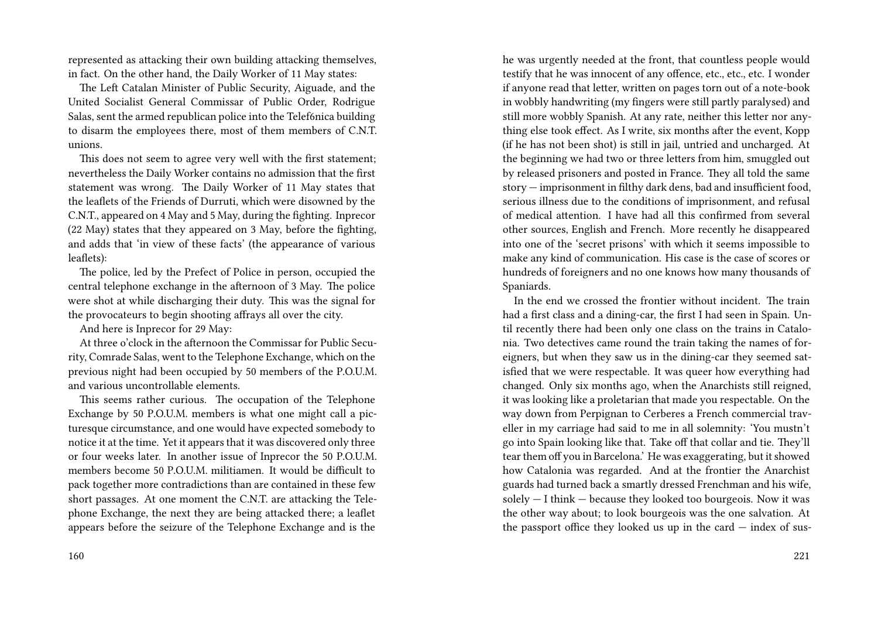represented as attacking their own building attacking themselves, in fact. On the other hand, the Daily Worker of 11 May states:

The Left Catalan Minister of Public Security, Aiguade, and the United Socialist General Commissar of Public Order, Rodrigue Salas, sent the armed republican police into the Telef6nica building to disarm the employees there, most of them members of C.N.T. unions.

This does not seem to agree very well with the first statement; nevertheless the Daily Worker contains no admission that the first statement was wrong. The Daily Worker of 11 May states that the leaflets of the Friends of Durruti, which were disowned by the C.N.T., appeared on 4 May and 5 May, during the fighting. Inprecor (22 May) states that they appeared on 3 May, before the fighting, and adds that 'in view of these facts' (the appearance of various leaflets):

The police, led by the Prefect of Police in person, occupied the central telephone exchange in the afternoon of 3 May. The police were shot at while discharging their duty. This was the signal for the provocateurs to begin shooting affrays all over the city.

And here is Inprecor for 29 May:

At three o'clock in the afternoon the Commissar for Public Security, Comrade Salas, went to the Telephone Exchange, which on the previous night had been occupied by 50 members of the P.O.U.M. and various uncontrollable elements.

This seems rather curious. The occupation of the Telephone Exchange by 50 P.O.U.M. members is what one might call a picturesque circumstance, and one would have expected somebody to notice it at the time. Yet it appears that it was discovered only three or four weeks later. In another issue of Inprecor the 50 P.O.U.M. members become 50 P.O.U.M. militiamen. It would be difficult to pack together more contradictions than are contained in these few short passages. At one moment the C.N.T. are attacking the Telephone Exchange, the next they are being attacked there; a leaflet appears before the seizure of the Telephone Exchange and is the

he was urgently needed at the front, that countless people would testify that he was innocent of any offence, etc., etc., etc. I wonder if anyone read that letter, written on pages torn out of a note-book in wobbly handwriting (my fingers were still partly paralysed) and still more wobbly Spanish. At any rate, neither this letter nor anything else took effect. As I write, six months after the event, Kopp (if he has not been shot) is still in jail, untried and uncharged. At the beginning we had two or three letters from him, smuggled out by released prisoners and posted in France. They all told the same story — imprisonment in filthy dark dens, bad and insufficient food, serious illness due to the conditions of imprisonment, and refusal of medical attention. I have had all this confirmed from several other sources, English and French. More recently he disappeared into one of the 'secret prisons' with which it seems impossible to make any kind of communication. His case is the case of scores or hundreds of foreigners and no one knows how many thousands of Spaniards.

In the end we crossed the frontier without incident. The train had a first class and a dining-car, the first I had seen in Spain. Until recently there had been only one class on the trains in Catalonia. Two detectives came round the train taking the names of foreigners, but when they saw us in the dining-car they seemed satisfied that we were respectable. It was queer how everything had changed. Only six months ago, when the Anarchists still reigned, it was looking like a proletarian that made you respectable. On the way down from Perpignan to Cerberes a French commercial traveller in my carriage had said to me in all solemnity: 'You mustn't go into Spain looking like that. Take off that collar and tie. They'll tear them off you in Barcelona.' He was exaggerating, but it showed how Catalonia was regarded. And at the frontier the Anarchist guards had turned back a smartly dressed Frenchman and his wife, solely  $-$  I think  $-$  because they looked too bourgeois. Now it was the other way about; to look bourgeois was the one salvation. At the passport office they looked us up in the card  $-$  index of sus-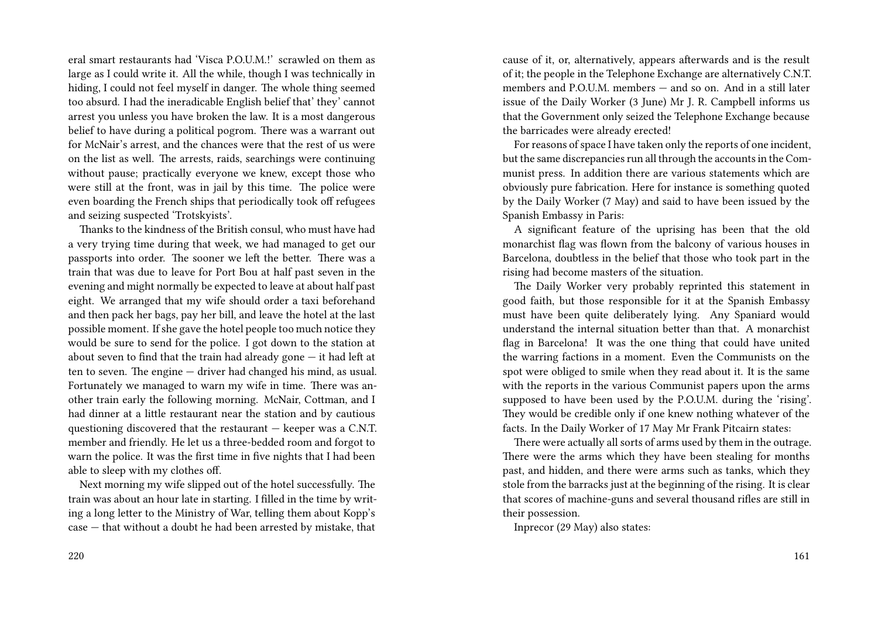eral smart restaurants had 'Visca P.O.U.M.!' scrawled on them as large as I could write it. All the while, though I was technically in hiding, I could not feel myself in danger. The whole thing seemed too absurd. I had the ineradicable English belief that' they' cannot arrest you unless you have broken the law. It is a most dangerous belief to have during a political pogrom. There was a warrant out for McNair's arrest, and the chances were that the rest of us were on the list as well. The arrests, raids, searchings were continuing without pause; practically everyone we knew, except those who were still at the front, was in jail by this time. The police were even boarding the French ships that periodically took off refugees and seizing suspected 'Trotskyists'.

Thanks to the kindness of the British consul, who must have had a very trying time during that week, we had managed to get our passports into order. The sooner we left the better. There was a train that was due to leave for Port Bou at half past seven in the evening and might normally be expected to leave at about half past eight. We arranged that my wife should order a taxi beforehand and then pack her bags, pay her bill, and leave the hotel at the last possible moment. If she gave the hotel people too much notice they would be sure to send for the police. I got down to the station at about seven to find that the train had already gone — it had left at ten to seven. The engine — driver had changed his mind, as usual. Fortunately we managed to warn my wife in time. There was another train early the following morning. McNair, Cottman, and I had dinner at a little restaurant near the station and by cautious questioning discovered that the restaurant — keeper was a C.N.T. member and friendly. He let us a three-bedded room and forgot to warn the police. It was the first time in five nights that I had been able to sleep with my clothes off.

Next morning my wife slipped out of the hotel successfully. The train was about an hour late in starting. I filled in the time by writing a long letter to the Ministry of War, telling them about Kopp's case — that without a doubt he had been arrested by mistake, that cause of it, or, alternatively, appears afterwards and is the result of it; the people in the Telephone Exchange are alternatively C.N.T. members and P.O.U.M. members — and so on. And in a still later issue of the Daily Worker (3 June) Mr J. R. Campbell informs us that the Government only seized the Telephone Exchange because the barricades were already erected!

For reasons of space I have taken only the reports of one incident, but the same discrepancies run all through the accounts in the Communist press. In addition there are various statements which are obviously pure fabrication. Here for instance is something quoted by the Daily Worker (7 May) and said to have been issued by the Spanish Embassy in Paris:

A significant feature of the uprising has been that the old monarchist flag was flown from the balcony of various houses in Barcelona, doubtless in the belief that those who took part in the rising had become masters of the situation.

The Daily Worker very probably reprinted this statement in good faith, but those responsible for it at the Spanish Embassy must have been quite deliberately lying. Any Spaniard would understand the internal situation better than that. A monarchist flag in Barcelona! It was the one thing that could have united the warring factions in a moment. Even the Communists on the spot were obliged to smile when they read about it. It is the same with the reports in the various Communist papers upon the arms supposed to have been used by the P.O.U.M. during the 'rising'. They would be credible only if one knew nothing whatever of the facts. In the Daily Worker of 17 May Mr Frank Pitcairn states:

There were actually all sorts of arms used by them in the outrage. There were the arms which they have been stealing for months past, and hidden, and there were arms such as tanks, which they stole from the barracks just at the beginning of the rising. It is clear that scores of machine-guns and several thousand rifles are still in their possession.

Inprecor (29 May) also states: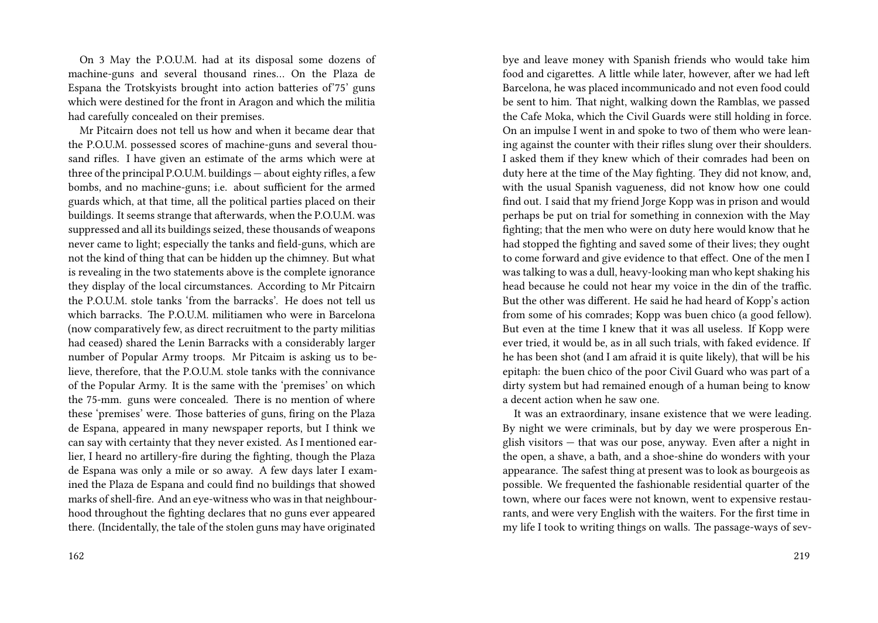On 3 May the P.O.U.M. had at its disposal some dozens of machine-guns and several thousand rines… On the Plaza de Espana the Trotskyists brought into action batteries of'75' guns which were destined for the front in Aragon and which the militia had carefully concealed on their premises.

Mr Pitcairn does not tell us how and when it became dear that the P.O.U.M. possessed scores of machine-guns and several thousand rifles. I have given an estimate of the arms which were at three of the principal P.O.U.M. buildings — about eighty rifles, a few bombs, and no machine-guns; i.e. about sufficient for the armed guards which, at that time, all the political parties placed on their buildings. It seems strange that afterwards, when the P.O.U.M. was suppressed and all its buildings seized, these thousands of weapons never came to light; especially the tanks and field-guns, which are not the kind of thing that can be hidden up the chimney. But what is revealing in the two statements above is the complete ignorance they display of the local circumstances. According to Mr Pitcairn the P.O.U.M. stole tanks 'from the barracks'. He does not tell us which barracks. The P.O.U.M. militiamen who were in Barcelona (now comparatively few, as direct recruitment to the party militias had ceased) shared the Lenin Barracks with a considerably larger number of Popular Army troops. Mr Pitcaim is asking us to believe, therefore, that the P.O.U.M. stole tanks with the connivance of the Popular Army. It is the same with the 'premises' on which the 75-mm. guns were concealed. There is no mention of where these 'premises' were. Those batteries of guns, firing on the Plaza de Espana, appeared in many newspaper reports, but I think we can say with certainty that they never existed. As I mentioned earlier, I heard no artillery-fire during the fighting, though the Plaza de Espana was only a mile or so away. A few days later I examined the Plaza de Espana and could find no buildings that showed marks of shell-fire. And an eye-witness who was in that neighbourhood throughout the fighting declares that no guns ever appeared there. (Incidentally, the tale of the stolen guns may have originated

162

bye and leave money with Spanish friends who would take him food and cigarettes. A little while later, however, after we had left Barcelona, he was placed incommunicado and not even food could be sent to him. That night, walking down the Ramblas, we passed the Cafe Moka, which the Civil Guards were still holding in force. On an impulse I went in and spoke to two of them who were leaning against the counter with their rifles slung over their shoulders. I asked them if they knew which of their comrades had been on duty here at the time of the May fighting. They did not know, and, with the usual Spanish vagueness, did not know how one could find out. I said that my friend Jorge Kopp was in prison and would perhaps be put on trial for something in connexion with the May fighting; that the men who were on duty here would know that he had stopped the fighting and saved some of their lives; they ought to come forward and give evidence to that effect. One of the men I was talking to was a dull, heavy-looking man who kept shaking his head because he could not hear my voice in the din of the traffic. But the other was different. He said he had heard of Kopp's action from some of his comrades; Kopp was buen chico (a good fellow). But even at the time I knew that it was all useless. If Kopp were ever tried, it would be, as in all such trials, with faked evidence. If he has been shot (and I am afraid it is quite likely), that will be his epitaph: the buen chico of the poor Civil Guard who was part of a dirty system but had remained enough of a human being to know a decent action when he saw one.

It was an extraordinary, insane existence that we were leading. By night we were criminals, but by day we were prosperous English visitors — that was our pose, anyway. Even after a night in the open, a shave, a bath, and a shoe-shine do wonders with your appearance. The safest thing at present was to look as bourgeois as possible. We frequented the fashionable residential quarter of the town, where our faces were not known, went to expensive restaurants, and were very English with the waiters. For the first time in my life I took to writing things on walls. The passage-ways of sev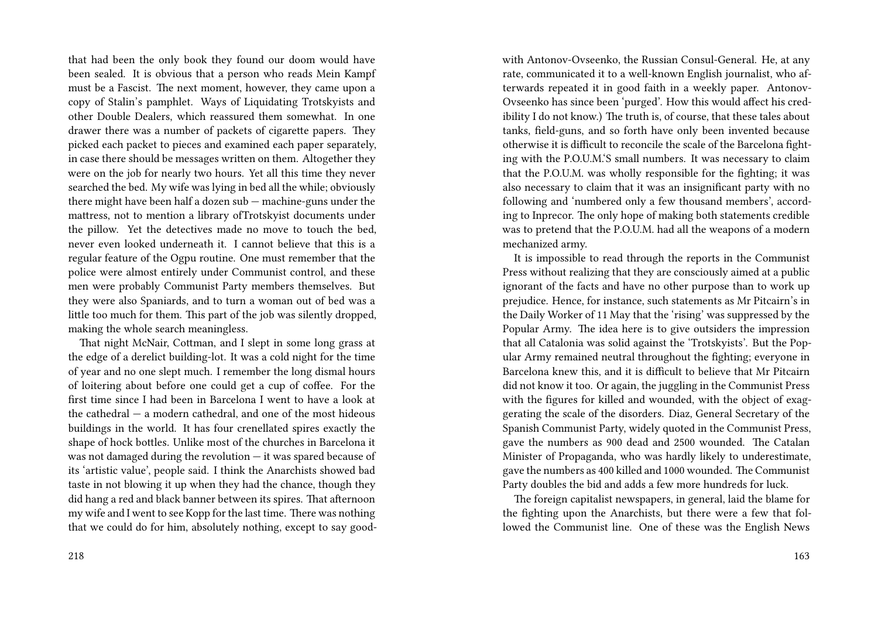that had been the only book they found our doom would have been sealed. It is obvious that a person who reads Mein Kampf must be a Fascist. The next moment, however, they came upon a copy of Stalin's pamphlet. Ways of Liquidating Trotskyists and other Double Dealers, which reassured them somewhat. In one drawer there was a number of packets of cigarette papers. They picked each packet to pieces and examined each paper separately, in case there should be messages written on them. Altogether they were on the job for nearly two hours. Yet all this time they never searched the bed. My wife was lying in bed all the while; obviously there might have been half a dozen sub — machine-guns under the mattress, not to mention a library ofTrotskyist documents under the pillow. Yet the detectives made no move to touch the bed, never even looked underneath it. I cannot believe that this is a regular feature of the Ogpu routine. One must remember that the police were almost entirely under Communist control, and these men were probably Communist Party members themselves. But they were also Spaniards, and to turn a woman out of bed was a little too much for them. This part of the job was silently dropped, making the whole search meaningless.

That night McNair, Cottman, and I slept in some long grass at the edge of a derelict building-lot. It was a cold night for the time of year and no one slept much. I remember the long dismal hours of loitering about before one could get a cup of coffee. For the first time since I had been in Barcelona I went to have a look at the cathedral  $-$  a modern cathedral, and one of the most hideous buildings in the world. It has four crenellated spires exactly the shape of hock bottles. Unlike most of the churches in Barcelona it was not damaged during the revolution  $-$  it was spared because of its 'artistic value', people said. I think the Anarchists showed bad taste in not blowing it up when they had the chance, though they did hang a red and black banner between its spires. That afternoon my wife and I went to see Kopp for the last time. There was nothing that we could do for him, absolutely nothing, except to say goodwith Antonov-Ovseenko, the Russian Consul-General. He, at any rate, communicated it to a well-known English journalist, who afterwards repeated it in good faith in a weekly paper. Antonov-Ovseenko has since been 'purged'. How this would affect his credibility I do not know.) The truth is, of course, that these tales about tanks, field-guns, and so forth have only been invented because otherwise it is difficult to reconcile the scale of the Barcelona fighting with the P.O.U.M.'S small numbers. It was necessary to claim that the P.O.U.M. was wholly responsible for the fighting; it was also necessary to claim that it was an insignificant party with no following and 'numbered only a few thousand members', according to Inprecor. The only hope of making both statements credible was to pretend that the P.O.U.M. had all the weapons of a modern mechanized army.

It is impossible to read through the reports in the Communist Press without realizing that they are consciously aimed at a public ignorant of the facts and have no other purpose than to work up prejudice. Hence, for instance, such statements as Mr Pitcairn's in the Daily Worker of 11 May that the 'rising' was suppressed by the Popular Army. The idea here is to give outsiders the impression that all Catalonia was solid against the 'Trotskyists'. But the Popular Army remained neutral throughout the fighting; everyone in Barcelona knew this, and it is difficult to believe that Mr Pitcairn did not know it too. Or again, the juggling in the Communist Press with the figures for killed and wounded, with the object of exaggerating the scale of the disorders. Diaz, General Secretary of the Spanish Communist Party, widely quoted in the Communist Press, gave the numbers as 900 dead and 2500 wounded. The Catalan Minister of Propaganda, who was hardly likely to underestimate, gave the numbers as 400 killed and 1000 wounded. The Communist Party doubles the bid and adds a few more hundreds for luck.

The foreign capitalist newspapers, in general, laid the blame for the fighting upon the Anarchists, but there were a few that followed the Communist line. One of these was the English News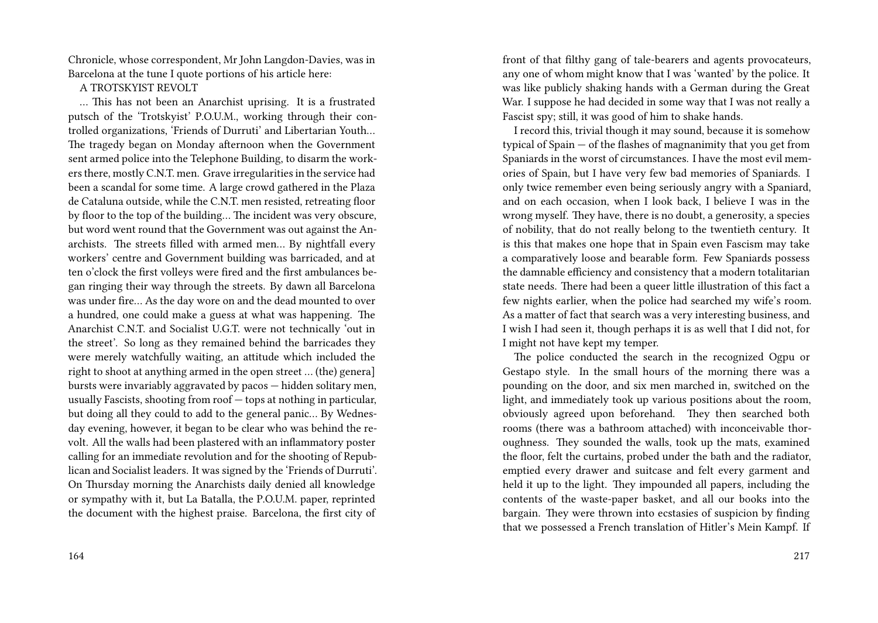Chronicle, whose correspondent, Mr John Langdon-Davies, was in Barcelona at the tune I quote portions of his article here:

### A TROTSKYIST REVOLT

… This has not been an Anarchist uprising. It is a frustrated putsch of the 'Trotskyist' P.O.U.M., working through their controlled organizations, 'Friends of Durruti' and Libertarian Youth… The tragedy began on Monday afternoon when the Government sent armed police into the Telephone Building, to disarm the workers there, mostly C.N.T. men. Grave irregularities in the service had been a scandal for some time. A large crowd gathered in the Plaza de Cataluna outside, while the C.N.T. men resisted, retreating floor by floor to the top of the building… The incident was very obscure, but word went round that the Government was out against the Anarchists. The streets filled with armed men… By nightfall every workers' centre and Government building was barricaded, and at ten o'clock the first volleys were fired and the first ambulances began ringing their way through the streets. By dawn all Barcelona was under fire… As the day wore on and the dead mounted to over a hundred, one could make a guess at what was happening. The Anarchist C.N.T. and Socialist U.G.T. were not technically 'out in the street'. So long as they remained behind the barricades they were merely watchfully waiting, an attitude which included the right to shoot at anything armed in the open street … (the) genera] bursts were invariably aggravated by pacos — hidden solitary men, usually Fascists, shooting from roof — tops at nothing in particular, but doing all they could to add to the general panic… By Wednesday evening, however, it began to be clear who was behind the revolt. All the walls had been plastered with an inflammatory poster calling for an immediate revolution and for the shooting of Republican and Socialist leaders. It was signed by the 'Friends of Durruti'. On Thursday morning the Anarchists daily denied all knowledge or sympathy with it, but La Batalla, the P.O.U.M. paper, reprinted the document with the highest praise. Barcelona, the first city of front of that filthy gang of tale-bearers and agents provocateurs, any one of whom might know that I was 'wanted' by the police. It was like publicly shaking hands with a German during the Great War. I suppose he had decided in some way that I was not really a Fascist spy; still, it was good of him to shake hands.

I record this, trivial though it may sound, because it is somehow typical of Spain — of the flashes of magnanimity that you get from Spaniards in the worst of circumstances. I have the most evil memories of Spain, but I have very few bad memories of Spaniards. I only twice remember even being seriously angry with a Spaniard, and on each occasion, when I look back, I believe I was in the wrong myself. They have, there is no doubt, a generosity, a species of nobility, that do not really belong to the twentieth century. It is this that makes one hope that in Spain even Fascism may take a comparatively loose and bearable form. Few Spaniards possess the damnable efficiency and consistency that a modern totalitarian state needs. There had been a queer little illustration of this fact a few nights earlier, when the police had searched my wife's room. As a matter of fact that search was a very interesting business, and I wish I had seen it, though perhaps it is as well that I did not, for I might not have kept my temper.

The police conducted the search in the recognized Ogpu or Gestapo style. In the small hours of the morning there was a pounding on the door, and six men marched in, switched on the light, and immediately took up various positions about the room, obviously agreed upon beforehand. They then searched both rooms (there was a bathroom attached) with inconceivable thoroughness. They sounded the walls, took up the mats, examined the floor, felt the curtains, probed under the bath and the radiator, emptied every drawer and suitcase and felt every garment and held it up to the light. They impounded all papers, including the contents of the waste-paper basket, and all our books into the bargain. They were thrown into ecstasies of suspicion by finding that we possessed a French translation of Hitler's Mein Kampf. If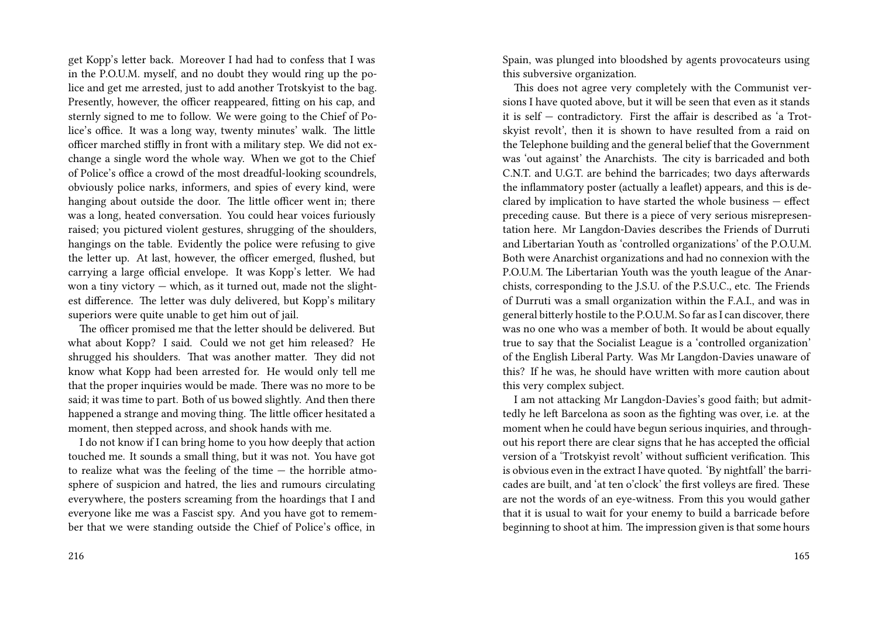get Kopp's letter back. Moreover I had had to confess that I was in the P.O.U.M. myself, and no doubt they would ring up the police and get me arrested, just to add another Trotskyist to the bag. Presently, however, the officer reappeared, fitting on his cap, and sternly signed to me to follow. We were going to the Chief of Police's office. It was a long way, twenty minutes' walk. The little officer marched stiffly in front with a military step. We did not exchange a single word the whole way. When we got to the Chief of Police's office a crowd of the most dreadful-looking scoundrels, obviously police narks, informers, and spies of every kind, were hanging about outside the door. The little officer went in; there was a long, heated conversation. You could hear voices furiously raised; you pictured violent gestures, shrugging of the shoulders, hangings on the table. Evidently the police were refusing to give the letter up. At last, however, the officer emerged, flushed, but carrying a large official envelope. It was Kopp's letter. We had won a tiny victory  $-$  which, as it turned out, made not the slightest difference. The letter was duly delivered, but Kopp's military superiors were quite unable to get him out of jail.

The officer promised me that the letter should be delivered. But what about Kopp? I said. Could we not get him released? He shrugged his shoulders. That was another matter. They did not know what Kopp had been arrested for. He would only tell me that the proper inquiries would be made. There was no more to be said; it was time to part. Both of us bowed slightly. And then there happened a strange and moving thing. The little officer hesitated a moment, then stepped across, and shook hands with me.

I do not know if I can bring home to you how deeply that action touched me. It sounds a small thing, but it was not. You have got to realize what was the feeling of the time — the horrible atmosphere of suspicion and hatred, the lies and rumours circulating everywhere, the posters screaming from the hoardings that I and everyone like me was a Fascist spy. And you have got to remember that we were standing outside the Chief of Police's office, in Spain, was plunged into bloodshed by agents provocateurs using this subversive organization.

This does not agree very completely with the Communist versions I have quoted above, but it will be seen that even as it stands it is self — contradictory. First the affair is described as 'a Trotskyist revolt', then it is shown to have resulted from a raid on the Telephone building and the general belief that the Government was 'out against' the Anarchists. The city is barricaded and both C.N.T. and U.G.T. are behind the barricades; two days afterwards the inflammatory poster (actually a leaflet) appears, and this is declared by implication to have started the whole business — effect preceding cause. But there is a piece of very serious misrepresentation here. Mr Langdon-Davies describes the Friends of Durruti and Libertarian Youth as 'controlled organizations' of the P.O.U.M. Both were Anarchist organizations and had no connexion with the P.O.U.M. The Libertarian Youth was the youth league of the Anarchists, corresponding to the J.S.U. of the P.S.U.C., etc. The Friends of Durruti was a small organization within the F.A.I., and was in general bitterly hostile to the P.O.U.M. So far as I can discover, there was no one who was a member of both. It would be about equally true to say that the Socialist League is a 'controlled organization' of the English Liberal Party. Was Mr Langdon-Davies unaware of this? If he was, he should have written with more caution about this very complex subject.

I am not attacking Mr Langdon-Davies's good faith; but admittedly he left Barcelona as soon as the fighting was over, i.e. at the moment when he could have begun serious inquiries, and throughout his report there are clear signs that he has accepted the official version of a 'Trotskyist revolt' without sufficient verification. This is obvious even in the extract I have quoted. 'By nightfall' the barricades are built, and 'at ten o'clock' the first volleys are fired. These are not the words of an eye-witness. From this you would gather that it is usual to wait for your enemy to build a barricade before beginning to shoot at him. The impression given is that some hours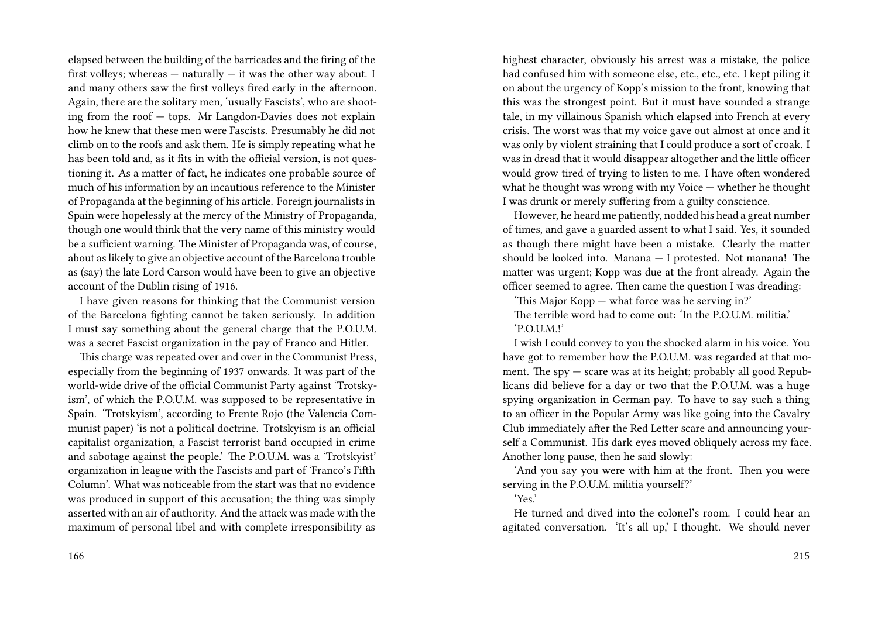elapsed between the building of the barricades and the firing of the first volleys; whereas  $-$  naturally  $-$  it was the other way about. I and many others saw the first volleys fired early in the afternoon. Again, there are the solitary men, 'usually Fascists', who are shooting from the roof — tops. Mr Langdon-Davies does not explain how he knew that these men were Fascists. Presumably he did not climb on to the roofs and ask them. He is simply repeating what he has been told and, as it fits in with the official version, is not questioning it. As a matter of fact, he indicates one probable source of much of his information by an incautious reference to the Minister of Propaganda at the beginning of his article. Foreign journalists in Spain were hopelessly at the mercy of the Ministry of Propaganda, though one would think that the very name of this ministry would be a sufficient warning. The Minister of Propaganda was, of course, about as likely to give an objective account of the Barcelona trouble as (say) the late Lord Carson would have been to give an objective account of the Dublin rising of 1916.

I have given reasons for thinking that the Communist version of the Barcelona fighting cannot be taken seriously. In addition I must say something about the general charge that the P.O.U.M. was a secret Fascist organization in the pay of Franco and Hitler.

This charge was repeated over and over in the Communist Press, especially from the beginning of 1937 onwards. It was part of the world-wide drive of the official Communist Party against 'Trotskyism', of which the P.O.U.M. was supposed to be representative in Spain. 'Trotskyism', according to Frente Rojo (the Valencia Communist paper) 'is not a political doctrine. Trotskyism is an official capitalist organization, a Fascist terrorist band occupied in crime and sabotage against the people.' The P.O.U.M. was a 'Trotskyist' organization in league with the Fascists and part of 'Franco's Fifth Column'. What was noticeable from the start was that no evidence was produced in support of this accusation; the thing was simply asserted with an air of authority. And the attack was made with the maximum of personal libel and with complete irresponsibility as

166

highest character, obviously his arrest was a mistake, the police had confused him with someone else, etc., etc., etc. I kept piling it on about the urgency of Kopp's mission to the front, knowing that this was the strongest point. But it must have sounded a strange tale, in my villainous Spanish which elapsed into French at every crisis. The worst was that my voice gave out almost at once and it was only by violent straining that I could produce a sort of croak. I was in dread that it would disappear altogether and the little officer would grow tired of trying to listen to me. I have often wondered what he thought was wrong with my Voice — whether he thought I was drunk or merely suffering from a guilty conscience.

However, he heard me patiently, nodded his head a great number of times, and gave a guarded assent to what I said. Yes, it sounded as though there might have been a mistake. Clearly the matter should be looked into. Manana — I protested. Not manana! The matter was urgent; Kopp was due at the front already. Again the officer seemed to agree. Then came the question I was dreading:

'This Major Kopp — what force was he serving in?'

The terrible word had to come out: 'In the P.O.U.M. militia.' 'P.O.U.M.!'

I wish I could convey to you the shocked alarm in his voice. You have got to remember how the P.O.U.M. was regarded at that moment. The  $spy - \text{score}$  was at its height; probably all good Republicans did believe for a day or two that the P.O.U.M. was a huge spying organization in German pay. To have to say such a thing to an officer in the Popular Army was like going into the Cavalry Club immediately after the Red Letter scare and announcing yourself a Communist. His dark eyes moved obliquely across my face. Another long pause, then he said slowly:

'And you say you were with him at the front. Then you were serving in the P.O.U.M. militia yourself?'

### 'Yes.'

He turned and dived into the colonel's room. I could hear an agitated conversation. 'It's all up,' I thought. We should never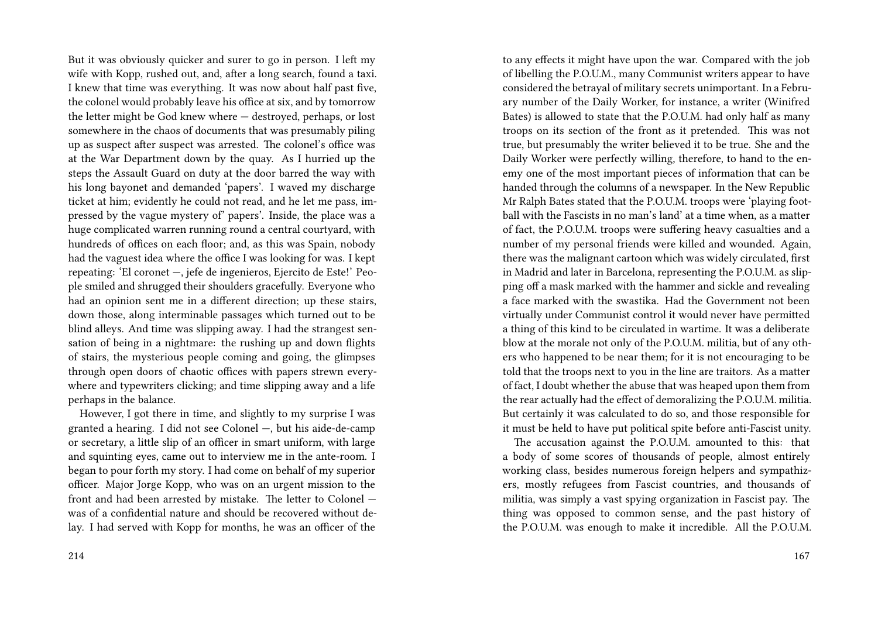But it was obviously quicker and surer to go in person. I left my wife with Kopp, rushed out, and, after a long search, found a taxi. I knew that time was everything. It was now about half past five, the colonel would probably leave his office at six, and by tomorrow the letter might be God knew where — destroyed, perhaps, or lost somewhere in the chaos of documents that was presumably piling up as suspect after suspect was arrested. The colonel's office was at the War Department down by the quay. As I hurried up the steps the Assault Guard on duty at the door barred the way with his long bayonet and demanded 'papers'. I waved my discharge ticket at him; evidently he could not read, and he let me pass, impressed by the vague mystery of' papers'. Inside, the place was a huge complicated warren running round a central courtyard, with hundreds of offices on each floor; and, as this was Spain, nobody had the vaguest idea where the office I was looking for was. I kept repeating: 'El coronet —, jefe de ingenieros, Ejercito de Este!' People smiled and shrugged their shoulders gracefully. Everyone who had an opinion sent me in a different direction; up these stairs, down those, along interminable passages which turned out to be blind alleys. And time was slipping away. I had the strangest sensation of being in a nightmare: the rushing up and down flights of stairs, the mysterious people coming and going, the glimpses through open doors of chaotic offices with papers strewn everywhere and typewriters clicking; and time slipping away and a life perhaps in the balance.

However, I got there in time, and slightly to my surprise I was granted a hearing. I did not see Colonel —, but his aide-de-camp or secretary, a little slip of an officer in smart uniform, with large and squinting eyes, came out to interview me in the ante-room. I began to pour forth my story. I had come on behalf of my superior officer. Major Jorge Kopp, who was on an urgent mission to the front and had been arrested by mistake. The letter to Colonel was of a confidential nature and should be recovered without delay. I had served with Kopp for months, he was an officer of the to any effects it might have upon the war. Compared with the job of libelling the P.O.U.M., many Communist writers appear to have considered the betrayal of military secrets unimportant. In a February number of the Daily Worker, for instance, a writer (Winifred Bates) is allowed to state that the P.O.U.M. had only half as many troops on its section of the front as it pretended. This was not true, but presumably the writer believed it to be true. She and the Daily Worker were perfectly willing, therefore, to hand to the enemy one of the most important pieces of information that can be handed through the columns of a newspaper. In the New Republic Mr Ralph Bates stated that the P.O.U.M. troops were 'playing football with the Fascists in no man's land' at a time when, as a matter of fact, the P.O.U.M. troops were suffering heavy casualties and a number of my personal friends were killed and wounded. Again, there was the malignant cartoon which was widely circulated, first in Madrid and later in Barcelona, representing the P.O.U.M. as slipping off a mask marked with the hammer and sickle and revealing a face marked with the swastika. Had the Government not been virtually under Communist control it would never have permitted a thing of this kind to be circulated in wartime. It was a deliberate blow at the morale not only of the P.O.U.M. militia, but of any others who happened to be near them; for it is not encouraging to be told that the troops next to you in the line are traitors. As a matter of fact, I doubt whether the abuse that was heaped upon them from the rear actually had the effect of demoralizing the P.O.U.M. militia. But certainly it was calculated to do so, and those responsible for it must be held to have put political spite before anti-Fascist unity.

The accusation against the P.O.U.M. amounted to this: that a body of some scores of thousands of people, almost entirely working class, besides numerous foreign helpers and sympathizers, mostly refugees from Fascist countries, and thousands of militia, was simply a vast spying organization in Fascist pay. The thing was opposed to common sense, and the past history of the P.O.U.M. was enough to make it incredible. All the P.O.U.M.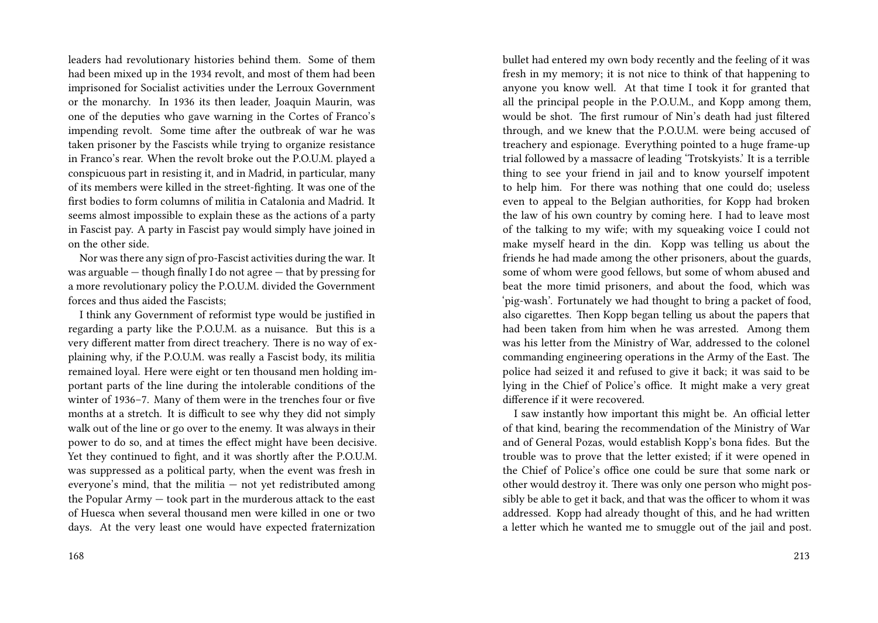leaders had revolutionary histories behind them. Some of them had been mixed up in the 1934 revolt, and most of them had been imprisoned for Socialist activities under the Lerroux Government or the monarchy. In 1936 its then leader, Joaquin Maurin, was one of the deputies who gave warning in the Cortes of Franco's impending revolt. Some time after the outbreak of war he was taken prisoner by the Fascists while trying to organize resistance in Franco's rear. When the revolt broke out the P.O.U.M. played a conspicuous part in resisting it, and in Madrid, in particular, many of its members were killed in the street-fighting. It was one of the first bodies to form columns of militia in Catalonia and Madrid. It seems almost impossible to explain these as the actions of a party in Fascist pay. A party in Fascist pay would simply have joined in on the other side.

Nor was there any sign of pro-Fascist activities during the war. It was arguable — though finally I do not agree — that by pressing for a more revolutionary policy the P.O.U.M. divided the Government forces and thus aided the Fascists;

I think any Government of reformist type would be justified in regarding a party like the P.O.U.M. as a nuisance. But this is a very different matter from direct treachery. There is no way of explaining why, if the P.O.U.M. was really a Fascist body, its militia remained loyal. Here were eight or ten thousand men holding important parts of the line during the intolerable conditions of the winter of 1936–7. Many of them were in the trenches four or five months at a stretch. It is difficult to see why they did not simply walk out of the line or go over to the enemy. It was always in their power to do so, and at times the effect might have been decisive. Yet they continued to fight, and it was shortly after the P.O.U.M. was suppressed as a political party, when the event was fresh in everyone's mind, that the militia — not yet redistributed among the Popular Army — took part in the murderous attack to the east of Huesca when several thousand men were killed in one or two days. At the very least one would have expected fraternization

bullet had entered my own body recently and the feeling of it was fresh in my memory; it is not nice to think of that happening to anyone you know well. At that time I took it for granted that all the principal people in the P.O.U.M., and Kopp among them, would be shot. The first rumour of Nin's death had just filtered through, and we knew that the P.O.U.M. were being accused of treachery and espionage. Everything pointed to a huge frame-up trial followed by a massacre of leading 'Trotskyists.' It is a terrible thing to see your friend in jail and to know yourself impotent to help him. For there was nothing that one could do; useless even to appeal to the Belgian authorities, for Kopp had broken the law of his own country by coming here. I had to leave most of the talking to my wife; with my squeaking voice I could not make myself heard in the din. Kopp was telling us about the friends he had made among the other prisoners, about the guards, some of whom were good fellows, but some of whom abused and beat the more timid prisoners, and about the food, which was 'pig-wash'. Fortunately we had thought to bring a packet of food, also cigarettes. Then Kopp began telling us about the papers that had been taken from him when he was arrested. Among them was his letter from the Ministry of War, addressed to the colonel commanding engineering operations in the Army of the East. The police had seized it and refused to give it back; it was said to be lying in the Chief of Police's office. It might make a very great difference if it were recovered.

I saw instantly how important this might be. An official letter of that kind, bearing the recommendation of the Ministry of War and of General Pozas, would establish Kopp's bona fides. But the trouble was to prove that the letter existed; if it were opened in the Chief of Police's office one could be sure that some nark or other would destroy it. There was only one person who might possibly be able to get it back, and that was the officer to whom it was addressed. Kopp had already thought of this, and he had written a letter which he wanted me to smuggle out of the jail and post.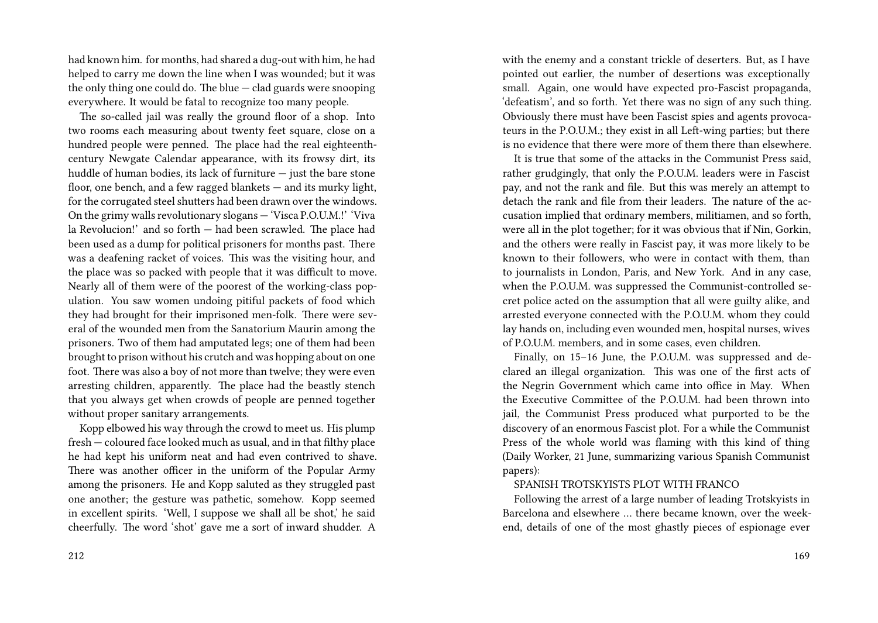had known him. for months, had shared a dug-out with him, he had helped to carry me down the line when I was wounded; but it was the only thing one could do. The blue  $-$  clad guards were snooping everywhere. It would be fatal to recognize too many people.

The so-called jail was really the ground floor of a shop. Into two rooms each measuring about twenty feet square, close on a hundred people were penned. The place had the real eighteenthcentury Newgate Calendar appearance, with its frowsy dirt, its huddle of human bodies, its lack of furniture — just the bare stone floor, one bench, and a few ragged blankets — and its murky light, for the corrugated steel shutters had been drawn over the windows. On the grimy walls revolutionary slogans — 'Visca P.O.U.M.!' 'Viva la Revolucion!' and so forth — had been scrawled. The place had been used as a dump for political prisoners for months past. There was a deafening racket of voices. This was the visiting hour, and the place was so packed with people that it was difficult to move. Nearly all of them were of the poorest of the working-class population. You saw women undoing pitiful packets of food which they had brought for their imprisoned men-folk. There were several of the wounded men from the Sanatorium Maurin among the prisoners. Two of them had amputated legs; one of them had been brought to prison without his crutch and was hopping about on one foot. There was also a boy of not more than twelve; they were even arresting children, apparently. The place had the beastly stench that you always get when crowds of people are penned together without proper sanitary arrangements.

Kopp elbowed his way through the crowd to meet us. His plump fresh — coloured face looked much as usual, and in that filthy place he had kept his uniform neat and had even contrived to shave. There was another officer in the uniform of the Popular Army among the prisoners. He and Kopp saluted as they struggled past one another; the gesture was pathetic, somehow. Kopp seemed in excellent spirits. 'Well, I suppose we shall all be shot,' he said cheerfully. The word 'shot' gave me a sort of inward shudder. A

with the enemy and a constant trickle of deserters. But, as I have pointed out earlier, the number of desertions was exceptionally small. Again, one would have expected pro-Fascist propaganda, 'defeatism', and so forth. Yet there was no sign of any such thing. Obviously there must have been Fascist spies and agents provocateurs in the P.O.U.M.; they exist in all Left-wing parties; but there is no evidence that there were more of them there than elsewhere.

It is true that some of the attacks in the Communist Press said, rather grudgingly, that only the P.O.U.M. leaders were in Fascist pay, and not the rank and file. But this was merely an attempt to detach the rank and file from their leaders. The nature of the accusation implied that ordinary members, militiamen, and so forth, were all in the plot together; for it was obvious that if Nin, Gorkin, and the others were really in Fascist pay, it was more likely to be known to their followers, who were in contact with them, than to journalists in London, Paris, and New York. And in any case, when the P.O.U.M. was suppressed the Communist-controlled secret police acted on the assumption that all were guilty alike, and arrested everyone connected with the P.O.U.M. whom they could lay hands on, including even wounded men, hospital nurses, wives of P.O.U.M. members, and in some cases, even children.

Finally, on 15–16 June, the P.O.U.M. was suppressed and declared an illegal organization. This was one of the first acts of the Negrin Government which came into office in May. When the Executive Committee of the P.O.U.M. had been thrown into jail, the Communist Press produced what purported to be the discovery of an enormous Fascist plot. For a while the Communist Press of the whole world was flaming with this kind of thing (Daily Worker, 21 June, summarizing various Spanish Communist papers):

#### SPANISH TROTSKYISTS PLOT WITH FRANCO

Following the arrest of a large number of leading Trotskyists in Barcelona and elsewhere … there became known, over the weekend, details of one of the most ghastly pieces of espionage ever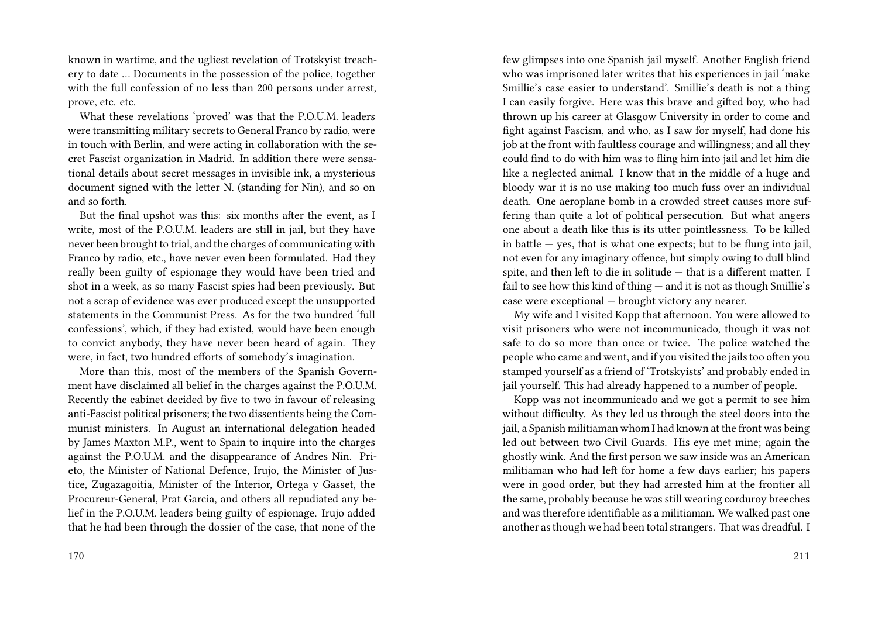known in wartime, and the ugliest revelation of Trotskyist treachery to date … Documents in the possession of the police, together with the full confession of no less than 200 persons under arrest, prove, etc. etc.

What these revelations 'proved' was that the P.O.U.M. leaders were transmitting military secrets to General Franco by radio, were in touch with Berlin, and were acting in collaboration with the secret Fascist organization in Madrid. In addition there were sensational details about secret messages in invisible ink, a mysterious document signed with the letter N. (standing for Nin), and so on and so forth.

But the final upshot was this: six months after the event, as I write, most of the P.O.U.M. leaders are still in jail, but they have never been brought to trial, and the charges of communicating with Franco by radio, etc., have never even been formulated. Had they really been guilty of espionage they would have been tried and shot in a week, as so many Fascist spies had been previously. But not a scrap of evidence was ever produced except the unsupported statements in the Communist Press. As for the two hundred 'full confessions', which, if they had existed, would have been enough to convict anybody, they have never been heard of again. They were, in fact, two hundred efforts of somebody's imagination.

More than this, most of the members of the Spanish Government have disclaimed all belief in the charges against the P.O.U.M. Recently the cabinet decided by five to two in favour of releasing anti-Fascist political prisoners; the two dissentients being the Communist ministers. In August an international delegation headed by James Maxton M.P., went to Spain to inquire into the charges against the P.O.U.M. and the disappearance of Andres Nin. Prieto, the Minister of National Defence, Irujo, the Minister of Justice, Zugazagoitia, Minister of the Interior, Ortega y Gasset, the Procureur-General, Prat Garcia, and others all repudiated any belief in the P.O.U.M. leaders being guilty of espionage. Irujo added that he had been through the dossier of the case, that none of the

170

few glimpses into one Spanish jail myself. Another English friend who was imprisoned later writes that his experiences in jail 'make Smillie's case easier to understand'. Smillie's death is not a thing I can easily forgive. Here was this brave and gifted boy, who had thrown up his career at Glasgow University in order to come and fight against Fascism, and who, as I saw for myself, had done his job at the front with faultless courage and willingness; and all they could find to do with him was to fling him into jail and let him die like a neglected animal. I know that in the middle of a huge and bloody war it is no use making too much fuss over an individual death. One aeroplane bomb in a crowded street causes more suffering than quite a lot of political persecution. But what angers one about a death like this is its utter pointlessness. To be killed in battle  $-$  yes, that is what one expects; but to be flung into jail, not even for any imaginary offence, but simply owing to dull blind spite, and then left to die in solitude — that is a different matter. I fail to see how this kind of thing — and it is not as though Smillie's case were exceptional — brought victory any nearer.

My wife and I visited Kopp that afternoon. You were allowed to visit prisoners who were not incommunicado, though it was not safe to do so more than once or twice. The police watched the people who came and went, and if you visited the jails too often you stamped yourself as a friend of 'Trotskyists' and probably ended in jail yourself. This had already happened to a number of people.

Kopp was not incommunicado and we got a permit to see him without difficulty. As they led us through the steel doors into the jail, a Spanish militiaman whom I had known at the front was being led out between two Civil Guards. His eye met mine; again the ghostly wink. And the first person we saw inside was an American militiaman who had left for home a few days earlier; his papers were in good order, but they had arrested him at the frontier all the same, probably because he was still wearing corduroy breeches and was therefore identifiable as a militiaman. We walked past one another as though we had been total strangers. That was dreadful. I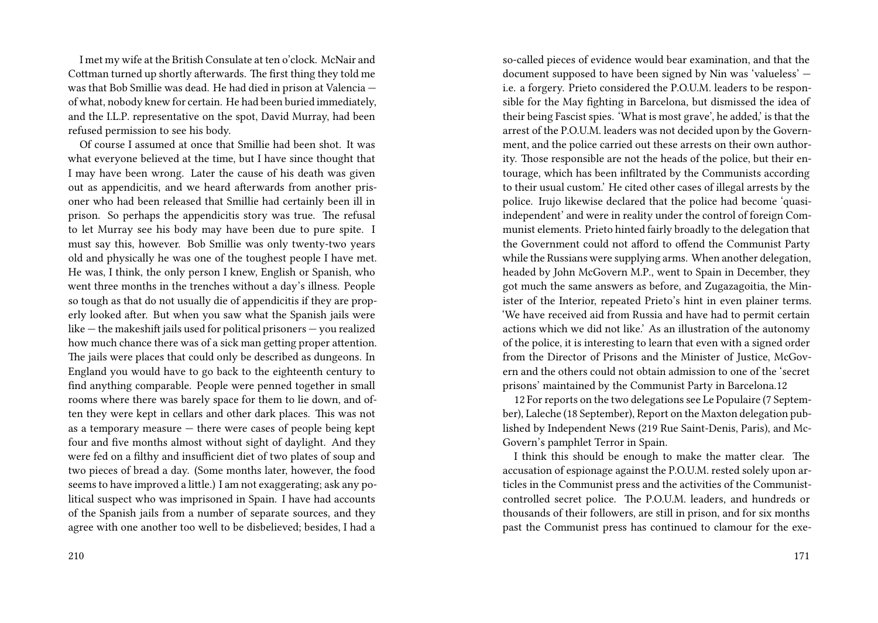I met my wife at the British Consulate at ten o'clock. McNair and Cottman turned up shortly afterwards. The first thing they told me was that Bob Smillie was dead. He had died in prison at Valencia of what, nobody knew for certain. He had been buried immediately, and the I.L.P. representative on the spot, David Murray, had been refused permission to see his body.

Of course I assumed at once that Smillie had been shot. It was what everyone believed at the time, but I have since thought that I may have been wrong. Later the cause of his death was given out as appendicitis, and we heard afterwards from another prisoner who had been released that Smillie had certainly been ill in prison. So perhaps the appendicitis story was true. The refusal to let Murray see his body may have been due to pure spite. I must say this, however. Bob Smillie was only twenty-two years old and physically he was one of the toughest people I have met. He was, I think, the only person I knew, English or Spanish, who went three months in the trenches without a day's illness. People so tough as that do not usually die of appendicitis if they are properly looked after. But when you saw what the Spanish jails were like — the makeshift jails used for political prisoners — you realized how much chance there was of a sick man getting proper attention. The jails were places that could only be described as dungeons. In England you would have to go back to the eighteenth century to find anything comparable. People were penned together in small rooms where there was barely space for them to lie down, and often they were kept in cellars and other dark places. This was not as a temporary measure — there were cases of people being kept four and five months almost without sight of daylight. And they were fed on a filthy and insufficient diet of two plates of soup and two pieces of bread a day. (Some months later, however, the food seems to have improved a little.) I am not exaggerating; ask any political suspect who was imprisoned in Spain. I have had accounts of the Spanish jails from a number of separate sources, and they agree with one another too well to be disbelieved; besides, I had a

so-called pieces of evidence would bear examination, and that the document supposed to have been signed by Nin was 'valueless' i.e. a forgery. Prieto considered the P.O.U.M. leaders to be responsible for the May fighting in Barcelona, but dismissed the idea of their being Fascist spies. 'What is most grave', he added,' is that the arrest of the P.O.U.M. leaders was not decided upon by the Government, and the police carried out these arrests on their own authority. Those responsible are not the heads of the police, but their entourage, which has been infiltrated by the Communists according to their usual custom.' He cited other cases of illegal arrests by the police. Irujo likewise declared that the police had become 'quasiindependent' and were in reality under the control of foreign Communist elements. Prieto hinted fairly broadly to the delegation that the Government could not afford to offend the Communist Party while the Russians were supplying arms. When another delegation, headed by John McGovern M.P., went to Spain in December, they got much the same answers as before, and Zugazagoitia, the Minister of the Interior, repeated Prieto's hint in even plainer terms. 'We have received aid from Russia and have had to permit certain actions which we did not like.' As an illustration of the autonomy of the police, it is interesting to learn that even with a signed order from the Director of Prisons and the Minister of Justice, McGovern and the others could not obtain admission to one of the 'secret prisons' maintained by the Communist Party in Barcelona.12

12 For reports on the two delegations see Le Populaire (7 September), Laleche (18 September), Report on the Maxton delegation published by Independent News (219 Rue Saint-Denis, Paris), and Mc-Govern's pamphlet Terror in Spain.

I think this should be enough to make the matter clear. The accusation of espionage against the P.O.U.M. rested solely upon articles in the Communist press and the activities of the Communistcontrolled secret police. The P.O.U.M. leaders, and hundreds or thousands of their followers, are still in prison, and for six months past the Communist press has continued to clamour for the exe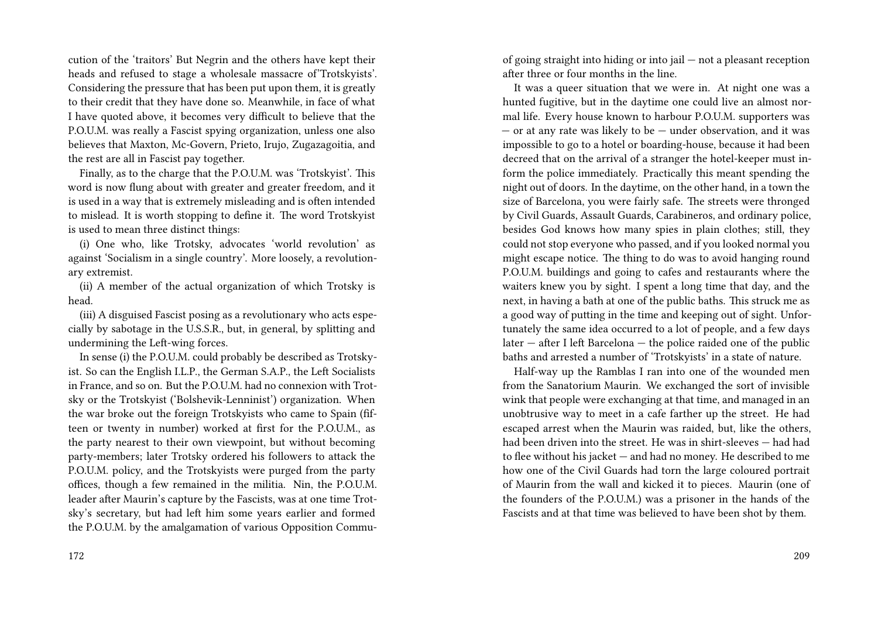cution of the 'traitors' But Negrin and the others have kept their heads and refused to stage a wholesale massacre of'Trotskyists'. Considering the pressure that has been put upon them, it is greatly to their credit that they have done so. Meanwhile, in face of what I have quoted above, it becomes very difficult to believe that the P.O.U.M. was really a Fascist spying organization, unless one also believes that Maxton, Mc-Govern, Prieto, Irujo, Zugazagoitia, and the rest are all in Fascist pay together.

Finally, as to the charge that the P.O.U.M. was 'Trotskyist'. This word is now flung about with greater and greater freedom, and it is used in a way that is extremely misleading and is often intended to mislead. It is worth stopping to define it. The word Trotskyist is used to mean three distinct things:

(i) One who, like Trotsky, advocates 'world revolution' as against 'Socialism in a single country'. More loosely, a revolutionary extremist.

(ii) A member of the actual organization of which Trotsky is head.

(iii) A disguised Fascist posing as a revolutionary who acts especially by sabotage in the U.S.S.R., but, in general, by splitting and undermining the Left-wing forces.

In sense (i) the P.O.U.M. could probably be described as Trotskyist. So can the English I.L.P., the German S.A.P., the Left Socialists in France, and so on. But the P.O.U.M. had no connexion with Trotsky or the Trotskyist ('Bolshevik-Lenninist') organization. When the war broke out the foreign Trotskyists who came to Spain (fifteen or twenty in number) worked at first for the P.O.U.M., as the party nearest to their own viewpoint, but without becoming party-members; later Trotsky ordered his followers to attack the P.O.U.M. policy, and the Trotskyists were purged from the party offices, though a few remained in the militia. Nin, the P.O.U.M. leader after Maurin's capture by the Fascists, was at one time Trotsky's secretary, but had left him some years earlier and formed the P.O.U.M. by the amalgamation of various Opposition Commu-

of going straight into hiding or into jail — not a pleasant reception after three or four months in the line.

It was a queer situation that we were in. At night one was a hunted fugitive, but in the daytime one could live an almost normal life. Every house known to harbour P.O.U.M. supporters was  $-$  or at any rate was likely to be  $-$  under observation, and it was impossible to go to a hotel or boarding-house, because it had been decreed that on the arrival of a stranger the hotel-keeper must inform the police immediately. Practically this meant spending the night out of doors. In the daytime, on the other hand, in a town the size of Barcelona, you were fairly safe. The streets were thronged by Civil Guards, Assault Guards, Carabineros, and ordinary police, besides God knows how many spies in plain clothes; still, they could not stop everyone who passed, and if you looked normal you might escape notice. The thing to do was to avoid hanging round P.O.U.M. buildings and going to cafes and restaurants where the waiters knew you by sight. I spent a long time that day, and the next, in having a bath at one of the public baths. This struck me as a good way of putting in the time and keeping out of sight. Unfortunately the same idea occurred to a lot of people, and a few days later — after I left Barcelona — the police raided one of the public baths and arrested a number of 'Trotskyists' in a state of nature.

Half-way up the Ramblas I ran into one of the wounded men from the Sanatorium Maurin. We exchanged the sort of invisible wink that people were exchanging at that time, and managed in an unobtrusive way to meet in a cafe farther up the street. He had escaped arrest when the Maurin was raided, but, like the others, had been driven into the street. He was in shirt-sleeves — had had to flee without his jacket — and had no money. He described to me how one of the Civil Guards had torn the large coloured portrait of Maurin from the wall and kicked it to pieces. Maurin (one of the founders of the P.O.U.M.) was a prisoner in the hands of the Fascists and at that time was believed to have been shot by them.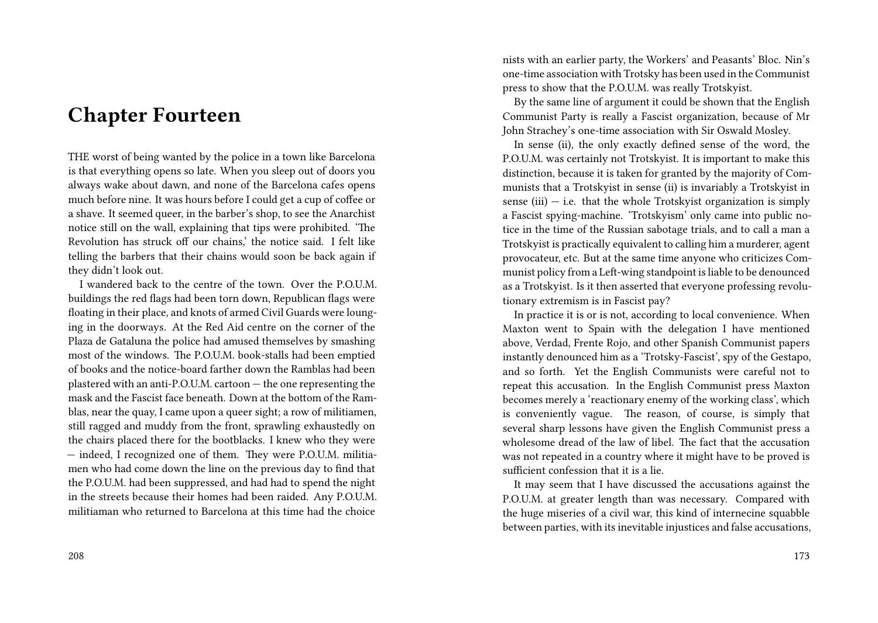# **Chapter Fourteen**

THE worst of being wanted by the police in a town like Barcelona is that everything opens so late. When you sleep out of doors you always wake about dawn, and none of the Barcelona cafes opens much before nine. It was hours before I could get a cup of coffee or a shave. It seemed queer, in the barber's shop, to see the Anarchist notice still on the wall, explaining that tips were prohibited. 'The Revolution has struck off our chains,' the notice said. I felt like telling the barbers that their chains would soon be back again if they didn't look out.

I wandered back to the centre of the town. Over the POUM buildings the red flags had been torn down, Republican flags were floating in their place, and knots of armed Civil Guards were lounging in the doorways. At the Red Aid centre on the corner of the Plaza de Gataluna the police had amused themselves by smashing most of the windows. The P.O.U.M. book-stalls had been emptied of books and the notice-board farther down the Ramblas had been plastered with an anti-P.O.U.M. cartoon — the one representing the mask and the Fascist face beneath. Down at the bottom of the Ramblas, near the quay, I came upon a queer sight; a row of militiamen, still ragged and muddy from the front, sprawling exhaustedly on the chairs placed there for the bootblacks. I knew who they were — indeed, I recognized one of them. They were P.O.U.M. militiamen who had come down the line on the previous day to find that the P.O.U.M. had been suppressed, and had had to spend the night in the streets because their homes had been raided. Any P.O.U.M. militiaman who returned to Barcelona at this time had the choice nists with an earlier party, the Workers' and Peasants' Bloc. Nin's one-time association with Trotsky has been used in the Communist press to show that the P.O.U.M. was really Trotskyist.

By the same line of argument it could be shown that the English Communist Party is really a Fascist organization, because of Mr John Strachey's one-time association with Sir Oswald Mosley.

In sense (ii), the only exactly defined sense of the word, the P.O.U.M. was certainly not Trotskyist. It is important to make this distinction, because it is taken for granted by the majority of Communists that a Trotskyist in sense (ii) is invariably a Trotskyist in sense (iii)  $-$  i.e. that the whole Trotskyist organization is simply a Fascist spying-machine. 'Trotskyism' only came into public notice in the time of the Russian sabotage trials, and to call a man a Trotskyist is practically equivalent to calling him a murderer, agent provocateur, etc. But at the same time anyone who criticizes Communist policy from a Left-wing standpoint is liable to be denounced as a Trotskyist. Is it then asserted that everyone professing revolutionary extremism is in Fascist pay?

In practice it is or is not, according to local convenience. When Maxton went to Spain with the delegation I have mentioned above, Verdad, Frente Rojo, and other Spanish Communist papers instantly denounced him as a 'Trotsky-Fascist', spy of the Gestapo, and so forth. Yet the English Communists were careful not to repeat this accusation. In the English Communist press Maxton becomes merely a 'reactionary enemy of the working class', which is conveniently vague. The reason, of course, is simply that several sharp lessons have given the English Communist press a wholesome dread of the law of libel. The fact that the accusation was not repeated in a country where it might have to be proved is sufficient confession that it is a lie.

It may seem that I have discussed the accusations against the P.O.U.M. at greater length than was necessary. Compared with the huge miseries of a civil war, this kind of internecine squabble between parties, with its inevitable injustices and false accusations,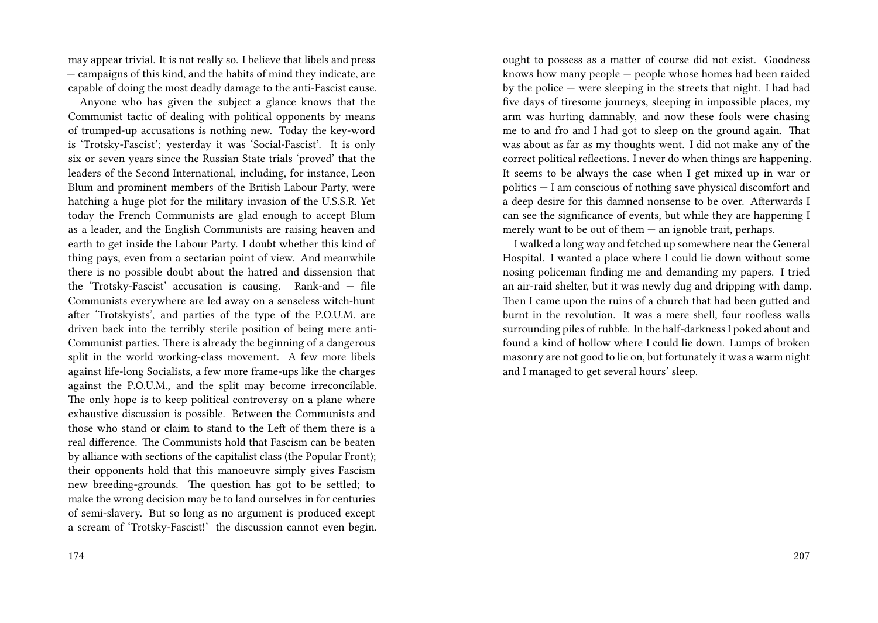may appear trivial. It is not really so. I believe that libels and press — campaigns of this kind, and the habits of mind they indicate, are capable of doing the most deadly damage to the anti-Fascist cause.

Anyone who has given the subject a glance knows that the Communist tactic of dealing with political opponents by means of trumped-up accusations is nothing new. Today the key-word is 'Trotsky-Fascist'; yesterday it was 'Social-Fascist'. It is only six or seven years since the Russian State trials 'proved' that the leaders of the Second International, including, for instance, Leon Blum and prominent members of the British Labour Party, were hatching a huge plot for the military invasion of the U.S.S.R. Yet today the French Communists are glad enough to accept Blum as a leader, and the English Communists are raising heaven and earth to get inside the Labour Party. I doubt whether this kind of thing pays, even from a sectarian point of view. And meanwhile there is no possible doubt about the hatred and dissension that the 'Trotsky-Fascist' accusation is causing. Rank-and — file Communists everywhere are led away on a senseless witch-hunt after 'Trotskyists', and parties of the type of the P.O.U.M. are driven back into the terribly sterile position of being mere anti-Communist parties. There is already the beginning of a dangerous split in the world working-class movement. A few more libels against life-long Socialists, a few more frame-ups like the charges against the P.O.U.M., and the split may become irreconcilable. The only hope is to keep political controversy on a plane where exhaustive discussion is possible. Between the Communists and those who stand or claim to stand to the Left of them there is a real difference. The Communists hold that Fascism can be beaten by alliance with sections of the capitalist class (the Popular Front); their opponents hold that this manoeuvre simply gives Fascism new breeding-grounds. The question has got to be settled; to make the wrong decision may be to land ourselves in for centuries of semi-slavery. But so long as no argument is produced except a scream of 'Trotsky-Fascist!' the discussion cannot even begin. ought to possess as a matter of course did not exist. Goodness knows how many people — people whose homes had been raided by the police — were sleeping in the streets that night. I had had five days of tiresome journeys, sleeping in impossible places, my arm was hurting damnably, and now these fools were chasing me to and fro and I had got to sleep on the ground again. That was about as far as my thoughts went. I did not make any of the correct political reflections. I never do when things are happening. It seems to be always the case when I get mixed up in war or politics — I am conscious of nothing save physical discomfort and a deep desire for this damned nonsense to be over. Afterwards I can see the significance of events, but while they are happening I merely want to be out of them  $-$  an ignoble trait, perhaps.

I walked a long way and fetched up somewhere near the General Hospital. I wanted a place where I could lie down without some nosing policeman finding me and demanding my papers. I tried an air-raid shelter, but it was newly dug and dripping with damp. Then I came upon the ruins of a church that had been gutted and burnt in the revolution. It was a mere shell, four roofless walls surrounding piles of rubble. In the half-darkness I poked about and found a kind of hollow where I could lie down. Lumps of broken masonry are not good to lie on, but fortunately it was a warm night and I managed to get several hours' sleep.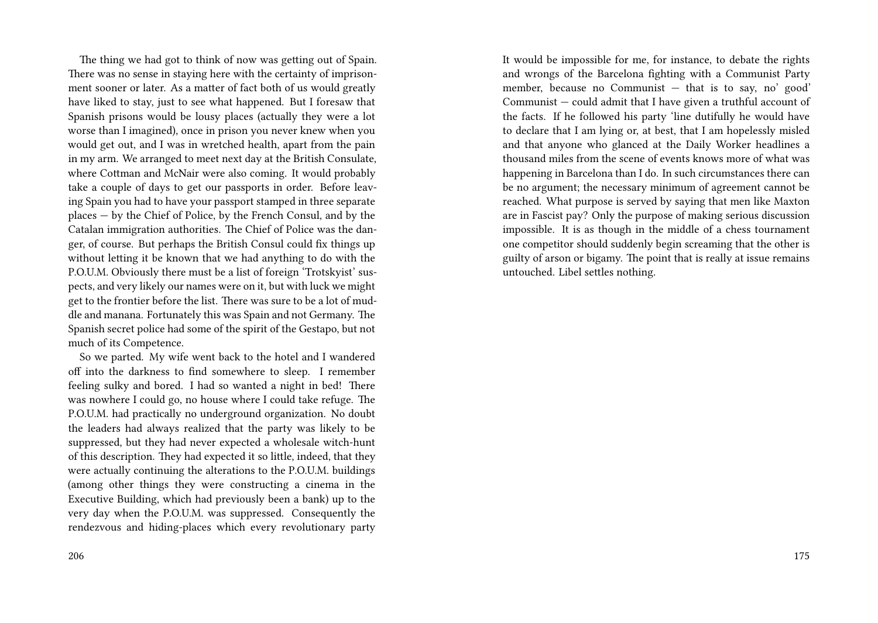The thing we had got to think of now was getting out of Spain. There was no sense in staying here with the certainty of imprisonment sooner or later. As a matter of fact both of us would greatly have liked to stay, just to see what happened. But I foresaw that Spanish prisons would be lousy places (actually they were a lot worse than I imagined), once in prison you never knew when you would get out, and I was in wretched health, apart from the pain in my arm. We arranged to meet next day at the British Consulate, where Cottman and McNair were also coming. It would probably take a couple of days to get our passports in order. Before leaving Spain you had to have your passport stamped in three separate places — by the Chief of Police, by the French Consul, and by the Catalan immigration authorities. The Chief of Police was the danger, of course. But perhaps the British Consul could fix things up without letting it be known that we had anything to do with the P.O.U.M. Obviously there must be a list of foreign 'Trotskyist' suspects, and very likely our names were on it, but with luck we might get to the frontier before the list. There was sure to be a lot of muddle and manana. Fortunately this was Spain and not Germany. The Spanish secret police had some of the spirit of the Gestapo, but not much of its Competence.

So we parted. My wife went back to the hotel and I wandered off into the darkness to find somewhere to sleep. I remember feeling sulky and bored. I had so wanted a night in bed! There was nowhere I could go, no house where I could take refuge. The P.O.U.M. had practically no underground organization. No doubt the leaders had always realized that the party was likely to be suppressed, but they had never expected a wholesale witch-hunt of this description. They had expected it so little, indeed, that they were actually continuing the alterations to the P.O.U.M. buildings (among other things they were constructing a cinema in the Executive Building, which had previously been a bank) up to the very day when the P.O.U.M. was suppressed. Consequently the rendezvous and hiding-places which every revolutionary party It would be impossible for me, for instance, to debate the rights and wrongs of the Barcelona fighting with a Communist Party member, because no Communist — that is to say, no' good' Communist — could admit that I have given a truthful account of the facts. If he followed his party 'line dutifully he would have to declare that I am lying or, at best, that I am hopelessly misled and that anyone who glanced at the Daily Worker headlines a thousand miles from the scene of events knows more of what was happening in Barcelona than I do. In such circumstances there can be no argument; the necessary minimum of agreement cannot be reached. What purpose is served by saying that men like Maxton are in Fascist pay? Only the purpose of making serious discussion impossible. It is as though in the middle of a chess tournament one competitor should suddenly begin screaming that the other is guilty of arson or bigamy. The point that is really at issue remains untouched. Libel settles nothing.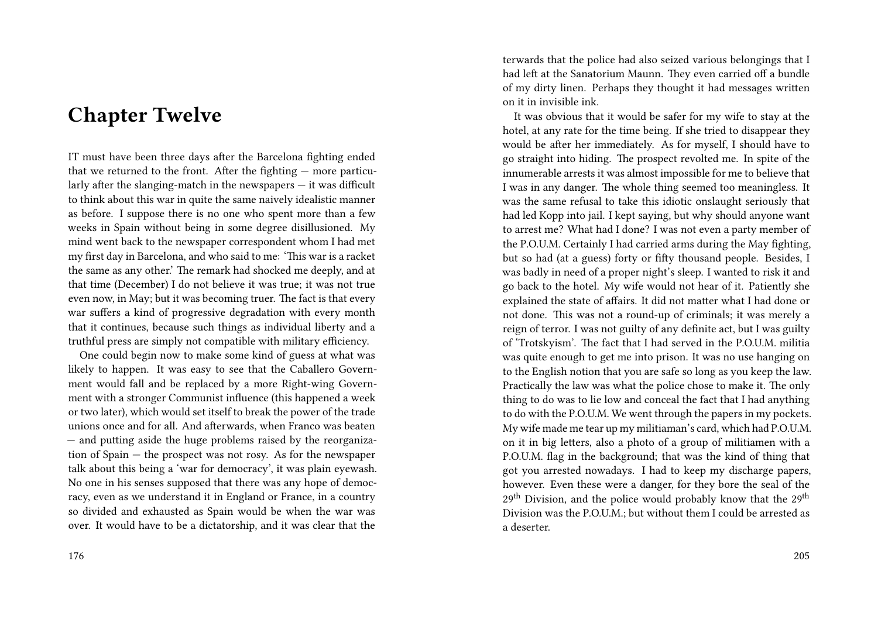# **Chapter Twelve**

IT must have been three days after the Barcelona fighting ended that we returned to the front. After the fighting — more particularly after the slanging-match in the newspapers — it was difficult to think about this war in quite the same naively idealistic manner as before. I suppose there is no one who spent more than a few weeks in Spain without being in some degree disillusioned. My mind went back to the newspaper correspondent whom I had met my first day in Barcelona, and who said to me: 'This war is a racket the same as any other.' The remark had shocked me deeply, and at that time (December) I do not believe it was true; it was not true even now, in May; but it was becoming truer. The fact is that every war suffers a kind of progressive degradation with every month that it continues, because such things as individual liberty and a truthful press are simply not compatible with military efficiency.

One could begin now to make some kind of guess at what was likely to happen. It was easy to see that the Caballero Government would fall and be replaced by a more Right-wing Government with a stronger Communist influence (this happened a week or two later), which would set itself to break the power of the trade unions once and for all. And afterwards, when Franco was beaten — and putting aside the huge problems raised by the reorganization of Spain — the prospect was not rosy. As for the newspaper talk about this being a 'war for democracy', it was plain eyewash. No one in his senses supposed that there was any hope of democracy, even as we understand it in England or France, in a country so divided and exhausted as Spain would be when the war was over. It would have to be a dictatorship, and it was clear that the

terwards that the police had also seized various belongings that I had left at the Sanatorium Maunn. They even carried off a bundle of my dirty linen. Perhaps they thought it had messages written on it in invisible ink.

It was obvious that it would be safer for my wife to stay at the hotel, at any rate for the time being. If she tried to disappear they would be after her immediately. As for myself, I should have to go straight into hiding. The prospect revolted me. In spite of the innumerable arrests it was almost impossible for me to believe that I was in any danger. The whole thing seemed too meaningless. It was the same refusal to take this idiotic onslaught seriously that had led Kopp into jail. I kept saying, but why should anyone want to arrest me? What had I done? I was not even a party member of the P.O.U.M. Certainly I had carried arms during the May fighting, but so had (at a guess) forty or fifty thousand people. Besides, I was badly in need of a proper night's sleep. I wanted to risk it and go back to the hotel. My wife would not hear of it. Patiently she explained the state of affairs. It did not matter what I had done or not done. This was not a round-up of criminals; it was merely a reign of terror. I was not guilty of any definite act, but I was guilty of 'Trotskyism'. The fact that I had served in the P.O.U.M. militia was quite enough to get me into prison. It was no use hanging on to the English notion that you are safe so long as you keep the law. Practically the law was what the police chose to make it. The only thing to do was to lie low and conceal the fact that I had anything to do with the P.O.U.M. We went through the papers in my pockets. My wife made me tear up my militiaman's card, which had P.O.U.M. on it in big letters, also a photo of a group of militiamen with a P.O.U.M. flag in the background; that was the kind of thing that got you arrested nowadays. I had to keep my discharge papers, however. Even these were a danger, for they bore the seal of the  $29<sup>th</sup>$  Division, and the police would probably know that the  $29<sup>th</sup>$ Division was the P.O.U.M.; but without them I could be arrested as a deserter.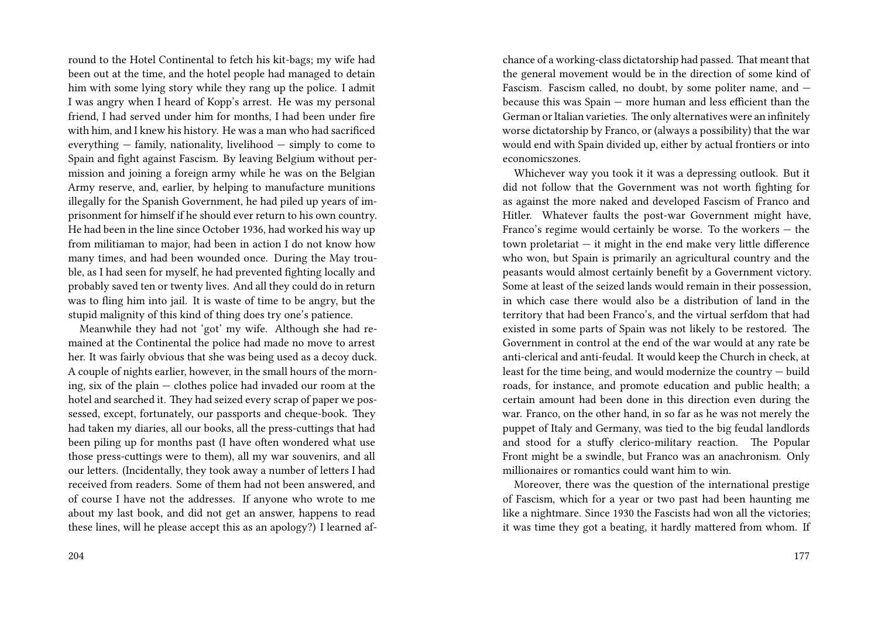round to the Hotel Continental to fetch his kit-bags; my wife had been out at the time, and the hotel people had managed to detain him with some lying story while they rang up the police. I admit I was angry when I heard of Kopp's arrest. He was my personal friend, I had served under him for months, I had been under fire with him, and I knew his history. He was a man who had sacrificed everything — family, nationality, livelihood — simply to come to Spain and fight against Fascism. By leaving Belgium without permission and joining a foreign army while he was on the Belgian Army reserve, and, earlier, by helping to manufacture munitions illegally for the Spanish Government, he had piled up years of imprisonment for himself if he should ever return to his own country. He had been in the line since October 1936, had worked his way up from militiaman to major, had been in action I do not know how many times, and had been wounded once. During the May trouble, as I had seen for myself, he had prevented fighting locally and probably saved ten or twenty lives. And all they could do in return was to fling him into jail. It is waste of time to be angry, but the stupid malignity of this kind of thing does try one's patience.

Meanwhile they had not 'got' my wife. Although she had remained at the Continental the police had made no move to arrest her. It was fairly obvious that she was being used as a decoy duck. A couple of nights earlier, however, in the small hours of the morning, six of the plain — clothes police had invaded our room at the hotel and searched it. They had seized every scrap of paper we possessed, except, fortunately, our passports and cheque-book. They had taken my diaries, all our books, all the press-cuttings that had been piling up for months past (I have often wondered what use those press-cuttings were to them), all my war souvenirs, and all our letters. (Incidentally, they took away a number of letters I had received from readers. Some of them had not been answered, and of course I have not the addresses. If anyone who wrote to me about my last book, and did not get an answer, happens to read these lines, will he please accept this as an apology?) I learned af-

chance of a working-class dictatorship had passed. That meant that the general movement would be in the direction of some kind of Fascism. Fascism called, no doubt, by some politer name, and because this was Spain — more human and less efficient than the German or Italian varieties. The only alternatives were an infinitely worse dictatorship by Franco, or (always a possibility) that the war would end with Spain divided up, either by actual frontiers or into economicszones.

Whichever way you took it it was a depressing outlook. But it did not follow that the Government was not worth fighting for as against the more naked and developed Fascism of Franco and Hitler. Whatever faults the post-war Government might have, Franco's regime would certainly be worse. To the workers — the town proletariat  $-$  it might in the end make very little difference who won, but Spain is primarily an agricultural country and the peasants would almost certainly benefit by a Government victory. Some at least of the seized lands would remain in their possession, in which case there would also be a distribution of land in the territory that had been Franco's, and the virtual serfdom that had existed in some parts of Spain was not likely to be restored. The Government in control at the end of the war would at any rate be anti-clerical and anti-feudal. It would keep the Church in check, at least for the time being, and would modernize the country — build roads, for instance, and promote education and public health; a certain amount had been done in this direction even during the war. Franco, on the other hand, in so far as he was not merely the puppet of Italy and Germany, was tied to the big feudal landlords and stood for a stuffy clerico-military reaction. The Popular Front might be a swindle, but Franco was an anachronism. Only millionaires or romantics could want him to win.

Moreover, there was the question of the international prestige of Fascism, which for a year or two past had been haunting me like a nightmare. Since 1930 the Fascists had won all the victories; it was time they got a beating, it hardly mattered from whom. If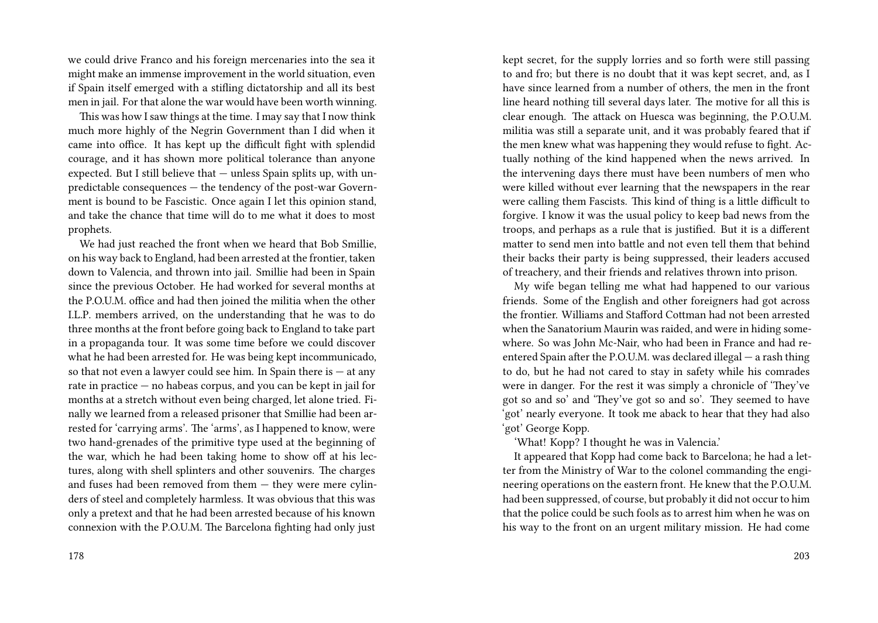we could drive Franco and his foreign mercenaries into the sea it might make an immense improvement in the world situation, even if Spain itself emerged with a stifling dictatorship and all its best men in jail. For that alone the war would have been worth winning.

This was how I saw things at the time. I may say that I now think much more highly of the Negrin Government than I did when it came into office. It has kept up the difficult fight with splendid courage, and it has shown more political tolerance than anyone expected. But I still believe that — unless Spain splits up, with unpredictable consequences — the tendency of the post-war Government is bound to be Fascistic. Once again I let this opinion stand, and take the chance that time will do to me what it does to most prophets.

We had just reached the front when we heard that Bob Smillie, on his way back to England, had been arrested at the frontier, taken down to Valencia, and thrown into jail. Smillie had been in Spain since the previous October. He had worked for several months at the P.O.U.M. office and had then joined the militia when the other I.L.P. members arrived, on the understanding that he was to do three months at the front before going back to England to take part in a propaganda tour. It was some time before we could discover what he had been arrested for. He was being kept incommunicado, so that not even a lawyer could see him. In Spain there is  $-$  at any rate in practice — no habeas corpus, and you can be kept in jail for months at a stretch without even being charged, let alone tried. Finally we learned from a released prisoner that Smillie had been arrested for 'carrying arms'. The 'arms', as I happened to know, were two hand-grenades of the primitive type used at the beginning of the war, which he had been taking home to show off at his lectures, along with shell splinters and other souvenirs. The charges and fuses had been removed from them — they were mere cylinders of steel and completely harmless. It was obvious that this was only a pretext and that he had been arrested because of his known connexion with the P.O.U.M. The Barcelona fighting had only just

178

kept secret, for the supply lorries and so forth were still passing to and fro; but there is no doubt that it was kept secret, and, as I have since learned from a number of others, the men in the front line heard nothing till several days later. The motive for all this is clear enough. The attack on Huesca was beginning, the P.O.U.M. militia was still a separate unit, and it was probably feared that if the men knew what was happening they would refuse to fight. Actually nothing of the kind happened when the news arrived. In the intervening days there must have been numbers of men who were killed without ever learning that the newspapers in the rear were calling them Fascists. This kind of thing is a little difficult to forgive. I know it was the usual policy to keep bad news from the troops, and perhaps as a rule that is justified. But it is a different matter to send men into battle and not even tell them that behind their backs their party is being suppressed, their leaders accused of treachery, and their friends and relatives thrown into prison.

My wife began telling me what had happened to our various friends. Some of the English and other foreigners had got across the frontier. Williams and Stafford Cottman had not been arrested when the Sanatorium Maurin was raided, and were in hiding somewhere. So was John Mc-Nair, who had been in France and had reentered Spain after the P.O.U.M. was declared illegal — a rash thing to do, but he had not cared to stay in safety while his comrades were in danger. For the rest it was simply a chronicle of 'They've got so and so' and 'They've got so and so'. They seemed to have 'got' nearly everyone. It took me aback to hear that they had also 'got' George Kopp.

'What! Kopp? I thought he was in Valencia.'

It appeared that Kopp had come back to Barcelona; he had a letter from the Ministry of War to the colonel commanding the engineering operations on the eastern front. He knew that the P.O.U.M. had been suppressed, of course, but probably it did not occur to him that the police could be such fools as to arrest him when he was on his way to the front on an urgent military mission. He had come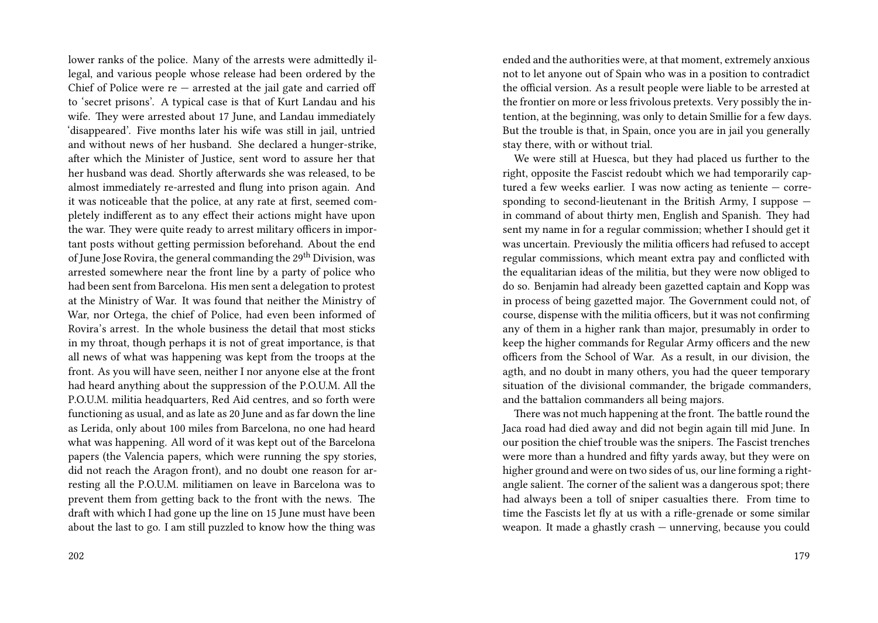lower ranks of the police. Many of the arrests were admittedly illegal, and various people whose release had been ordered by the Chief of Police were  $re$  – arrested at the jail gate and carried off to 'secret prisons'. A typical case is that of Kurt Landau and his wife. They were arrested about 17 June, and Landau immediately 'disappeared'. Five months later his wife was still in jail, untried and without news of her husband. She declared a hunger-strike, after which the Minister of Justice, sent word to assure her that her husband was dead. Shortly afterwards she was released, to be almost immediately re-arrested and flung into prison again. And it was noticeable that the police, at any rate at first, seemed completely indifferent as to any effect their actions might have upon the war. They were quite ready to arrest military officers in important posts without getting permission beforehand. About the end of June Jose Rovira, the general commanding the 29<sup>th</sup> Division, was arrested somewhere near the front line by a party of police who had been sent from Barcelona. His men sent a delegation to protest at the Ministry of War. It was found that neither the Ministry of War, nor Ortega, the chief of Police, had even been informed of Rovira's arrest. In the whole business the detail that most sticks in my throat, though perhaps it is not of great importance, is that all news of what was happening was kept from the troops at the front. As you will have seen, neither I nor anyone else at the front had heard anything about the suppression of the P.O.U.M. All the P.O.U.M. militia headquarters, Red Aid centres, and so forth were functioning as usual, and as late as 20 June and as far down the line as Lerida, only about 100 miles from Barcelona, no one had heard what was happening. All word of it was kept out of the Barcelona papers (the Valencia papers, which were running the spy stories, did not reach the Aragon front), and no doubt one reason for arresting all the P.O.U.M. militiamen on leave in Barcelona was to prevent them from getting back to the front with the news. The draft with which I had gone up the line on 15 June must have been about the last to go. I am still puzzled to know how the thing was

ended and the authorities were, at that moment, extremely anxious not to let anyone out of Spain who was in a position to contradict the official version. As a result people were liable to be arrested at the frontier on more or less frivolous pretexts. Very possibly the intention, at the beginning, was only to detain Smillie for a few days. But the trouble is that, in Spain, once you are in jail you generally stay there, with or without trial.

We were still at Huesca, but they had placed us further to the right, opposite the Fascist redoubt which we had temporarily captured a few weeks earlier. I was now acting as teniente — corresponding to second-lieutenant in the British Army, I suppose in command of about thirty men, English and Spanish. They had sent my name in for a regular commission; whether I should get it was uncertain. Previously the militia officers had refused to accept regular commissions, which meant extra pay and conflicted with the equalitarian ideas of the militia, but they were now obliged to do so. Benjamin had already been gazetted captain and Kopp was in process of being gazetted major. The Government could not, of course, dispense with the militia officers, but it was not confirming any of them in a higher rank than major, presumably in order to keep the higher commands for Regular Army officers and the new officers from the School of War. As a result, in our division, the agth, and no doubt in many others, you had the queer temporary situation of the divisional commander, the brigade commanders, and the battalion commanders all being majors.

There was not much happening at the front. The battle round the Jaca road had died away and did not begin again till mid June. In our position the chief trouble was the snipers. The Fascist trenches were more than a hundred and fifty yards away, but they were on higher ground and were on two sides of us, our line forming a rightangle salient. The corner of the salient was a dangerous spot; there had always been a toll of sniper casualties there. From time to time the Fascists let fly at us with a rifle-grenade or some similar weapon. It made a ghastly crash — unnerving, because you could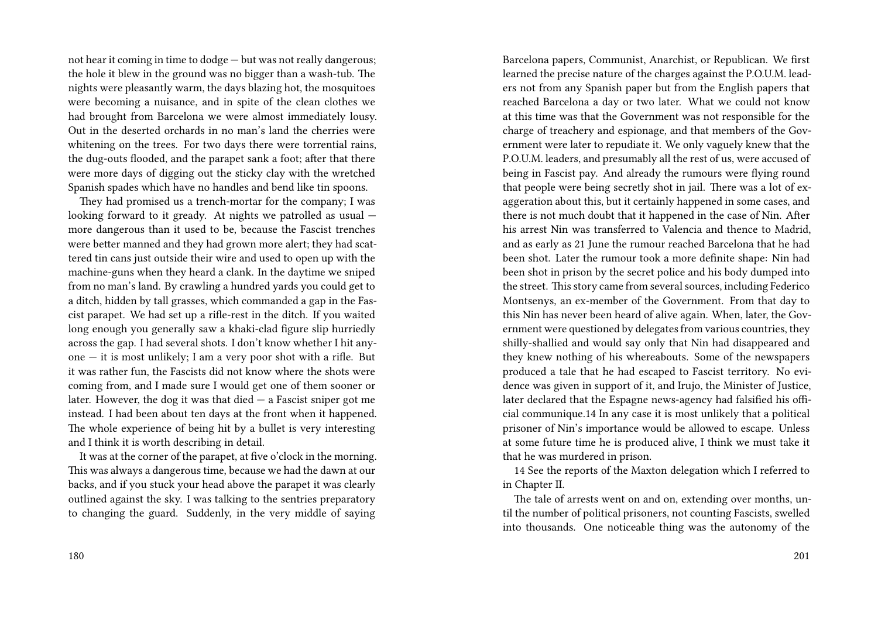not hear it coming in time to dodge — but was not really dangerous; the hole it blew in the ground was no bigger than a wash-tub. The nights were pleasantly warm, the days blazing hot, the mosquitoes were becoming a nuisance, and in spite of the clean clothes we had brought from Barcelona we were almost immediately lousy. Out in the deserted orchards in no man's land the cherries were whitening on the trees. For two days there were torrential rains, the dug-outs flooded, and the parapet sank a foot; after that there were more days of digging out the sticky clay with the wretched Spanish spades which have no handles and bend like tin spoons.

They had promised us a trench-mortar for the company; I was looking forward to it gready. At nights we patrolled as usual more dangerous than it used to be, because the Fascist trenches were better manned and they had grown more alert; they had scattered tin cans just outside their wire and used to open up with the machine-guns when they heard a clank. In the daytime we sniped from no man's land. By crawling a hundred yards you could get to a ditch, hidden by tall grasses, which commanded a gap in the Fascist parapet. We had set up a rifle-rest in the ditch. If you waited long enough you generally saw a khaki-clad figure slip hurriedly across the gap. I had several shots. I don't know whether I hit anyone — it is most unlikely; I am a very poor shot with a rifle. But it was rather fun, the Fascists did not know where the shots were coming from, and I made sure I would get one of them sooner or later. However, the dog it was that died  $-$  a Fascist sniper got me instead. I had been about ten days at the front when it happened. The whole experience of being hit by a bullet is very interesting and I think it is worth describing in detail.

It was at the corner of the parapet, at five o'clock in the morning. This was always a dangerous time, because we had the dawn at our backs, and if you stuck your head above the parapet it was clearly outlined against the sky. I was talking to the sentries preparatory to changing the guard. Suddenly, in the very middle of saying Barcelona papers, Communist, Anarchist, or Republican. We first learned the precise nature of the charges against the P.O.U.M. leaders not from any Spanish paper but from the English papers that reached Barcelona a day or two later. What we could not know at this time was that the Government was not responsible for the charge of treachery and espionage, and that members of the Government were later to repudiate it. We only vaguely knew that the P.O.U.M. leaders, and presumably all the rest of us, were accused of being in Fascist pay. And already the rumours were flying round that people were being secretly shot in jail. There was a lot of exaggeration about this, but it certainly happened in some cases, and there is not much doubt that it happened in the case of Nin. After his arrest Nin was transferred to Valencia and thence to Madrid, and as early as 21 June the rumour reached Barcelona that he had been shot. Later the rumour took a more definite shape: Nin had been shot in prison by the secret police and his body dumped into the street. This story came from several sources, including Federico Montsenys, an ex-member of the Government. From that day to this Nin has never been heard of alive again. When, later, the Government were questioned by delegates from various countries, they shilly-shallied and would say only that Nin had disappeared and they knew nothing of his whereabouts. Some of the newspapers produced a tale that he had escaped to Fascist territory. No evidence was given in support of it, and Irujo, the Minister of Justice, later declared that the Espagne news-agency had falsified his official communique.14 In any case it is most unlikely that a political prisoner of Nin's importance would be allowed to escape. Unless at some future time he is produced alive, I think we must take it that he was murdered in prison.

14 See the reports of the Maxton delegation which I referred to in Chapter II.

The tale of arrests went on and on, extending over months, until the number of political prisoners, not counting Fascists, swelled into thousands. One noticeable thing was the autonomy of the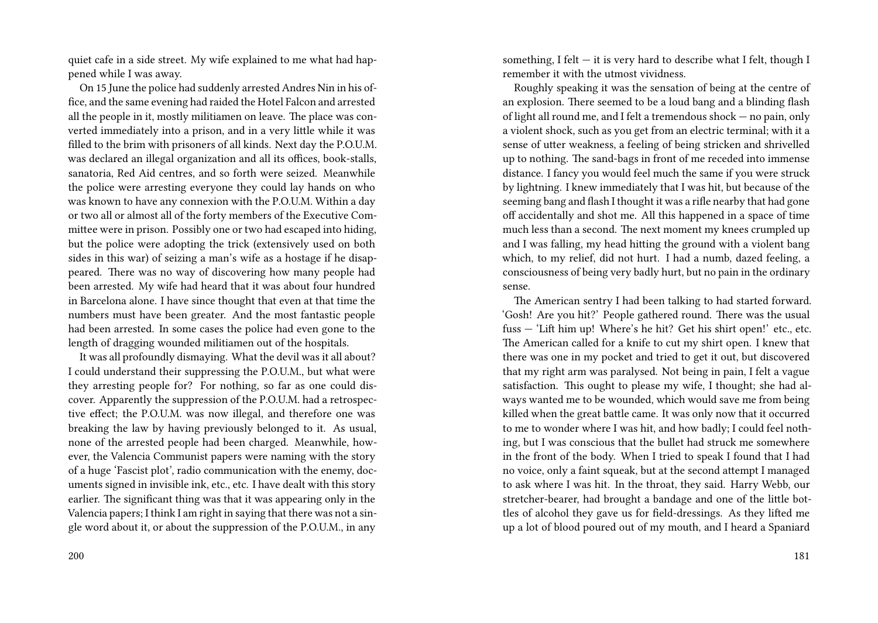quiet cafe in a side street. My wife explained to me what had happened while I was away.

On 15 June the police had suddenly arrested Andres Nin in his office, and the same evening had raided the Hotel Falcon and arrested all the people in it, mostly militiamen on leave. The place was converted immediately into a prison, and in a very little while it was filled to the brim with prisoners of all kinds. Next day the P.O.U.M. was declared an illegal organization and all its offices, book-stalls, sanatoria, Red Aid centres, and so forth were seized. Meanwhile the police were arresting everyone they could lay hands on who was known to have any connexion with the P.O.U.M. Within a day or two all or almost all of the forty members of the Executive Committee were in prison. Possibly one or two had escaped into hiding, but the police were adopting the trick (extensively used on both sides in this war) of seizing a man's wife as a hostage if he disappeared. There was no way of discovering how many people had been arrested. My wife had heard that it was about four hundred in Barcelona alone. I have since thought that even at that time the numbers must have been greater. And the most fantastic people had been arrested. In some cases the police had even gone to the length of dragging wounded militiamen out of the hospitals.

It was all profoundly dismaying. What the devil was it all about? I could understand their suppressing the P.O.U.M., but what were they arresting people for? For nothing, so far as one could discover. Apparently the suppression of the P.O.U.M. had a retrospective effect; the P.O.U.M. was now illegal, and therefore one was breaking the law by having previously belonged to it. As usual, none of the arrested people had been charged. Meanwhile, however, the Valencia Communist papers were naming with the story of a huge 'Fascist plot', radio communication with the enemy, documents signed in invisible ink, etc., etc. I have dealt with this story earlier. The significant thing was that it was appearing only in the Valencia papers; I think I am right in saying that there was not a single word about it, or about the suppression of the P.O.U.M., in any

something, I felt  $-$  it is very hard to describe what I felt, though I remember it with the utmost vividness.

Roughly speaking it was the sensation of being at the centre of an explosion. There seemed to be a loud bang and a blinding flash of light all round me, and I felt a tremendous shock — no pain, only a violent shock, such as you get from an electric terminal; with it a sense of utter weakness, a feeling of being stricken and shrivelled up to nothing. The sand-bags in front of me receded into immense distance. I fancy you would feel much the same if you were struck by lightning. I knew immediately that I was hit, but because of the seeming bang and flash I thought it was a rifle nearby that had gone off accidentally and shot me. All this happened in a space of time much less than a second. The next moment my knees crumpled up and I was falling, my head hitting the ground with a violent bang which, to my relief, did not hurt. I had a numb, dazed feeling, a consciousness of being very badly hurt, but no pain in the ordinary sense.

The American sentry I had been talking to had started forward. 'Gosh! Are you hit?' People gathered round. There was the usual fuss — 'Lift him up! Where's he hit? Get his shirt open!' etc., etc. The American called for a knife to cut my shirt open. I knew that there was one in my pocket and tried to get it out, but discovered that my right arm was paralysed. Not being in pain, I felt a vague satisfaction. This ought to please my wife, I thought; she had always wanted me to be wounded, which would save me from being killed when the great battle came. It was only now that it occurred to me to wonder where I was hit, and how badly; I could feel nothing, but I was conscious that the bullet had struck me somewhere in the front of the body. When I tried to speak I found that I had no voice, only a faint squeak, but at the second attempt I managed to ask where I was hit. In the throat, they said. Harry Webb, our stretcher-bearer, had brought a bandage and one of the little bottles of alcohol they gave us for field-dressings. As they lifted me up a lot of blood poured out of my mouth, and I heard a Spaniard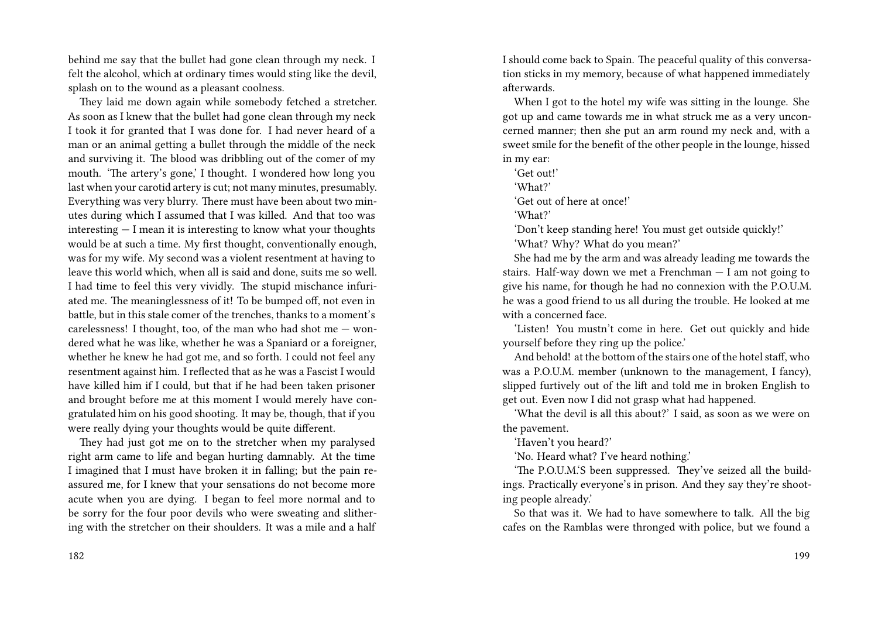behind me say that the bullet had gone clean through my neck. I felt the alcohol, which at ordinary times would sting like the devil, splash on to the wound as a pleasant coolness.

They laid me down again while somebody fetched a stretcher. As soon as I knew that the bullet had gone clean through my neck I took it for granted that I was done for. I had never heard of a man or an animal getting a bullet through the middle of the neck and surviving it. The blood was dribbling out of the comer of my mouth. 'The artery's gone,' I thought. I wondered how long you last when your carotid artery is cut; not many minutes, presumably. Everything was very blurry. There must have been about two minutes during which I assumed that I was killed. And that too was interesting — I mean it is interesting to know what your thoughts would be at such a time. My first thought, conventionally enough, was for my wife. My second was a violent resentment at having to leave this world which, when all is said and done, suits me so well. I had time to feel this very vividly. The stupid mischance infuriated me. The meaninglessness of it! To be bumped off, not even in battle, but in this stale comer of the trenches, thanks to a moment's carelessness! I thought, too, of the man who had shot me — wondered what he was like, whether he was a Spaniard or a foreigner, whether he knew he had got me, and so forth. I could not feel any resentment against him. I reflected that as he was a Fascist I would have killed him if I could, but that if he had been taken prisoner and brought before me at this moment I would merely have congratulated him on his good shooting. It may be, though, that if you were really dying your thoughts would be quite different.

They had just got me on to the stretcher when my paralysed right arm came to life and began hurting damnably. At the time I imagined that I must have broken it in falling; but the pain reassured me, for I knew that your sensations do not become more acute when you are dying. I began to feel more normal and to be sorry for the four poor devils who were sweating and slithering with the stretcher on their shoulders. It was a mile and a half I should come back to Spain. The peaceful quality of this conversation sticks in my memory, because of what happened immediately afterwards.

When I got to the hotel my wife was sitting in the lounge. She got up and came towards me in what struck me as a very unconcerned manner; then she put an arm round my neck and, with a sweet smile for the benefit of the other people in the lounge, hissed in my ear:

'Get out!'

'What?'

'Get out of here at once!'

'What?'

'Don't keep standing here! You must get outside quickly!' 'What? Why? What do you mean?'

She had me by the arm and was already leading me towards the stairs. Half-way down we met a Frenchman — I am not going to give his name, for though he had no connexion with the P.O.U.M. he was a good friend to us all during the trouble. He looked at me with a concerned face.

'Listen! You mustn't come in here. Get out quickly and hide yourself before they ring up the police.'

And behold! at the bottom of the stairs one of the hotel staff, who was a P.O.U.M. member (unknown to the management, I fancy), slipped furtively out of the lift and told me in broken English to get out. Even now I did not grasp what had happened.

'What the devil is all this about?' I said, as soon as we were on the pavement.

'Haven't you heard?'

'No. Heard what? I've heard nothing.'

'The P.O.U.M.'S been suppressed. They've seized all the buildings. Practically everyone's in prison. And they say they're shooting people already.'

So that was it. We had to have somewhere to talk. All the big cafes on the Ramblas were thronged with police, but we found a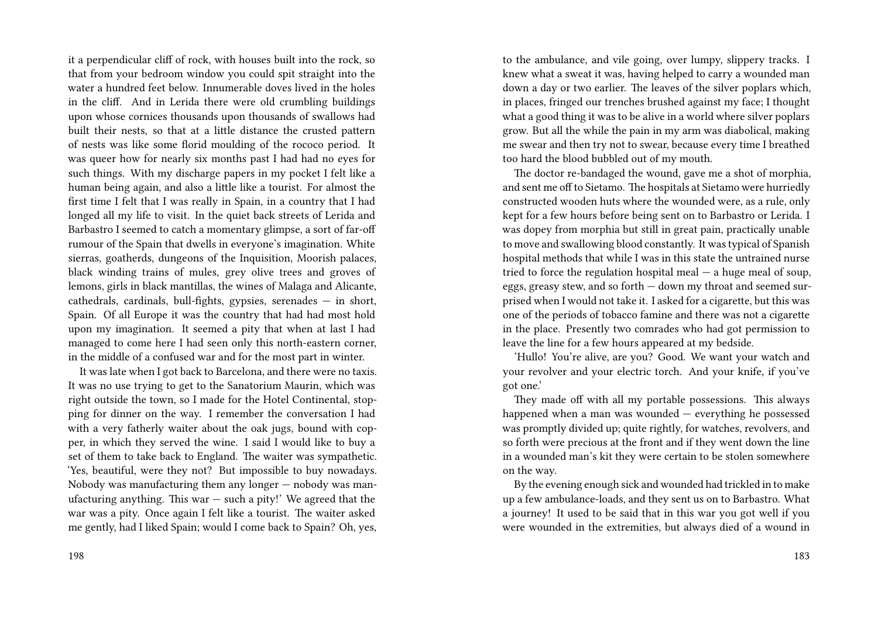it a perpendicular cliff of rock, with houses built into the rock, so that from your bedroom window you could spit straight into the water a hundred feet below. Innumerable doves lived in the holes in the cliff. And in Lerida there were old crumbling buildings upon whose cornices thousands upon thousands of swallows had built their nests, so that at a little distance the crusted pattern of nests was like some florid moulding of the rococo period. It was queer how for nearly six months past I had had no eyes for such things. With my discharge papers in my pocket I felt like a human being again, and also a little like a tourist. For almost the first time I felt that I was really in Spain, in a country that I had longed all my life to visit. In the quiet back streets of Lerida and Barbastro I seemed to catch a momentary glimpse, a sort of far-off rumour of the Spain that dwells in everyone's imagination. White sierras, goatherds, dungeons of the Inquisition, Moorish palaces, black winding trains of mules, grey olive trees and groves of lemons, girls in black mantillas, the wines of Malaga and Alicante, cathedrals, cardinals, bull-fights, gypsies, serenades — in short, Spain. Of all Europe it was the country that had had most hold upon my imagination. It seemed a pity that when at last I had managed to come here I had seen only this north-eastern corner, in the middle of a confused war and for the most part in winter.

It was late when I got back to Barcelona, and there were no taxis. It was no use trying to get to the Sanatorium Maurin, which was right outside the town, so I made for the Hotel Continental, stopping for dinner on the way. I remember the conversation I had with a very fatherly waiter about the oak jugs, bound with copper, in which they served the wine. I said I would like to buy a set of them to take back to England. The waiter was sympathetic. 'Yes, beautiful, were they not? But impossible to buy nowadays. Nobody was manufacturing them any longer — nobody was manufacturing anything. This war  $-$  such a pity!' We agreed that the war was a pity. Once again I felt like a tourist. The waiter asked me gently, had I liked Spain; would I come back to Spain? Oh, yes,

to the ambulance, and vile going, over lumpy, slippery tracks. I knew what a sweat it was, having helped to carry a wounded man down a day or two earlier. The leaves of the silver poplars which, in places, fringed our trenches brushed against my face; I thought what a good thing it was to be alive in a world where silver poplars grow. But all the while the pain in my arm was diabolical, making me swear and then try not to swear, because every time I breathed too hard the blood bubbled out of my mouth.

The doctor re-bandaged the wound, gave me a shot of morphia, and sent me off to Sietamo. The hospitals at Sietamo were hurriedly constructed wooden huts where the wounded were, as a rule, only kept for a few hours before being sent on to Barbastro or Lerida. I was dopey from morphia but still in great pain, practically unable to move and swallowing blood constantly. It was typical of Spanish hospital methods that while I was in this state the untrained nurse tried to force the regulation hospital meal  $-$  a huge meal of soup, eggs, greasy stew, and so forth — down my throat and seemed surprised when I would not take it. I asked for a cigarette, but this was one of the periods of tobacco famine and there was not a cigarette in the place. Presently two comrades who had got permission to leave the line for a few hours appeared at my bedside.

'Hullo! You're alive, are you? Good. We want your watch and your revolver and your electric torch. And your knife, if you've got one.'

They made off with all my portable possessions. This always happened when a man was wounded — everything he possessed was promptly divided up; quite rightly, for watches, revolvers, and so forth were precious at the front and if they went down the line in a wounded man's kit they were certain to be stolen somewhere on the way.

By the evening enough sick and wounded had trickled in to make up a few ambulance-loads, and they sent us on to Barbastro. What a journey! It used to be said that in this war you got well if you were wounded in the extremities, but always died of a wound in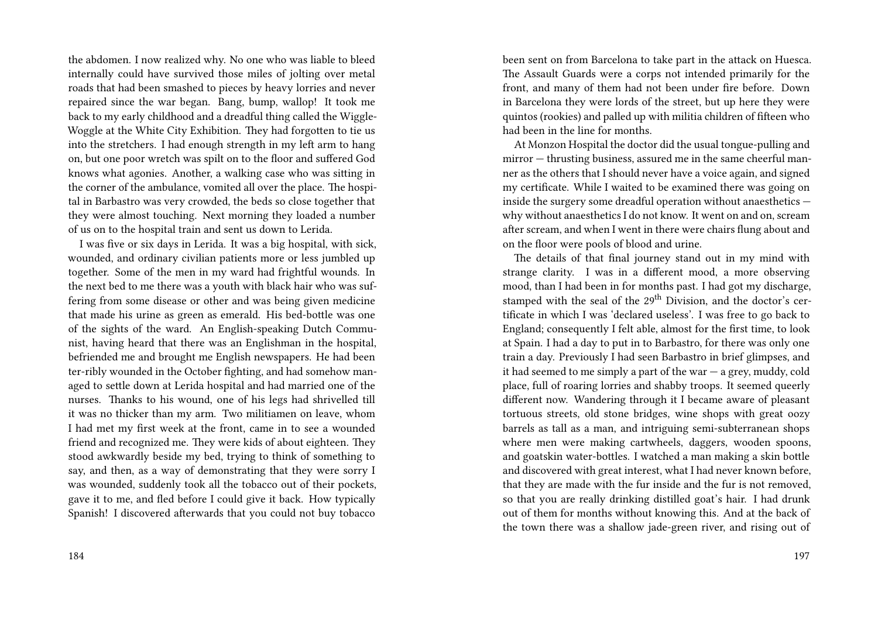the abdomen. I now realized why. No one who was liable to bleed internally could have survived those miles of jolting over metal roads that had been smashed to pieces by heavy lorries and never repaired since the war began. Bang, bump, wallop! It took me back to my early childhood and a dreadful thing called the Wiggle-Woggle at the White City Exhibition. They had forgotten to tie us into the stretchers. I had enough strength in my left arm to hang on, but one poor wretch was spilt on to the floor and suffered God knows what agonies. Another, a walking case who was sitting in the corner of the ambulance, vomited all over the place. The hospital in Barbastro was very crowded, the beds so close together that they were almost touching. Next morning they loaded a number of us on to the hospital train and sent us down to Lerida.

I was five or six days in Lerida. It was a big hospital, with sick, wounded, and ordinary civilian patients more or less jumbled up together. Some of the men in my ward had frightful wounds. In the next bed to me there was a youth with black hair who was suffering from some disease or other and was being given medicine that made his urine as green as emerald. His bed-bottle was one of the sights of the ward. An English-speaking Dutch Communist, having heard that there was an Englishman in the hospital, befriended me and brought me English newspapers. He had been ter-ribly wounded in the October fighting, and had somehow managed to settle down at Lerida hospital and had married one of the nurses. Thanks to his wound, one of his legs had shrivelled till it was no thicker than my arm. Two militiamen on leave, whom I had met my first week at the front, came in to see a wounded friend and recognized me. They were kids of about eighteen. They stood awkwardly beside my bed, trying to think of something to say, and then, as a way of demonstrating that they were sorry I was wounded, suddenly took all the tobacco out of their pockets, gave it to me, and fled before I could give it back. How typically Spanish! I discovered afterwards that you could not buy tobacco

been sent on from Barcelona to take part in the attack on Huesca. The Assault Guards were a corps not intended primarily for the front, and many of them had not been under fire before. Down in Barcelona they were lords of the street, but up here they were quintos (rookies) and palled up with militia children of fifteen who had been in the line for months.

At Monzon Hospital the doctor did the usual tongue-pulling and mirror — thrusting business, assured me in the same cheerful manner as the others that I should never have a voice again, and signed my certificate. While I waited to be examined there was going on inside the surgery some dreadful operation without anaesthetics why without anaesthetics I do not know. It went on and on, scream after scream, and when I went in there were chairs flung about and on the floor were pools of blood and urine.

The details of that final journey stand out in my mind with strange clarity. I was in a different mood, a more observing mood, than I had been in for months past. I had got my discharge, stamped with the seal of the 29<sup>th</sup> Division, and the doctor's certificate in which I was 'declared useless'. I was free to go back to England; consequently I felt able, almost for the first time, to look at Spain. I had a day to put in to Barbastro, for there was only one train a day. Previously I had seen Barbastro in brief glimpses, and it had seemed to me simply a part of the war  $-$  a grey, muddy, cold place, full of roaring lorries and shabby troops. It seemed queerly different now. Wandering through it I became aware of pleasant tortuous streets, old stone bridges, wine shops with great oozy barrels as tall as a man, and intriguing semi-subterranean shops where men were making cartwheels, daggers, wooden spoons, and goatskin water-bottles. I watched a man making a skin bottle and discovered with great interest, what I had never known before, that they are made with the fur inside and the fur is not removed, so that you are really drinking distilled goat's hair. I had drunk out of them for months without knowing this. And at the back of the town there was a shallow jade-green river, and rising out of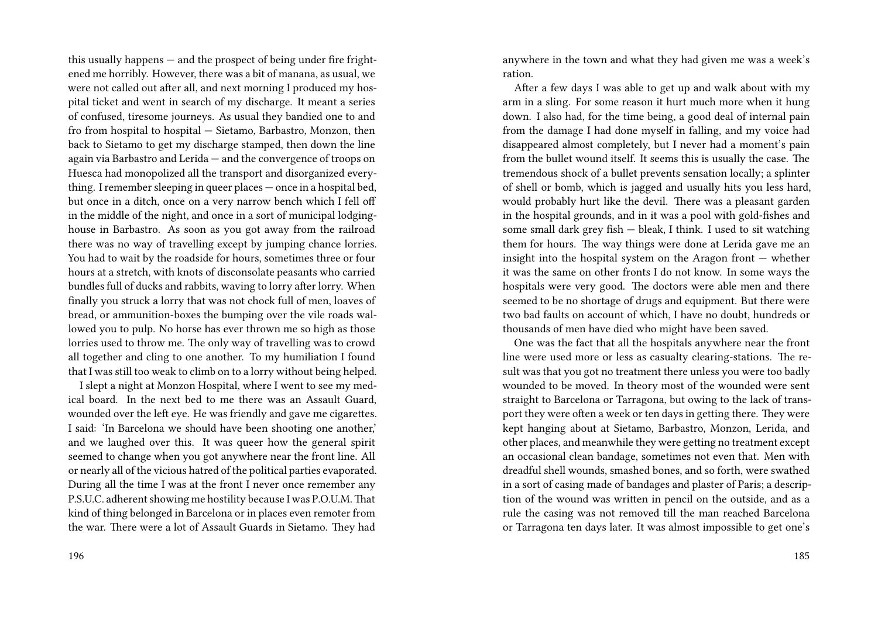this usually happens — and the prospect of being under fire frightened me horribly. However, there was a bit of manana, as usual, we were not called out after all, and next morning I produced my hospital ticket and went in search of my discharge. It meant a series of confused, tiresome journeys. As usual they bandied one to and fro from hospital to hospital — Sietamo, Barbastro, Monzon, then back to Sietamo to get my discharge stamped, then down the line again via Barbastro and Lerida — and the convergence of troops on Huesca had monopolized all the transport and disorganized everything. I remember sleeping in queer places — once in a hospital bed, but once in a ditch, once on a very narrow bench which I fell off in the middle of the night, and once in a sort of municipal lodginghouse in Barbastro. As soon as you got away from the railroad there was no way of travelling except by jumping chance lorries. You had to wait by the roadside for hours, sometimes three or four hours at a stretch, with knots of disconsolate peasants who carried bundles full of ducks and rabbits, waving to lorry after lorry. When finally you struck a lorry that was not chock full of men, loaves of bread, or ammunition-boxes the bumping over the vile roads wallowed you to pulp. No horse has ever thrown me so high as those lorries used to throw me. The only way of travelling was to crowd all together and cling to one another. To my humiliation I found that I was still too weak to climb on to a lorry without being helped.

I slept a night at Monzon Hospital, where I went to see my medical board. In the next bed to me there was an Assault Guard, wounded over the left eye. He was friendly and gave me cigarettes. I said: 'In Barcelona we should have been shooting one another,' and we laughed over this. It was queer how the general spirit seemed to change when you got anywhere near the front line. All or nearly all of the vicious hatred of the political parties evaporated. During all the time I was at the front I never once remember any P.S.U.C. adherent showing me hostility because I was P.O.U.M.That kind of thing belonged in Barcelona or in places even remoter from the war. There were a lot of Assault Guards in Sietamo. They had

anywhere in the town and what they had given me was a week's ration.

After a few days I was able to get up and walk about with my arm in a sling. For some reason it hurt much more when it hung down. I also had, for the time being, a good deal of internal pain from the damage I had done myself in falling, and my voice had disappeared almost completely, but I never had a moment's pain from the bullet wound itself. It seems this is usually the case. The tremendous shock of a bullet prevents sensation locally; a splinter of shell or bomb, which is jagged and usually hits you less hard, would probably hurt like the devil. There was a pleasant garden in the hospital grounds, and in it was a pool with gold-fishes and some small dark grey fish — bleak, I think. I used to sit watching them for hours. The way things were done at Lerida gave me an insight into the hospital system on the Aragon front — whether it was the same on other fronts I do not know. In some ways the hospitals were very good. The doctors were able men and there seemed to be no shortage of drugs and equipment. But there were two bad faults on account of which, I have no doubt, hundreds or thousands of men have died who might have been saved.

One was the fact that all the hospitals anywhere near the front line were used more or less as casualty clearing-stations. The result was that you got no treatment there unless you were too badly wounded to be moved. In theory most of the wounded were sent straight to Barcelona or Tarragona, but owing to the lack of transport they were often a week or ten days in getting there. They were kept hanging about at Sietamo, Barbastro, Monzon, Lerida, and other places, and meanwhile they were getting no treatment except an occasional clean bandage, sometimes not even that. Men with dreadful shell wounds, smashed bones, and so forth, were swathed in a sort of casing made of bandages and plaster of Paris; a description of the wound was written in pencil on the outside, and as a rule the casing was not removed till the man reached Barcelona or Tarragona ten days later. It was almost impossible to get one's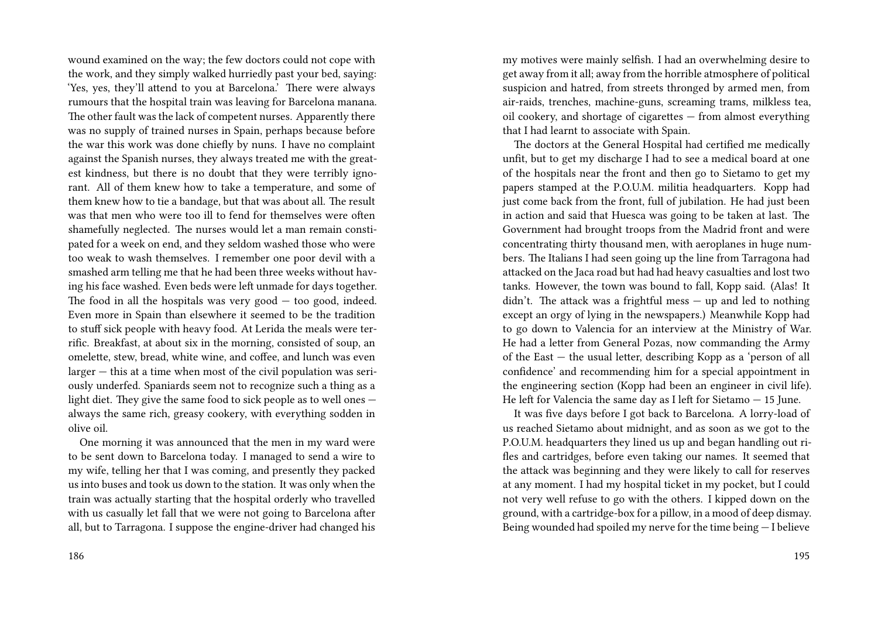wound examined on the way; the few doctors could not cope with the work, and they simply walked hurriedly past your bed, saying: 'Yes, yes, they'll attend to you at Barcelona.' There were always rumours that the hospital train was leaving for Barcelona manana. The other fault was the lack of competent nurses. Apparently there was no supply of trained nurses in Spain, perhaps because before the war this work was done chiefly by nuns. I have no complaint against the Spanish nurses, they always treated me with the greatest kindness, but there is no doubt that they were terribly ignorant. All of them knew how to take a temperature, and some of them knew how to tie a bandage, but that was about all. The result was that men who were too ill to fend for themselves were often shamefully neglected. The nurses would let a man remain constipated for a week on end, and they seldom washed those who were too weak to wash themselves. I remember one poor devil with a smashed arm telling me that he had been three weeks without having his face washed. Even beds were left unmade for days together. The food in all the hospitals was very good  $-$  too good, indeed. Even more in Spain than elsewhere it seemed to be the tradition to stuff sick people with heavy food. At Lerida the meals were terrific. Breakfast, at about six in the morning, consisted of soup, an omelette, stew, bread, white wine, and coffee, and lunch was even  $larger - this$  at a time when most of the civil population was seriously underfed. Spaniards seem not to recognize such a thing as a light diet. They give the same food to sick people as to well ones always the same rich, greasy cookery, with everything sodden in olive oil.

One morning it was announced that the men in my ward were to be sent down to Barcelona today. I managed to send a wire to my wife, telling her that I was coming, and presently they packed us into buses and took us down to the station. It was only when the train was actually starting that the hospital orderly who travelled with us casually let fall that we were not going to Barcelona after all, but to Tarragona. I suppose the engine-driver had changed his my motives were mainly selfish. I had an overwhelming desire to get away from it all; away from the horrible atmosphere of political suspicion and hatred, from streets thronged by armed men, from air-raids, trenches, machine-guns, screaming trams, milkless tea, oil cookery, and shortage of cigarettes — from almost everything that I had learnt to associate with Spain.

The doctors at the General Hospital had certified me medically unfit, but to get my discharge I had to see a medical board at one of the hospitals near the front and then go to Sietamo to get my papers stamped at the P.O.U.M. militia headquarters. Kopp had just come back from the front, full of jubilation. He had just been in action and said that Huesca was going to be taken at last. The Government had brought troops from the Madrid front and were concentrating thirty thousand men, with aeroplanes in huge numbers. The Italians I had seen going up the line from Tarragona had attacked on the Jaca road but had had heavy casualties and lost two tanks. However, the town was bound to fall, Kopp said. (Alas! It didn't. The attack was a frightful mess  $-$  up and led to nothing except an orgy of lying in the newspapers.) Meanwhile Kopp had to go down to Valencia for an interview at the Ministry of War. He had a letter from General Pozas, now commanding the Army of the East — the usual letter, describing Kopp as a 'person of all confidence' and recommending him for a special appointment in the engineering section (Kopp had been an engineer in civil life). He left for Valencia the same day as I left for Sietamo — 15 June.

It was five days before I got back to Barcelona. A lorry-load of us reached Sietamo about midnight, and as soon as we got to the P.O.U.M. headquarters they lined us up and began handling out rifles and cartridges, before even taking our names. It seemed that the attack was beginning and they were likely to call for reserves at any moment. I had my hospital ticket in my pocket, but I could not very well refuse to go with the others. I kipped down on the ground, with a cartridge-box for a pillow, in a mood of deep dismay. Being wounded had spoiled my nerve for the time being — I believe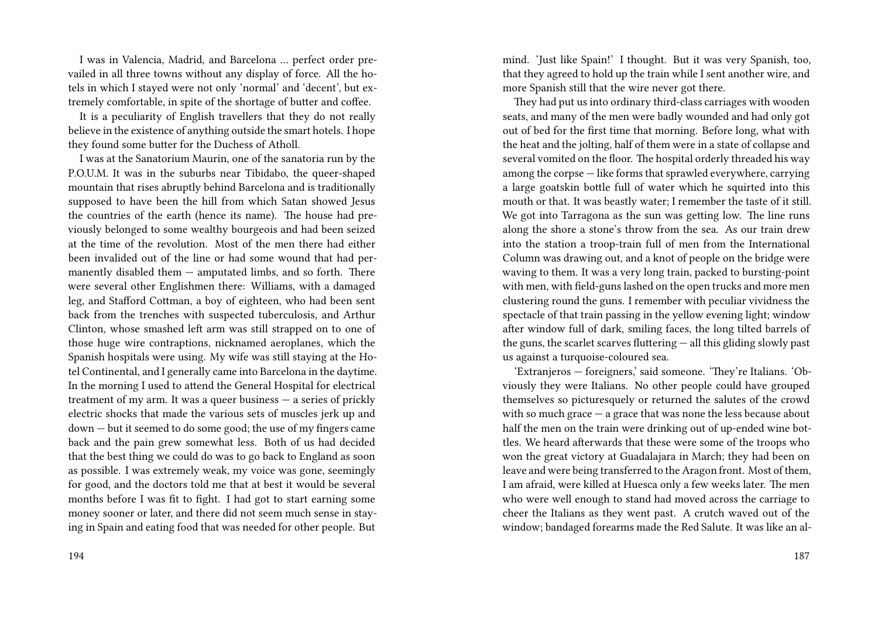I was in Valencia, Madrid, and Barcelona … perfect order prevailed in all three towns without any display of force. All the hotels in which I stayed were not only 'normal' and 'decent', but extremely comfortable, in spite of the shortage of butter and coffee.

It is a peculiarity of English travellers that they do not really believe in the existence of anything outside the smart hotels. I hope they found some butter for the Duchess of Atholl.

I was at the Sanatorium Maurin, one of the sanatoria run by the P.O.U.M. It was in the suburbs near Tibidabo, the queer-shaped mountain that rises abruptly behind Barcelona and is traditionally supposed to have been the hill from which Satan showed Jesus the countries of the earth (hence its name). The house had previously belonged to some wealthy bourgeois and had been seized at the time of the revolution. Most of the men there had either been invalided out of the line or had some wound that had permanently disabled them — amputated limbs, and so forth. There were several other Englishmen there: Williams, with a damaged leg, and Stafford Cottman, a boy of eighteen, who had been sent back from the trenches with suspected tuberculosis, and Arthur Clinton, whose smashed left arm was still strapped on to one of those huge wire contraptions, nicknamed aeroplanes, which the Spanish hospitals were using. My wife was still staying at the Hotel Continental, and I generally came into Barcelona in the daytime. In the morning I used to attend the General Hospital for electrical treatment of my arm. It was a queer business  $-$  a series of prickly electric shocks that made the various sets of muscles jerk up and down — but it seemed to do some good; the use of my fingers came back and the pain grew somewhat less. Both of us had decided that the best thing we could do was to go back to England as soon as possible. I was extremely weak, my voice was gone, seemingly for good, and the doctors told me that at best it would be several months before I was fit to fight. I had got to start earning some money sooner or later, and there did not seem much sense in staying in Spain and eating food that was needed for other people. But

194

mind. 'Just like Spain!' I thought. But it was very Spanish, too, that they agreed to hold up the train while I sent another wire, and more Spanish still that the wire never got there.

They had put us into ordinary third-class carriages with wooden seats, and many of the men were badly wounded and had only got out of bed for the first time that morning. Before long, what with the heat and the jolting, half of them were in a state of collapse and several vomited on the floor. The hospital orderly threaded his way among the corpse — like forms that sprawled everywhere, carrying a large goatskin bottle full of water which he squirted into this mouth or that. It was beastly water; I remember the taste of it still. We got into Tarragona as the sun was getting low. The line runs along the shore a stone's throw from the sea. As our train drew into the station a troop-train full of men from the International Column was drawing out, and a knot of people on the bridge were waving to them. It was a very long train, packed to bursting-point with men, with field-guns lashed on the open trucks and more men clustering round the guns. I remember with peculiar vividness the spectacle of that train passing in the yellow evening light; window after window full of dark, smiling faces, the long tilted barrels of the guns, the scarlet scarves fluttering  $-$  all this gliding slowly past us against a turquoise-coloured sea.

'Extranjeros — foreigners,' said someone. 'They're Italians. 'Obviously they were Italians. No other people could have grouped themselves so picturesquely or returned the salutes of the crowd with so much grace  $-$  a grace that was none the less because about half the men on the train were drinking out of up-ended wine bottles. We heard afterwards that these were some of the troops who won the great victory at Guadalajara in March; they had been on leave and were being transferred to the Aragon front. Most of them, I am afraid, were killed at Huesca only a few weeks later. The men who were well enough to stand had moved across the carriage to cheer the Italians as they went past. A crutch waved out of the window; bandaged forearms made the Red Salute. It was like an al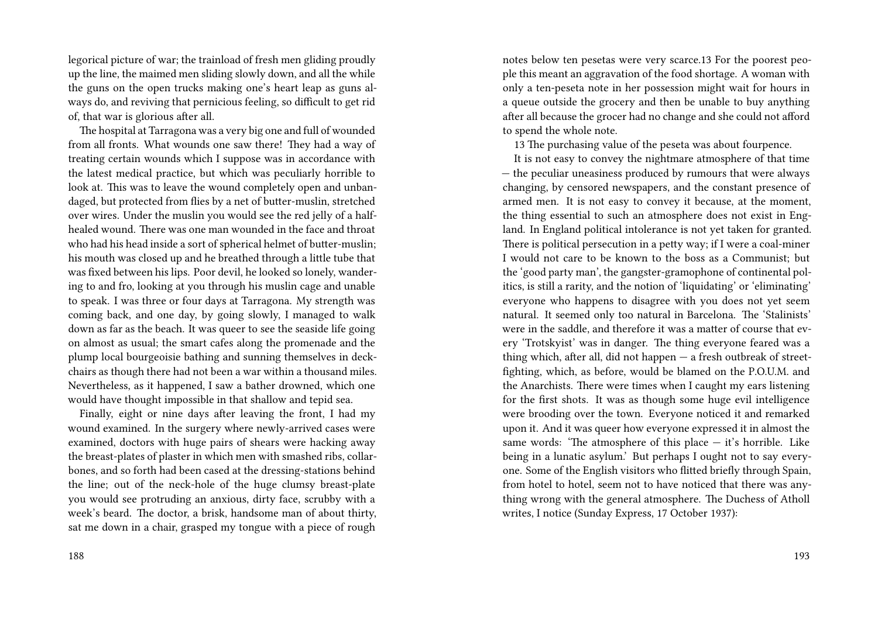legorical picture of war; the trainload of fresh men gliding proudly up the line, the maimed men sliding slowly down, and all the while the guns on the open trucks making one's heart leap as guns always do, and reviving that pernicious feeling, so difficult to get rid of, that war is glorious after all.

The hospital at Tarragona was a very big one and full of wounded from all fronts. What wounds one saw there! They had a way of treating certain wounds which I suppose was in accordance with the latest medical practice, but which was peculiarly horrible to look at. This was to leave the wound completely open and unbandaged, but protected from flies by a net of butter-muslin, stretched over wires. Under the muslin you would see the red jelly of a halfhealed wound. There was one man wounded in the face and throat who had his head inside a sort of spherical helmet of butter-muslin; his mouth was closed up and he breathed through a little tube that was fixed between his lips. Poor devil, he looked so lonely, wandering to and fro, looking at you through his muslin cage and unable to speak. I was three or four days at Tarragona. My strength was coming back, and one day, by going slowly, I managed to walk down as far as the beach. It was queer to see the seaside life going on almost as usual; the smart cafes along the promenade and the plump local bourgeoisie bathing and sunning themselves in deckchairs as though there had not been a war within a thousand miles. Nevertheless, as it happened, I saw a bather drowned, which one would have thought impossible in that shallow and tepid sea.

Finally, eight or nine days after leaving the front, I had my wound examined. In the surgery where newly-arrived cases were examined, doctors with huge pairs of shears were hacking away the breast-plates of plaster in which men with smashed ribs, collarbones, and so forth had been cased at the dressing-stations behind the line; out of the neck-hole of the huge clumsy breast-plate you would see protruding an anxious, dirty face, scrubby with a week's beard. The doctor, a brisk, handsome man of about thirty, sat me down in a chair, grasped my tongue with a piece of rough

188

notes below ten pesetas were very scarce.13 For the poorest people this meant an aggravation of the food shortage. A woman with only a ten-peseta note in her possession might wait for hours in a queue outside the grocery and then be unable to buy anything after all because the grocer had no change and she could not afford to spend the whole note.

13 The purchasing value of the peseta was about fourpence.

It is not easy to convey the nightmare atmosphere of that time — the peculiar uneasiness produced by rumours that were always changing, by censored newspapers, and the constant presence of armed men. It is not easy to convey it because, at the moment, the thing essential to such an atmosphere does not exist in England. In England political intolerance is not yet taken for granted. There is political persecution in a petty way; if I were a coal-miner I would not care to be known to the boss as a Communist; but the 'good party man', the gangster-gramophone of continental politics, is still a rarity, and the notion of 'liquidating' or 'eliminating' everyone who happens to disagree with you does not yet seem natural. It seemed only too natural in Barcelona. The 'Stalinists' were in the saddle, and therefore it was a matter of course that every 'Trotskyist' was in danger. The thing everyone feared was a thing which, after all, did not happen — a fresh outbreak of streetfighting, which, as before, would be blamed on the P.O.U.M. and the Anarchists. There were times when I caught my ears listening for the first shots. It was as though some huge evil intelligence were brooding over the town. Everyone noticed it and remarked upon it. And it was queer how everyone expressed it in almost the same words: 'The atmosphere of this place  $-$  it's horrible. Like being in a lunatic asylum.' But perhaps I ought not to say everyone. Some of the English visitors who flitted briefly through Spain, from hotel to hotel, seem not to have noticed that there was anything wrong with the general atmosphere. The Duchess of Atholl writes, I notice (Sunday Express, 17 October 1937):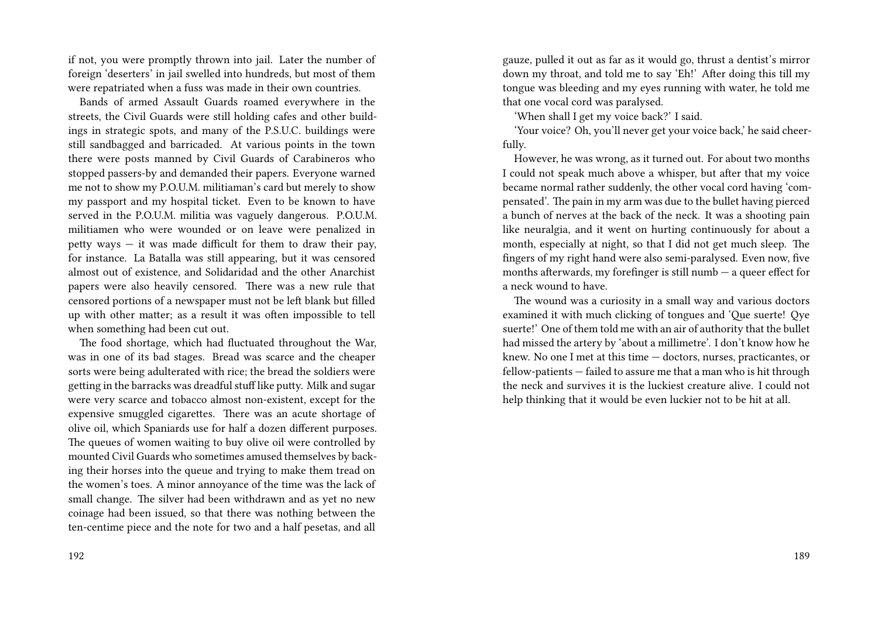if not, you were promptly thrown into jail. Later the number of foreign 'deserters' in jail swelled into hundreds, but most of them were repatriated when a fuss was made in their own countries.

Bands of armed Assault Guards roamed everywhere in the streets, the Civil Guards were still holding cafes and other buildings in strategic spots, and many of the P.S.U.C. buildings were still sandbagged and barricaded. At various points in the town there were posts manned by Civil Guards of Carabineros who stopped passers-by and demanded their papers. Everyone warned me not to show my P.O.U.M. militiaman's card but merely to show my passport and my hospital ticket. Even to be known to have served in the P.O.U.M. militia was vaguely dangerous. P.O.U.M. militiamen who were wounded or on leave were penalized in petty ways  $-$  it was made difficult for them to draw their pay, for instance. La Batalla was still appearing, but it was censored almost out of existence, and Solidaridad and the other Anarchist papers were also heavily censored. There was a new rule that censored portions of a newspaper must not be left blank but filled up with other matter; as a result it was often impossible to tell when something had been cut out.

The food shortage, which had fluctuated throughout the War, was in one of its bad stages. Bread was scarce and the cheaper sorts were being adulterated with rice; the bread the soldiers were getting in the barracks was dreadful stuff like putty. Milk and sugar were very scarce and tobacco almost non-existent, except for the expensive smuggled cigarettes. There was an acute shortage of olive oil, which Spaniards use for half a dozen different purposes. The queues of women waiting to buy olive oil were controlled by mounted Civil Guards who sometimes amused themselves by backing their horses into the queue and trying to make them tread on the women's toes. A minor annoyance of the time was the lack of small change. The silver had been withdrawn and as yet no new coinage had been issued, so that there was nothing between the ten-centime piece and the note for two and a half pesetas, and all

gauze, pulled it out as far as it would go, thrust a dentist's mirror down my throat, and told me to say 'Eh!' After doing this till my tongue was bleeding and my eyes running with water, he told me that one vocal cord was paralysed.

'When shall I get my voice back?' I said.

'Your voice? Oh, you'll never get your voice back,' he said cheerfully.

However, he was wrong, as it turned out. For about two months I could not speak much above a whisper, but after that my voice became normal rather suddenly, the other vocal cord having 'compensated'. The pain in my arm was due to the bullet having pierced a bunch of nerves at the back of the neck. It was a shooting pain like neuralgia, and it went on hurting continuously for about a month, especially at night, so that I did not get much sleep. The fingers of my right hand were also semi-paralysed. Even now, five months afterwards, my forefinger is still numb — a queer effect for a neck wound to have.

The wound was a curiosity in a small way and various doctors examined it with much clicking of tongues and 'Que suerte! Qye suerte!' One of them told me with an air of authority that the bullet had missed the artery by 'about a millimetre'. I don't know how he knew. No one I met at this time — doctors, nurses, practicantes, or fellow-patients — failed to assure me that a man who is hit through the neck and survives it is the luckiest creature alive. I could not help thinking that it would be even luckier not to be hit at all.